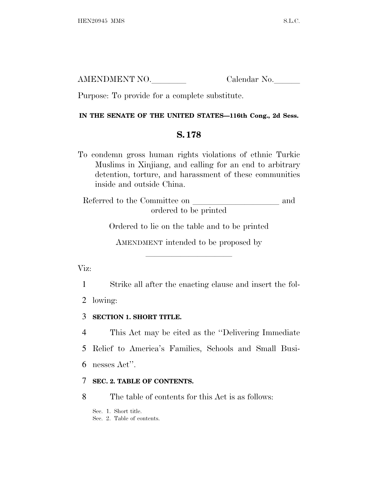AMENDMENT NO. Calendar No.

Purpose: To provide for a complete substitute.

# **IN THE SENATE OF THE UNITED STATES—116th Cong., 2d Sess.**

# **S. 178**

To condemn gross human rights violations of ethnic Turkic Muslims in Xinjiang, and calling for an end to arbitrary detention, torture, and harassment of these communities inside and outside China.

Referred to the Committee on and ordered to be printed

Ordered to lie on the table and to be printed

AMENDMENT intended to be proposed by

lla se a constituída a constituída a constituída a constituída a constituída a constituída a constituída a con

Viz:

1 Strike all after the enacting clause and insert the fol-

2 lowing:

3 **SECTION 1. SHORT TITLE.**

4 This Act may be cited as the ''Delivering Immediate

5 Relief to America's Families, Schools and Small Busi-

6 nesses Act''.

# 7 **SEC. 2. TABLE OF CONTENTS.**

8 The table of contents for this Act is as follows:

Sec. 1. Short title.

Sec. 2. Table of contents.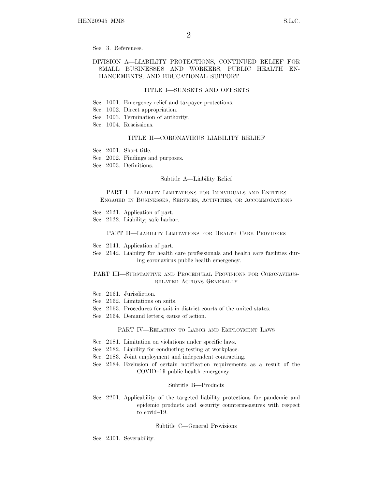Sec. 3. References.

## DIVISION A—LIABILITY PROTECTIONS, CONTINUED RELIEF FOR SMALL BUSINESSES AND WORKERS, PUBLIC HEALTH EN-HANCEMENTS, AND EDUCATIONAL SUPPORT

#### TITLE I—SUNSETS AND OFFSETS

- Sec. 1001. Emergency relief and taxpayer protections.
- Sec. 1002. Direct appropriation.
- Sec. 1003. Termination of authority.
- Sec. 1004. Rescissions.

## TITLE II—CORONAVIRUS LIABILITY RELIEF

- Sec. 2001. Short title.
- Sec. 2002. Findings and purposes.
- Sec. 2003. Definitions.

#### Subtitle A—Liability Relief

PART I—LIABILITY LIMITATIONS FOR INDIVIDUALS AND ENTITIES ENGAGED IN BUSINESSES, SERVICES, ACTIVITIES, OR ACCOMMODATIONS

- Sec. 2121. Application of part.
- Sec. 2122. Liability; safe harbor.

#### PART II—LIABILITY LIMITATIONS FOR HEALTH CARE PROVIDERS

- Sec. 2141. Application of part.
- Sec. 2142. Liability for health care professionals and health care facilities during coronavirus public health emergency.

## PART III—SUBSTANTIVE AND PROCEDURAL PROVISIONS FOR CORONAVIRUS-RELATED ACTIONS GENERALLY

- Sec. 2161. Jurisdiction.
- Sec. 2162. Limitations on suits.
- Sec. 2163. Procedures for suit in district courts of the united states.
- Sec. 2164. Demand letters; cause of action.

## PART IV—RELATION TO LABOR AND EMPLOYMENT LAWS

- Sec. 2181. Limitation on violations under specific laws.
- Sec. 2182. Liability for conducting testing at workplace.
- Sec. 2183. Joint employment and independent contracting.
- Sec. 2184. Exclusion of certain notification requirements as a result of the COVID–19 public health emergency.

#### Subtitle B—Products

Sec. 2201. Applicability of the targeted liability protections for pandemic and epidemic products and security countermeasures with respect to covid–19.

#### Subtitle C—General Provisions

Sec. 2301. Severability.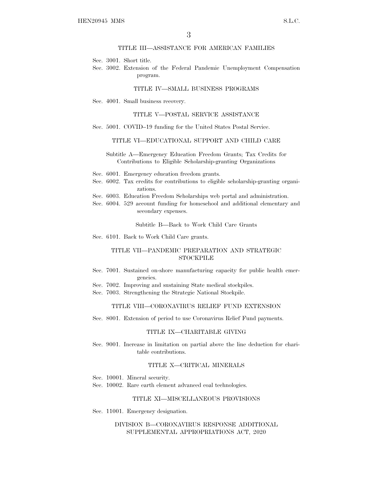## TITLE III—ASSISTANCE FOR AMERICAN FAMILIES

Sec. 3001. Short title.

Sec. 3002. Extension of the Federal Pandemic Unemployment Compensation program.

#### TITLE IV—SMALL BUSINESS PROGRAMS

Sec. 4001. Small business recovery.

#### TITLE V—POSTAL SERVICE ASSISTANCE

Sec. 5001. COVID–19 funding for the United States Postal Service.

## TITLE VI—EDUCATIONAL SUPPORT AND CHILD CARE

## Subtitle A—Emergency Education Freedom Grants; Tax Credits for Contributions to Eligible Scholarship-granting Organizations

- Sec. 6001. Emergency education freedom grants.
- Sec. 6002. Tax credits for contributions to eligible scholarship-granting organizations.
- Sec. 6003. Education Freedom Scholarships web portal and administration.
- Sec. 6004. 529 account funding for homeschool and additional elementary and secondary expenses.

Subtitle B—Back to Work Child Care Grants

Sec. 6101. Back to Work Child Care grants.

## TITLE VII—PANDEMIC PREPARATION AND STRATEGIC **STOCKPILE**

- Sec. 7001. Sustained on-shore manufacturing capacity for public health emergencies.
- Sec. 7002. Improving and sustaining State medical stockpiles.
- Sec. 7003. Strengthening the Strategic National Stockpile.

## TITLE VIII—CORONAVIRUS RELIEF FUND EXTENSION

Sec. 8001. Extension of period to use Coronavirus Relief Fund payments.

#### TITLE IX—CHARITABLE GIVING

Sec. 9001. Increase in limitation on partial above the line deduction for charitable contributions.

#### TITLE X—CRITICAL MINERALS

- Sec. 10001. Mineral security.
- Sec. 10002. Rare earth element advanced coal technologies.

#### TITLE XI—MISCELLANEOUS PROVISIONS

Sec. 11001. Emergency designation.

## DIVISION B—CORONAVIRUS RESPONSE ADDITIONAL SUPPLEMENTAL APPROPRIATIONS ACT, 2020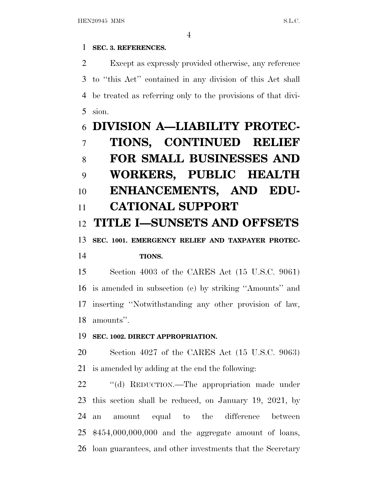# **SEC. 3. REFERENCES.**

 Except as expressly provided otherwise, any reference to ''this Act'' contained in any division of this Act shall be treated as referring only to the provisions of that divi-sion.

# **DIVISION A—LIABILITY PROTEC- TIONS, CONTINUED RELIEF FOR SMALL BUSINESSES AND WORKERS, PUBLIC HEALTH ENHANCEMENTS, AND EDU- CATIONAL SUPPORT TITLE I—SUNSETS AND OFFSETS SEC. 1001. EMERGENCY RELIEF AND TAXPAYER PROTEC- TIONS.** Section 4003 of the CARES Act (15 U.S.C. 9061)

 is amended in subsection (e) by striking ''Amounts'' and inserting ''Notwithstanding any other provision of law, amounts''.

# **SEC. 1002. DIRECT APPROPRIATION.**

 Section 4027 of the CARES Act (15 U.S.C. 9063) is amended by adding at the end the following:

22 "(d) REDUCTION.—The appropriation made under this section shall be reduced, on January 19, 2021, by an amount equal to the difference between \$454,000,000,000 and the aggregate amount of loans, loan guarantees, and other investments that the Secretary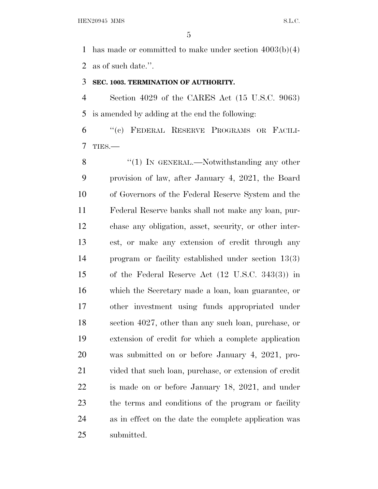has made or committed to make under section 4003(b)(4) as of such date.''.

## **SEC. 1003. TERMINATION OF AUTHORITY.**

 Section 4029 of the CARES Act (15 U.S.C. 9063) is amended by adding at the end the following:

 ''(c) FEDERAL RESERVE PROGRAMS OR FACILI-TIES.—

8 "(1) In GENERAL.—Notwithstanding any other provision of law, after January 4, 2021, the Board of Governors of the Federal Reserve System and the Federal Reserve banks shall not make any loan, pur- chase any obligation, asset, security, or other inter- est, or make any extension of credit through any program or facility established under section 13(3) of the Federal Reserve Act (12 U.S.C. 343(3)) in which the Secretary made a loan, loan guarantee, or other investment using funds appropriated under section 4027, other than any such loan, purchase, or extension of credit for which a complete application was submitted on or before January 4, 2021, pro- vided that such loan, purchase, or extension of credit is made on or before January 18, 2021, and under the terms and conditions of the program or facility as in effect on the date the complete application was submitted.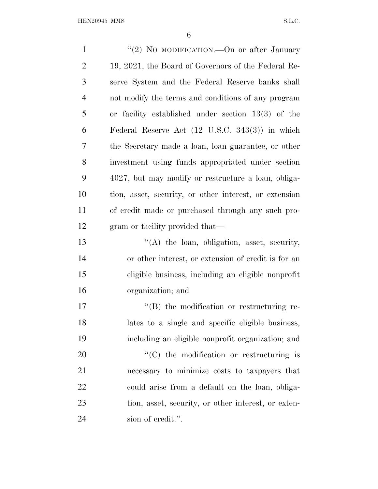| $\mathbf{1}$   | "(2) No MODIFICATION. - On or after January                |
|----------------|------------------------------------------------------------|
| $\overline{2}$ | 19, 2021, the Board of Governors of the Federal Re-        |
| 3              | serve System and the Federal Reserve banks shall           |
| $\overline{4}$ | not modify the terms and conditions of any program         |
| 5              | or facility established under section $13(3)$ of the       |
| 6              | Federal Reserve Act $(12 \text{ U.S.C. } 343(3))$ in which |
| 7              | the Secretary made a loan, loan guarantee, or other        |
| 8              | investment using funds appropriated under section          |
| 9              | 4027, but may modify or restructure a loan, obliga-        |
| 10             | tion, asset, security, or other interest, or extension     |
| 11             | of credit made or purchased through any such pro-          |
| 12             | gram or facility provided that—                            |
| 13             | $\lq\lq$ the loan, obligation, asset, security,            |
| 14             | or other interest, or extension of credit is for an        |
| 15             | eligible business, including an eligible nonprofit         |
| 16             | organization; and                                          |
| 17             | $\lq\lq (B)$ the modification or restructuring re-         |
| 18             | lates to a single and specific eligible business,          |
| 19             | including an eligible nonprofit organization; and          |
| 20             | "(C) the modification or restructuring is                  |
| 21             | necessary to minimize costs to taxpayers that              |
| 22             | could arise from a default on the loan, obliga-            |
| 23             | tion, asset, security, or other interest, or exten-        |
| 24             | sion of credit.".                                          |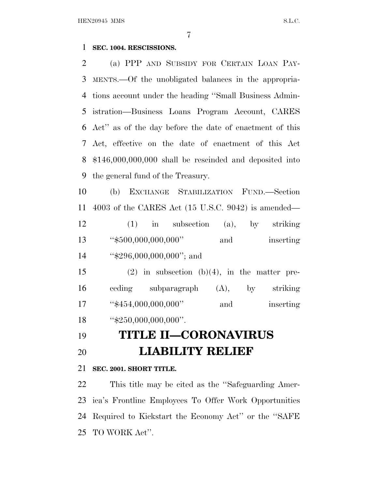## **SEC. 1004. RESCISSIONS.**

 (a) PPP AND SUBSIDY FOR CERTAIN LOAN PAY- MENTS.—Of the unobligated balances in the appropria- tions account under the heading ''Small Business Admin- istration—Business Loans Program Account, CARES Act'' as of the day before the date of enactment of this Act, effective on the date of enactment of this Act \$146,000,000,000 shall be rescinded and deposited into the general fund of the Treasury.

 (b) EXCHANGE STABILIZATION FUND.—Section 4003 of the CARES Act (15 U.S.C. 9042) is amended— (1) in subsection (a), by striking 13 ''\$500,000,000,000'' and inserting 14 "\$296,000,000,000"; and

15 (2) in subsection  $(b)(4)$ , in the matter pre- ceding subparagraph (A), by striking 17 ''\$454,000,000,000'' and inserting ''\$250,000,000,000''.

# **TITLE II—CORONAVIRUS LIABILITY RELIEF**

# **SEC. 2001. SHORT TITLE.**

 This title may be cited as the ''Safeguarding Amer- ica's Frontline Employees To Offer Work Opportunities Required to Kickstart the Economy Act'' or the ''SAFE TO WORK Act''.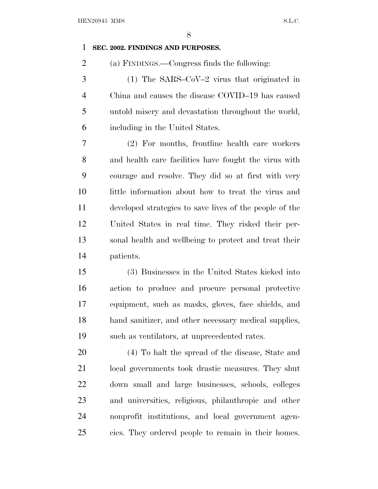# **SEC. 2002. FINDINGS AND PURPOSES.**

(a) FINDINGS.—Congress finds the following:

 (1) The SARS–CoV–2 virus that originated in China and causes the disease COVID–19 has caused untold misery and devastation throughout the world, including in the United States.

 (2) For months, frontline health care workers and health care facilities have fought the virus with courage and resolve. They did so at first with very little information about how to treat the virus and developed strategies to save lives of the people of the United States in real time. They risked their per- sonal health and wellbeing to protect and treat their patients.

 (3) Businesses in the United States kicked into action to produce and procure personal protective equipment, such as masks, gloves, face shields, and hand sanitizer, and other necessary medical supplies, such as ventilators, at unprecedented rates.

 (4) To halt the spread of the disease, State and local governments took drastic measures. They shut down small and large businesses, schools, colleges and universities, religious, philanthropic and other nonprofit institutions, and local government agen-cies. They ordered people to remain in their homes.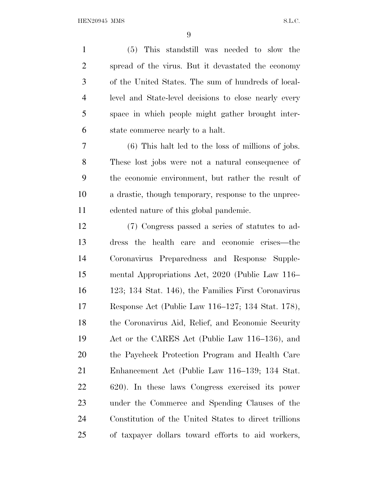(5) This standstill was needed to slow the spread of the virus. But it devastated the economy of the United States. The sum of hundreds of local- level and State-level decisions to close nearly every space in which people might gather brought inter- state commerce nearly to a halt. (6) This halt led to the loss of millions of jobs. These lost jobs were not a natural consequence of

 the economic environment, but rather the result of a drastic, though temporary, response to the unprec-edented nature of this global pandemic.

 (7) Congress passed a series of statutes to ad- dress the health care and economic crises—the Coronavirus Preparedness and Response Supple- mental Appropriations Act, 2020 (Public Law 116– 123; 134 Stat. 146), the Families First Coronavirus Response Act (Public Law 116–127; 134 Stat. 178), the Coronavirus Aid, Relief, and Economic Security Act or the CARES Act (Public Law 116–136), and the Paycheck Protection Program and Health Care Enhancement Act (Public Law 116–139; 134 Stat. 620). In these laws Congress exercised its power under the Commerce and Spending Clauses of the Constitution of the United States to direct trillions of taxpayer dollars toward efforts to aid workers,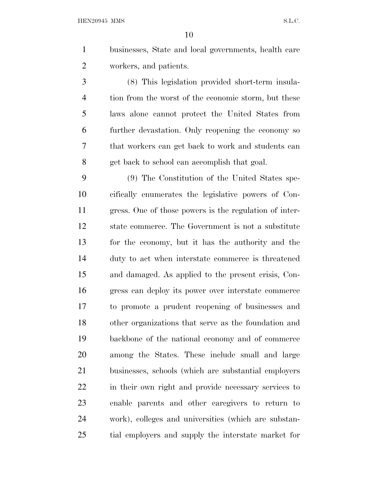HEN20945 MMS S.L.C.

 businesses, State and local governments, health care workers, and patients.

 (8) This legislation provided short-term insula- tion from the worst of the economic storm, but these laws alone cannot protect the United States from further devastation. Only reopening the economy so that workers can get back to work and students can get back to school can accomplish that goal.

 (9) The Constitution of the United States spe- cifically enumerates the legislative powers of Con- gress. One of those powers is the regulation of inter- state commerce. The Government is not a substitute for the economy, but it has the authority and the duty to act when interstate commerce is threatened and damaged. As applied to the present crisis, Con- gress can deploy its power over interstate commerce to promote a prudent reopening of businesses and other organizations that serve as the foundation and backbone of the national economy and of commerce among the States. These include small and large businesses, schools (which are substantial employers in their own right and provide necessary services to enable parents and other caregivers to return to work), colleges and universities (which are substan-tial employers and supply the interstate market for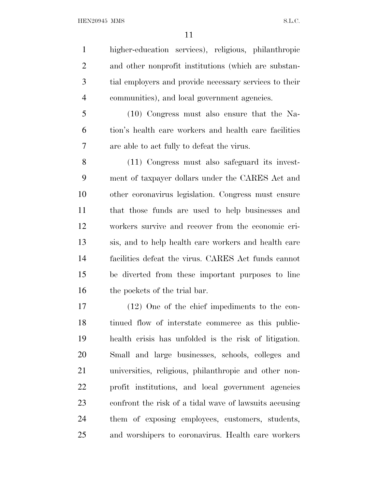higher-education services), religious, philanthropic and other nonprofit institutions (which are substan- tial employers and provide necessary services to their communities), and local government agencies.

 (10) Congress must also ensure that the Na- tion's health care workers and health care facilities are able to act fully to defeat the virus.

 (11) Congress must also safeguard its invest- ment of taxpayer dollars under the CARES Act and other coronavirus legislation. Congress must ensure that those funds are used to help businesses and workers survive and recover from the economic cri- sis, and to help health care workers and health care facilities defeat the virus. CARES Act funds cannot be diverted from these important purposes to line 16 the pockets of the trial bar.

 (12) One of the chief impediments to the con- tinued flow of interstate commerce as this public- health crisis has unfolded is the risk of litigation. Small and large businesses, schools, colleges and universities, religious, philanthropic and other non- profit institutions, and local government agencies confront the risk of a tidal wave of lawsuits accusing them of exposing employees, customers, students, and worshipers to coronavirus. Health care workers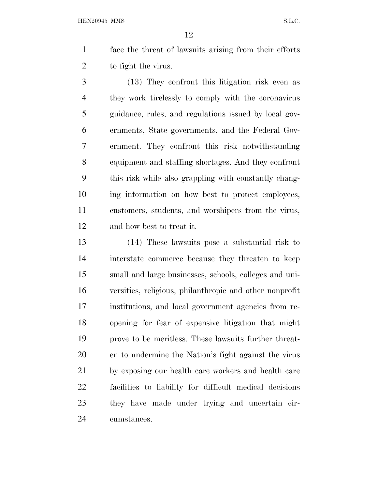HEN20945 MMS S.L.C.

 face the threat of lawsuits arising from their efforts to fight the virus.

 (13) They confront this litigation risk even as they work tirelessly to comply with the coronavirus guidance, rules, and regulations issued by local gov- ernments, State governments, and the Federal Gov- ernment. They confront this risk notwithstanding equipment and staffing shortages. And they confront this risk while also grappling with constantly chang- ing information on how best to protect employees, customers, students, and worshipers from the virus, and how best to treat it.

 (14) These lawsuits pose a substantial risk to interstate commerce because they threaten to keep small and large businesses, schools, colleges and uni- versities, religious, philanthropic and other nonprofit institutions, and local government agencies from re- opening for fear of expensive litigation that might prove to be meritless. These lawsuits further threat- en to undermine the Nation's fight against the virus by exposing our health care workers and health care facilities to liability for difficult medical decisions they have made under trying and uncertain cir-cumstances.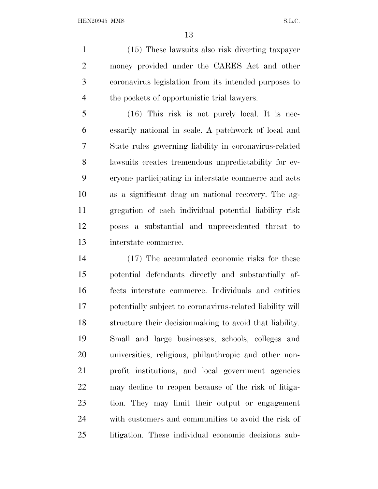(15) These lawsuits also risk diverting taxpayer money provided under the CARES Act and other coronavirus legislation from its intended purposes to the pockets of opportunistic trial lawyers.

 (16) This risk is not purely local. It is nec- essarily national in scale. A patchwork of local and State rules governing liability in coronavirus-related lawsuits creates tremendous unpredictability for ev- eryone participating in interstate commerce and acts as a significant drag on national recovery. The ag- gregation of each individual potential liability risk poses a substantial and unprecedented threat to interstate commerce.

 (17) The accumulated economic risks for these potential defendants directly and substantially af- fects interstate commerce. Individuals and entities potentially subject to coronavirus-related liability will structure their decisionmaking to avoid that liability. Small and large businesses, schools, colleges and universities, religious, philanthropic and other non- profit institutions, and local government agencies may decline to reopen because of the risk of litiga- tion. They may limit their output or engagement with customers and communities to avoid the risk of litigation. These individual economic decisions sub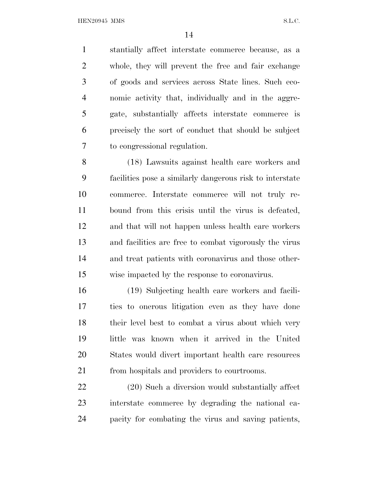HEN20945 MMS S.L.C.

 stantially affect interstate commerce because, as a whole, they will prevent the free and fair exchange of goods and services across State lines. Such eco- nomic activity that, individually and in the aggre- gate, substantially affects interstate commerce is precisely the sort of conduct that should be subject to congressional regulation.

 (18) Lawsuits against health care workers and facilities pose a similarly dangerous risk to interstate commerce. Interstate commerce will not truly re- bound from this crisis until the virus is defeated, and that will not happen unless health care workers and facilities are free to combat vigorously the virus and treat patients with coronavirus and those other-wise impacted by the response to coronavirus.

 (19) Subjecting health care workers and facili- ties to onerous litigation even as they have done their level best to combat a virus about which very little was known when it arrived in the United States would divert important health care resources from hospitals and providers to courtrooms.

 (20) Such a diversion would substantially affect interstate commerce by degrading the national ca-pacity for combating the virus and saving patients,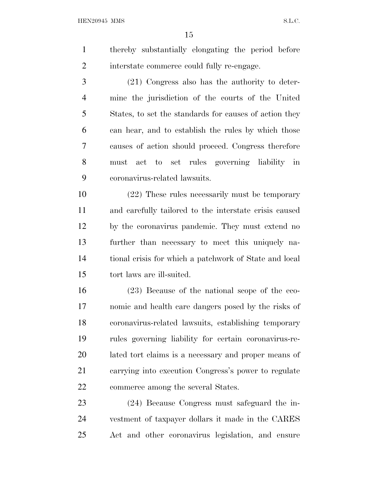HEN20945 MMS S.L.C.

 thereby substantially elongating the period before interstate commerce could fully re-engage.

 (21) Congress also has the authority to deter- mine the jurisdiction of the courts of the United States, to set the standards for causes of action they can hear, and to establish the rules by which those causes of action should proceed. Congress therefore must act to set rules governing liability in coronavirus-related lawsuits.

 (22) These rules necessarily must be temporary and carefully tailored to the interstate crisis caused by the coronavirus pandemic. They must extend no further than necessary to meet this uniquely na- tional crisis for which a patchwork of State and local tort laws are ill-suited.

 (23) Because of the national scope of the eco- nomic and health care dangers posed by the risks of coronavirus-related lawsuits, establishing temporary rules governing liability for certain coronavirus-re- lated tort claims is a necessary and proper means of carrying into execution Congress's power to regulate commerce among the several States.

 (24) Because Congress must safeguard the in- vestment of taxpayer dollars it made in the CARES Act and other coronavirus legislation, and ensure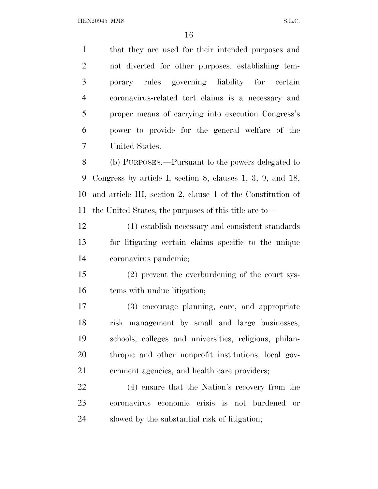that they are used for their intended purposes and not diverted for other purposes, establishing tem- porary rules governing liability for certain coronavirus-related tort claims is a necessary and proper means of carrying into execution Congress's power to provide for the general welfare of the United States. (b) PURPOSES.—Pursuant to the powers delegated to Congress by article I, section 8, clauses 1, 3, 9, and 18, and article III, section 2, clause 1 of the Constitution of the United States, the purposes of this title are to— (1) establish necessary and consistent standards for litigating certain claims specific to the unique coronavirus pandemic; (2) prevent the overburdening of the court sys- tems with undue litigation; (3) encourage planning, care, and appropriate risk management by small and large businesses, schools, colleges and universities, religious, philan- thropic and other nonprofit institutions, local gov- ernment agencies, and health care providers; (4) ensure that the Nation's recovery from the coronavirus economic crisis is not burdened or slowed by the substantial risk of litigation;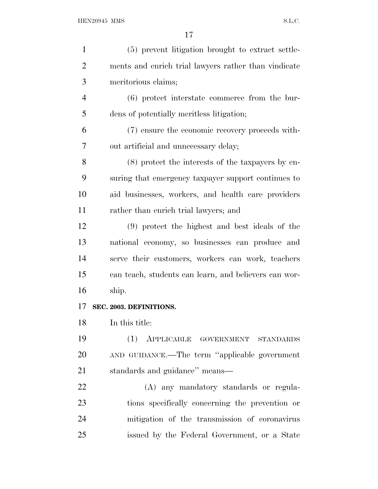| 1              | (5) prevent litigation brought to extract settle-     |
|----------------|-------------------------------------------------------|
| $\overline{2}$ | ments and enrich trial lawyers rather than vindicate  |
| 3              | meritorious claims;                                   |
| $\overline{4}$ | (6) protect interstate commerce from the bur-         |
| 5              | dens of potentially meritless litigation;             |
| 6              | (7) ensure the economic recovery proceeds with-       |
| 7              | out artificial and unnecessary delay;                 |
| 8              | $(8)$ protect the interests of the taxpayers by en-   |
| 9              | suring that emergency taxpayer support continues to   |
| 10             | aid businesses, workers, and health care providers    |
| 11             | rather than enrich trial lawyers; and                 |
| 12             | (9) protect the highest and best ideals of the        |
| 13             | national economy, so businesses can produce and       |
| 14             | serve their customers, workers can work, teachers     |
| 15             | can teach, students can learn, and believers can wor- |
| 16             | ship.                                                 |
| 17             | SEC. 2003. DEFINITIONS.                               |
| 18             | In this title:                                        |
| 19             | APPLICABLE GOVERNMENT STANDARDS<br>(1)                |
| <b>20</b>      | AND GUIDANCE.—The term "applicable government         |
| 21             | standards and guidance" means-                        |
| 22             | (A) any mandatory standards or regula-                |
| 23             | tions specifically concerning the prevention or       |
| 24             | mitigation of the transmission of coronavirus         |
| 25             | issued by the Federal Government, or a State          |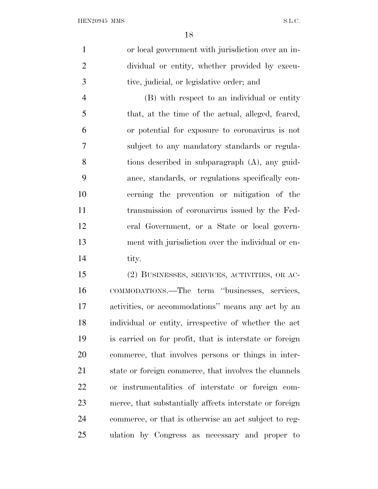or local government with jurisdiction over an in- dividual or entity, whether provided by execu-tive, judicial, or legislative order; and

 (B) with respect to an individual or entity that, at the time of the actual, alleged, feared, or potential for exposure to coronavirus is not subject to any mandatory standards or regula- tions described in subparagraph (A), any guid- ance, standards, or regulations specifically con- cerning the prevention or mitigation of the transmission of coronavirus issued by the Fed- eral Government, or a State or local govern- ment with jurisdiction over the individual or en-14 tity.

 (2) BUSINESSES, SERVICES, ACTIVITIES, OR AC- COMMODATIONS.—The term ''businesses, services, activities, or accommodations'' means any act by an individual or entity, irrespective of whether the act is carried on for profit, that is interstate or foreign commerce, that involves persons or things in inter- state or foreign commerce, that involves the channels or instrumentalities of interstate or foreign com- merce, that substantially affects interstate or foreign commerce, or that is otherwise an act subject to reg-ulation by Congress as necessary and proper to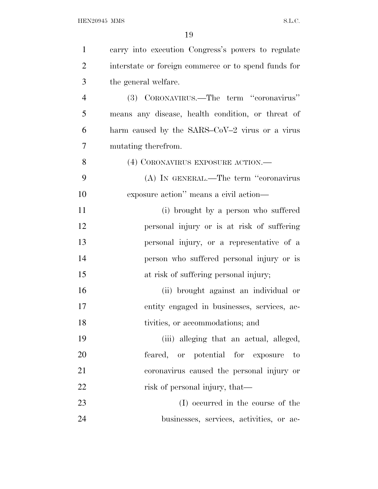| $\mathbf{1}$   | carry into execution Congress's powers to regulate   |
|----------------|------------------------------------------------------|
| $\overline{2}$ | interstate or foreign commerce or to spend funds for |
| 3              | the general welfare.                                 |
| $\overline{4}$ | (3) CORONAVIRUS.—The term "coronavirus"              |
| 5              | means any disease, health condition, or threat of    |
| 6              | harm caused by the SARS-CoV-2 virus or a virus       |
| $\overline{7}$ | mutating therefrom.                                  |
| 8              | (4) CORONAVIRUS EXPOSURE ACTION.—                    |
| 9              | (A) IN GENERAL.—The term "coronavirus                |
| 10             | exposure action" means a civil action—               |
| 11             | (i) brought by a person who suffered                 |
| 12             | personal injury or is at risk of suffering           |
| 13             | personal injury, or a representative of a            |
| 14             | person who suffered personal injury or is            |
| 15             | at risk of suffering personal injury;                |
| 16             | (ii) brought against an individual or                |
| 17             | entity engaged in businesses, services, ac-          |
| 18             | tivities, or accommodations; and                     |
| 19             | (iii) alleging that an actual, alleged,              |
| 20             | feared, or potential for exposure to                 |
| 21             | coronavirus caused the personal injury or            |
| 22             | risk of personal injury, that—                       |
| 23             | (I) occurred in the course of the                    |
| 24             | businesses, services, activities, or ac-             |
|                |                                                      |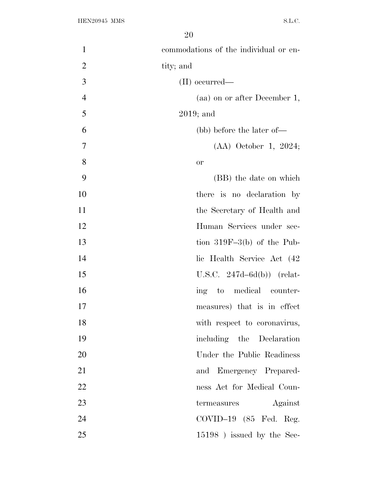| $\mathbf{1}$   | commodations of the individual or en- |
|----------------|---------------------------------------|
| $\overline{2}$ | tity; and                             |
| 3              | $(II)$ occurred—                      |
| $\overline{4}$ | (aa) on or after December 1,          |
| 5              | $2019$ ; and                          |
| 6              | (bb) before the later of—             |
| 7              | $(AA)$ October 1, 2024;               |
| 8              | or                                    |
| 9              | (BB) the date on which                |
| 10             | there is no declaration by            |
| 11             | the Secretary of Health and           |
| 12             | Human Services under sec-             |
| 13             | tion $319F-3(b)$ of the Pub-          |
| 14             | lic Health Service Act (42)           |
| 15             | U.S.C. $247d-6d(b)$ (relat-           |
| 16             | ing to medical counter-               |
| 17             | measures) that is in effect           |
| 18             | with respect to coronavirus,          |
| 19             | including the Declaration             |
| 20             | Under the Public Readiness            |
| 21             | and Emergency Prepared-               |
| 22             | ness Act for Medical Coun-            |
| 23             | Against<br>termeasures                |
| 24             | $COVID-19$ (85 Fed. Reg.              |
| 25             | 15198) issued by the Sec-             |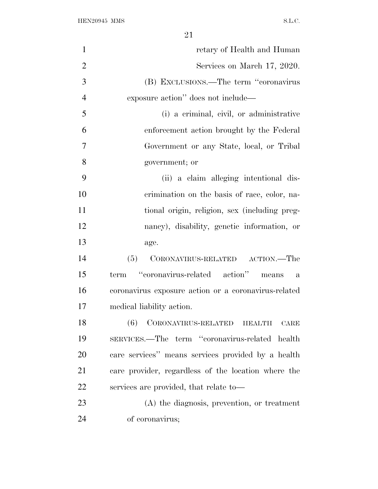| $\mathbf{1}$   | retary of Health and Human                           |
|----------------|------------------------------------------------------|
| $\overline{2}$ | Services on March 17, 2020.                          |
| 3              | (B) EXCLUSIONS.—The term "coronavirus                |
| $\overline{4}$ | exposure action" does not include—                   |
| 5              | (i) a criminal, civil, or administrative             |
| 6              | enforcement action brought by the Federal            |
| 7              | Government or any State, local, or Tribal            |
| 8              | government; or                                       |
| 9              | (ii) a claim alleging intentional dis-               |
| 10             | crimination on the basis of race, color, na-         |
| 11             | tional origin, religion, sex (including preg-        |
| 12             | nancy), disability, genetic information, or          |
| 13             | age.                                                 |
| 14             | CORONAVIRUS-RELATED ACTION.—The<br>(5)               |
| 15             | "coronavirus-related action" means<br>term<br>a      |
| 16             | coronavirus exposure action or a coronavirus-related |
| 17             | medical liability action.                            |
| 18             | (6) CORONAVIRUS-RELATED HEALTH<br>CARE               |
| 19             | SERVICES.—The term "coronavirus-related health       |
| 20             | care services" means services provided by a health   |
| 21             | care provider, regardless of the location where the  |
| 22             | services are provided, that relate to-               |
| 23             | $(A)$ the diagnosis, prevention, or treatment        |
| 24             | of coronavirus;                                      |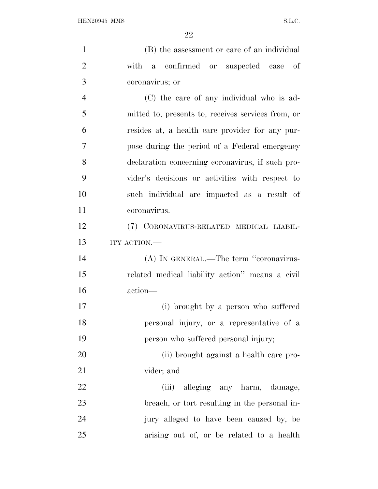| $\mathbf{1}$   | (B) the assessment or care of an individual        |
|----------------|----------------------------------------------------|
| $\overline{2}$ | with a<br>confirmed or suspected case of           |
| 3              | coronavirus; or                                    |
| $\overline{4}$ | (C) the care of any individual who is ad-          |
| 5              | mitted to, presents to, receives services from, or |
| 6              | resides at, a health care provider for any pur-    |
| $\overline{7}$ | pose during the period of a Federal emergency      |
| 8              | declaration concerning coronavirus, if such pro-   |
| 9              | vider's decisions or activities with respect to    |
| 10             | such individual are impacted as a result of        |
| 11             | coronavirus.                                       |
| 12             | (7) CORONAVIRUS-RELATED MEDICAL LIABIL-            |
| 13             | ITY ACTION.-                                       |
| 14             | (A) IN GENERAL.—The term "coronavirus-             |
| 15             | related medical liability action" means a civil    |
| 16             | action-                                            |
| 17             | (i) brought by a person who suffered               |
| 18             | personal injury, or a representative of a          |
| 19             | person who suffered personal injury;               |
| 20             | (ii) brought against a health care pro-            |
| 21             | vider; and                                         |
| 22             | alleging any harm, damage,<br>(iii)                |
| 23             | breach, or tort resulting in the personal in-      |
| 24             | jury alleged to have been caused by, be            |
| 25             | arising out of, or be related to a health          |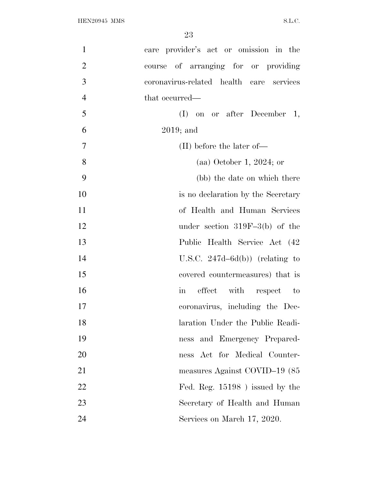| $\mathbf{1}$   | care provider's act or omission in the   |
|----------------|------------------------------------------|
| $\overline{2}$ | course of arranging for or providing     |
| 3              | coronavirus-related health care services |
| $\overline{4}$ | that occurred—                           |
| 5              | $(I)$ on or after December 1,            |
| 6              | $2019$ ; and                             |
| $\tau$         | $(II)$ before the later of —             |
| 8              | $(aa)$ October 1, 2024; or               |
| 9              | (bb) the date on which there             |
| 10             | is no declaration by the Secretary       |
| 11             | of Health and Human Services             |
| 12             | under section $319F-3(b)$ of the         |
| 13             | Public Health Service Act (42)           |
| 14             | U.S.C. $247d-6d(b)$ (relating to         |
| 15             | covered countermeasures) that is         |
| 16             | effect with respect to<br>in             |
| 17             | coronavirus, including the Dec-          |
| 18             | laration Under the Public Readi-         |
| 19             | ness and Emergency Prepared-             |
| 20             | ness Act for Medical Counter-            |
| 21             | measures Against COVID-19 (85            |
| 22             | Fed. Reg. $15198$ ) issued by the        |
| 23             | Secretary of Health and Human            |
| 24             | Services on March 17, 2020.              |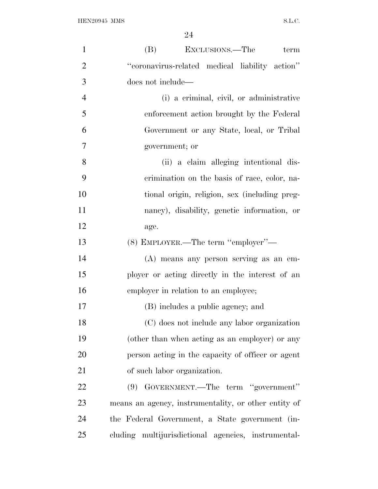| $\mathbf{1}$   | (B) EXCLUSIONS.—The<br>term                          |
|----------------|------------------------------------------------------|
| $\overline{2}$ | "coronavirus-related medical liability action"       |
| 3              | does not include—                                    |
| $\overline{4}$ | (i) a criminal, civil, or administrative             |
| 5              | enforcement action brought by the Federal            |
| 6              | Government or any State, local, or Tribal            |
| 7              | government; or                                       |
| 8              | (ii) a claim alleging intentional dis-               |
| 9              | crimination on the basis of race, color, na-         |
| 10             | tional origin, religion, sex (including preg-        |
| 11             | nancy), disability, genetic information, or          |
| 12             | age.                                                 |
| 13             | (8) EMPLOYER.—The term "employer"—                   |
| 14             | (A) means any person serving as an em-               |
| 15             | ployer or acting directly in the interest of an      |
| 16             | employer in relation to an employee;                 |
| 17             | (B) includes a public agency; and                    |
| 18             | (C) does not include any labor organization          |
| 19             | (other than when acting as an employer) or any       |
| 20             | person acting in the capacity of officer or agent    |
| 21             | of such labor organization.                          |
| 22             | GOVERNMENT.—The term "government"<br>(9)             |
| 23             | means an agency, instrumentality, or other entity of |
| 24             | the Federal Government, a State government (in-      |
| 25             | cluding multijurisdictional agencies, instrumental-  |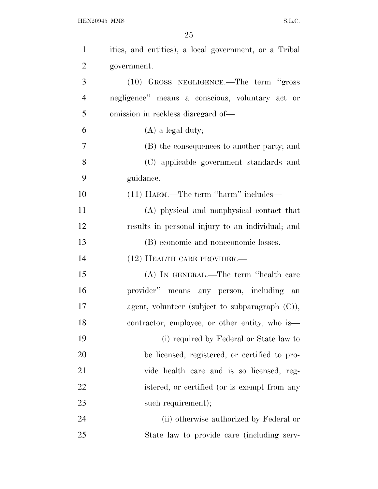| $\mathbf{1}$   | ities, and entities), a local government, or a Tribal |
|----------------|-------------------------------------------------------|
| $\overline{2}$ | government.                                           |
| 3              | (10) GROSS NEGLIGENCE.—The term "gross                |
| $\overline{4}$ | negligence" means a conscious, voluntary act or       |
| 5              | omission in reckless disregard of—                    |
| 6              | $(A)$ a legal duty;                                   |
| 7              | (B) the consequences to another party; and            |
| 8              | (C) applicable government standards and               |
| 9              | guidance.                                             |
| 10             | (11) HARM.—The term "harm" includes—                  |
| 11             | (A) physical and nonphysical contact that             |
| 12             | results in personal injury to an individual; and      |
| 13             | (B) economic and noneconomic losses.                  |
| 14             | $(12)$ HEALTH CARE PROVIDER.—                         |
| 15             | (A) IN GENERAL.—The term "health care                 |
| 16             | provider" means any person, including an              |
| 17             | agent, volunteer (subject to subparagraph $(C)$ ),    |
| 18             | contractor, employee, or other entity, who is—        |
| 19             | (i) required by Federal or State law to               |
| 20             | be licensed, registered, or certified to pro-         |
| 21             | vide health care and is so licensed, reg-             |
| 22             | istered, or certified (or is exempt from any          |
| 23             | such requirement);                                    |
| 24             | (ii) otherwise authorized by Federal or               |
| 25             | State law to provide care (including serv-            |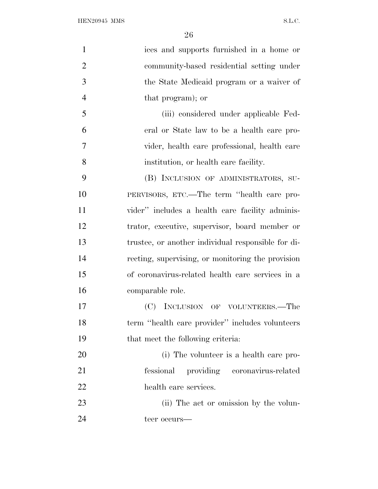| $\mathbf{1}$   | ices and supports furnished in a home or           |
|----------------|----------------------------------------------------|
| $\overline{2}$ | community-based residential setting under          |
| 3              | the State Medicaid program or a waiver of          |
| $\overline{4}$ | that program); or                                  |
| 5              | (iii) considered under applicable Fed-             |
| 6              | eral or State law to be a health care pro-         |
| 7              | vider, health care professional, health care       |
| 8              | institution, or health care facility.              |
| 9              | (B) INCLUSION OF ADMINISTRATORS, SU-               |
| 10             | PERVISORS, ETC.—The term "health care pro-         |
| 11             | vider" includes a health care facility adminis-    |
| 12             | trator, executive, supervisor, board member or     |
| 13             | trustee, or another individual responsible for di- |
| 14             | recting, supervising, or monitoring the provision  |
| 15             | of coronavirus-related health care services in a   |
| 16             | comparable role.                                   |
| 17             | (C)<br>INCLUSION OF VOLUNTEERS.—The                |
| 18             | term "health care provider" includes volunteers    |
| 19             | that meet the following criteria:                  |
| 20             | (i) The volunteer is a health care pro-            |
| 21             | providing coronavirus-related<br>fessional         |
| 22             | health care services.                              |
| 23             | (ii) The act or omission by the volun-             |
| 24             | teer occurs—                                       |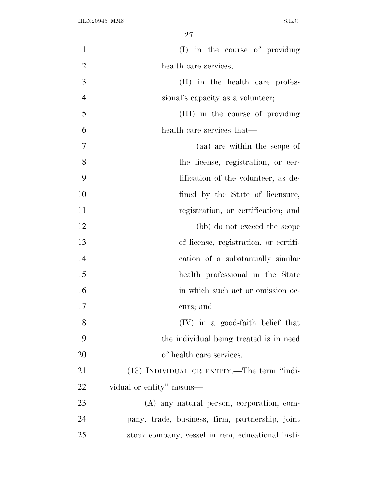| $\mathbf{1}$   | (I) in the course of providing                   |
|----------------|--------------------------------------------------|
| $\overline{2}$ | health care services;                            |
| 3              | (II) in the health care profes-                  |
| $\overline{4}$ | sional's capacity as a volunteer;                |
| 5              | (III) in the course of providing                 |
| 6              | health care services that—                       |
| 7              | (aa) are within the scope of                     |
| 8              | the license, registration, or cer-               |
| 9              | tification of the volunteer, as de-              |
| 10             | fined by the State of licensure,                 |
| 11             | registration, or certification; and              |
| 12             | (bb) do not exceed the scope                     |
| 13             | of license, registration, or certifi-            |
| 14             | cation of a substantially similar                |
| 15             | health professional in the State                 |
| 16             | in which such act or omission oc-                |
| 17             | curs; and                                        |
| 18             | $(IV)$ in a good-faith belief that               |
| 19             | the individual being treated is in need          |
| 20             | of health care services.                         |
| 21             | (13) INDIVIDUAL OR ENTITY.—The term "indi-       |
| 22             | vidual or entity" means—                         |
| 23             | (A) any natural person, corporation, com-        |
| 24             | pany, trade, business, firm, partnership, joint  |
| 25             | stock company, vessel in rem, educational insti- |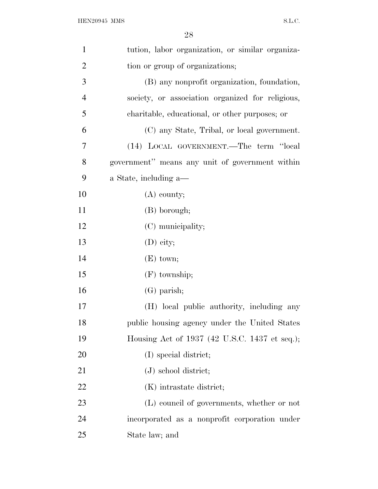| $\mathbf{1}$   | tution, labor organization, or similar organiza- |
|----------------|--------------------------------------------------|
| $\overline{2}$ | tion or group of organizations;                  |
| 3              | (B) any nonprofit organization, foundation,      |
| $\overline{4}$ | society, or association organized for religious, |
| 5              | charitable, educational, or other purposes; or   |
| 6              | (C) any State, Tribal, or local government.      |
| 7              | (14) LOCAL GOVERNMENT.—The term "local           |
| 8              | government" means any unit of government within  |
| 9              | a State, including a—                            |
| 10             | $(A)$ county;                                    |
| 11             | (B) borough;                                     |
| 12             | (C) municipality;                                |
| 13             | (D) city;                                        |
| 14             | $(E)$ town;                                      |
| 15             | $(F)$ township;                                  |
| 16             | $(G)$ parish;                                    |
| 17             | (H) local public authority, including any        |
| 18             | public housing agency under the United States    |
| 19             | Housing Act of 1937 (42 U.S.C. 1437 et seq.);    |
| 20             | (I) special district;                            |
| 21             | $(J)$ school district;                           |
| 22             | (K) intrastate district;                         |
| 23             | (L) council of governments, whether or not       |
| 24             | incorporated as a nonprofit corporation under    |
| 25             | State law; and                                   |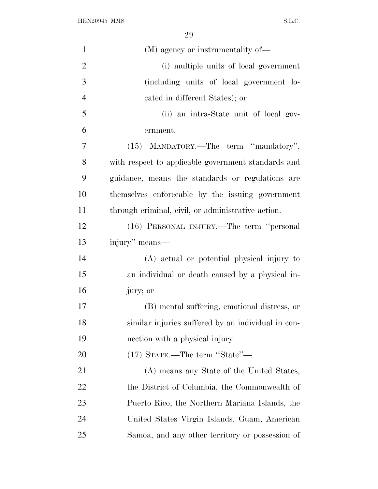${\bf HEN20945~MMS} \hspace{2cm} {\bf S.L.C.}$ 

| $\mathbf{1}$   | (M) agency or instrumentality of—                   |
|----------------|-----------------------------------------------------|
| $\overline{2}$ | (i) multiple units of local government              |
| 3              | (including units of local government lo-            |
| $\overline{4}$ | cated in different States); or                      |
| 5              | (ii) an intra-State unit of local gov-              |
| 6              | ernment.                                            |
| 7              | (15) MANDATORY.—The term "mandatory",               |
| 8              | with respect to applicable government standards and |
| 9              | guidance, means the standards or regulations are    |
| 10             | themselves enforceable by the issuing government    |
| 11             | through criminal, civil, or administrative action.  |
| 12             | (16) PERSONAL INJURY.—The term "personal            |
| 13             | injury" means—                                      |
| 14             | (A) actual or potential physical injury to          |
| 15             | an individual or death caused by a physical in-     |
| 16             | jury; or                                            |
| 17             | (B) mental suffering, emotional distress, or        |
| 18             | similar injuries suffered by an individual in con-  |
| 19             | nection with a physical injury.                     |
| 20             | $(17)$ STATE.—The term "State"—                     |
| 21             | (A) means any State of the United States,           |
| 22             | the District of Columbia, the Commonwealth of       |
| 23             | Puerto Rico, the Northern Mariana Islands, the      |
| 24             | United States Virgin Islands, Guam, American        |
| 25             | Samoa, and any other territory or possession of     |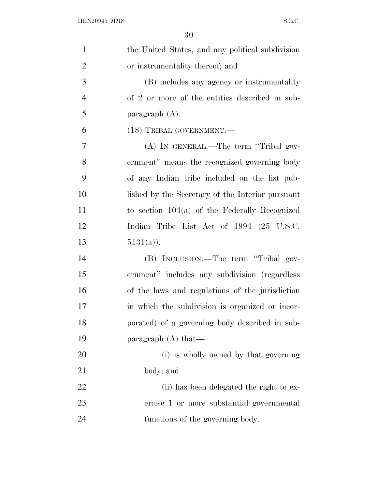| $\mathbf{1}$   | the United States, and any political subdivision |
|----------------|--------------------------------------------------|
| $\overline{2}$ | or instrumentality thereof; and                  |
| 3              | (B) includes any agency or instrumentality       |
| $\overline{4}$ | of 2 or more of the entities described in sub-   |
| 5              | paragraph $(A)$ .                                |
| 6              | (18) TRIBAL GOVERNMENT.—                         |
| 7              | (A) IN GENERAL.—The term "Tribal gov-            |
| 8              | ernment" means the recognized governing body     |
| 9              | of any Indian tribe included on the list pub-    |
| 10             | lished by the Secretary of the Interior pursuant |
| 11             | to section $104(a)$ of the Federally Recognized  |
| 12             | Indian Tribe List Act of 1994 (25 U.S.C.         |
| 13             | $5131(a)$ ).                                     |
| 14             | (B) INCLUSION.—The term "Tribal gov-             |
| 15             | ernment" includes any subdivision (regardless    |
| 16             | of the laws and regulations of the jurisdiction  |
| 17             | in which the subdivision is organized or incor-  |
| 18             | porated) of a governing body described in sub-   |
| 19             | paragraph $(A)$ that—                            |
| 20             | (i) is wholly owned by that governing            |
| 21             | body; and                                        |
| 22             | (ii) has been delegated the right to ex-         |
| 23             | ercise 1 or more substantial governmental        |
|                |                                                  |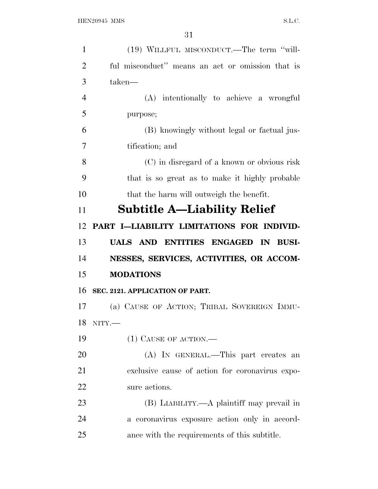| $\mathbf{1}$   | (19) WILLFUL MISCONDUCT.—The term "will-         |
|----------------|--------------------------------------------------|
| $\overline{2}$ | ful misconduct" means an act or omission that is |
| 3              | taken—                                           |
| $\overline{4}$ | (A) intentionally to achieve a wrongful          |
| 5              | purpose;                                         |
| 6              | (B) knowingly without legal or factual jus-      |
| 7              | tification; and                                  |
| 8              | (C) in disregard of a known or obvious risk      |
| 9              | that is so great as to make it highly probable   |
| 10             | that the harm will outweigh the benefit.         |
| 11             | <b>Subtitle A—Liability Relief</b>               |
| 12             | PART I-LIABILITY LIMITATIONS FOR INDIVID-        |
| 13             | UALS AND ENTITIES ENGAGED IN BUSI-               |
| 14             | NESSES, SERVICES, ACTIVITIES, OR ACCOM-          |
| 15             | <b>MODATIONS</b>                                 |
| 16             | SEC. 2121. APPLICATION OF PART.                  |
| 17             | (a) CAUSE OF ACTION; TRIBAL SOVEREIGN IMMU-      |
| 18             | $NITY$ .                                         |
| 19             | $(1)$ CAUSE OF ACTION.—                          |
| 20             | (A) IN GENERAL.—This part creates an             |
| 21             | exclusive cause of action for coronavirus expo-  |
| 22             | sure actions.                                    |
| 23             | (B) LIABILITY.—A plaintiff may prevail in        |
| 24             | a coronavirus exposure action only in accord-    |
|                |                                                  |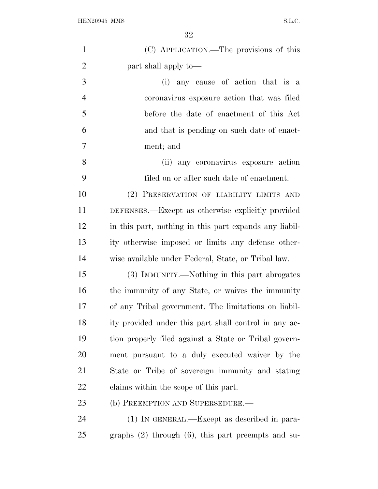| $\mathbf{1}$   | (C) APPLICATION.—The provisions of this                 |
|----------------|---------------------------------------------------------|
| $\overline{2}$ | part shall apply to—                                    |
| 3              | (i) any cause of action that is a                       |
| $\overline{4}$ | coronavirus exposure action that was filed              |
| 5              | before the date of enactment of this Act                |
| 6              | and that is pending on such date of enact-              |
| 7              | ment; and                                               |
| 8              | (ii) any coronavirus exposure action                    |
| 9              | filed on or after such date of enactment.               |
| 10             | (2) PRESERVATION OF LIABILITY LIMITS AND                |
| 11             | DEFENSES.—Except as otherwise explicitly provided       |
| 12             | in this part, nothing in this part expands any liabil-  |
| 13             | ity otherwise imposed or limits any defense other-      |
| 14             | wise available under Federal, State, or Tribal law.     |
| 15             | (3) IMMUNITY.—Nothing in this part abrogates            |
| 16             | the immunity of any State, or waives the immunity       |
| 17             | of any Tribal government. The limitations on liabil-    |
| 18             | ity provided under this part shall control in any ac-   |
| 19             | tion properly filed against a State or Tribal govern-   |
| 20             | ment pursuant to a duly executed waiver by the          |
| 21             | State or Tribe of sovereign immunity and stating        |
| 22             | claims within the scope of this part.                   |
| 23             | (b) PREEMPTION AND SUPERSEDURE.—                        |
| 24             | (1) IN GENERAL.—Except as described in para-            |
| 25             | graphs $(2)$ through $(6)$ , this part preempts and su- |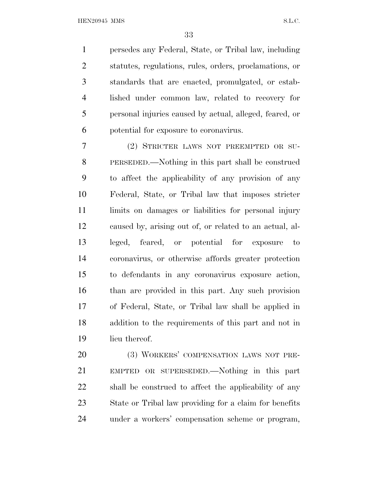persedes any Federal, State, or Tribal law, including statutes, regulations, rules, orders, proclamations, or standards that are enacted, promulgated, or estab- lished under common law, related to recovery for personal injuries caused by actual, alleged, feared, or potential for exposure to coronavirus.

 (2) STRICTER LAWS NOT PREEMPTED OR SU- PERSEDED.—Nothing in this part shall be construed to affect the applicability of any provision of any Federal, State, or Tribal law that imposes stricter 11 limits on damages or liabilities for personal injury caused by, arising out of, or related to an actual, al- leged, feared, or potential for exposure to coronavirus, or otherwise affords greater protection to defendants in any coronavirus exposure action, than are provided in this part. Any such provision of Federal, State, or Tribal law shall be applied in addition to the requirements of this part and not in lieu thereof.

 (3) WORKERS' COMPENSATION LAWS NOT PRE- EMPTED OR SUPERSEDED.—Nothing in this part shall be construed to affect the applicability of any State or Tribal law providing for a claim for benefits under a workers' compensation scheme or program,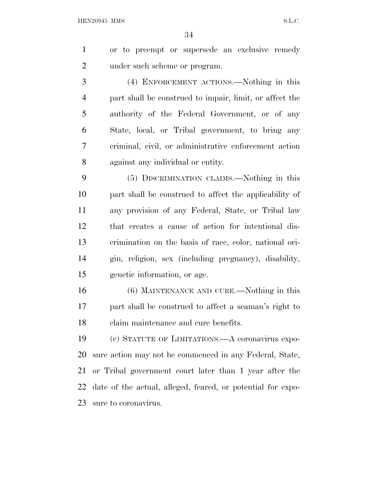or to preempt or supersede an exclusive remedy under such scheme or program.

 (4) ENFORCEMENT ACTIONS.—Nothing in this part shall be construed to impair, limit, or affect the authority of the Federal Government, or of any State, local, or Tribal government, to bring any criminal, civil, or administrative enforcement action against any individual or entity.

 (5) DISCRIMINATION CLAIMS.—Nothing in this part shall be construed to affect the applicability of any provision of any Federal, State, or Tribal law that creates a cause of action for intentional dis- crimination on the basis of race, color, national ori- gin, religion, sex (including pregnancy), disability, genetic information, or age.

 (6) MAINTENANCE AND CURE.—Nothing in this part shall be construed to affect a seaman's right to claim maintenance and cure benefits.

 (c) STATUTE OF LIMITATIONS.—A coronavirus expo- sure action may not be commenced in any Federal, State, or Tribal government court later than 1 year after the date of the actual, alleged, feared, or potential for expo-sure to coronavirus.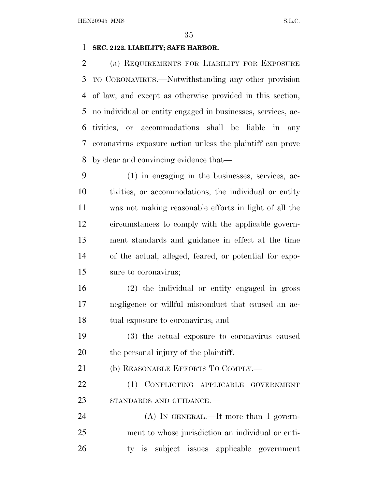# **SEC. 2122. LIABILITY; SAFE HARBOR.**

 (a) REQUIREMENTS FOR LIABILITY FOR EXPOSURE TO CORONAVIRUS.—Notwithstanding any other provision of law, and except as otherwise provided in this section, no individual or entity engaged in businesses, services, ac- tivities, or accommodations shall be liable in any coronavirus exposure action unless the plaintiff can prove by clear and convincing evidence that—

 (1) in engaging in the businesses, services, ac- tivities, or accommodations, the individual or entity was not making reasonable efforts in light of all the circumstances to comply with the applicable govern- ment standards and guidance in effect at the time of the actual, alleged, feared, or potential for expo-sure to coronavirus;

 (2) the individual or entity engaged in gross negligence or willful misconduct that caused an ac-tual exposure to coronavirus; and

 (3) the actual exposure to coronavirus caused the personal injury of the plaintiff.

21 (b) REASONABLE EFFORTS TO COMPLY.—

 (1) CONFLICTING APPLICABLE GOVERNMENT STANDARDS AND GUIDANCE.—

24 (A) IN GENERAL.—If more than 1 govern- ment to whose jurisdiction an individual or enti-ty is subject issues applicable government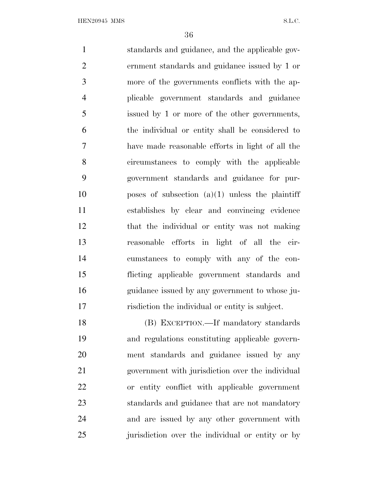standards and guidance, and the applicable gov- ernment standards and guidance issued by 1 or more of the governments conflicts with the ap- plicable government standards and guidance issued by 1 or more of the other governments, the individual or entity shall be considered to have made reasonable efforts in light of all the circumstances to comply with the applicable government standards and guidance for pur- poses of subsection (a)(1) unless the plaintiff establishes by clear and convincing evidence that the individual or entity was not making reasonable efforts in light of all the cir- cumstances to comply with any of the con- flicting applicable government standards and guidance issued by any government to whose ju-risdiction the individual or entity is subject.

 (B) EXCEPTION.—If mandatory standards and regulations constituting applicable govern- ment standards and guidance issued by any government with jurisdiction over the individual or entity conflict with applicable government standards and guidance that are not mandatory and are issued by any other government with jurisdiction over the individual or entity or by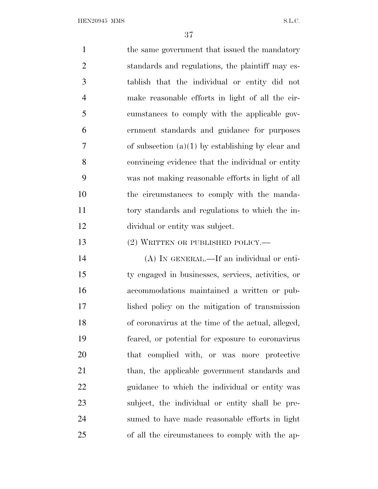1 the same government that issued the mandatory standards and regulations, the plaintiff may es- tablish that the individual or entity did not make reasonable efforts in light of all the cir- cumstances to comply with the applicable gov- ernment standards and guidance for purposes of subsection (a)(1) by establishing by clear and convincing evidence that the individual or entity was not making reasonable efforts in light of all the circumstances to comply with the manda- tory standards and regulations to which the in- dividual or entity was subject. 13 (2) WRITTEN OR PUBLISHED POLICY.— (A) IN GENERAL.—If an individual or enti- ty engaged in businesses, services, activities, or accommodations maintained a written or pub-lished policy on the mitigation of transmission

 of coronavirus at the time of the actual, alleged, feared, or potential for exposure to coronavirus that complied with, or was more protective 21 than, the applicable government standards and guidance to which the individual or entity was subject, the individual or entity shall be pre- sumed to have made reasonable efforts in light of all the circumstances to comply with the ap-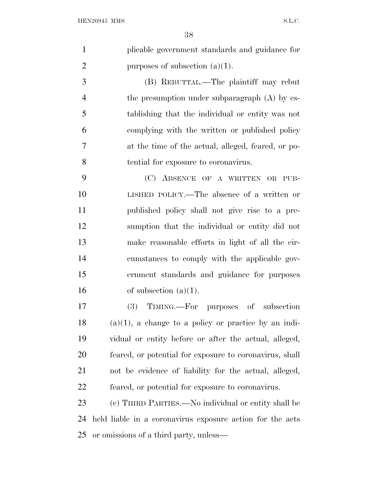| plicable government standards and guidance for |
|------------------------------------------------|
| purposes of subsection $(a)(1)$ .              |

 (B) REBUTTAL.—The plaintiff may rebut the presumption under subparagraph (A) by es- tablishing that the individual or entity was not complying with the written or published policy at the time of the actual, alleged, feared, or po-tential for exposure to coronavirus.

 (C) ABSENCE OF A WRITTEN OR PUB- LISHED POLICY.—The absence of a written or published policy shall not give rise to a pre- sumption that the individual or entity did not make reasonable efforts in light of all the cir- cumstances to comply with the applicable gov- ernment standards and guidance for purposes 16 of subsection  $(a)(1)$ .

 (3) TIMING.—For purposes of subsection (a)(1), a change to a policy or practice by an indi- vidual or entity before or after the actual, alleged, feared, or potential for exposure to coronavirus, shall not be evidence of liability for the actual, alleged, feared, or potential for exposure to coronavirus.

 (c) THIRD PARTIES.—No individual or entity shall be held liable in a coronavirus exposure action for the acts or omissions of a third party, unless—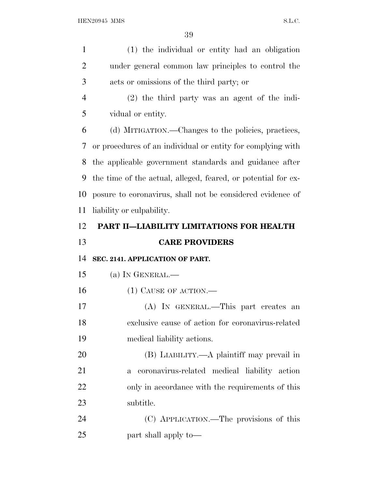| $\mathbf{1}$   | (1) the individual or entity had an obligation                |
|----------------|---------------------------------------------------------------|
| $\overline{2}$ | under general common law principles to control the            |
| 3              | acts or omissions of the third party; or                      |
| $\overline{4}$ | $(2)$ the third party was an agent of the indi-               |
| 5              | vidual or entity.                                             |
| 6              | (d) MITIGATION.—Changes to the policies, practices,           |
| 7              | or procedures of an individual or entity for complying with   |
| 8              | the applicable government standards and guidance after        |
| 9              | the time of the actual, alleged, feared, or potential for ex- |
| 10             | posure to coronavirus, shall not be considered evidence of    |
| 11             | liability or culpability.                                     |
| 12             | PART II-LIABILITY LIMITATIONS FOR HEALTH                      |
|                |                                                               |
| 13             | <b>CARE PROVIDERS</b>                                         |
| 14             | SEC. 2141. APPLICATION OF PART.                               |
| 15             | (a) IN GENERAL.—                                              |
| 16             | $(1)$ CAUSE OF ACTION.—                                       |
| 17             | (A) IN GENERAL.—This part creates an                          |
| 18             | exclusive cause of action for coronavirus-related             |
| 19             | medical liability actions.                                    |
| 20             | (B) LIABILITY.—A plaintiff may prevail in                     |
| 21             | coronavirus-related medical liability action<br>$\mathbf{a}$  |
| 22             | only in accordance with the requirements of this              |
| 23             | subtitle.                                                     |
| 24             | (C) APPLICATION.—The provisions of this                       |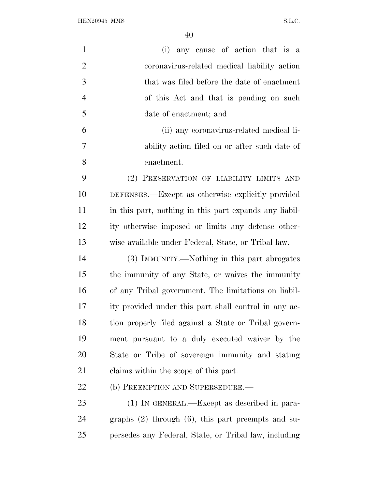${\bf HEN20945~MMS} \hspace{2cm} {\bf S.L.C.}$ 

| $\mathbf{1}$   | any cause of action that is a<br>(i)                    |
|----------------|---------------------------------------------------------|
| $\overline{2}$ | coronavirus-related medical liability action            |
| 3              | that was filed before the date of enactment             |
| 4              | of this Act and that is pending on such                 |
| 5              | date of enactment; and                                  |
| 6              | (ii) any coronavirus-related medical li-                |
| 7              | ability action filed on or after such date of           |
| 8              | enactment.                                              |
| 9              | (2) PRESERVATION OF LIABILITY LIMITS AND                |
| 10             | DEFENSES.—Except as otherwise explicitly provided       |
| 11             | in this part, nothing in this part expands any liabil-  |
| 12             | ity otherwise imposed or limits any defense other-      |
| 13             | wise available under Federal, State, or Tribal law.     |
| 14             | (3) IMMUNITY.—Nothing in this part abrogates            |
| 15             | the immunity of any State, or waives the immunity       |
| 16             | of any Tribal government. The limitations on liabil-    |
| 17             | ity provided under this part shall control in any ac-   |
| 18             | tion properly filed against a State or Tribal govern-   |
| 19             | ment pursuant to a duly executed waiver by the          |
| 20             | State or Tribe of sovereign immunity and stating        |
| 21             | claims within the scope of this part.                   |
| 22             | (b) PREEMPTION AND SUPERSEDURE.—                        |
| 23             | (1) IN GENERAL.—Except as described in para-            |
| 24             | graphs $(2)$ through $(6)$ , this part preempts and su- |
| 25             | persedes any Federal, State, or Tribal law, including   |
|                |                                                         |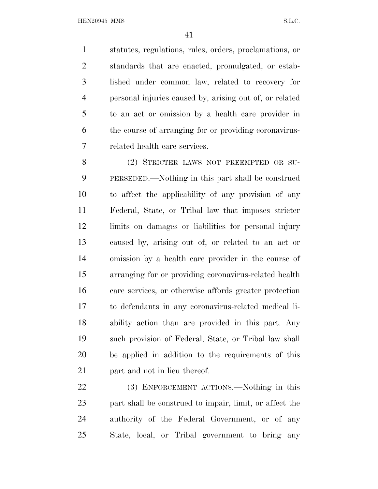statutes, regulations, rules, orders, proclamations, or standards that are enacted, promulgated, or estab- lished under common law, related to recovery for personal injuries caused by, arising out of, or related to an act or omission by a health care provider in the course of arranging for or providing coronavirus-related health care services.

 (2) STRICTER LAWS NOT PREEMPTED OR SU- PERSEDED.—Nothing in this part shall be construed to affect the applicability of any provision of any Federal, State, or Tribal law that imposes stricter limits on damages or liabilities for personal injury caused by, arising out of, or related to an act or omission by a health care provider in the course of arranging for or providing coronavirus-related health care services, or otherwise affords greater protection to defendants in any coronavirus-related medical li- ability action than are provided in this part. Any such provision of Federal, State, or Tribal law shall be applied in addition to the requirements of this part and not in lieu thereof.

 (3) ENFORCEMENT ACTIONS.—Nothing in this part shall be construed to impair, limit, or affect the authority of the Federal Government, or of any State, local, or Tribal government to bring any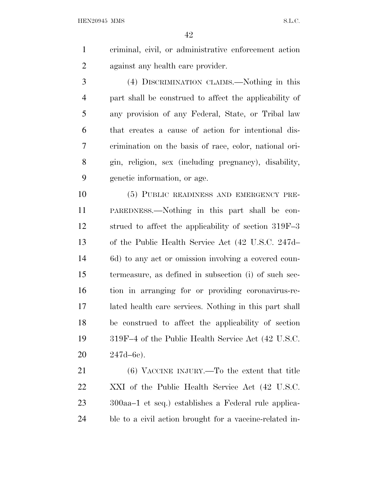criminal, civil, or administrative enforcement action against any health care provider.

 (4) DISCRIMINATION CLAIMS.—Nothing in this part shall be construed to affect the applicability of any provision of any Federal, State, or Tribal law that creates a cause of action for intentional dis- crimination on the basis of race, color, national ori- gin, religion, sex (including pregnancy), disability, genetic information, or age.

 (5) PUBLIC READINESS AND EMERGENCY PRE- PAREDNESS.—Nothing in this part shall be con- strued to affect the applicability of section 319F–3 of the Public Health Service Act (42 U.S.C. 247d– 6d) to any act or omission involving a covered coun- termeasure, as defined in subsection (i) of such sec- tion in arranging for or providing coronavirus-re- lated health care services. Nothing in this part shall be construed to affect the applicability of section 319F–4 of the Public Health Service Act (42 U.S.C. 247d–6e).

 (6) VACCINE INJURY.—To the extent that title XXI of the Public Health Service Act (42 U.S.C. 300aa–1 et seq.) establishes a Federal rule applica-ble to a civil action brought for a vaccine-related in-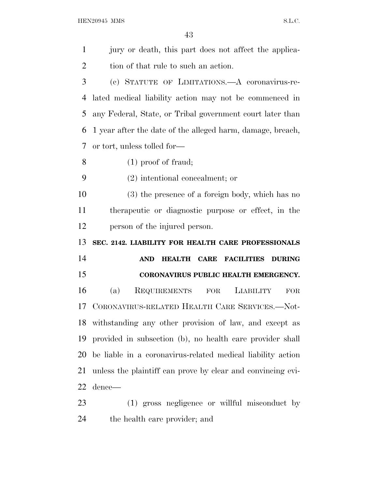jury or death, this part does not affect the applica-2 tion of that rule to such an action. (c) STATUTE OF LIMITATIONS.—A coronavirus-re- lated medical liability action may not be commenced in any Federal, State, or Tribal government court later than 1 year after the date of the alleged harm, damage, breach, or tort, unless tolled for— (1) proof of fraud; (2) intentional concealment; or (3) the presence of a foreign body, which has no therapeutic or diagnostic purpose or effect, in the person of the injured person. **SEC. 2142. LIABILITY FOR HEALTH CARE PROFESSIONALS AND HEALTH CARE FACILITIES DURING CORONAVIRUS PUBLIC HEALTH EMERGENCY.** (a) REQUIREMENTS FOR LIABILITY FOR CORONAVIRUS-RELATED HEALTH CARE SERVICES.—Not- withstanding any other provision of law, and except as provided in subsection (b), no health care provider shall be liable in a coronavirus-related medical liability action unless the plaintiff can prove by clear and convincing evi- dence— (1) gross negligence or willful misconduct by the health care provider; and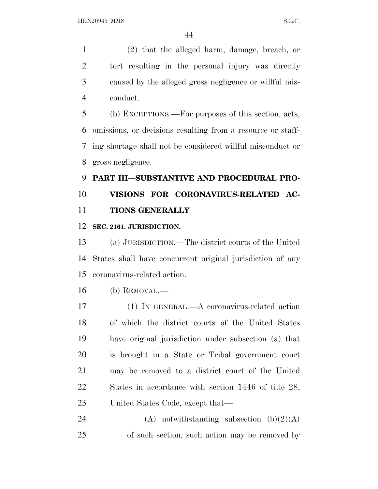(2) that the alleged harm, damage, breach, or tort resulting in the personal injury was directly caused by the alleged gross negligence or willful mis-conduct.

 (b) EXCEPTIONS.—For purposes of this section, acts, omissions, or decisions resulting from a resource or staff- ing shortage shall not be considered willful misconduct or gross negligence.

## **PART III—SUBSTANTIVE AND PROCEDURAL PRO- VISIONS FOR CORONAVIRUS-RELATED AC-TIONS GENERALLY**

### **SEC. 2161. JURISDICTION.**

 (a) JURISDICTION.—The district courts of the United States shall have concurrent original jurisdiction of any coronavirus-related action.

(b) REMOVAL.—

 (1) IN GENERAL.—A coronavirus-related action of which the district courts of the United States have original jurisdiction under subsection (a) that is brought in a State or Tribal government court may be removed to a district court of the United States in accordance with section 1446 of title 28, United States Code, except that—

24 (A) notwithstanding subsection  $(b)(2)(A)$ of such section, such action may be removed by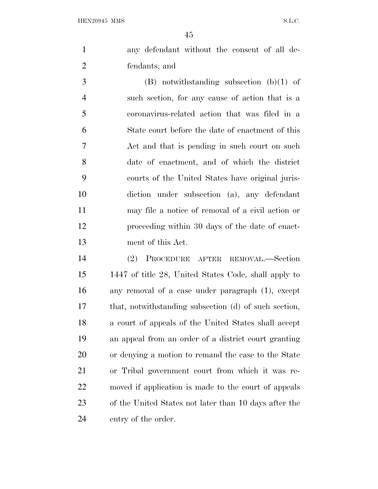any defendant without the consent of all de-fendants; and

 (B) notwithstanding subsection (b)(1) of such section, for any cause of action that is a coronavirus-related action that was filed in a State court before the date of enactment of this Act and that is pending in such court on such date of enactment, and of which the district courts of the United States have original juris- diction under subsection (a), any defendant may file a notice of removal of a civil action or proceeding within 30 days of the date of enact-ment of this Act.

 (2) PROCEDURE AFTER REMOVAL.—Section 1447 of title 28, United States Code, shall apply to any removal of a case under paragraph (1), except that, notwithstanding subsection (d) of such section, a court of appeals of the United States shall accept an appeal from an order of a district court granting or denying a motion to remand the case to the State or Tribal government court from which it was re- moved if application is made to the court of appeals of the United States not later than 10 days after the entry of the order.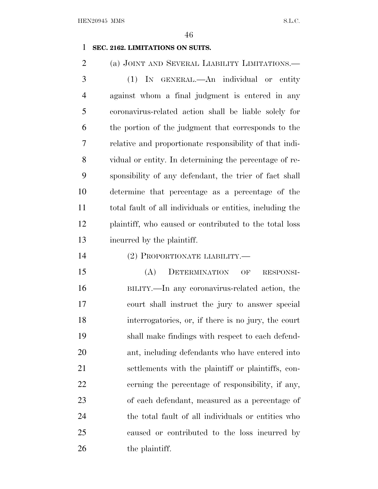### **SEC. 2162. LIMITATIONS ON SUITS.**

 (a) JOINT AND SEVERAL LIABILITY LIMITATIONS.— (1) IN GENERAL.—An individual or entity against whom a final judgment is entered in any coronavirus-related action shall be liable solely for the portion of the judgment that corresponds to the relative and proportionate responsibility of that indi- vidual or entity. In determining the percentage of re- sponsibility of any defendant, the trier of fact shall determine that percentage as a percentage of the total fault of all individuals or entities, including the plaintiff, who caused or contributed to the total loss incurred by the plaintiff.

### (2) PROPORTIONATE LIABILITY.—

 (A) DETERMINATION OF RESPONSI- BILITY.—In any coronavirus-related action, the court shall instruct the jury to answer special interrogatories, or, if there is no jury, the court shall make findings with respect to each defend- ant, including defendants who have entered into settlements with the plaintiff or plaintiffs, con- cerning the percentage of responsibility, if any, of each defendant, measured as a percentage of the total fault of all individuals or entities who caused or contributed to the loss incurred by 26 the plaintiff.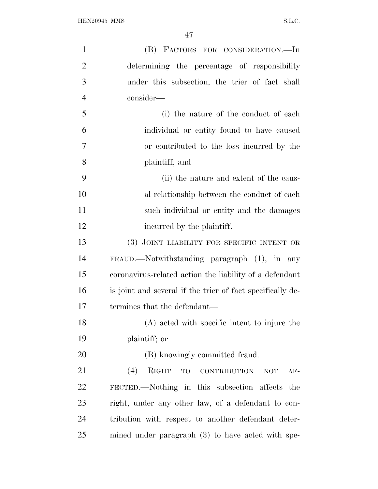| $\mathbf{1}$   | (B) FACTORS FOR CONSIDERATION.—In                                |
|----------------|------------------------------------------------------------------|
| $\overline{2}$ | determining the percentage of responsibility                     |
| 3              | under this subsection, the trier of fact shall                   |
| $\overline{4}$ | consider—                                                        |
| 5              | (i) the nature of the conduct of each                            |
| 6              | individual or entity found to have caused                        |
| 7              | or contributed to the loss incurred by the                       |
| 8              | plaintiff; and                                                   |
| 9              | (ii) the nature and extent of the caus-                          |
| 10             | al relationship between the conduct of each                      |
| 11             | such individual or entity and the damages                        |
| 12             | incurred by the plaintiff.                                       |
| 13             | (3) JOINT LIABILITY FOR SPECIFIC INTENT OR                       |
| 14             | FRAUD.—Notwithstanding paragraph (1), in any                     |
| 15             | coronavirus-related action the liability of a defendant          |
| 16             | is joint and several if the trier of fact specifically de-       |
| 17             | termines that the defendant—                                     |
| 18             | (A) acted with specific intent to injure the                     |
| 19             | plaintiff; or                                                    |
| 20             | (B) knowingly committed fraud.                                   |
| 21             | (4)<br>RIGHT<br>TO<br><b>CONTRIBUTION</b><br><b>NOT</b><br>$AF-$ |
| 22             | FECTED.—Nothing in this subsection affects the                   |
| 23             | right, under any other law, of a defendant to con-               |
| 24             | tribution with respect to another defendant deter-               |
| 25             | mined under paragraph (3) to have acted with spe-                |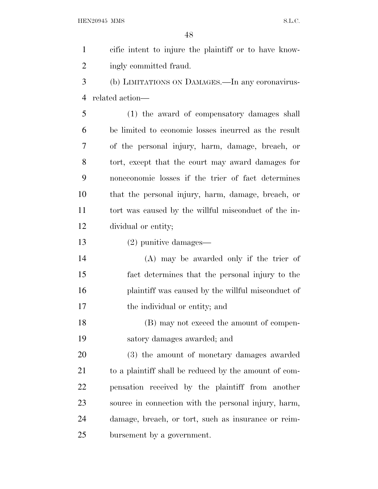cific intent to injure the plaintiff or to have know- ingly committed fraud. (b) LIMITATIONS ON DAMAGES.—In any coronavirus- related action— (1) the award of compensatory damages shall be limited to economic losses incurred as the result of the personal injury, harm, damage, breach, or tort, except that the court may award damages for noneconomic losses if the trier of fact determines that the personal injury, harm, damage, breach, or tort was caused by the willful misconduct of the in- dividual or entity; (2) punitive damages— (A) may be awarded only if the trier of fact determines that the personal injury to the plaintiff was caused by the willful misconduct of the individual or entity; and (B) may not exceed the amount of compen- satory damages awarded; and (3) the amount of monetary damages awarded 21 to a plaintiff shall be reduced by the amount of com-

 pensation received by the plaintiff from another source in connection with the personal injury, harm, damage, breach, or tort, such as insurance or reim-bursement by a government.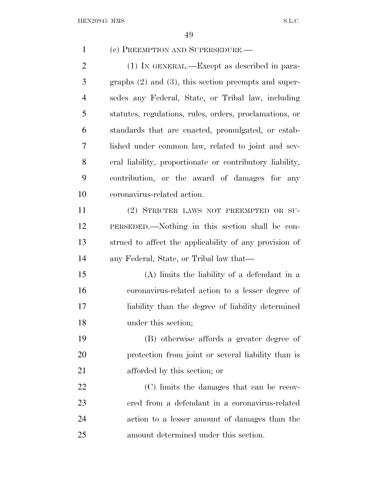(c) PREEMPTION AND SUPERSEDURE.— (1) IN GENERAL.—Except as described in para- graphs (2) and (3), this section preempts and super- sedes any Federal, State, or Tribal law, including statutes, regulations, rules, orders, proclamations, or standards that are enacted, promulgated, or estab- lished under common law, related to joint and sev- eral liability, proportionate or contributory liability, contribution, or the award of damages for any coronavirus-related action. (2) STRICTER LAWS NOT PREEMPTED OR SU- PERSEDED.—Nothing in this section shall be con- strued to affect the applicability of any provision of any Federal, State, or Tribal law that— (A) limits the liability of a defendant in a coronavirus-related action to a lesser degree of liability than the degree of liability determined under this section; (B) otherwise affords a greater degree of protection from joint or several liability than is afforded by this section; or (C) limits the damages that can be recov- ered from a defendant in a coronavirus-related action to a lesser amount of damages than the amount determined under this section.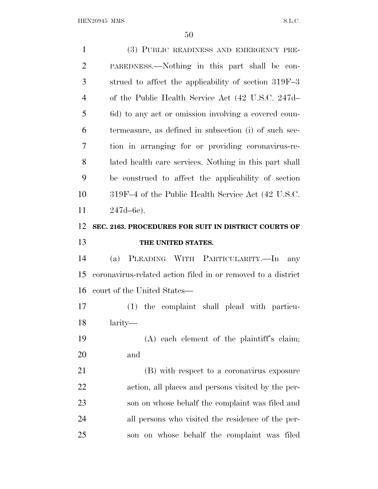(3) PUBLIC READINESS AND EMERGENCY PRE- PAREDNESS.—Nothing in this part shall be con- strued to affect the applicability of section 319F–3 of the Public Health Service Act (42 U.S.C. 247d– 6d) to any act or omission involving a covered coun- termeasure, as defined in subsection (i) of such sec- tion in arranging for or providing coronavirus-re- lated health care services. Nothing in this part shall be construed to affect the applicability of section 319F–4 of the Public Health Service Act (42 U.S.C. 247d–6e). **SEC. 2163. PROCEDURES FOR SUIT IN DISTRICT COURTS OF THE UNITED STATES.** (a) PLEADING WITH PARTICULARITY.—In any coronavirus-related action filed in or removed to a district court of the United States— (1) the complaint shall plead with particu- larity— (A) each element of the plaintiff's claim; and (B) with respect to a coronavirus exposure action, all places and persons visited by the per- son on whose behalf the complaint was filed and all persons who visited the residence of the per-son on whose behalf the complaint was filed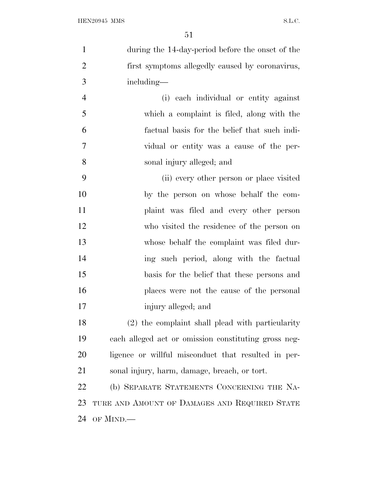| $\mathbf{1}$   | during the 14-day-period before the onset of the     |
|----------------|------------------------------------------------------|
| $\overline{2}$ | first symptoms allegedly caused by coronavirus,      |
| 3              | including—                                           |
| $\overline{4}$ | (i) each individual or entity against                |
| 5              | which a complaint is filed, along with the           |
| 6              | factual basis for the belief that such indi-         |
| $\overline{7}$ | vidual or entity was a cause of the per-             |
| 8              | sonal injury alleged; and                            |
| 9              | (ii) every other person or place visited             |
| 10             | by the person on whose behalf the com-               |
| 11             | plaint was filed and every other person              |
| 12             | who visited the residence of the person on           |
| 13             | whose behalf the complaint was filed dur-            |
| 14             | ing such period, along with the factual              |
| 15             | basis for the belief that these persons and          |
| 16             | places were not the cause of the personal            |
| 17             | injury alleged; and                                  |
| 18             | (2) the complaint shall plead with particularity     |
| 19             | each alleged act or omission constituting gross neg- |
| 20             | ligence or willful misconduct that resulted in per-  |
| 21             | sonal injury, harm, damage, breach, or tort.         |
| 22             | (b) SEPARATE STATEMENTS CONCERNING THE NA-           |
| 23             | TURE AND AMOUNT OF DAMAGES AND REQUIRED STATE        |
| 24             | OF MIND.—                                            |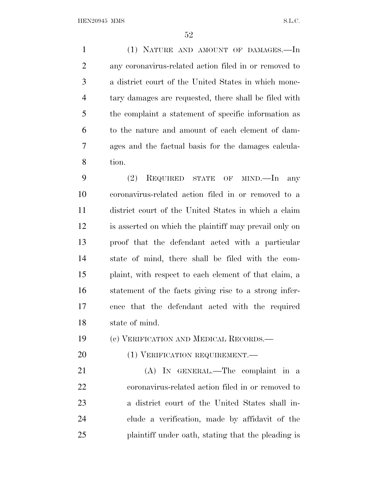(1) NATURE AND AMOUNT OF DAMAGES.—In any coronavirus-related action filed in or removed to a district court of the United States in which mone- tary damages are requested, there shall be filed with the complaint a statement of specific information as to the nature and amount of each element of dam- ages and the factual basis for the damages calcula-tion.

 (2) REQUIRED STATE OF MIND.—In any coronavirus-related action filed in or removed to a district court of the United States in which a claim is asserted on which the plaintiff may prevail only on proof that the defendant acted with a particular state of mind, there shall be filed with the com- plaint, with respect to each element of that claim, a statement of the facts giving rise to a strong infer- ence that the defendant acted with the required state of mind.

(c) VERIFICATION AND MEDICAL RECORDS.—

20 (1) VERIFICATION REQUIREMENT.

 (A) IN GENERAL.—The complaint in a coronavirus-related action filed in or removed to a district court of the United States shall in- clude a verification, made by affidavit of the plaintiff under oath, stating that the pleading is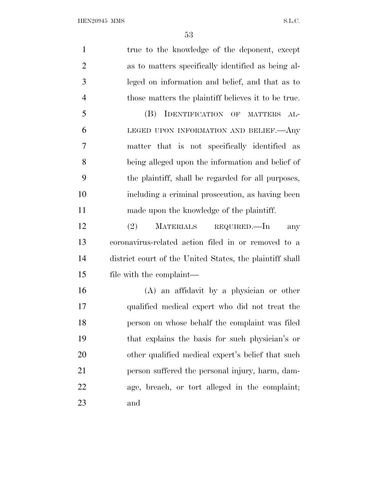1 true to the knowledge of the deponent, except as to matters specifically identified as being al- leged on information and belief, and that as to those matters the plaintiff believes it to be true. (B) IDENTIFICATION OF MATTERS AL- LEGED UPON INFORMATION AND BELIEF.—Any matter that is not specifically identified as being alleged upon the information and belief of the plaintiff, shall be regarded for all purposes, including a criminal prosecution, as having been made upon the knowledge of the plaintiff. (2) MATERIALS REQUIRED.—In any coronavirus-related action filed in or removed to a district court of the United States, the plaintiff shall file with the complaint— (A) an affidavit by a physician or other qualified medical expert who did not treat the person on whose behalf the complaint was filed that explains the basis for such physician's or other qualified medical expert's belief that such person suffered the personal injury, harm, dam- age, breach, or tort alleged in the complaint; and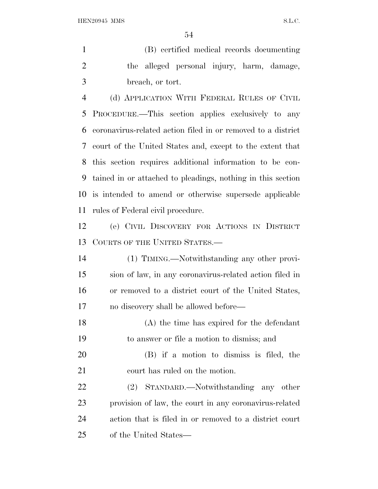(B) certified medical records documenting the alleged personal injury, harm, damage, breach, or tort.

 (d) APPLICATION WITH FEDERAL RULES OF CIVIL PROCEDURE.—This section applies exclusively to any coronavirus-related action filed in or removed to a district court of the United States and, except to the extent that this section requires additional information to be con- tained in or attached to pleadings, nothing in this section is intended to amend or otherwise supersede applicable rules of Federal civil procedure.

 (e) CIVIL DISCOVERY FOR ACTIONS IN DISTRICT COURTS OF THE UNITED STATES.—

 (1) TIMING.—Notwithstanding any other provi- sion of law, in any coronavirus-related action filed in or removed to a district court of the United States, no discovery shall be allowed before—

 (A) the time has expired for the defendant to answer or file a motion to dismiss; and

 (B) if a motion to dismiss is filed, the court has ruled on the motion.

 (2) STANDARD.—Notwithstanding any other provision of law, the court in any coronavirus-related action that is filed in or removed to a district court of the United States—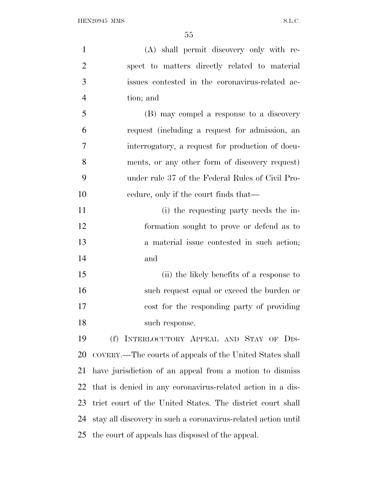| $\mathbf{1}$   | (A) shall permit discovery only with re-                      |
|----------------|---------------------------------------------------------------|
| $\overline{2}$ | spect to matters directly related to material                 |
| 3              | issues contested in the coronavirus-related ac-               |
| $\overline{4}$ | tion; and                                                     |
| 5              | (B) may compel a response to a discovery                      |
| 6              | request (including a request for admission, an                |
| 7              | interrogatory, a request for production of docu-              |
| 8              | ments, or any other form of discovery request)                |
| 9              | under rule 37 of the Federal Rules of Civil Pro-              |
| 10             | eedure, only if the court finds that—                         |
| 11             | (i) the requesting party needs the in-                        |
| 12             | formation sought to prove or defend as to                     |
| 13             | a material issue contested in such action;                    |
| 14             | and                                                           |
| 15             | (ii) the likely benefits of a response to                     |
| 16             | such request equal or exceed the burden or                    |
| 17             | cost for the responding party of providing                    |
| 18             | such response.                                                |
| 19             | (f) INTERLOCUTORY APPEAL AND STAY OF DIS-                     |
| 20             | COVERY.—The courts of appeals of the United States shall      |
| 21             | have jurisdiction of an appeal from a motion to dismiss       |
| 22             | that is denied in any coronavirus-related action in a dis-    |
| 23             | trict court of the United States. The district court shall    |
| 24             | stay all discovery in such a coronavirus-related action until |
| 25             | the court of appeals has disposed of the appeal.              |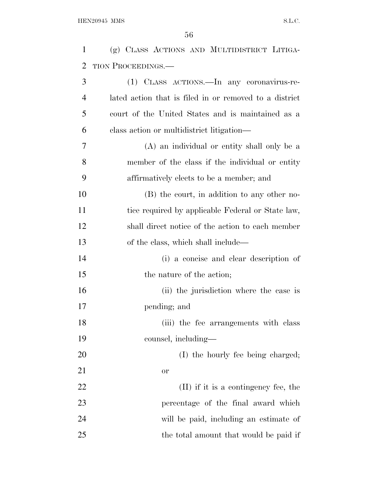| $\mathbf{1}$   | (g) CLASS ACTIONS AND MULTIDISTRICT LITIGA-            |
|----------------|--------------------------------------------------------|
| 2              | <b>TION PROCEEDINGS.—</b>                              |
| 3              | (1) CLASS ACTIONS.—In any coronavirus-re-              |
| $\overline{4}$ | lated action that is filed in or removed to a district |
| 5              | court of the United States and is maintained as a      |
| 6              | class action or multidistrict litigation—              |
| 7              | (A) an individual or entity shall only be a            |
| 8              | member of the class if the individual or entity        |
| 9              | affirmatively elects to be a member; and               |
| 10             | (B) the court, in addition to any other no-            |
| 11             | tice required by applicable Federal or State law,      |
| 12             | shall direct notice of the action to each member       |
| 13             | of the class, which shall include—                     |
| 14             | (i) a concise and clear description of                 |
| 15             | the nature of the action;                              |
| 16             | (ii) the jurisdiction where the case is                |
| 17             | pending; and                                           |
| 18             | (iii) the fee arrangements with class                  |
| 19             | counsel, including—                                    |
| 20             | (I) the hourly fee being charged;                      |
| 21             | <b>or</b>                                              |
| 22             | (II) if it is a contingency fee, the                   |
| 23             | percentage of the final award which                    |
| 24             | will be paid, including an estimate of                 |
| 25             | the total amount that would be paid if                 |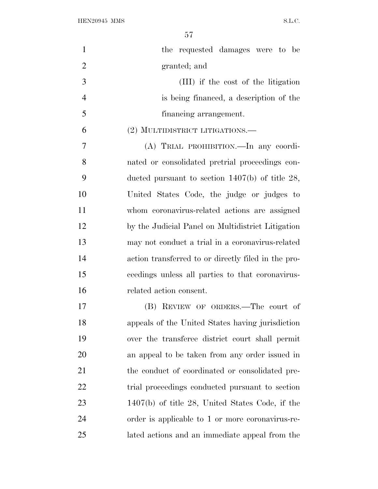| $\mathbf{1}$   | the requested damages were to be                    |
|----------------|-----------------------------------------------------|
| $\overline{2}$ | granted; and                                        |
| 3              | (III) if the cost of the litigation                 |
| $\overline{4}$ | is being financed, a description of the             |
| 5              | financing arrangement.                              |
| 6              | (2) MULTIDISTRICT LITIGATIONS.—                     |
| 7              | (A) TRIAL PROHIBITION. In any coordi-               |
| 8              | nated or consolidated pretrial proceedings con-     |
| 9              | ducted pursuant to section $1407(b)$ of title 28,   |
| 10             | United States Code, the judge or judges to          |
| 11             | whom coronavirus-related actions are assigned       |
| 12             | by the Judicial Panel on Multidistrict Litigation   |
| 13             | may not conduct a trial in a coronavirus-related    |
| 14             | action transferred to or directly filed in the pro- |
| 15             | ceedings unless all parties to that coronavirus-    |
| 16             | related action consent.                             |
| 17             | (B) REVIEW OF ORDERS.—The court of                  |
| 18             | appeals of the United States having jurisdiction    |
| 19             | over the transferee district court shall permit     |
| 20             | an appeal to be taken from any order issued in      |
| 21             | the conduct of coordinated or consolidated pre-     |
| 22             | trial proceedings conducted pursuant to section     |
| 23             | $1407(b)$ of title 28, United States Code, if the   |
| 24             | order is applicable to 1 or more coronavirus-re-    |
| 25             | lated actions and an immediate appeal from the      |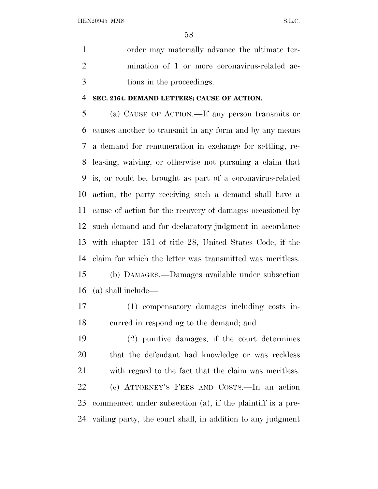order may materially advance the ultimate ter- mination of 1 or more coronavirus-related ac-tions in the proceedings.

#### **SEC. 2164. DEMAND LETTERS; CAUSE OF ACTION.**

 (a) CAUSE OF ACTION.—If any person transmits or causes another to transmit in any form and by any means a demand for remuneration in exchange for settling, re- leasing, waiving, or otherwise not pursuing a claim that is, or could be, brought as part of a coronavirus-related action, the party receiving such a demand shall have a cause of action for the recovery of damages occasioned by such demand and for declaratory judgment in accordance with chapter 151 of title 28, United States Code, if the claim for which the letter was transmitted was meritless. (b) DAMAGES.—Damages available under subsection (a) shall include—

(1) compensatory damages including costs in-

curred in responding to the demand; and

 (2) punitive damages, if the court determines that the defendant had knowledge or was reckless with regard to the fact that the claim was meritless. (c) ATTORNEY'<sup>S</sup> FEES AND COSTS.—In an action commenced under subsection (a), if the plaintiff is a pre-vailing party, the court shall, in addition to any judgment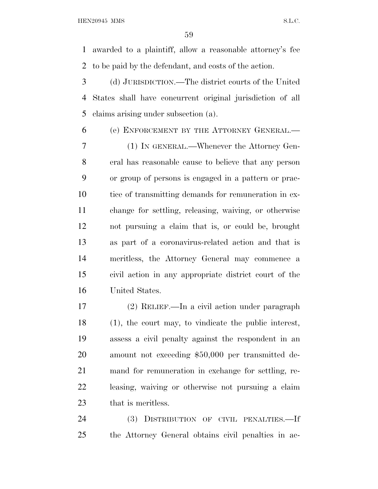awarded to a plaintiff, allow a reasonable attorney's fee to be paid by the defendant, and costs of the action.

 (d) JURISDICTION.—The district courts of the United States shall have concurrent original jurisdiction of all claims arising under subsection (a).

(e) ENFORCEMENT BY THE ATTORNEY GENERAL.—

 (1) IN GENERAL.—Whenever the Attorney Gen- eral has reasonable cause to believe that any person or group of persons is engaged in a pattern or prac- tice of transmitting demands for remuneration in ex- change for settling, releasing, waiving, or otherwise not pursuing a claim that is, or could be, brought as part of a coronavirus-related action and that is meritless, the Attorney General may commence a civil action in any appropriate district court of the United States.

 (2) RELIEF.—In a civil action under paragraph (1), the court may, to vindicate the public interest, assess a civil penalty against the respondent in an amount not exceeding \$50,000 per transmitted de- mand for remuneration in exchange for settling, re- leasing, waiving or otherwise not pursuing a claim that is meritless.

 (3) DISTRIBUTION OF CIVIL PENALTIES.—If the Attorney General obtains civil penalties in ac-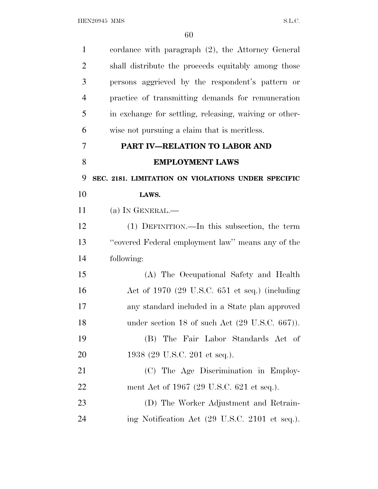| $\mathbf{1}$   | cordance with paragraph (2), the Attorney General          |
|----------------|------------------------------------------------------------|
| $\overline{2}$ | shall distribute the proceeds equitably among those        |
| 3              | persons aggrieved by the respondent's pattern or           |
| $\overline{4}$ | practice of transmitting demands for remuneration          |
| 5              | in exchange for settling, releasing, waiving or other-     |
| 6              | wise not pursuing a claim that is meritless.               |
| 7              | PART IV-RELATION TO LABOR AND                              |
| 8              | <b>EMPLOYMENT LAWS</b>                                     |
| 9              | SEC. 2181. LIMITATION ON VIOLATIONS UNDER SPECIFIC         |
| 10             | LAWS.                                                      |
| 11             | (a) IN GENERAL.—                                           |
| 12             | (1) DEFINITION.—In this subsection, the term               |
| 13             | "covered Federal employment law" means any of the          |
| 14             | following:                                                 |
| 15             | (A) The Occupational Safety and Health                     |
| 16             | Act of $1970$ (29 U.S.C. 651 et seq.) (including           |
| 17             | any standard included in a State plan approved             |
| 18             | under section 18 of such Act $(29 \text{ U.S.C. } 667)$ ). |
| 19             | (B) The Fair Labor Standards Act of                        |
| 20             | 1938 (29 U.S.C. 201 et seq.).                              |
| 21             | (C) The Age Discrimination in Employ-                      |
| 22             | ment Act of 1967 (29 U.S.C. 621 et seq.).                  |
| 23             | (D) The Worker Adjustment and Retrain-                     |
| 24             | ing Notification Act (29 U.S.C. 2101 et seq.).             |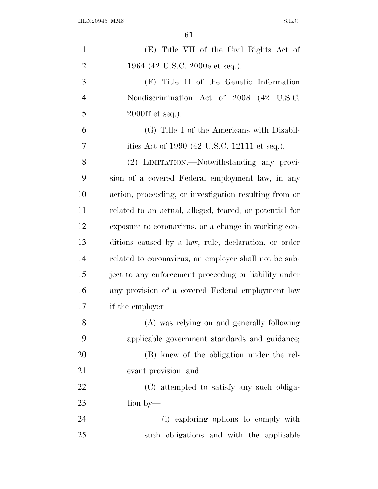| $\mathbf{1}$   | (E) Title VII of the Civil Rights Act of                |
|----------------|---------------------------------------------------------|
| $\overline{2}$ | 1964 (42 U.S.C. 2000e et seq.).                         |
| 3              | (F) Title II of the Genetic Information                 |
| $\overline{4}$ | Nondiscrimination Act of 2008 (42 U.S.C.                |
| 5              | $2000 \text{ff}$ et seq.).                              |
| 6              | (G) Title I of the Americans with Disabil-              |
| 7              | ities Act of 1990 (42 U.S.C. 12111 et seq.).            |
| 8              | (2) LIMITATION.—Notwithstanding any provi-              |
| 9              | sion of a covered Federal employment law, in any        |
| 10             | action, proceeding, or investigation resulting from or  |
| 11             | related to an actual, alleged, feared, or potential for |
| 12             | exposure to coronavirus, or a change in working con-    |
| 13             | ditions caused by a law, rule, declaration, or order    |
| 14             | related to coronavirus, an employer shall not be sub-   |
| 15             | ject to any enforcement proceeding or liability under   |
| 16             | any provision of a covered Federal employment law       |
| 17             | if the employer—                                        |
| 18             | (A) was relying on and generally following              |
| 19             | applicable government standards and guidance;           |
| 20             | (B) knew of the obligation under the rel-               |
| 21             | evant provision; and                                    |
| 22             | (C) attempted to satisfy any such obliga-               |
| 23             | tion by—                                                |
| 24             | (i) exploring options to comply with                    |
| 25             | such obligations and with the applicable                |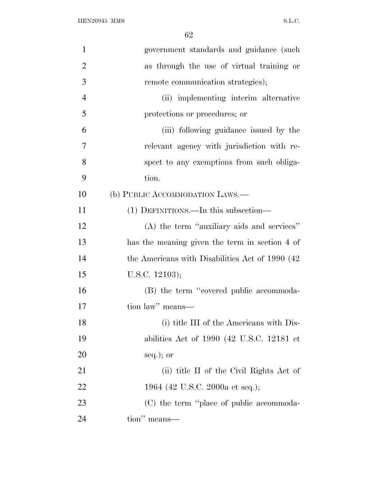| $\mathbf{1}$   | government standards and guidance (such          |
|----------------|--------------------------------------------------|
| $\overline{2}$ | as through the use of virtual training or        |
| 3              | remote communication strategies);                |
| $\overline{4}$ | (ii) implementing interim alternative            |
| 5              | protections or procedures; or                    |
| 6              | (iii) following guidance issued by the           |
| 7              | relevant agency with jurisdiction with re-       |
| 8              | spect to any exemptions from such obliga-        |
| 9              | tion.                                            |
| 10             | (b) PUBLIC ACCOMMODATION LAWS.—                  |
| 11             | (1) DEFINITIONS.—In this subsection—             |
| 12             | (A) the term "auxiliary aids and services"       |
| 13             | has the meaning given the term in section 4 of   |
| 14             | the Americans with Disabilities Act of 1990 (42) |
| 15             | U.S.C. $12103$ );                                |
| 16             | (B) the term "covered public accommoda-          |
| 17             | tion law" means-                                 |
| 18             | (i) title III of the Americans with Dis-         |
| 19             | abilities Act of $1990$ (42 U.S.C. 12181 et      |
| 20             | seq.); or                                        |
| 21             | (ii) title II of the Civil Rights Act of         |
| 22             | 1964 (42 U.S.C. 2000a et seq.);                  |
| 23             | (C) the term "place of public accommoda-         |
| 24             | tion" means—                                     |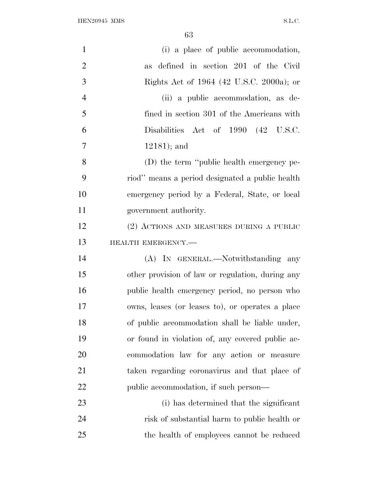${\bf HEN20945~MMS} \hspace{2cm} {\bf S.L.C.}$ 

| $\mathbf{1}$   | (i) a place of public accommodation,             |
|----------------|--------------------------------------------------|
| $\overline{2}$ | as defined in section 201 of the Civil           |
| 3              | Rights Act of 1964 (42 U.S.C. 2000a); or         |
| $\overline{4}$ | (ii) a public accommodation, as de-              |
| 5              | fined in section 301 of the Americans with       |
| 6              | Disabilities Act of 1990 (42 U.S.C.              |
| 7              | $12181$ ; and                                    |
| 8              | (D) the term "public health emergency pe-        |
| 9              | riod" means a period designated a public health  |
| 10             | emergency period by a Federal, State, or local   |
| 11             | government authority.                            |
| 12             | (2) ACTIONS AND MEASURES DURING A PUBLIC         |
| 13             | HEALTH EMERGENCY.-                               |
| 14             | (A) IN GENERAL.—Notwithstanding any              |
| 15             | other provision of law or regulation, during any |
| 16             | public health emergency period, no person who    |
| 17             | owns, leases (or leases to), or operates a place |
| 18             | of public accommodation shall be liable under,   |
| 19             | or found in violation of, any covered public ac- |
| 20             | commodation law for any action or measure        |
| 21             | taken regarding coronavirus and that place of    |
| 22             | public accommodation, if such person—            |
| 23             | (i) has determined that the significant          |
| 24             | risk of substantial harm to public health or     |
| 25             | the health of employees cannot be reduced        |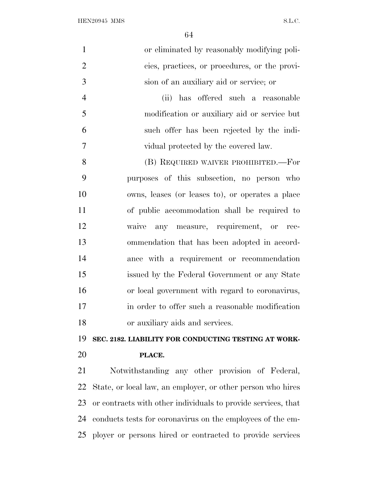| $\mathbf{1}$   | or eliminated by reasonably modifying poli-                   |
|----------------|---------------------------------------------------------------|
| $\overline{2}$ | cies, practices, or procedures, or the provi-                 |
| 3              | sion of an auxiliary aid or service; or                       |
| $\overline{4}$ | (ii) has offered such a reasonable                            |
| 5              | modification or auxiliary aid or service but                  |
| 6              | such offer has been rejected by the indi-                     |
| 7              | vidual protected by the covered law.                          |
| 8              | (B) REQUIRED WAIVER PROHIBITED.—For                           |
| 9              | purposes of this subsection, no person who                    |
| 10             | owns, leases (or leases to), or operates a place              |
| 11             | of public accommodation shall be required to                  |
| 12             | waive any measure, requirement, or rec-                       |
| 13             | ommendation that has been adopted in accord-                  |
| 14             | ance with a requirement or recommendation                     |
| 15             | issued by the Federal Government or any State                 |
| 16             | or local government with regard to coronavirus,               |
| 17             | in order to offer such a reasonable modification              |
| 18             | or auxiliary aids and services.                               |
| 19             | SEC. 2182. LIABILITY FOR CONDUCTING TESTING AT WORK-          |
| 20             | PLACE.                                                        |
| 21             | Notwithstanding any other provision of Federal,               |
| <u>22</u>      | State, or local law, an employer, or other person who hires   |
| 23             | or contracts with other individuals to provide services, that |
| 24             | conducts tests for coronavirus on the employees of the em-    |

ployer or persons hired or contracted to provide services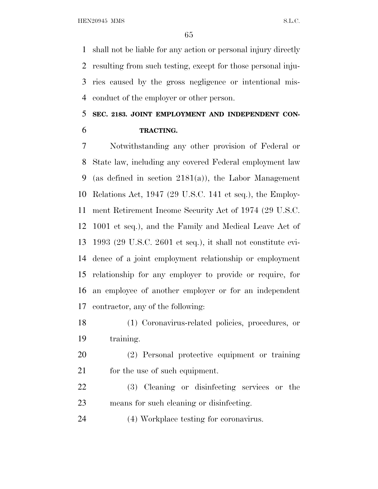shall not be liable for any action or personal injury directly resulting from such testing, except for those personal inju- ries caused by the gross negligence or intentional mis-conduct of the employer or other person.

### **SEC. 2183. JOINT EMPLOYMENT AND INDEPENDENT CON-TRACTING.**

 Notwithstanding any other provision of Federal or State law, including any covered Federal employment law (as defined in section 2181(a)), the Labor Management Relations Act, 1947 (29 U.S.C. 141 et seq.), the Employ- ment Retirement Income Security Act of 1974 (29 U.S.C. 1001 et seq.), and the Family and Medical Leave Act of 1993 (29 U.S.C. 2601 et seq.), it shall not constitute evi- dence of a joint employment relationship or employment relationship for any employer to provide or require, for an employee of another employer or for an independent contractor, any of the following:

 (1) Coronavirus-related policies, procedures, or training.

 (2) Personal protective equipment or training 21 for the use of such equipment.

 (3) Cleaning or disinfecting services or the means for such cleaning or disinfecting.

(4) Workplace testing for coronavirus.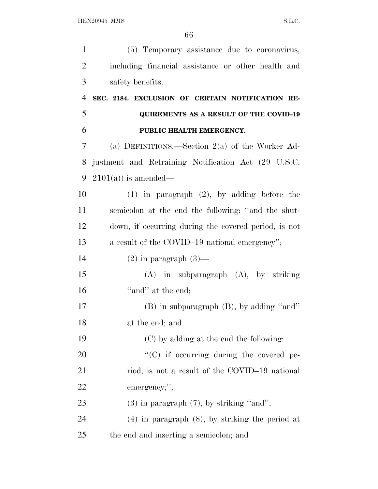| $\mathbf{1}$   | (5) Temporary assistance due to coronavirus,         |
|----------------|------------------------------------------------------|
| $\overline{2}$ | including financial assistance or other health and   |
| 3              | safety benefits.                                     |
| $\overline{4}$ | SEC. 2184. EXCLUSION OF CERTAIN NOTIFICATION RE-     |
| 5              | <b>QUIREMENTS AS A RESULT OF THE COVID-19</b>        |
| 6              | PUBLIC HEALTH EMERGENCY.                             |
| 7              | (a) DEFINITIONS.—Section $2(a)$ of the Worker Ad-    |
| 8              | justment and Retraining Notification Act (29 U.S.C.  |
| 9              | $2101(a)$ is amended—                                |
| 10             | $(1)$ in paragraph $(2)$ , by adding before the      |
| 11             | semicolon at the end the following: "and the shut-   |
| 12             | down, if occurring during the covered period, is not |
| 13             | a result of the COVID-19 national emergency";        |
| 14             | $(2)$ in paragraph $(3)$ —                           |
| 15             | $(A)$ in subparagraph $(A)$ , by striking            |
| 16             | "and" at the end;                                    |
| 17             | (B) in subparagraph (B), by adding "and"             |
| 18             | at the end; and                                      |
| 19             | (C) by adding at the end the following:              |
| 20             | "(C) if occurring during the covered pe-             |
| 21             | riod, is not a result of the COVID-19 national       |
| 22             | emergency;";                                         |
| 23             | $(3)$ in paragraph $(7)$ , by striking "and";        |
| 24             | $(4)$ in paragraph $(8)$ , by striking the period at |
| 25             | the end and inserting a semicolon; and               |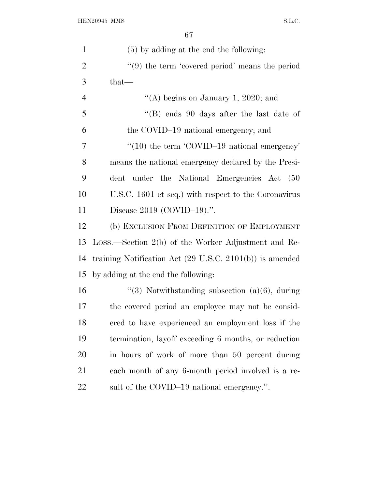| $\mathbf{1}$   | (5) by adding at the end the following:                             |
|----------------|---------------------------------------------------------------------|
| $\overline{2}$ | $\lq(9)$ the term 'covered period' means the period                 |
| 3              | that-                                                               |
| $\overline{4}$ | "(A) begins on January 1, 2020; and                                 |
| 5              | "(B) ends $90$ days after the last date of                          |
| 6              | the COVID-19 national emergency; and                                |
| $\overline{7}$ | $``(10)$ the term 'COVID-19 national emergency'                     |
| 8              | means the national emergency declared by the Presi-                 |
| 9              | dent under the National Emergencies Act (50                         |
| 10             | U.S.C. 1601 et seq.) with respect to the Coronavirus                |
| 11             | Disease $2019$ (COVID-19).".                                        |
| 12             | (b) EXCLUSION FROM DEFINITION OF EMPLOYMENT                         |
| 13             | Loss.—Section 2(b) of the Worker Adjustment and Re-                 |
| 14             | training Notification Act $(29 \text{ U.S.C. } 2101(b))$ is amended |
| 15             | by adding at the end the following:                                 |
| 16             | "(3) Notwithstanding subsection $(a)(6)$ , during                   |
| 17             | the covered period an employee may not be consid-                   |
| 18             | ered to have experienced an employment loss if the                  |
| 19             | termination, layoff exceeding 6 months, or reduction                |
| 20             | in hours of work of more than 50 percent during                     |
| 21             | each month of any 6-month period involved is a re-                  |
| <u>22</u>      | sult of the COVID-19 national emergency.".                          |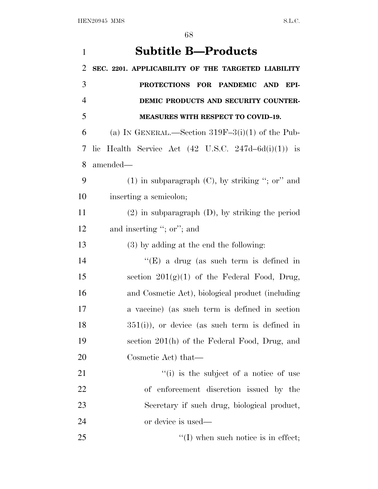| $\mathbf{1}$   | <b>Subtitle B-Products</b>                                       |
|----------------|------------------------------------------------------------------|
| $\overline{2}$ | SEC. 2201. APPLICABILITY OF THE TARGETED LIABILITY               |
| 3              | PROTECTIONS FOR PANDEMIC AND<br>EPI-                             |
| $\overline{4}$ | DEMIC PRODUCTS AND SECURITY COUNTER-                             |
| 5              | <b>MEASURES WITH RESPECT TO COVID-19.</b>                        |
| 6              | (a) IN GENERAL.—Section $319F-3(i)(1)$ of the Pub-               |
| 7              | lic Health Service Act $(42 \text{ U.S.C. } 247d - 6d(i)(1))$ is |
| 8              | amended—                                                         |
| 9              | $(1)$ in subparagraph $(C)$ , by striking "; or" and             |
| 10             | inserting a semicolon;                                           |
| 11             | $(2)$ in subparagraph $(D)$ , by striking the period             |
| 12             | and inserting "; or"; and                                        |
| 13             | $(3)$ by adding at the end the following:                        |
| 14             | "(E) a drug (as such term is defined in                          |
| 15             | section $201(g)(1)$ of the Federal Food, Drug,                   |
| 16             | and Cosmetic Act), biological product (including                 |
| 17             | a vaccine) (as such term is defined in section                   |
| 18             | $351(i)$ , or device (as such term is defined in                 |
| 19             | section 201(h) of the Federal Food, Drug, and                    |
| 20             | Cosmetic Act) that—                                              |
| 21             | "(i) is the subject of a notice of use                           |
| 22             | of enforcement discretion issued by the                          |
| 23             | Secretary if such drug, biological product,                      |
| 24             | or device is used—                                               |
| 25             | $\lq\lq$ (I) when such notice is in effect;                      |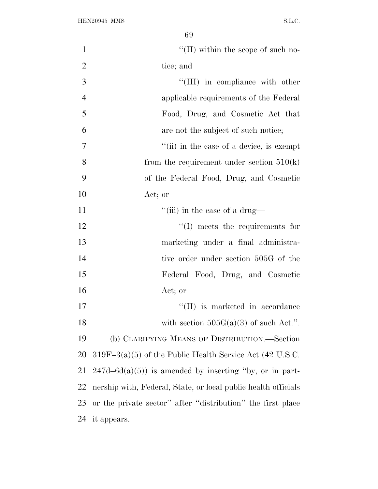| $\mathbf{1}$   | $\lq\lq$ (II) within the scope of such no-                     |
|----------------|----------------------------------------------------------------|
| $\overline{2}$ | tice; and                                                      |
| 3              | "(III) in compliance with other                                |
| $\overline{4}$ | applicable requirements of the Federal                         |
| 5              | Food, Drug, and Cosmetic Act that                              |
| 6              | are not the subject of such notice;                            |
| $\overline{7}$ | "(ii) in the case of a device, is exempt                       |
| 8              | from the requirement under section $510(k)$                    |
| 9              | of the Federal Food, Drug, and Cosmetic                        |
| 10             | Act; or                                                        |
| 11             | "(iii) in the case of a drug—                                  |
| 12             | $\lq\lq$ (I) meets the requirements for                        |
| 13             | marketing under a final administra-                            |
| 14             | tive order under section 505G of the                           |
| 15             | Federal Food, Drug, and Cosmetic                               |
| 16             | Act; or                                                        |
| 17             | "(II) is marketed in accordance                                |
| 18             | with section $505G(a)(3)$ of such Act.".                       |
| 19             | (b) CLARIFYING MEANS OF DISTRIBUTION.—Section                  |
| 20             | $319F-3(a)(5)$ of the Public Health Service Act (42 U.S.C.     |
| 21             | $247d - 6d(a)(5)$ is amended by inserting "by, or in part-     |
| 22             | nership with, Federal, State, or local public health officials |
| 23             | or the private sector" after "distribution" the first place    |
| 24             | it appears.                                                    |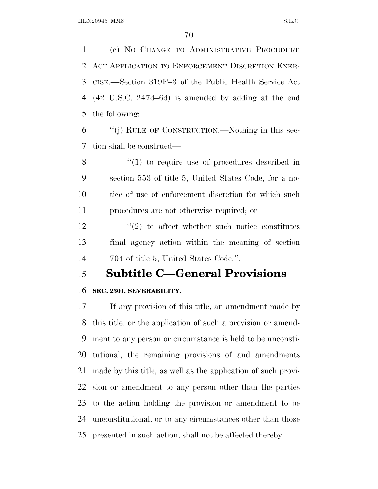(c) N<sup>O</sup> CHANGE TO ADMINISTRATIVE PROCEDURE ACT APPLICATION TO ENFORCEMENT DISCRETION EXER- CISE.—Section 319F–3 of the Public Health Service Act (42 U.S.C. 247d–6d) is amended by adding at the end the following:

 ''(j) RULE OF CONSTRUCTION.—Nothing in this sec-tion shall be construed—

8 "(1) to require use of procedures described in section 553 of title 5, United States Code, for a no- tice of use of enforcement discretion for which such procedures are not otherwise required; or

12 ''(2) to affect whether such notice constitutes final agency action within the meaning of section 704 of title 5, United States Code.''.

### **Subtitle C—General Provisions**

### **SEC. 2301. SEVERABILITY.**

 If any provision of this title, an amendment made by this title, or the application of such a provision or amend- ment to any person or circumstance is held to be unconsti- tutional, the remaining provisions of and amendments made by this title, as well as the application of such provi- sion or amendment to any person other than the parties to the action holding the provision or amendment to be unconstitutional, or to any circumstances other than those presented in such action, shall not be affected thereby.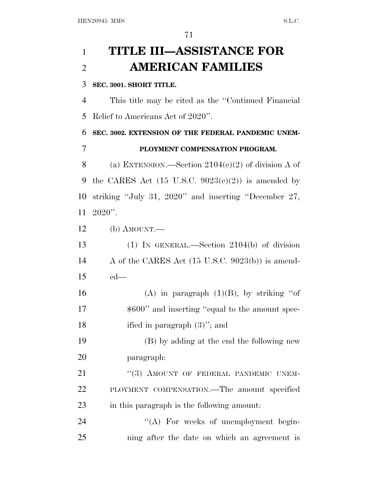# **TITLE III—ASSISTANCE FOR AMERICAN FAMILIES**

### **SEC. 3001. SHORT TITLE.**

 This title may be cited as the ''Continued Financial Relief to Americans Act of 2020''.

 **SEC. 3002. EXTENSION OF THE FEDERAL PANDEMIC UNEM-PLOYMENT COMPENSATION PROGRAM.**

8 (a) EXTENSION.—Section  $2104(e)(2)$  of division A of 9 the CARES Act  $(15 \text{ U.S.C. } 9023(e)(2))$  is amended by striking ''July 31, 2020'' and inserting ''December 27, 2020''.

(b) AMOUNT.—

 (1) IN GENERAL.—Section 2104(b) of division A of the CARES Act (15 U.S.C. 9023(b)) is amend-ed—

16 (A) in paragraph  $(1)(B)$ , by striking "of 17  $\$\,600''$  and inserting "equal to the amount spec-ified in paragraph (3)''; and

 (B) by adding at the end the following new paragraph:

21 "(3) AMOUNT OF FEDERAL PANDEMIC UNEM- PLOYMENT COMPENSATION.—The amount specified in this paragraph is the following amount:

24 "(A) For weeks of unemployment begin-ning after the date on which an agreement is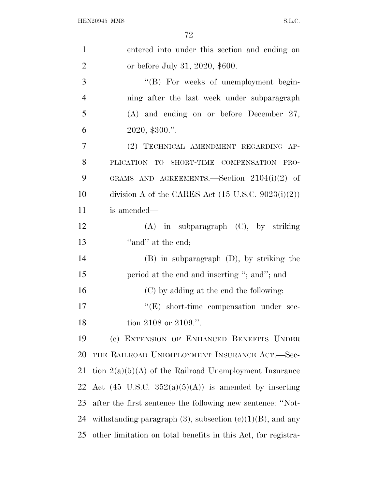| $\mathbf{1}$   | entered into under this section and ending on                   |
|----------------|-----------------------------------------------------------------|
| $\overline{2}$ | or before July 31, 2020, \$600.                                 |
| 3              | "(B) For weeks of unemployment begin-                           |
| $\overline{4}$ | ning after the last week under subparagraph                     |
| 5              | $(A)$ and ending on or before December 27,                      |
| 6              | $2020,$ \$300.".                                                |
| 7              | (2) TECHNICAL AMENDMENT REGARDING AP-                           |
| 8              | PLICATION TO SHORT-TIME COMPENSATION PRO-                       |
| 9              | GRAMS AND AGREEMENTS.—Section $2104(i)(2)$ of                   |
| 10             | division A of the CARES Act $(15 \text{ U.S.C. } 9023(i)(2))$   |
| 11             | is amended—                                                     |
| 12             | $(A)$ in subparagraph $(C)$ , by striking                       |
| 13             | "and" at the end;                                               |
| 14             | $(B)$ in subparagraph $(D)$ , by striking the                   |
| 15             | period at the end and inserting "; and"; and                    |
| 16             | (C) by adding at the end the following:                         |
| 17             | $\lq\lq(E)$ short-time compensation under sec-                  |
| 18             | tion 2108 or 2109.".                                            |
| 19             | (c) EXTENSION OF ENHANCED BENEFITS UNDER                        |
| 20             | THE RAILROAD UNEMPLOYMENT INSURANCE ACT.—Sec-                   |
| 21             | tion $2(a)(5)(A)$ of the Railroad Unemployment Insurance        |
| 22             | Act $(45 \text{ U.S.C. } 352(a)(5)(A))$ is amended by inserting |
| 23             | after the first sentence the following new sentence: "Not-      |
| 24             | withstanding paragraph $(3)$ , subsection $(e)(1)(B)$ , and any |
| 25             | other limitation on total benefits in this Act, for registra-   |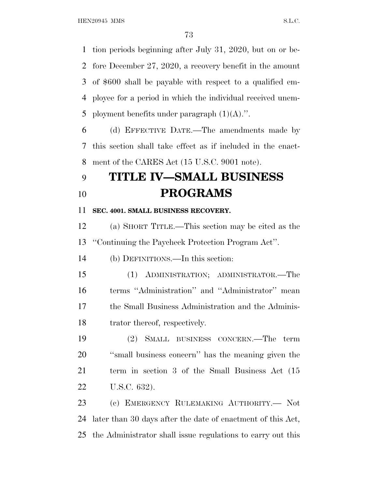tion periods beginning after July 31, 2020, but on or be- fore December 27, 2020, a recovery benefit in the amount of \$600 shall be payable with respect to a qualified em- ployee for a period in which the individual received unem-5 ployment benefits under paragraph  $(1)(A)$ .".

 (d) EFFECTIVE DATE.—The amendments made by this section shall take effect as if included in the enact-ment of the CARES Act (15 U.S.C. 9001 note).

## **TITLE IV—SMALL BUSINESS PROGRAMS**

**SEC. 4001. SMALL BUSINESS RECOVERY.**

 (a) SHORT TITLE.—This section may be cited as the ''Continuing the Paycheck Protection Program Act''.

(b) DEFINITIONS.—In this section:

 (1) ADMINISTRATION; ADMINISTRATOR.—The terms ''Administration'' and ''Administrator'' mean the Small Business Administration and the Adminis-trator thereof, respectively.

 (2) SMALL BUSINESS CONCERN.—The term ''small business concern'' has the meaning given the term in section 3 of the Small Business Act (15 U.S.C. 632).

 (c) EMERGENCY RULEMAKING AUTHORITY.— Not later than 30 days after the date of enactment of this Act, the Administrator shall issue regulations to carry out this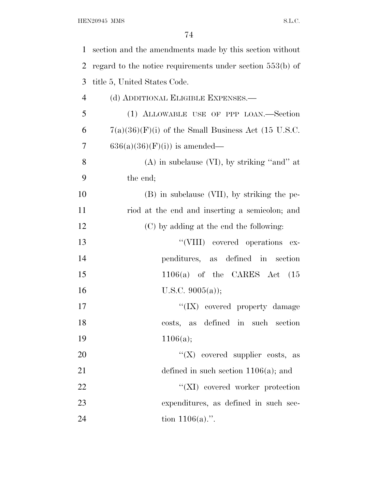| 1              | section and the amendments made by this section without     |
|----------------|-------------------------------------------------------------|
| 2              | regard to the notice requirements under section $553(b)$ of |
| 3              | title 5, United States Code.                                |
| $\overline{4}$ | (d) ADDITIONAL ELIGIBLE EXPENSES.—                          |
| 5              | (1) ALLOWABLE USE OF PPP LOAN.-Section                      |
| 6              | $7(a)(36)(F)(i)$ of the Small Business Act (15 U.S.C.       |
| 7              | $636(a)(36)(F)(i)$ is amended—                              |
| 8              | $(A)$ in subclause $(VI)$ , by striking "and" at            |
| 9              | the end;                                                    |
| 10             | (B) in subclause (VII), by striking the pe-                 |
| 11             | riod at the end and inserting a semicolon; and              |
| 12             | (C) by adding at the end the following:                     |
| 13             | "(VIII) covered operations ex-                              |
| 14             | penditures, as defined in section                           |
| 15             | $1106(a)$ of the CARES Act $(15)$                           |
| 16             | U.S.C. $9005(a)$ ;                                          |
| 17             | "(IX) covered property damage                               |
| 18             | costs, as defined in such section                           |
| 19             | 1106(a);                                                    |
| 20             | "( $X$ ) covered supplier costs, as                         |
| 21             | defined in such section $1106(a)$ ; and                     |
| 22             | "(XI) covered worker protection                             |
| 23             | expenditures, as defined in such sec-                       |
| 24             | tion $1106(a)$ .".                                          |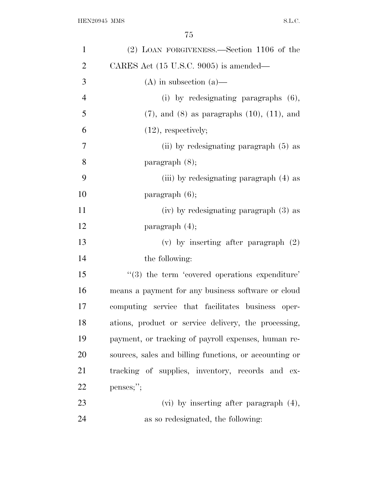| $\mathbf{1}$   | (2) LOAN FORGIVENESS.—Section 1106 of the                      |
|----------------|----------------------------------------------------------------|
| $\overline{2}$ | CARES Act $(15 \text{ U.S.C. } 9005)$ is amended—              |
| 3              | $(A)$ in subsection $(a)$ —                                    |
| $\overline{4}$ | (i) by redesignating paragraphs $(6)$ ,                        |
| 5              | $(7)$ , and $(8)$ as paragraphs $(10)$ , $(11)$ , and          |
| 6              | $(12)$ , respectively;                                         |
| 7              | (ii) by redesignating paragraph $(5)$ as                       |
| 8              | $\text{param}$ (8);                                            |
| 9              | (iii) by redesignating paragraph (4) as                        |
| 10             | $\frac{1}{6}$ ;                                                |
| 11             | (iv) by redesignating paragraph (3) as                         |
| 12             | paragraph $(4)$ ;                                              |
| 13             | (v) by inserting after paragraph $(2)$                         |
| 14             | the following:                                                 |
| 15             | $\cdot\cdot\cdot(3)$ the term 'covered operations expenditure' |
| 16             | means a payment for any business software or cloud             |
| 17             | computing service that facilitates business oper-              |
| 18             | ations, product or service delivery, the processing,           |
| 19             | payment, or tracking of payroll expenses, human re-            |
| 20             | sources, sales and billing functions, or accounting or         |
| 21             | tracking of supplies, inventory, records and ex-               |
| 22             | penses;";                                                      |
| 23             | $(vi)$ by inserting after paragraph $(4)$ ,                    |
| 24             | as so redesignated, the following:                             |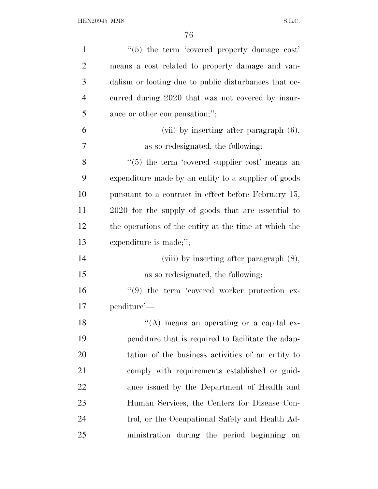| $\mathbf{1}$   | $\cdot\cdot$ (5) the term 'covered property damage cost' |
|----------------|----------------------------------------------------------|
| $\overline{2}$ | means a cost related to property damage and van-         |
| 3              | dalism or looting due to public disturbances that oc-    |
| $\overline{4}$ | curred during 2020 that was not covered by insur-        |
| 5              | ance or other compensation;";                            |
| 6              | (vii) by inserting after paragraph $(6)$ ,               |
| 7              | as so redesignated, the following:                       |
| 8              | $(5)$ the term 'covered supplier cost' means an          |
| 9              | expenditure made by an entity to a supplier of goods     |
| 10             | pursuant to a contract in effect before February 15,     |
| 11             | 2020 for the supply of goods that are essential to       |
| 12             | the operations of the entity at the time at which the    |
| 13             | expenditure is made;";                                   |
| 14             | (viii) by inserting after paragraph $(8)$ ,              |
| 15             | as so redesignated, the following:                       |
| 16             | $\lq(9)$ the term 'covered worker protection ex-         |
| 17             | penditure'—                                              |
| 18             | $\lq\lq$ means an operating or a capital ex-             |
| 19             | penditure that is required to facilitate the adap-       |
| 20             | tation of the business activities of an entity to        |
| 21             | comply with requirements established or guid-            |
| <u>22</u>      | ance issued by the Department of Health and              |
| 23             | Human Services, the Centers for Disease Con-             |
| 24             | trol, or the Occupational Safety and Health Ad-          |
| 25             | ministration during the period beginning on              |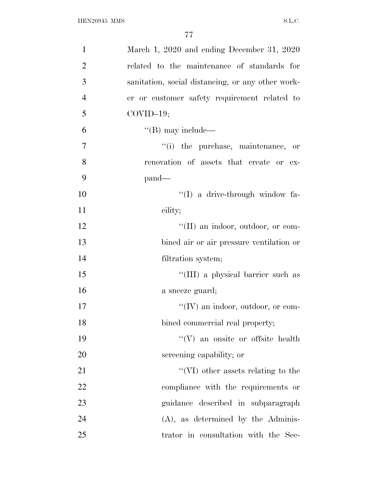| $\mathbf{1}$   | March 1, 2020 and ending December 31, 2020        |
|----------------|---------------------------------------------------|
| $\overline{2}$ | related to the maintenance of standards for       |
| 3              | sanitation, social distancing, or any other work- |
| $\overline{4}$ | er or customer safety requirement related to      |
| 5              | $COVID-19;$                                       |
| 6              | $\lq\lq (B)$ may include—                         |
| $\overline{7}$ | "(i) the purchase, maintenance, or                |
| 8              | renovation of assets that create or ex-           |
| 9              | $pand$ —                                          |
| 10             | $\lq\lq$ a drive-through window fa-               |
| 11             | cility;                                           |
| 12             | "(II) an indoor, outdoor, or com-                 |
| 13             | bined air or air pressure ventilation or          |
| 14             | filtration system;                                |
| 15             | "(III) a physical barrier such as                 |
| 16             | a sneeze guard;                                   |
| 17             | "(IV) an indoor, outdoor, or com-                 |
| 18             | bined commercial real property;                   |
| 19             | "(V) an onsite or offsite health                  |
| 20             | screening capability; or                          |
| 21             | $\lq\lq$ (VI) other assets relating to the        |
| 22             | compliance with the requirements or               |
| 23             | guidance described in subparagraph                |
| 24             | $(A)$ , as determined by the Adminis-             |
| 25             | trator in consultation with the Sec-              |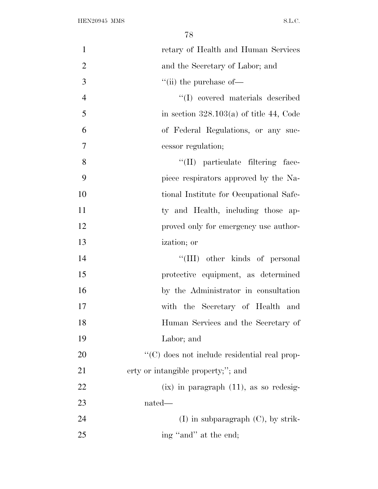| $\mathbf{1}$   | retary of Health and Human Services          |
|----------------|----------------------------------------------|
| $\overline{2}$ | and the Secretary of Labor; and              |
| 3              | $\lq\lq$ (ii) the purchase of $\lq$          |
| $\overline{4}$ | "(I) covered materials described             |
| 5              | in section $328.103(a)$ of title 44, Code    |
| 6              | of Federal Regulations, or any suc-          |
| 7              | cessor regulation;                           |
| 8              | "(II) particulate filtering face-            |
| 9              | piece respirators approved by the Na-        |
| 10             | tional Institute for Occupational Safe-      |
| 11             | ty and Health, including those ap-           |
| 12             | proved only for emergency use author-        |
| 13             | ization; or                                  |
| 14             | "(III) other kinds of personal               |
| 15             | protective equipment, as determined          |
| 16             | by the Administrator in consultation         |
| 17             | with the Secretary of Health and             |
| 18             | Human Services and the Secretary of          |
| 19             | Labor; and                                   |
| 20             | "(C) does not include residential real prop- |
| 21             | erty or intangible property;"; and           |
| 22             | $(ix)$ in paragraph $(11)$ , as so redesig-  |
| 23             | nated—                                       |
| 24             | $(I)$ in subparagraph $(C)$ , by strik-      |
| 25             | ing "and" at the end;                        |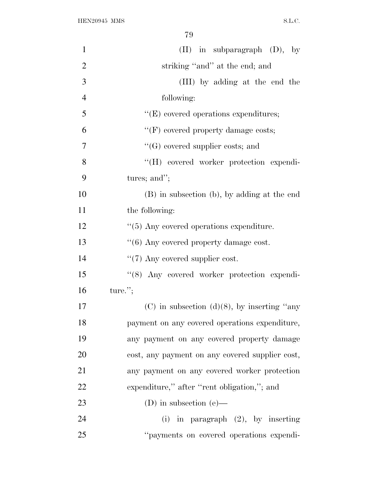| $\mathbf{1}$   | $(II)$ in subparagraph $(D)$ , by                |
|----------------|--------------------------------------------------|
| $\overline{2}$ | striking "and" at the end; and                   |
| 3              | (III) by adding at the end the                   |
| $\overline{4}$ | following:                                       |
| 5              | $\lq\lq(E)$ covered operations expenditures;     |
| 6              | " $(F)$ covered property damage costs;           |
| 7              | $\lq\lq(G)$ covered supplier costs; and          |
| 8              | "(H) covered worker protection expendi-          |
| 9              | tures; and";                                     |
| 10             | (B) in subsection (b), by adding at the end      |
| 11             | the following:                                   |
| 12             | $\cdot$ (5) Any covered operations expenditure.  |
| 13             | "(6) Any covered property damage cost.           |
| 14             | $\lq(7)$ Any covered supplier cost.              |
| 15             | "(8) Any covered worker protection expendi-      |
| 16             | $ture.$ ";                                       |
| 17             | $(C)$ in subsection $(d)(8)$ , by inserting "any |
| 18             | payment on any covered operations expenditure,   |
| 19             | any payment on any covered property damage       |
| 20             | cost, any payment on any covered supplier cost,  |
| 21             | any payment on any covered worker protection     |
| 22             | expenditure," after "rent obligation,"; and      |
| 23             | (D) in subsection (e)—                           |
| 24             | (i) in paragraph $(2)$ , by inserting            |
| 25             | "payments on covered operations expendi-         |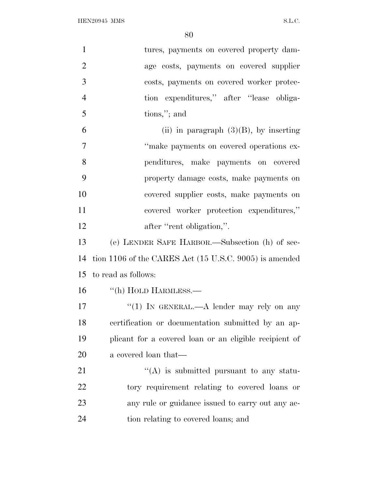${\bf HEN20945~MMS} \hspace{2cm} {\bf S.L.C.}$ 

| $\mathbf{1}$   | tures, payments on covered property dam-                          |
|----------------|-------------------------------------------------------------------|
| $\overline{2}$ | age costs, payments on covered supplier                           |
| 3              | costs, payments on covered worker protec-                         |
| $\overline{4}$ | tion expenditures," after "lease obliga-                          |
| 5              | tions,"; and                                                      |
| 6              | (ii) in paragraph $(3)(B)$ , by inserting                         |
| $\overline{7}$ | "make payments on covered operations ex-                          |
| 8              | penditures, make payments on covered                              |
| 9              | property damage costs, make payments on                           |
| 10             | covered supplier costs, make payments on                          |
| 11             | covered worker protection expenditures,"                          |
| 12             | after "rent obligation,".                                         |
| 13             | (e) LENDER SAFE HARBOR.—Subsection (h) of sec-                    |
| 14             | tion 1106 of the CARES Act $(15 \text{ U.S.C. } 9005)$ is amended |
| 15             | to read as follows:                                               |
| 16             | "(h) HOLD HARMLESS.-                                              |
| 17             | "(1) IN GENERAL.—A lender may rely on any                         |
| 18             | certification or documentation submitted by an ap-                |
| 19             | plicant for a covered loan or an eligible recipient of            |
| 20             | a covered loan that—                                              |
| 21             | $\lq\lq$ is submitted pursuant to any statu-                      |
| <u>22</u>      | tory requirement relating to covered loans or                     |
| 23             | any rule or guidance issued to carry out any ac-                  |
| 24             | tion relating to covered loans; and                               |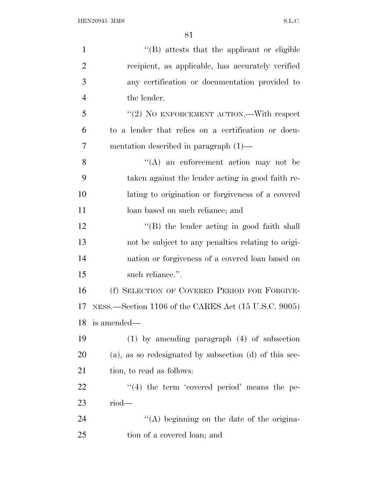| $\mathbf{1}$   | $\lq\lq (B)$ attests that the applicant or eligible         |
|----------------|-------------------------------------------------------------|
| $\overline{2}$ | recipient, as applicable, has accurately verified           |
| 3              | any certification or documentation provided to              |
| $\overline{4}$ | the lender.                                                 |
| 5              | " $(2)$ NO ENFORCEMENT ACTION.—With respect                 |
| 6              | to a lender that relies on a certification or docu-         |
| 7              | mentation described in paragraph $(1)$ —                    |
| 8              | $\lq\lq$ an enforcement action may not be                   |
| 9              | taken against the lender acting in good faith re-           |
| 10             | lating to origination or forgiveness of a covered           |
| 11             | loan based on such reliance; and                            |
| 12             | $\lq\lq$ the lender acting in good faith shall              |
| 13             | not be subject to any penalties relating to origi-          |
| 14             | nation or forgiveness of a covered loan based on            |
| 15             | such reliance.".                                            |
| 16             | (f) SELECTION OF COVERED PERIOD FOR FORGIVE-                |
| 17             | NESS.—Section 1106 of the CARES Act (15 U.S.C. 9005)        |
| 18             | is amended—                                                 |
| 19             | $(1)$ by amending paragraph $(4)$ of subsection             |
| 20             | $(a)$ , as so redesignated by subsection $(d)$ of this sec- |
| 21             | tion, to read as follows:                                   |
| 22             | $\lq(4)$ the term 'covered period' means the pe-            |
| 23             | $riod$ —                                                    |
| 24             | "(A) beginning on the date of the origina-                  |
| 25             | tion of a covered loan; and                                 |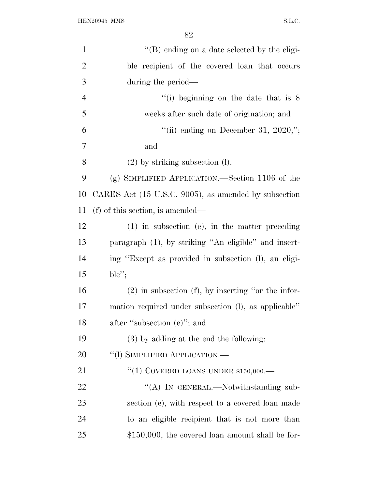| $\mathbf{1}$   | "(B) ending on a date selected by the eligi-         |
|----------------|------------------------------------------------------|
| $\overline{2}$ | ble recipient of the covered loan that occurs        |
| 3              | during the period—                                   |
| $\overline{4}$ | "(i) beginning on the date that is $8$               |
| 5              | weeks after such date of origination; and            |
| 6              | "(ii) ending on December 31, $2020$ ;";              |
| 7              | and                                                  |
| 8              | $(2)$ by striking subsection $(l)$ .                 |
| 9              | (g) SIMPLIFIED APPLICATION.—Section 1106 of the      |
| 10             | CARES Act (15 U.S.C. 9005), as amended by subsection |
| 11             | $(f)$ of this section, is amended—                   |
| 12             | $(1)$ in subsection (e), in the matter preceding     |
| 13             | paragraph (1), by striking "An eligible" and insert- |
| 14             | ing "Except as provided in subsection (1), an eligi- |
| 15             | ble";                                                |
| 16             | $(2)$ in subsection (f), by inserting "or the infor- |
| 17             | mation required under subsection (1), as applicable" |
| 18             | after "subsection (e)"; and                          |
| 19             | $(3)$ by adding at the end the following:            |
| 20             | "(1) SIMPLIFIED APPLICATION.—                        |
| 21             | "(1) COVERED LOANS UNDER $$150,000$ .                |
| 22             | "(A) IN GENERAL.—Notwithstanding sub-                |
| 23             | section (e), with respect to a covered loan made     |
| 24             | to an eligible recipient that is not more than       |
| 25             | $$150,000$ , the covered loan amount shall be for-   |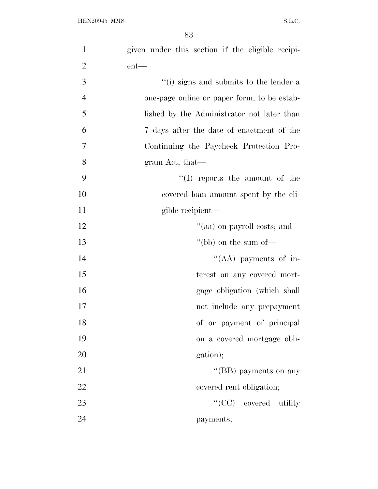| $\mathbf{1}$   | given under this section if the eligible recipi- |
|----------------|--------------------------------------------------|
| $\overline{2}$ | $ent$ —                                          |
| 3              | "(i) signs and submits to the lender a           |
| $\overline{4}$ | one-page online or paper form, to be estab-      |
| 5              | lished by the Administrator not later than       |
| 6              | 7 days after the date of enactment of the        |
| $\overline{7}$ | Continuing the Paycheck Protection Pro-          |
| 8              | gram Act, that—                                  |
| 9              | $\lq\lq$ reports the amount of the               |
| 10             | covered loan amount spent by the eli-            |
| 11             | gible recipient—                                 |
| 12             | "(aa) on payroll costs; and                      |
| 13             | "(bb) on the sum of $-$                          |
| 14             | "(AA) payments of in-                            |
| 15             | terest on any covered mort-                      |
| 16             | gage obligation (which shall                     |
| 17             | not include any prepayment                       |
| 18             | of or payment of principal                       |
| 19             | on a covered mortgage obli-                      |
| 20             | gation);                                         |
| 21             | "(BB) payments on any                            |
| 22             | covered rent obligation;                         |
| 23             | "(CC) covered utility                            |
| 24             | payments;                                        |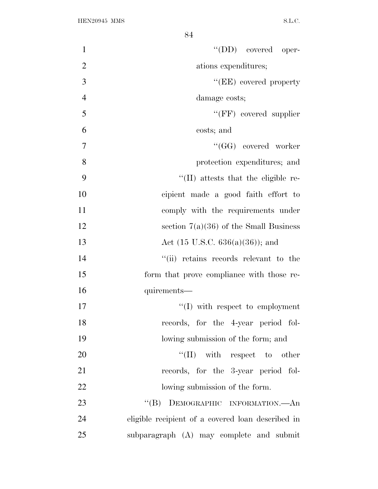| $\mathbf{1}$<br>$\lq\lq$ (DD) covered oper-             |
|---------------------------------------------------------|
| $\overline{2}$<br>ations expenditures;                  |
| 3<br>"(EE) covered property                             |
| $\overline{4}$<br>damage costs;                         |
| 5<br>$``(FF)$ covered supplier                          |
| 6<br>costs; and                                         |
| 7<br>"(GG) covered worker                               |
| 8<br>protection expenditures; and                       |
| 9<br>"(II) attests that the eligible re-                |
| 10<br>cipient made a good faith effort to               |
| 11<br>comply with the requirements under                |
| 12<br>section $7(a)(36)$ of the Small Business          |
| 13<br>Act $(15 \text{ U.S.C. } 636(a)(36))$ ; and       |
| 14<br>"(ii) retains records relevant to the             |
| 15<br>form that prove compliance with those re-         |
| 16<br>quirements-                                       |
| 17<br>$\lq\lq$ with respect to employment               |
| 18<br>records, for the 4-year period fol-               |
| 19<br>lowing submission of the form; and                |
| 20<br>$``(II)$ with respect to other                    |
| 21<br>records, for the 3-year period fol-               |
| 22<br>lowing submission of the form.                    |
| 23<br>"(B) DEMOGRAPHIC INFORMATION.—An                  |
| 24<br>eligible recipient of a covered loan described in |
| 25<br>subparagraph (A) may complete and submit          |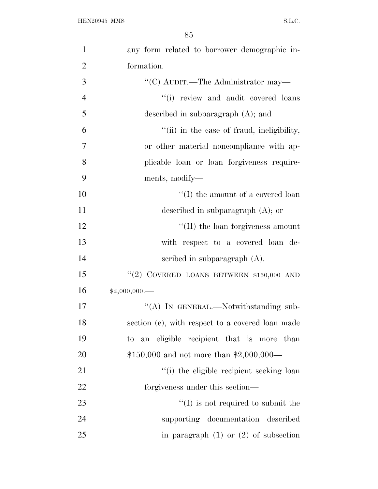| $\mathbf{1}$   | any form related to borrower demographic in-     |
|----------------|--------------------------------------------------|
| $\overline{2}$ | formation.                                       |
| 3              | "(C) AUDIT.—The Administrator may—               |
| $\overline{4}$ | "(i) review and audit covered loans              |
| 5              | described in subparagraph $(A)$ ; and            |
| 6              | "(ii) in the case of fraud, ineligibility,       |
| $\overline{7}$ | or other material noncompliance with ap-         |
| 8              | plicable loan or loan forgiveness require-       |
| 9              | ments, modify—                                   |
| 10             | $\lq\lq(\text{I})$ the amount of a covered loan  |
| 11             | described in subparagraph $(A)$ ; or             |
| 12             | $\lq\lq$ (II) the loan forgiveness amount        |
| 13             | with respect to a covered loan de-               |
| 14             | scribed in subparagraph $(A)$ .                  |
| 15             | "(2) COVERED LOANS BETWEEN \$150,000 AND         |
| 16             | $*2,000,000$ .                                   |
| 17             | "(A) IN GENERAL.—Notwithstanding sub-            |
| 18             | section (e), with respect to a covered loan made |
| 19             | to an eligible recipient that is more than       |
| 20             | $$150,000$ and not more than $$2,000,000$ —      |
| 21             | "(i) the eligible recipient seeking loan         |
| 22             | forgiveness under this section—                  |
| 23             | $\lq\lq$ is not required to submit the           |
| 24             | supporting documentation described               |
| 25             | in paragraph $(1)$ or $(2)$ of subsection        |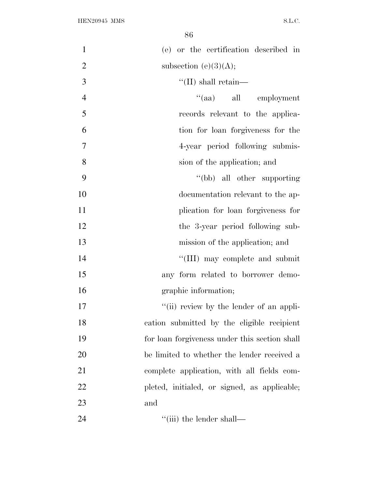| $\mathbf{1}$   | (e) or the certification described in         |
|----------------|-----------------------------------------------|
| $\overline{2}$ | subsection (e) $(3)(A);$                      |
| 3              | $\lq\lq$ (II) shall retain—                   |
| $\overline{4}$ | "(aa) all employment                          |
| 5              | records relevant to the applica-              |
| 6              | tion for loan for giveness for the            |
| $\overline{7}$ | 4-year period following submis-               |
| 8              | sion of the application; and                  |
| 9              | "(bb) all other supporting                    |
| 10             | documentation relevant to the ap-             |
| 11             | plication for loan forgiveness for            |
| 12             | the 3-year period following sub-              |
| 13             | mission of the application; and               |
| 14             | "(III) may complete and submit                |
| 15             | any form related to borrower demo-            |
| 16             | graphic information;                          |
| 17             | "(ii) review by the lender of an appli-       |
| 18             | cation submitted by the eligible recipient    |
| 19             | for loan forgiveness under this section shall |
| 20             | be limited to whether the lender received a   |
| 21             | complete application, with all fields com-    |
| 22             | pleted, initialed, or signed, as applicable;  |
| 23             | and                                           |
| 24             | $\lq\lq$ (iii) the lender shall—              |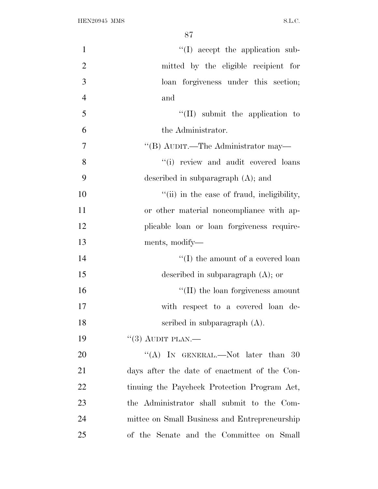| $\mathbf{1}$   | "(I) accept the application sub-              |
|----------------|-----------------------------------------------|
| $\overline{2}$ | mitted by the eligible recipient for          |
| 3              | loan forgiveness under this section;          |
| $\overline{4}$ | and                                           |
| 5              | $``(II)$ submit the application to            |
| 6              | the Administrator.                            |
| $\overline{7}$ | "(B) AUDIT.—The Administrator may—            |
| 8              | "(i) review and audit covered loans           |
| 9              | described in subparagraph $(A)$ ; and         |
| 10             | "(ii) in the case of fraud, ineligibility,    |
| 11             | or other material noncompliance with ap-      |
| 12             | plicable loan or loan forgiveness require-    |
| 13             | ments, modify—                                |
| 14             | $\lq\lq$ (I) the amount of a covered loan     |
| 15             | described in subparagraph $(A)$ ; or          |
| 16             | $\lq\lq$ (II) the loan forgiveness amount     |
| 17             | with respect to a covered loan de-            |
| 18             | scribed in subparagraph $(A)$ .               |
| 19             | $``(3)$ AUDIT PLAN.—                          |
| 20             | "(A) IN GENERAL.—Not later than $30$          |
| 21             | days after the date of enactment of the Con-  |
| 22             | tinuing the Paycheck Protection Program Act,  |
| 23             | the Administrator shall submit to the Com-    |
| 24             | mittee on Small Business and Entrepreneurship |
| 25             | of the Senate and the Committee on Small      |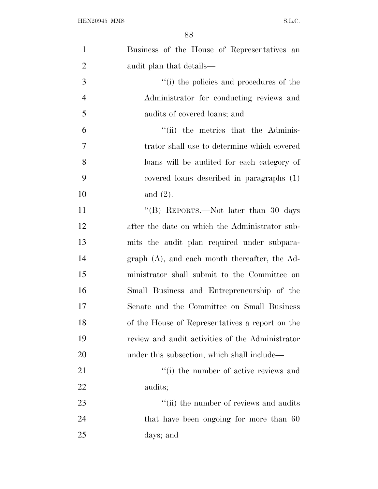| $\mathbf{1}$   | Business of the House of Representatives an      |
|----------------|--------------------------------------------------|
| $\overline{2}$ | audit plan that details—                         |
| 3              | "(i) the policies and procedures of the          |
| $\overline{4}$ | Administrator for conducting reviews and         |
| 5              | audits of covered loans; and                     |
| 6              | "(ii) the metrics that the Adminis-              |
| 7              | trator shall use to determine which covered      |
| 8              | loans will be audited for each category of       |
| 9              | covered loans described in paragraphs (1)        |
| 10             | and $(2)$ .                                      |
| 11             | "(B) REPORTS.—Not later than 30 days             |
| 12             | after the date on which the Administrator sub-   |
| 13             | mits the audit plan required under subpara-      |
| 14             | $graph(A)$ , and each month thereafter, the Ad-  |
| 15             | ministrator shall submit to the Committee on     |
| 16             | Small Business and Entrepreneurship of the       |
| 17             | Senate and the Committee on Small Business       |
| 18             | of the House of Representatives a report on the  |
| 19             | review and audit activities of the Administrator |
| 20             | under this subsection, which shall include—      |
| 21             | "(i) the number of active reviews and            |
| 22             | audits;                                          |
| 23             | "(ii) the number of reviews and audits           |
| 24             | that have been ongoing for more than 60          |
| 25             | days; and                                        |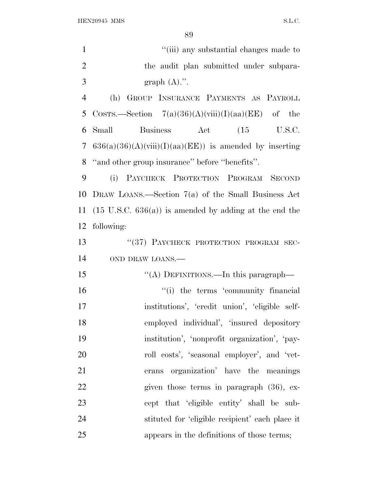| $\mathbf{1}$   | "(iii) any substantial changes made to                            |
|----------------|-------------------------------------------------------------------|
| $\mathfrak{2}$ | the audit plan submitted under subpara-                           |
| 3              | graph $(A)$ .".                                                   |
| $\overline{4}$ | GROUP INSURANCE PAYMENTS AS PAYROLL<br>(h)                        |
| 5              | COSTS.—Section $7(a)(36)(A)(viii)(I)(aa)(EE)$ of the              |
| 6              | Business Act (15 U.S.C.<br>Small                                  |
| 7              | $636(a)(36)(A)(viii)(I)(aa)(EE)$ is amended by inserting          |
| 8              | "and other group insurance" before "benefits".                    |
| 9              | (i) PAYCHECK PROTECTION PROGRAM SECOND                            |
| 10             | DRAW LOANS.—Section $7(a)$ of the Small Business Act              |
| 11             | $(15 \text{ U.S.C. } 636(a))$ is amended by adding at the end the |
| 12             | following:                                                        |
| 13             | "(37) PAYCHECK PROTECTION PROGRAM SEC-                            |
| 14             | OND DRAW LOANS.-                                                  |
| 15             | "(A) DEFINITIONS.—In this paragraph—                              |
| 16             | "(i) the terms 'community financial                               |
| 17             | institutions', 'credit union', 'eligible self-                    |
| 18             | employed individual', 'insured depository                         |
| 19             | institution', 'nonprofit organization', 'pay-                     |
| 20             | roll costs', 'seasonal employer', and 'vet-                       |
| 21             | erans organization' have the meanings                             |
| 22             | given those terms in paragraph $(36)$ , ex-                       |
| 23             | cept that 'eligible entity' shall be sub-                         |
| 24             | stituted for 'eligible recipient' each place it                   |
| 25             | appears in the definitions of those terms;                        |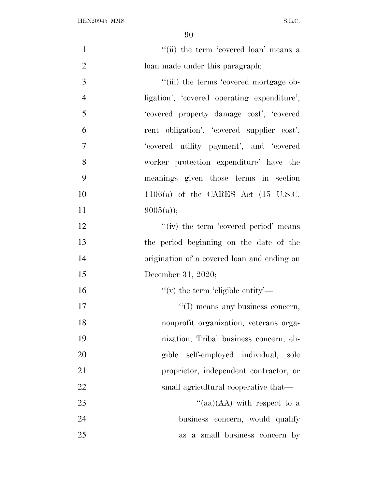| $\mathbf{1}$   | "(ii) the term 'covered loan' means a            |
|----------------|--------------------------------------------------|
| $\overline{2}$ | loan made under this paragraph;                  |
| 3              | "(iii) the terms 'covered mortgage ob-           |
| $\overline{4}$ | ligation', 'covered operating expenditure',      |
| 5              | 'covered property damage cost', 'covered         |
| 6              | rent obligation', 'covered supplier cost',       |
| $\overline{7}$ | 'covered utility payment', and 'covered          |
| 8              | worker protection expenditure' have the          |
| 9              | meanings given those terms in section            |
| 10             | $1106(a)$ of the CARES Act $(15 \text{ U.S.C.})$ |
| 11             | $9005(a)$ ;                                      |
| 12             | "(iv) the term 'covered period' means            |
| 13             | the period beginning on the date of the          |
| 14             | origination of a covered loan and ending on      |
| 15             | December 31, 2020;                               |
| 16             | "(v) the term 'eligible entity'—                 |
| 17             | "(I) means any business concern,                 |
| 18             | nonprofit organization, veterans orga-           |
| 19             | nization, Tribal business concern, eli-          |
| 20             | gible self-employed individual, sole             |
| 21             | proprietor, independent contractor, or           |
| 22             | small agricultural cooperative that—             |
| 23             | "(aa)(AA) with respect to a                      |
| 24             | business concern, would qualify                  |
| 25             | as a small business concern by                   |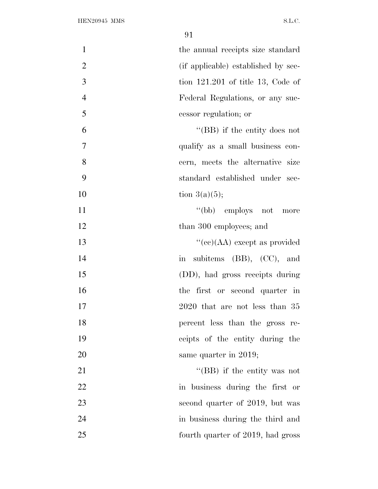| $\mathbf{1}$<br>the annual receipts size standard     |
|-------------------------------------------------------|
| $\overline{2}$<br>(if applicable) established by sec- |
| 3<br>tion $121.201$ of title 13, Code of              |
| $\overline{4}$<br>Federal Regulations, or any suc-    |
| 5<br>cessor regulation; or                            |
| 6<br>"(BB) if the entity does not                     |
| 7<br>qualify as a small business con-                 |
| 8<br>cern, meets the alternative size                 |
| 9<br>standard established under sec-                  |
| 10<br>tion $3(a)(5)$ ;                                |
| 11<br>"(bb) employs not more                          |
| 12<br>than 300 employees; and                         |
| 13<br>"(ce)(AA) except as provided                    |
| 14<br>subitems $(BB)$ , $(CC)$ , and<br>$\sin$        |
| 15<br>(DD), had gross receipts during                 |
| 16<br>the first or second quarter in                  |
| 17<br>$2020$ that are not less than $35$              |
| 18<br>percent less than the gross re-                 |
| 19<br>ceipts of the entity during the                 |
| 20<br>same quarter in 2019;                           |
| 21<br>"(BB) if the entity was not                     |
| 22<br>in business during the first or                 |
| 23<br>second quarter of 2019, but was                 |
| 24<br>in business during the third and                |
| 25<br>fourth quarter of 2019, had gross               |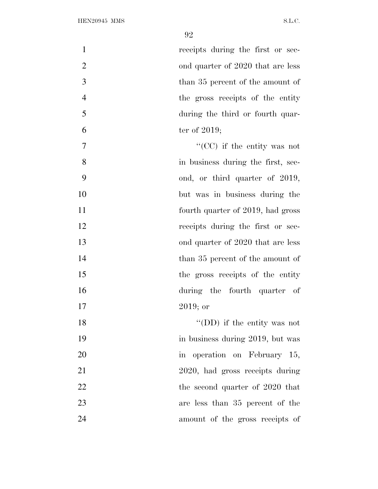1 receipts during the first or sec-2 ond quarter of 2020 that are less 3 than 35 percent of the amount of the gross receipts of the entity during the third or fourth quar- ter of 2019;  $\frac{1}{2}$  (CC) if the entity was not in business during the first, sec- ond, or third quarter of 2019, but was in business during the **fourth quarter of 2019**, had gross

- 12 receipts during the first or sec-
- 13 ond quarter of 2020 that are less
- 14 than 35 percent of the amount of

17 2019; or

- 15 the gross receipts of the entity 16 during the fourth quarter of
- 18 ''(DD) if the entity was not 19 in business during 2019, but was 20 in operation on February 15, 21 2020, had gross receipts during 22 the second quarter of 2020 that 23 are less than 35 percent of the 24 amount of the gross receipts of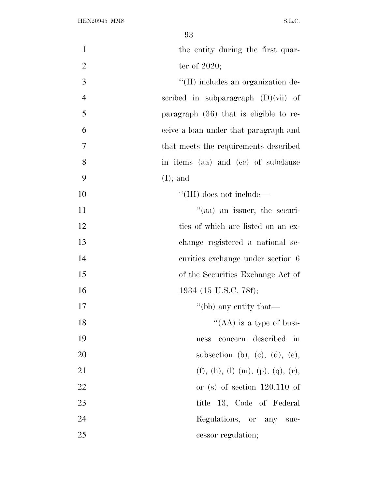| $\mathbf{1}$   | the entity during the first quar-      |
|----------------|----------------------------------------|
| $\overline{2}$ | ter of $2020$ ;                        |
| 3              | "(II) includes an organization de-     |
| $\overline{4}$ | scribed in subparagraph $(D)(vii)$ of  |
| 5              | paragraph (36) that is eligible to re- |
| 6              | ceive a loan under that paragraph and  |
| $\overline{7}$ | that meets the requirements described  |
| 8              | in items (aa) and (cc) of subclause    |
| 9              | $(I);$ and                             |
| 10             | "(III) does not include—               |
| 11             | "(aa) an issuer, the securi-           |
| 12             | ties of which are listed on an ex-     |
| 13             | change registered a national se-       |
| 14             | curities exchange under section 6      |
| 15             | of the Securities Exchange Act of      |
| 16             | 1934 (15 U.S.C. 78f);                  |
| 17             | "(bb) any entity that—                 |
| 18             | "(AA) is a type of busi-               |
| 19             | concern described in<br>ness           |
| 20             | subsection (b), (c), (d), (e),         |
| 21             | (f), (h), (l) (m), (p), (q), (r),      |
| 22             | or (s) of section $120.110$ of         |
| 23             | title 13, Code of Federal              |
| 24             | Regulations, or any suc-               |
| 25             | cessor regulation;                     |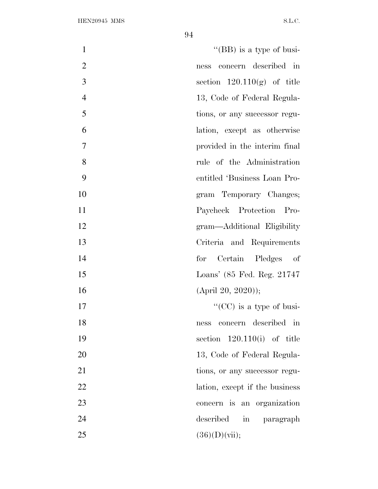| $\mathbf{1}$   | "(BB) is a type of busi-                      |
|----------------|-----------------------------------------------|
| $\overline{2}$ | concern described in<br>ness                  |
| 3              | section $120.110(g)$ of title                 |
| $\overline{4}$ | 13, Code of Federal Regula-                   |
| 5              | tions, or any successor regu-                 |
| 6              | lation, except as otherwise                   |
| 7              | provided in the interim final                 |
| 8              | rule of the Administration                    |
| 9              | entitled 'Business Loan Pro-                  |
| 10             | gram Temporary Changes;                       |
| 11             | Paycheck Protection Pro-                      |
| 12             | gram—Additional Eligibility                   |
| 13             | Criteria and Requirements                     |
| 14             | for Certain Pledges of                        |
| 15             | Loans' (85 Fed. Reg. 21747)                   |
| 16             | $(April 20, 2020)$ ;                          |
| 17             | "(CC) is a type of busi-                      |
| 18             | concern described in<br>ness                  |
| 19             | section $120.110(i)$ of title                 |
| 20             | 13, Code of Federal Regula-                   |
| 21             | tions, or any successor regu-                 |
| 22             | lation, except if the business                |
| 23             | concern is an organization                    |
| 24             | described<br>$\operatorname{in}$<br>paragraph |
| 25             | $(36)(D)(\n{\rm vii});$                       |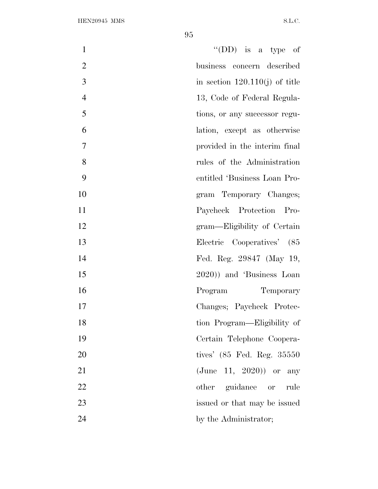| $\mathbf{1}$   | "(DD) is a type of               |
|----------------|----------------------------------|
| $\overline{2}$ | business concern described       |
| 3              | in section $120.110(j)$ of title |
| $\overline{4}$ | 13, Code of Federal Regula-      |
| 5              | tions, or any successor regu-    |
| 6              | lation, except as otherwise      |
| 7              | provided in the interim final    |
| 8              | rules of the Administration      |
| 9              | entitled 'Business Loan Pro-     |
| 10             | gram Temporary Changes;          |
| 11             | Paycheck Protection Pro-         |
| 12             | gram—Eligibility of Certain      |
| 13             | Electric Cooperatives' (85       |
| 14             | Fed. Reg. 29847 (May 19,         |
| 15             | 2020)) and 'Business Loan        |
| 16             | Program<br>Temporary             |
| 17             | Changes; Paycheck Protec-        |
| 18             | tion Program—Eligibility of      |
| 19             | Certain Telephone Coopera-       |
| 20             | tives' (85 Fed. Reg. 35550)      |
| 21             | $({\rm June 11, 2020})$ or any   |
| 22             | other guidance or<br>rule        |
| 23             | issued or that may be issued     |
| 24             | by the Administrator;            |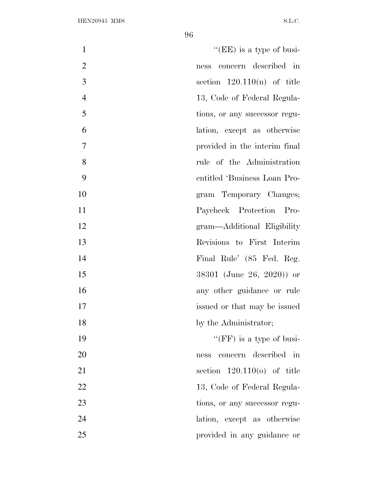| $\mathbf{1}$   | "(EE) is a type of busi-      |
|----------------|-------------------------------|
| $\overline{2}$ | concern described in<br>ness  |
| 3              | section $120.110(n)$ of title |
| $\overline{4}$ | 13, Code of Federal Regula-   |
| 5              | tions, or any successor regu- |
| 6              | lation, except as otherwise   |
| $\overline{7}$ | provided in the interim final |
| 8              | rule of the Administration    |
| 9              | entitled 'Business Loan Pro-  |
| 10             | gram Temporary Changes;       |
| 11             | Paycheck Protection Pro-      |
| 12             | gram—Additional Eligibility   |
| 13             | Revisions to First Interim    |
| 14             | Final Rule' (85 Fed. Reg.     |
| 15             | 38301 (June 26, 2020)) or     |
| 16             | any other guidance or rule    |
| 17             | issued or that may be issued  |
| 18             | by the Administrator;         |
| 19             | "(FF) is a type of busi-      |
| 20             | concern described in<br>ness  |
| 21             | section $120.110(0)$ of title |
| 22             | 13, Code of Federal Regula-   |
| 23             | tions, or any successor regu- |
| 24             | lation, except as otherwise   |
| 25             | provided in any guidance or   |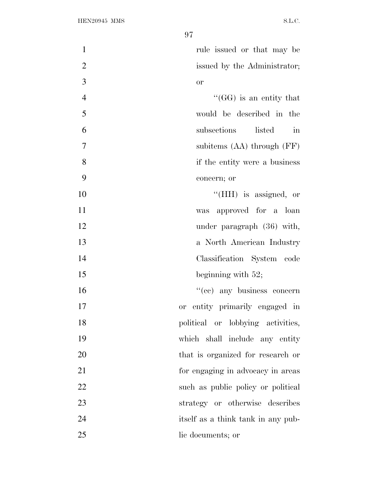| $\mathbf{1}$   | rule issued or that may be                   |
|----------------|----------------------------------------------|
| $\mathbf{2}$   | issued by the Administrator;                 |
| 3              | or                                           |
| $\overline{4}$ | $\lq\lq(GG)$ is an entity that               |
| 5              | would be described in the                    |
| 6              | listed<br>subsections<br>$\operatorname{in}$ |
| 7              | subitems $(AA)$ through $(FF)$               |
| 8              | if the entity were a business                |
| 9              | concern; or                                  |
| 10             | "(HH) is assigned, or                        |
| 11             | was approved for a loan                      |
| 12             | under paragraph (36) with,                   |
| 13             | a North American Industry                    |
| 14             | Classification System code                   |
| 15             | beginning with $52$ ;                        |
| 16             | "(cc) any business concern                   |
| 17             | entity primarily engaged in<br><sub>or</sub> |
| 18             | political or lobbying activities,            |
| 19             | which shall include any entity               |
| 20             | that is organized for research or            |
| 21             | for engaging in advocacy in areas            |
| 22             | such as public policy or political           |
| 23             | strategy or otherwise describes              |
| 24             | itself as a think tank in any pub-           |
| 25             | lic documents; or                            |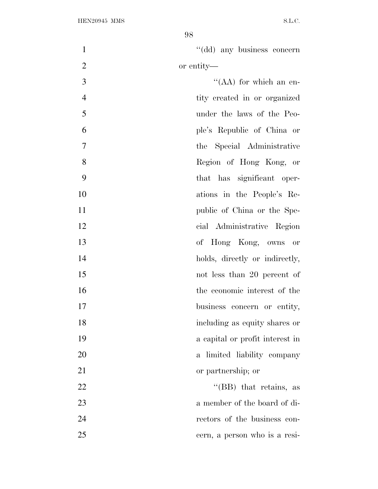| $\mathbf{1}$   | "(dd) any business concern                |
|----------------|-------------------------------------------|
| $\overline{2}$ | or entity—                                |
| 3              | "(AA) for which an en-                    |
| $\overline{4}$ | tity created in or organized              |
| 5              | under the laws of the Peo-                |
| 6              | ple's Republic of China or                |
| $\overline{7}$ | the Special Administrative                |
| 8              | Region of Hong Kong, or                   |
| 9              | that has significant oper-                |
| 10             | ations in the People's Re-                |
| 11             | public of China or the Spe-               |
| 12             | cial Administrative Region                |
| 13             | of Hong Kong, owns or                     |
| 14             | holds, directly or indirectly,            |
| 15             | not less than 20 percent of               |
| 16             | the economic interest of the              |
| 17             | business concern or entity,               |
| 18             | including as equity shares or             |
| 19             | a capital or profit interest in           |
| 20             | limited liability company<br>$\mathbf{a}$ |
| 21             | or partnership; or                        |
| 22             | "(BB) that retains, as                    |
| 23             | a member of the board of di-              |
| 24             | rectors of the business con-              |
| 25             | cern, a person who is a resi-             |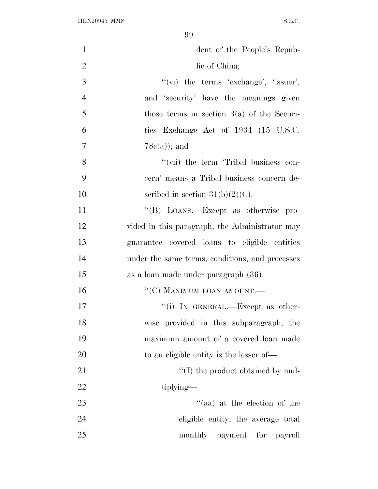| $\mathbf{1}$   | dent of the People's Repub-                     |
|----------------|-------------------------------------------------|
| $\overline{2}$ | lic of China;                                   |
| 3              | "(vi) the terms 'exchange', 'issuer',           |
| $\overline{4}$ | and 'security' have the meanings given          |
| 5              | those terms in section $3(a)$ of the Securi-    |
| 6              | ties Exchange Act of 1934 (15 U.S.C.            |
| $\overline{7}$ | $78c(a)$ ; and                                  |
| 8              | "(vii) the term 'Tribal business con-           |
| 9              | cern' means a Tribal business concern de-       |
| 10             | scribed in section $31(b)(2)(C)$ .              |
| 11             | "(B) LOANS.—Except as otherwise pro-            |
| 12             | vided in this paragraph, the Administrator may  |
| 13             | guarantee covered loans to eligible entities    |
| 14             | under the same terms, conditions, and processes |
| 15             | as a loan made under paragraph (36).            |
| 16             | "(C) MAXIMUM LOAN AMOUNT.-                      |
| 17             | "(i) IN GENERAL.—Except as other-               |
| 18             | wise provided in this subparagraph, the         |
| 19             | maximum amount of a covered loan made           |
| 20             | to an eligible entity is the lesser of—         |
| 21             | "(I) the product obtained by mul-               |
| 22             | tiplying—                                       |
| 23             | "(aa) at the election of the                    |
| 24             | eligible entity, the average total              |
| 25             | monthly payment for payroll                     |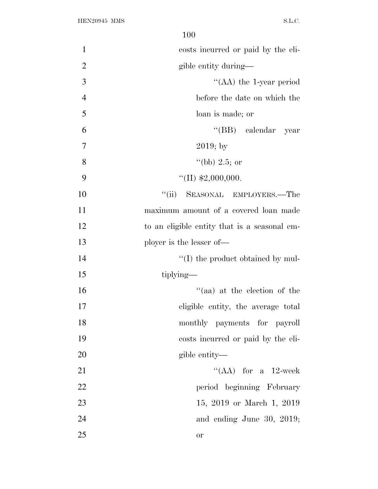| $\mathbf{1}$   | costs incurred or paid by the eli-           |
|----------------|----------------------------------------------|
| $\overline{2}$ | gible entity during—                         |
| 3              | "(AA) the 1-year period                      |
| $\overline{4}$ | before the date on which the                 |
| 5              | loan is made; or                             |
| 6              | "(BB) calendar year                          |
| 7              | $2019;$ by                                   |
| 8              | "(bb) 2.5; or                                |
| 9              | "(II) $$2,000,000$ .                         |
| 10             | SEASONAL EMPLOYERS.-The<br>``(ii)            |
| 11             | maximum amount of a covered loan made        |
| 12             | to an eligible entity that is a seasonal em- |
| 13             | ployer is the lesser of—                     |
| 14             | $\lq\lq$ (I) the product obtained by mul-    |
| 15             | tiplying—                                    |
| 16             | "(aa) at the election of the                 |
| 17             | eligible entity, the average total           |
| 18             | monthly payments for payroll                 |
| 19             | costs incurred or paid by the eli-           |
| 20             | gible entity—                                |
| 21             | "(AA) for a $12$ -week                       |
| 22             | period beginning February                    |
| 23             | 15, 2019 or March 1, 2019                    |
| 24             | and ending June 30, 2019;                    |
| 25             | or                                           |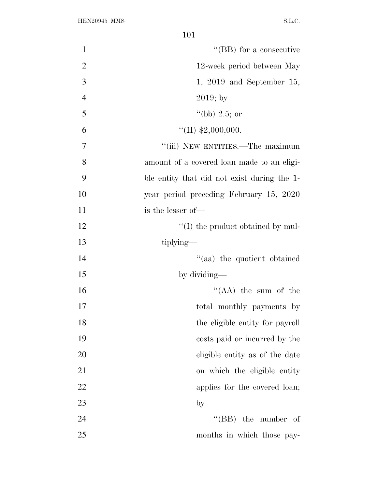| $\mathbf{1}$   | "(BB) for a consecutive                     |
|----------------|---------------------------------------------|
| $\overline{2}$ | 12-week period between May                  |
| 3              | $1, 2019$ and September 15,                 |
| $\overline{4}$ | $2019; \mathrm{by}$                         |
| 5              | "(bb) 2.5; or                               |
| 6              | "(II) $$2,000,000$ .                        |
| 7              | "(iii) NEW ENTITIES.—The maximum            |
| 8              | amount of a covered loan made to an eligi-  |
| 9              | ble entity that did not exist during the 1- |
| 10             | year period preceding February 15, 2020     |
| 11             | is the lesser of-                           |
| 12             | $\lq\lq$ (I) the product obtained by mul-   |
| 13             | tiplying—                                   |
| 14             | "(aa) the quotient obtained                 |
| 15             | by dividing—                                |
| 16             | $``(AA)$ the sum of the                     |
| 17             | total monthly payments by                   |
| 18             | the eligible entity for payroll             |
| 19             | costs paid or incurred by the               |
| 20             | eligible entity as of the date              |
| 21             | on which the eligible entity                |
| 22             | applies for the covered loan;               |
| 23             | $_{\rm by}$                                 |
| 24             | "(BB) the number of                         |
| 25             | months in which those pay-                  |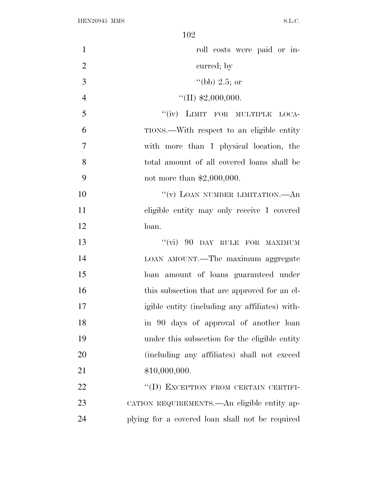| $\mathbf{1}$   | roll costs were paid or in-                     |
|----------------|-------------------------------------------------|
| $\overline{2}$ | curred; by                                      |
| 3              | "(bb) 2.5; or                                   |
| $\overline{4}$ | "(II) $$2,000,000$ .                            |
| 5              | "(iv) LIMIT FOR MULTIPLE LOCA-                  |
| 6              | TIONS.—With respect to an eligible entity       |
| $\overline{7}$ | with more than 1 physical location, the         |
| 8              | total amount of all covered loans shall be      |
| 9              | not more than $$2,000,000$ .                    |
| 10             | "(v) LOAN NUMBER LIMITATION.—An                 |
| 11             | eligible entity may only receive 1 covered      |
| 12             | loan.                                           |
| 13             | "(vi) 90 DAY RULE FOR MAXIMUM                   |
| 14             | LOAN AMOUNT.—The maximum aggregate              |
| 15             | loan amount of loans guaranteed under           |
| 16             | this subsection that are approved for an el-    |
| 17             | igible entity (including any affiliates) with-  |
| 18             | in 90 days of approval of another loan          |
| 19             | under this subsection for the eligible entity   |
| 20             | (including any affiliates) shall not exceed     |
| 21             | \$10,000,000.                                   |
| 22             | "(D) EXCEPTION FROM CERTAIN CERTIFI-            |
| 23             | CATION REQUIREMENTS.—An eligible entity ap-     |
| 24             | plying for a covered loan shall not be required |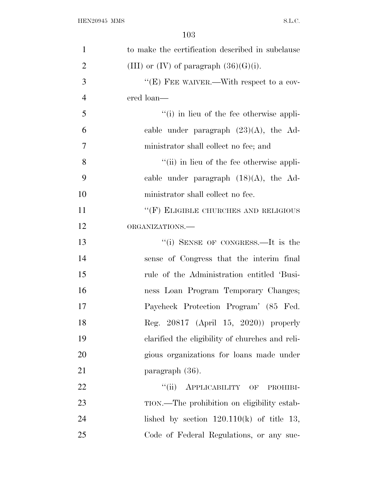| $\mathbf{1}$   | to make the certification described in subclause |
|----------------|--------------------------------------------------|
| $\overline{2}$ | (III) or $(IV)$ of paragraph $(36)(G)(i)$ .      |
| 3              | "(E) FEE WAIVER.—With respect to a cov-          |
| $\overline{4}$ | ered loan—                                       |
| 5              | "(i) in lieu of the fee otherwise appli-         |
| 6              | cable under paragraph $(23)(A)$ , the Ad-        |
| $\overline{7}$ | ministrator shall collect no fee; and            |
| 8              | "(ii) in lieu of the fee otherwise appli-        |
| 9              | cable under paragraph $(18)(A)$ , the Ad-        |
| 10             | ministrator shall collect no fee.                |
| 11             | "(F) ELIGIBLE CHURCHES AND RELIGIOUS             |
| 12             | ORGANIZATIONS.-                                  |
| 13             | "(i) SENSE OF CONGRESS.—It is the                |
| 14             | sense of Congress that the interim final         |
| 15             | rule of the Administration entitled 'Busi-       |
| 16             | ness Loan Program Temporary Changes;             |
| 17             | Paycheck Protection Program' (85 Fed.            |
| 18             | Reg. 20817 (April 15, 2020)) properly            |
| 19             | clarified the eligibility of churches and reli-  |
| 20             | gious organizations for loans made under         |
| 21             | paragraph (36).                                  |
| 22             | ``(ii)<br>APPLICABILITY OF PROHIBI-              |
| 23             | TION.—The prohibition on eligibility estab-      |
| 24             | lished by section $120.110(k)$ of title 13,      |
| 25             | Code of Federal Regulations, or any suc-         |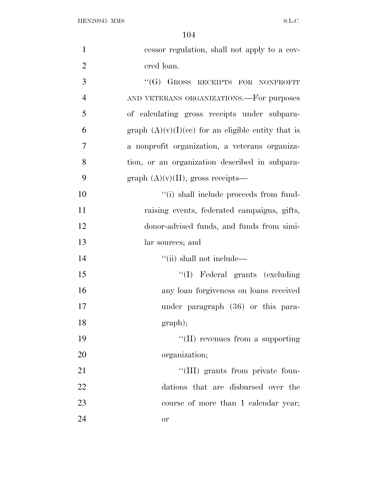| $\mathbf{1}$   | cessor regulation, shall not apply to a cov-         |
|----------------|------------------------------------------------------|
| $\overline{2}$ | ered loan.                                           |
| 3              | "(G) GROSS RECEIPTS FOR NONPROFIT                    |
| $\overline{4}$ | AND VETERANS ORGANIZATIONS.—For purposes             |
| 5              | of calculating gross receipts under subpara-         |
| 6              | graph $(A)(v)(I)(ce)$ for an eligible entity that is |
| 7              | a nonprofit organization, a veterans organiza-       |
| 8              | tion, or an organization described in subpara-       |
| 9              | graph $(A)(v)(II)$ , gross receipts—                 |
| 10             | "(i) shall include proceeds from fund-               |
| 11             | raising events, federated campaigns, gifts,          |
| 12             | donor-advised funds, and funds from simi-            |
| 13             | lar sources; and                                     |
| 14             | "(ii) shall not include—                             |
| 15             | "(I) Federal grants (excluding                       |
| 16             | any loan forgiveness on loans received               |
| 17             | under paragraph (36) or this para-                   |
| 18             | graph);                                              |
| 19             | $\lq\lq$ (II) revenues from a supporting             |
| 20             | organization;                                        |
| 21             | "(III) grants from private foun-                     |
| 22             | dations that are disbursed over the                  |
| 23             | course of more than 1 calendar year;                 |
| 24             | or                                                   |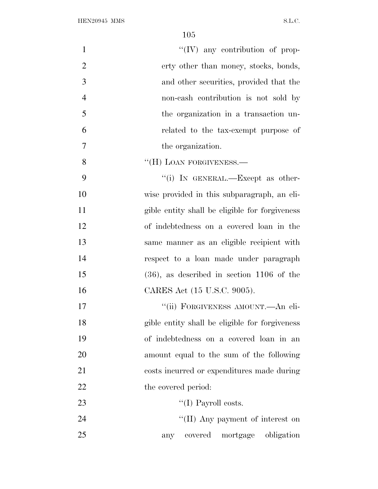| $\mathbf{1}$   | $\lq\lq (IV)$ any contribution of prop-        |
|----------------|------------------------------------------------|
| $\overline{2}$ | erty other than money, stocks, bonds,          |
| 3              | and other securities, provided that the        |
| $\overline{4}$ | non-cash contribution is not sold by           |
| 5              | the organization in a transaction un-          |
| 6              | related to the tax-exempt purpose of           |
| $\overline{7}$ | the organization.                              |
| 8              | "(H) LOAN FORGIVENESS.—                        |
| 9              | "(i) IN GENERAL.—Except as other-              |
| 10             | wise provided in this subparagraph, an eli-    |
| 11             | gible entity shall be eligible for forgiveness |
| 12             | of indebtedness on a covered loan in the       |
| 13             | same manner as an eligible recipient with      |
| 14             | respect to a loan made under paragraph         |
| 15             | $(36)$ , as described in section 1106 of the   |
| 16             | CARES Act (15 U.S.C. 9005).                    |
| 17             | "(ii) FORGIVENESS AMOUNT.—An eli-              |
| 18             | gible entity shall be eligible for forgiveness |
| 19             | of indebtedness on a covered loan in an        |
| <b>20</b>      | amount equal to the sum of the following       |
| 21             | costs incurred or expenditures made during     |
| 22             | the covered period:                            |
| 23             | "(I) Payroll costs.                            |
| 24             | "(II) Any payment of interest on               |
| 25             | covered mortgage obligation<br>any             |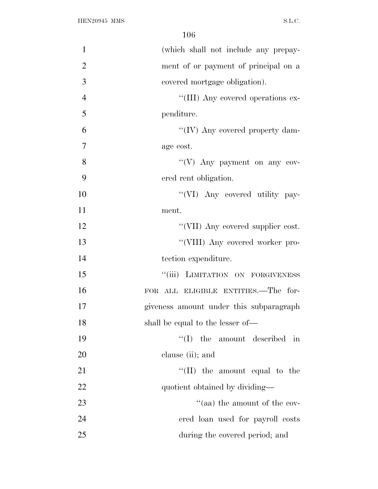| $\mathbf{1}$   | (which shall not include any prepay-    |
|----------------|-----------------------------------------|
| $\overline{2}$ | ment of or payment of principal on a    |
| 3              | covered mortgage obligation).           |
| $\overline{4}$ | "(III) Any covered operations ex-       |
| 5              | penditure.                              |
| 6              | "(IV) Any covered property dam-         |
| $\overline{7}$ | age cost.                               |
| 8              | "(V) Any payment on any cov-            |
| 9              | ered rent obligation.                   |
| 10             | "(VI) Any covered utility pay-          |
| 11             | ment.                                   |
| 12             | "(VII) Any covered supplier cost.       |
| 13             | "(VIII) Any covered worker pro-         |
| 14             | tection expenditure.                    |
| 15             | "(iii) LIMITATION ON FORGIVENESS        |
| 16             | FOR ALL ELIGIBLE ENTITIES.—The for-     |
| 17             | giveness amount under this subparagraph |
| 18             | shall be equal to the lesser of-        |
| 19             | $\lq\lq$ (I) the amount described in    |
| 20             | clause (ii); and                        |
| 21             | $\lq\lq$ (II) the amount equal to the   |
| 22             | quotient obtained by dividing-          |
| 23             | "(aa) the amount of the cov-            |
| 24             | ered loan used for payroll costs        |
| 25             | during the covered period; and          |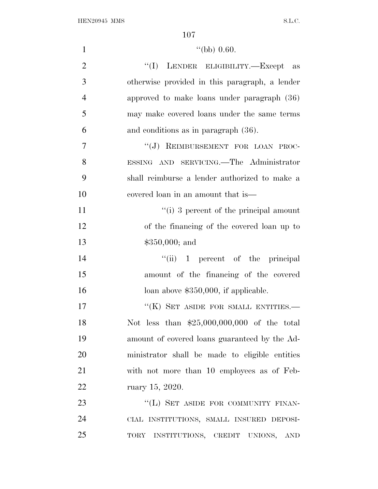| $\mathbf{1}$   | "(bb) $0.60$ .                                               |
|----------------|--------------------------------------------------------------|
| $\overline{2}$ | "(I) LENDER ELIGIBILITY.—Except as                           |
| 3              | otherwise provided in this paragraph, a lender               |
| $\overline{4}$ | approved to make loans under paragraph (36)                  |
| 5              | may make covered loans under the same terms                  |
| 6              | and conditions as in paragraph $(36)$ .                      |
| $\overline{7}$ | "(J) REIMBURSEMENT FOR LOAN PROC-                            |
| 8              | ESSING AND SERVICING. The Administrator                      |
| 9              | shall reimburse a lender authorized to make a                |
| 10             | covered loan in an amount that is—                           |
| 11             | $\lq\lq$ (i) 3 percent of the principal amount               |
| 12             | of the financing of the covered loan up to                   |
| 13             | $$350,000;$ and                                              |
| 14             | $``(ii)$ 1 percent of the principal                          |
| 15             | amount of the financing of the covered                       |
| 16             | loan above $$350,000$ , if applicable.                       |
| 17             | "(K) SET ASIDE FOR SMALL ENTITIES.-                          |
| 18             | Not less than $$25,000,000,000$ of the total                 |
| 19             | amount of covered loans guaranteed by the Ad-                |
| 20             | ministrator shall be made to eligible entities               |
| 21             | with not more than 10 employees as of Feb-                   |
| 22             | ruary 15, 2020.                                              |
| 23             | "(L) SET ASIDE FOR COMMUNITY FINAN-                          |
| 24             | CIAL INSTITUTIONS, SMALL INSURED DEPOSI-                     |
| 25             | TORY INSTITUTIONS, CREDIT UNIONS,<br>$\mathop{\mathrm{AND}}$ |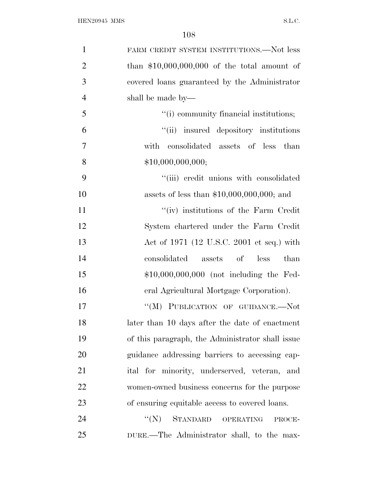| $\mathbf{1}$   | FARM CREDIT SYSTEM INSTITUTIONS.—Not less        |
|----------------|--------------------------------------------------|
| $\overline{2}$ | than $$10,000,000,000$ of the total amount of    |
| 3              | covered loans guaranteed by the Administrator    |
| $\overline{4}$ | shall be made by—                                |
| 5              | "(i) community financial institutions;           |
| 6              | "(ii) insured depository institutions            |
| 7              | with<br>consolidated assets of less<br>than      |
| 8              | \$10,000,000,000;                                |
| 9              | "(iii) credit unions with consolidated           |
| 10             | assets of less than $$10,000,000,000;$ and       |
| 11             | "(iv) institutions of the Farm Credit"           |
| 12             | System chartered under the Farm Credit           |
| 13             | Act of 1971 (12 U.S.C. 2001 et seq.) with        |
| 14             | consolidated<br>assets of less<br>than           |
| 15             | $$10,000,000,000$ (not including the Fed-        |
| 16             | eral Agricultural Mortgage Corporation).         |
| 17             | "(M) PUBLICATION OF GUIDANCE.--Not               |
| 18             | later than 10 days after the date of enactment   |
| 19             | of this paragraph, the Administrator shall issue |
| 20             | guidance addressing barriers to accessing cap-   |
| 21             | ital for minority, underserved, veteran, and     |
| 22             | women-owned business concerns for the purpose    |
| 23             | of ensuring equitable access to covered loans.   |
| 24             | STANDARD<br>``(N)<br>OPERATING<br>PROCE-         |
| 25             | DURE.—The Administrator shall, to the max-       |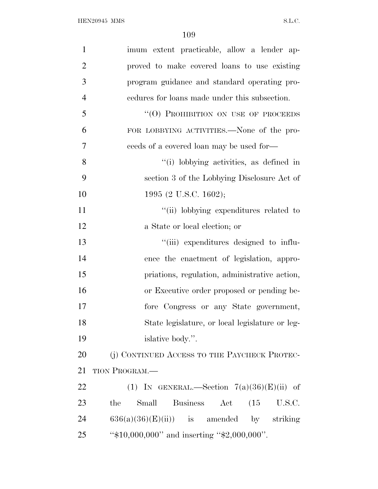| $\mathbf{1}$   | imum extent practicable, allow a lender ap-                               |
|----------------|---------------------------------------------------------------------------|
| $\overline{2}$ | proved to make covered loans to use existing                              |
| 3              | program guidance and standard operating pro-                              |
| $\overline{4}$ | endures for loans made under this subsection.                             |
| 5              | "(O) PROHIBITION ON USE OF PROCEEDS                                       |
| 6              | FOR LOBBYING ACTIVITIES.—None of the pro-                                 |
| 7              | ceeds of a covered loan may be used for—                                  |
| 8              | "(i) lobbying activities, as defined in                                   |
| 9              | section 3 of the Lobbying Disclosure Act of                               |
| 10             | 1995 (2 U.S.C. 1602);                                                     |
| 11             | "(ii) lobbying expenditures related to                                    |
| 12             | a State or local election; or                                             |
| 13             | "(iii) expenditures designed to influ-                                    |
| 14             | ence the enactment of legislation, appro-                                 |
| 15             | priations, regulation, administrative action,                             |
| 16             | or Executive order proposed or pending be-                                |
| 17             | fore Congress or any State government,                                    |
| 18             | State legislature, or local legislature or leg-                           |
| 19             | islative body.".                                                          |
| 20             | (j) CONTINUED ACCESS TO THE PAYCHECK PROTEC-                              |
| 21             | TION PROGRAM.-                                                            |
| 22             | (1) IN GENERAL.—Section $7(a)(36)(E)(ii)$ of                              |
| 23             | <b>Business</b><br>Small<br>$\operatorname{Act}$<br>(15)<br>U.S.C.<br>the |
| 24             | $636(a)(36)(E)(ii)$ is amended by striking                                |
| 25             | " $$10,000,000"$ and inserting " $$2,000,000"$ .                          |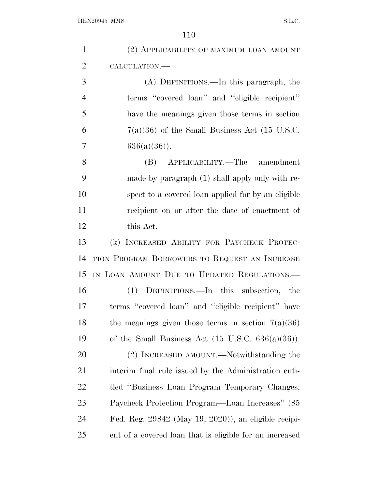| $\mathbf{1}$   | (2) APPLICABILITY OF MAXIMUM LOAN AMOUNT                      |
|----------------|---------------------------------------------------------------|
| $\overline{2}$ | CALCULATION.                                                  |
| 3              | (A) DEFINITIONS.—In this paragraph, the                       |
| $\overline{4}$ | terms "covered loan" and "eligible recipient"                 |
| 5              | have the meanings given those terms in section                |
| 6              | $7(a)(36)$ of the Small Business Act (15 U.S.C.               |
| 7              | $636(a)(36)$ .                                                |
| 8              | (B) APPLICABILITY.—The amendment                              |
| 9              | made by paragraph (1) shall apply only with re-               |
| 10             | spect to a covered loan applied for by an eligible            |
| 11             | recipient on or after the date of enactment of                |
| 12             | this Act.                                                     |
| 13             | (k) INCREASED ABILITY FOR PAYCHECK PROTEC-                    |
| 14             | TION PROGRAM BORROWERS TO REQUEST AN INCREASE                 |
| 15             | IN LOAN AMOUNT DUE TO UPDATED REGULATIONS.                    |
| 16             | DEFINITIONS.—In this subsection, the<br>(1)                   |
| 17             | terms "covered loan" and "eligible recipient" have            |
| 18             | the meanings given those terms in section $7(a)(36)$          |
| 19             | of the Small Business Act $(15 \text{ U.S.C. } 636(a)(36))$ . |
| 20             | (2) INCREASED AMOUNT.—Notwithstanding the                     |
| 21             | interim final rule issued by the Administration enti-         |
| 22             | tled "Business Loan Program Temporary Changes;                |
| 23             | Paycheck Protection Program—Loan Increases" (85               |
| 24             | Fed. Reg. 29842 (May 19, 2020)), an eligible recipi-          |
| 25             | ent of a covered loan that is eligible for an increased       |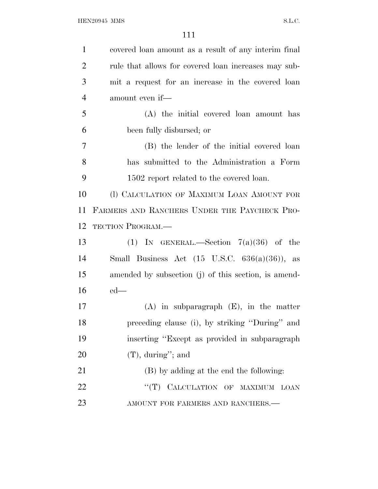| $\mathbf{1}$   | covered loan amount as a result of any interim final      |
|----------------|-----------------------------------------------------------|
| $\overline{2}$ | rule that allows for covered loan increases may sub-      |
| 3              | mit a request for an increase in the covered loan         |
| $\overline{4}$ | amount even if—                                           |
| 5              | (A) the initial covered loan amount has                   |
| 6              | been fully disbursed; or                                  |
| $\tau$         | (B) the lender of the initial covered loan                |
| 8              | has submitted to the Administration a Form                |
| 9              | 1502 report related to the covered loan.                  |
| 10             | (I) CALCULATION OF MAXIMUM LOAN AMOUNT FOR                |
| 11             | FARMERS AND RANCHERS UNDER THE PAYCHECK PRO-              |
| 12             | <b>TECTION PROGRAM.—</b>                                  |
| 13             | (1) IN GENERAL.—Section $7(a)(36)$ of the                 |
| 14             | Small Business Act $(15 \text{ U.S.C. } 636(a)(36))$ , as |
| 15             | amended by subsection (j) of this section, is amend-      |
| 16             | $ed$ —                                                    |
| 17             | $(A)$ in subparagraph $(E)$ , in the matter               |
| 18             | preceding clause (i), by striking "During" and            |
| 19             | inserting "Except as provided in subparagraph"            |
| 20             | $(T)$ , during"; and                                      |
| 21             | (B) by adding at the end the following:                   |
| 22             | "(T) CALCULATION OF MAXIMUM LOAN                          |
| 23             | AMOUNT FOR FARMERS AND RANCHERS.-                         |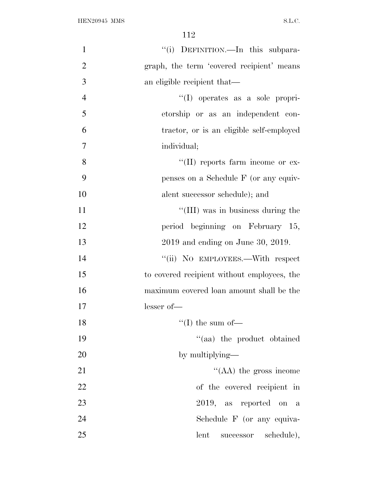| $\mathbf{1}$   | "(i) DEFINITION.—In this subpara-           |
|----------------|---------------------------------------------|
| $\overline{2}$ | graph, the term 'covered recipient' means   |
| 3              | an eligible recipient that—                 |
| $\overline{4}$ | $\lq\lq$ operates as a sole propri-         |
| 5              | etorship or as an independent con-          |
| 6              | tractor, or is an eligible self-employed    |
| 7              | individual;                                 |
| 8              | "(II) reports farm income or ex-            |
| 9              | penses on a Schedule F (or any equiv-       |
| 10             | alent successor schedule); and              |
| 11             | "(III) was in business during the           |
| 12             | period beginning on February 15,            |
| 13             | 2019 and ending on June 30, 2019.           |
| 14             | "(ii) NO EMPLOYEES.—With respect            |
| 15             | to covered recipient without employees, the |
| 16             | maximum covered loan amount shall be the    |
| 17             | $lesser of$ —                               |
| 18             | $``(I)$ the sum of—                         |
| 19             | "(aa) the product obtained                  |
| 20             | by multiplying—                             |
| 21             | $\lq\lq$ (AA) the gross income              |
| 22             | of the covered recipient in                 |
| 23             | 2019, as reported on a                      |
| 24             | Schedule F (or any equiva-                  |
| 25             | lent<br>successor schedule),                |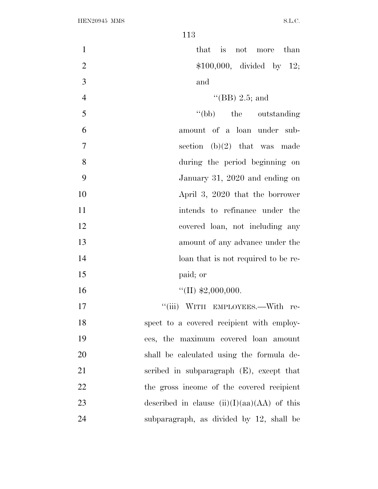| $\mathbf{1}$   | that is not more than                         |
|----------------|-----------------------------------------------|
| $\overline{2}$ | $$100,000,$ divided by 12;                    |
| 3              | and                                           |
| $\overline{4}$ | "(BB) 2.5; and                                |
| 5              | "(bb) the outstanding                         |
| 6              | amount of a loan under sub-                   |
| $\overline{7}$ | section (b)(2) that was made                  |
| 8              | during the period beginning on                |
| 9              | January 31, 2020 and ending on                |
| 10             | April 3, 2020 that the borrower               |
| 11             | intends to refinance under the                |
| 12             | covered loan, not including any               |
| 13             | amount of any advance under the               |
| 14             | loan that is not required to be re-           |
| 15             | paid; or                                      |
| 16             | "(II) $$2,000,000$ .                          |
| 17             | "(iii) WITH EMPLOYEES.—With re-               |
| 18             | spect to a covered recipient with employ-     |
| 19             | ees, the maximum covered loan amount          |
| 20             | shall be calculated using the formula de-     |
| 21             | scribed in subparagraph $(E)$ , except that   |
| 22             | the gross income of the covered recipient     |
| 23             | described in clause $(ii)(I)(aa)(AA)$ of this |
| 24             | subparagraph, as divided by 12, shall be      |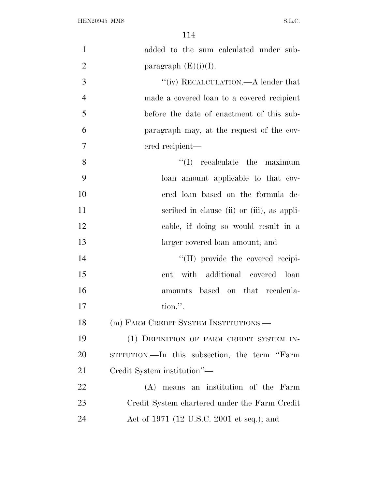| $\mathbf{1}$   | added to the sum calculated under sub-             |
|----------------|----------------------------------------------------|
| $\overline{2}$ | paragraph $(E)(i)(I)$ .                            |
| 3              | $\lq\lq(\mathrm{iv})$ RECALCULATION.—A lender that |
| $\overline{4}$ | made a covered loan to a covered recipient         |
| 5              | before the date of enactment of this sub-          |
| 6              | paragraph may, at the request of the cov-          |
| $\overline{7}$ | ered recipient-                                    |
| 8              | recalculate the maximum<br>``(I)                   |
| 9              | loan amount applicable to that cov-                |
| 10             | ered loan based on the formula de-                 |
| 11             | scribed in clause (ii) or (iii), as appli-         |
| 12             | cable, if doing so would result in a               |
| 13             | larger covered loan amount; and                    |
| 14             | "(II) provide the covered recipi-                  |
| 15             | with additional covered loan<br>ent                |
| 16             | amounts based on that recalcula-                   |
| 17             | tion.".                                            |
| 18             | (m) FARM CREDIT SYSTEM INSTITUTIONS.               |
| 19             | (1) DEFINITION OF FARM CREDIT SYSTEM IN-           |
| 20             | STITUTION.—In this subsection, the term "Farm      |
| 21             | Credit System institution"—                        |
| 22             | (A) means an institution of the Farm               |
| 23             | Credit System chartered under the Farm Credit      |
| 24             | Act of 1971 (12 U.S.C. 2001 et seq.); and          |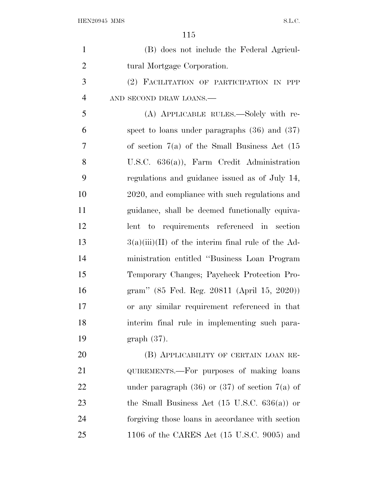| $\mathbf{1}$   | (B) does not include the Federal Agricul-               |
|----------------|---------------------------------------------------------|
| $\overline{2}$ | tural Mortgage Corporation.                             |
| 3              | (2) FACILITATION OF PARTICIPATION IN PPP                |
| $\overline{4}$ | AND SECOND DRAW LOANS.-                                 |
| 5              | (A) APPLICABLE RULES.—Solely with re-                   |
| 6              | spect to loans under paragraphs $(36)$ and $(37)$       |
| 7              | of section $7(a)$ of the Small Business Act $(15)$      |
| 8              | U.S.C. $636(a)$ , Farm Credit Administration            |
| 9              | regulations and guidance issued as of July 14,          |
| 10             | 2020, and compliance with such regulations and          |
| 11             | guidance, shall be deemed functionally equiva-          |
| 12             | lent to requirements referenced in section              |
| 13             | $3(a)(iii)(II)$ of the interim final rule of the Ad-    |
| 14             | ministration entitled "Business Loan Program"           |
| 15             | Temporary Changes; Paycheck Protection Pro-             |
| 16             | gram" (85 Fed. Reg. 20811 (April 15, 2020))             |
| 17             | or any similar requirement referenced in that           |
| 18             | interim final rule in implementing such para-           |
| 19             | $graph(37)$ .                                           |
| 20             | (B) APPLICABILITY OF CERTAIN LOAN RE-                   |
| 21             | QUIREMENTS.—For purposes of making loans                |
| 22             | under paragraph $(36)$ or $(37)$ of section $7(a)$ of   |
| 23             | the Small Business Act $(15 \text{ U.S.C. } 636(a))$ or |
| 24             | forgiving those loans in accordance with section        |
| 25             | 1106 of the CARES Act $(15 \text{ U.S.C. } 9005)$ and   |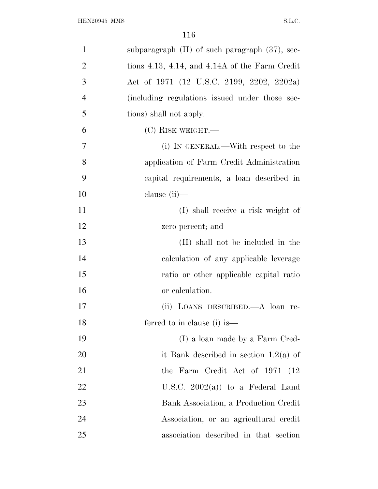| $\mathbf{1}$   | subparagraph $(H)$ of such paragraph $(37)$ , sec-     |
|----------------|--------------------------------------------------------|
| $\overline{2}$ | tions $4.13$ , $4.14$ , and $4.14A$ of the Farm Credit |
| 3              | Act of 1971 (12 U.S.C. 2199, 2202, 2202a)              |
| $\overline{4}$ | (including regulations issued under those sec-         |
| 5              | tions) shall not apply.                                |
| 6              | $(C)$ RISK WEIGHT.—                                    |
| 7              | (i) IN GENERAL.—With respect to the                    |
| 8              | application of Farm Credit Administration              |
| 9              | capital requirements, a loan described in              |
| 10             | clause $(ii)$ —                                        |
| 11             | (I) shall receive a risk weight of                     |
| 12             | zero percent; and                                      |
| 13             | (II) shall not be included in the                      |
| 14             | calculation of any applicable leverage                 |
| 15             | ratio or other applicable capital ratio                |
| 16             | or calculation.                                        |
| 17             | (ii) LOANS DESCRIBED.—A loan re-                       |
| 18             | ferred to in clause (i) is-                            |
| 19             | (I) a loan made by a Farm Cred-                        |
| 20             | it Bank described in section $1.2(a)$ of               |
| 21             | the Farm Credit Act of 1971 (12)                       |
| 22             | U.S.C. $2002(a)$ to a Federal Land                     |
| 23             | Bank Association, a Production Credit                  |
| 24             | Association, or an agricultural credit                 |
| 25             | association described in that section                  |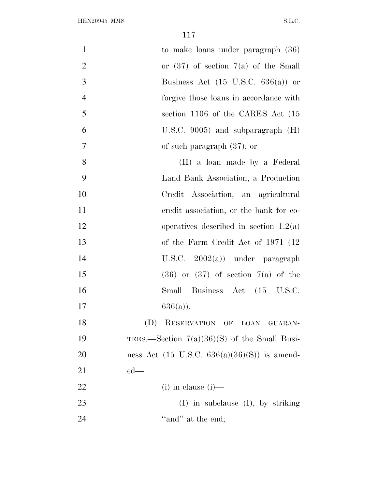| $\mathbf{1}$   | to make loans under paragraph $(36)$            |
|----------------|-------------------------------------------------|
| $\overline{2}$ | or $(37)$ of section $7(a)$ of the Small        |
| 3              | Business Act $(15 \text{ U.S.C. } 636(a))$ or   |
| $\overline{4}$ | forgive those loans in accordance with          |
| 5              | section 1106 of the CARES Act (15               |
| 6              | U.S.C. $9005$ ) and subparagraph $(H)$          |
| $\overline{7}$ | of such paragraph $(37)$ ; or                   |
| 8              | (II) a loan made by a Federal                   |
| 9              | Land Bank Association, a Production             |
| 10             | Credit Association, an agricultural             |
| 11             | eredit association, or the bank for co-         |
| 12             | operatives described in section $1.2(a)$        |
| 13             | of the Farm Credit Act of 1971 (12)             |
| 14             | U.S.C. $2002(a)$ under paragraph                |
| 15             | $(36)$ or $(37)$ of section $7(a)$ of the       |
| 16             | Small Business Act (15 U.S.C.                   |
| 17             | $636(a)$ ).                                     |
| 18             | RESERVATION OF LOAN GUARAN-<br>(D)              |
| 19             | TEES.—Section $7(a)(36)(S)$ of the Small Busi-  |
| 20             | ness Act (15 U.S.C. $636(a)(36)(S)$ ) is amend- |
| 21             | $ed$ —                                          |
| 22             | $(i)$ in clause $(i)$ —                         |
| 23             | $(I)$ in subclause $(I)$ , by striking          |
| 24             | "and" at the end;                               |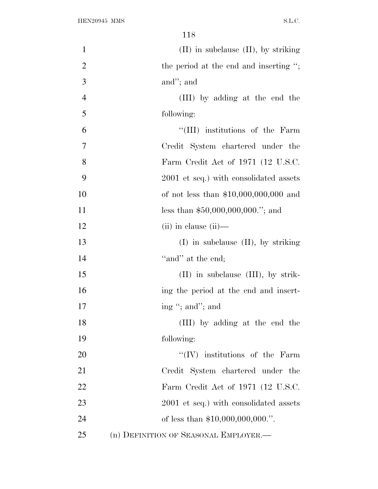| $\mathbf{1}$   | $(II)$ in subclause $(II)$ , by striking      |
|----------------|-----------------------------------------------|
| $\overline{2}$ | the period at the end and inserting $\cdot$ ; |
| 3              | and"; and                                     |
| $\overline{4}$ | (III) by adding at the end the                |
| 5              | following:                                    |
| 6              | "(III) institutions of the Farm               |
| 7              | Credit System chartered under the             |
| 8              | Farm Credit Act of 1971 (12 U.S.C.            |
| 9              | 2001 et seq.) with consolidated assets        |
| 10             | of not less than $$10,000,000,000$ and        |
| 11             | less than $$50,000,000,000."$ ; and           |
| 12             | $(ii)$ in clause $(ii)$ —                     |
| 13             | $(I)$ in subclause $(II)$ , by striking       |
| 14             | "and" at the end;                             |
| 15             | $(II)$ in subclause $(III)$ , by strik-       |
| 16             | ing the period at the end and insert-         |
| 17             | ing "; and"; and                              |
| 18             | (III) by adding at the end the                |
| 19             | following:                                    |
| 20             | $\lq\lq (IV)$ institutions of the Farm        |
| 21             | Credit System chartered under the             |
| 22             | Farm Credit Act of 1971 (12 U.S.C.            |
| 23             | 2001 et seq.) with consolidated assets        |
| 24             | of less than $$10,000,000,000."$ .            |
| 25             | (n) DEFINITION OF SEASONAL EMPLOYER.—         |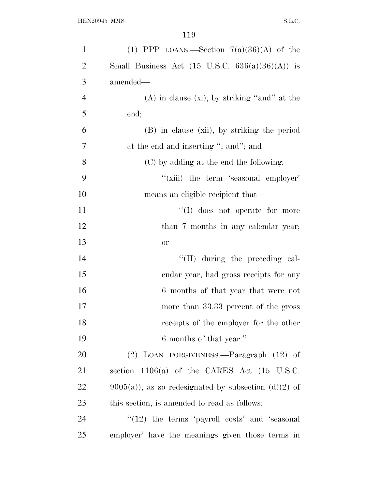| $\mathbf{1}$   | (1) PPP LOANS.—Section $7(a)(36)(A)$ of the              |
|----------------|----------------------------------------------------------|
| $\overline{2}$ | Small Business Act (15 U.S.C. $636(a)(36)(A)$ ) is       |
| 3              | amended—                                                 |
| $\overline{4}$ | $(A)$ in clause $(xi)$ , by striking "and" at the        |
| 5              | end;                                                     |
| 6              | (B) in clause (xii), by striking the period              |
| 7              | at the end and inserting "; and"; and                    |
| 8              | (C) by adding at the end the following:                  |
| 9              | "(xiii) the term 'seasonal employer'                     |
| 10             | means an eligible recipient that—                        |
| 11             | $\lq\lq$ (I) does not operate for more                   |
| 12             | than 7 months in any calendar year;                      |
| 13             | <b>or</b>                                                |
| 14             | "(II) during the preceding cal-                          |
| 15             | endar year, had gross receipts for any                   |
| 16             | 6 months of that year that were not                      |
| 17             | more than 33.33 percent of the gross                     |
| 18             | receipts of the employer for the other                   |
| 19             | 6 months of that year.".                                 |
| 20             | (2) LOAN FORGIVENESS.—Paragraph (12) of                  |
| 21             | section $1106(a)$ of the CARES Act $(15 \text{ U.S.C.})$ |
| 22             | $9005(a)$ , as so redesignated by subsection (d)(2) of   |
| 23             | this section, is amended to read as follows:             |
| 24             | $\lq(12)$ the terms 'payroll costs' and 'seasonal'       |
| 25             | employer' have the meanings given those terms in         |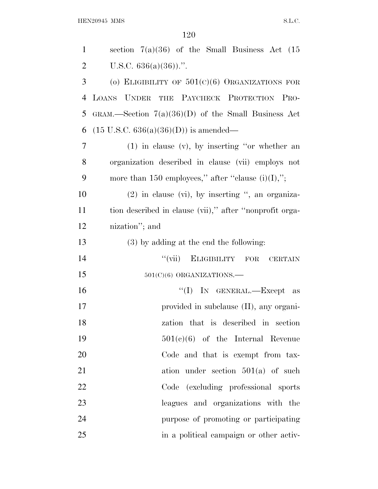HEN20945 MMS S.L.C.

| $\mathbf{1}$   | section $7(a)(36)$ of the Small Business Act $(15)$     |
|----------------|---------------------------------------------------------|
| $\overline{2}$ | U.S.C. $636(a)(36)$ .".                                 |
| 3              | (o) ELIGIBILITY OF $501(c)(6)$ ORGANIZATIONS FOR        |
| 4              | LOANS UNDER THE PAYCHECK PROTECTION PRO-                |
| 5              | GRAM.—Section $7(a)(36)(D)$ of the Small Business Act   |
| 6              | $(15 \text{ U.S.C. } 636(a)(36)(D))$ is amended—        |
| 7              | $(1)$ in clause $(v)$ , by inserting "or whether an     |
| 8              | organization described in clause (vii) employs not      |
| 9              | more than 150 employees," after "clause $(i)(I),$ ";    |
| 10             | $(2)$ in clause $(vi)$ , by inserting ", an organiza-   |
| 11             | tion described in clause (vii)," after "nonprofit orga- |
| 12             | nization"; and                                          |
| 13             | (3) by adding at the end the following:                 |
| 14             | "(vii) ELIGIBILITY FOR CERTAIN                          |
| 15             | $501(C)(6)$ ORGANIZATIONS.                              |
| 16             | "(I) IN GENERAL.—Except as                              |
| 17             | provided in subclause (II), any organi-                 |
| 18             | zation that is described in section                     |
| 19             | $501(c)(6)$ of the Internal Revenue                     |
| 20             | Code and that is exempt from tax-                       |
| 21             | ation under section $501(a)$ of such                    |
| 22             | Code (excluding professional sports)                    |
| 23             | leagues and organizations with the                      |
| 24             | purpose of promoting or participating                   |
| 25             | in a political campaign or other activ-                 |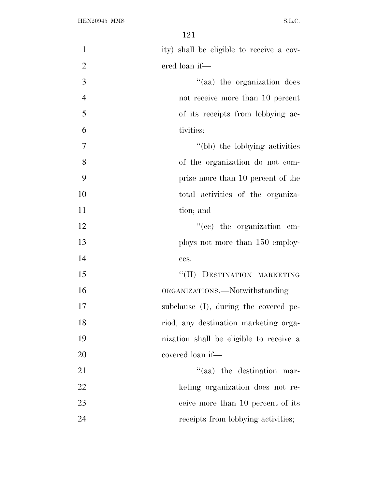| $\mathbf{1}$   | ity) shall be eligible to receive a cov- |
|----------------|------------------------------------------|
| $\overline{2}$ | ered loan if—                            |
| 3              | "(aa) the organization does              |
| $\overline{4}$ | not receive more than 10 percent         |
| 5              | of its receipts from lobbying ac-        |
| 6              | tivities;                                |
| $\overline{7}$ | "(bb) the lobbying activities            |
| 8              | of the organization do not com-          |
| 9              | prise more than 10 percent of the        |
| 10             | total activities of the organiza-        |
| 11             | tion; and                                |
| 12             | $\lq\lq$ (ce) the organization em-       |
| 13             | ploys not more than 150 employ-          |
| 14             | ees.                                     |
| 15             | "(II) DESTINATION MARKETING              |
| 16             | ORGANIZATIONS.—Notwithstanding           |
| 17             | subclause (I), during the covered pe-    |
| 18             | riod, any destination marketing orga-    |
| 19             | nization shall be eligible to receive a  |
| 20             | covered loan if—                         |
| 21             | "(aa) the destination mar-               |
| 22             | keting organization does not re-         |
| 23             | ceive more than 10 percent of its        |
| 24             | receipts from lobbying activities;       |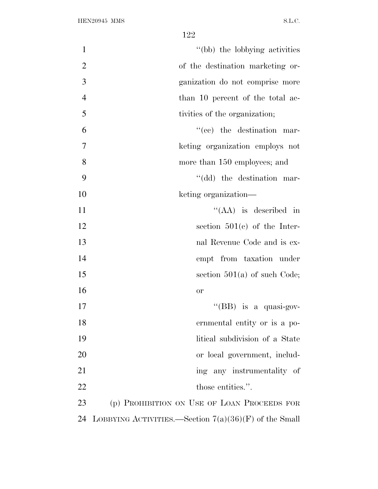| $\mathbf{1}$   | "(bb) the lobbying activities                           |
|----------------|---------------------------------------------------------|
| $\overline{2}$ | of the destination marketing or-                        |
| 3              | ganization do not comprise more                         |
| $\overline{4}$ | than 10 percent of the total ac-                        |
| 5              | tivities of the organization;                           |
| 6              | $f'(ce)$ the destination mar-                           |
| $\tau$         | keting organization employs not                         |
| 8              | more than 150 employees; and                            |
| 9              | "(dd) the destination mar-                              |
| 10             | keting organization—                                    |
| 11             | "(AA) is described in                                   |
| 12             | section $501(e)$ of the Inter-                          |
| 13             | nal Revenue Code and is ex-                             |
| 14             | empt from taxation under                                |
| 15             | section $501(a)$ of such Code;                          |
| 16             | or                                                      |
| 17             | "(BB) is a quasi-gov-                                   |
| 18             | ernmental entity or is a po-                            |
| 19             | litical subdivision of a State                          |
| 20             | or local government, includ-                            |
| 21             | ing any instrumentality of                              |
| 22             | those entities.".                                       |
| 23             | (p) PROHIBITION ON USE OF LOAN PROCEEDS FOR             |
| 24             | LOBBYING ACTIVITIES.—Section $7(a)(36)(F)$ of the Small |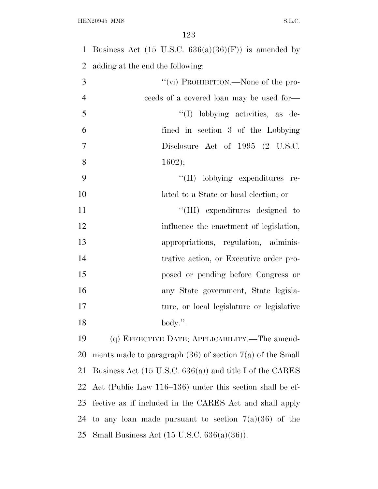1 Business Act (15 U.S.C.  $636(a)(36)(F)$ ) is amended by adding at the end the following:  $''(\vec{v})$  PROHIBITION.—None of the pro- ceeds of a covered loan may be used for—  $\frac{1}{1}$  lobbying activities, as de- fined in section 3 of the Lobbying Disclosure Act of 1995 (2 U.S.C. 8 ;  $\lq\lq$  lobbying expenditures re- lated to a State or local election; or  $\text{``(III)}$  expenditures designed to 12 influence the enactment of legislation, appropriations, regulation, adminis- trative action, or Executive order pro- posed or pending before Congress or any State government, State legisla- ture, or local legislature or legislative body.''. (q) EFFECTIVE DATE; APPLICABILITY.—The amend-ments made to paragraph (36) of section 7(a) of the Small

 Business Act (15 U.S.C. 636(a)) and title I of the CARES Act (Public Law 116–136) under this section shall be ef- fective as if included in the CARES Act and shall apply 24 to any loan made pursuant to section  $7(a)(36)$  of the Small Business Act (15 U.S.C. 636(a)(36)).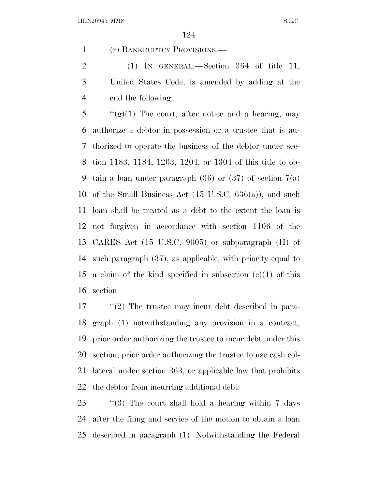(r) BANKRUPTCY PROVISIONS.—

2 (1) IN GENERAL.—Section 364 of title 11, United States Code, is amended by adding at the end the following:

 ''(g)(1) The court, after notice and a hearing, may authorize a debtor in possession or a trustee that is au- thorized to operate the business of the debtor under sec- tion 1183, 1184, 1203, 1204, or 1304 of this title to ob-9 tain a loan under paragraph  $(36)$  or  $(37)$  of section  $7(a)$  of the Small Business Act (15 U.S.C. 636(a)), and such loan shall be treated as a debt to the extent the loan is not forgiven in accordance with section 1106 of the CARES Act (15 U.S.C. 9005) or subparagraph (H) of such paragraph (37), as applicable, with priority equal to 15 a claim of the kind specified in subsection  $(c)(1)$  of this section.

17 ''(2) The trustee may incur debt described in para- graph (1) notwithstanding any provision in a contract, prior order authorizing the trustee to incur debt under this section, prior order authorizing the trustee to use cash col- lateral under section 363, or applicable law that prohibits the debtor from incurring additional debt.

 ''(3) The court shall hold a hearing within 7 days after the filing and service of the motion to obtain a loan described in paragraph (1). Notwithstanding the Federal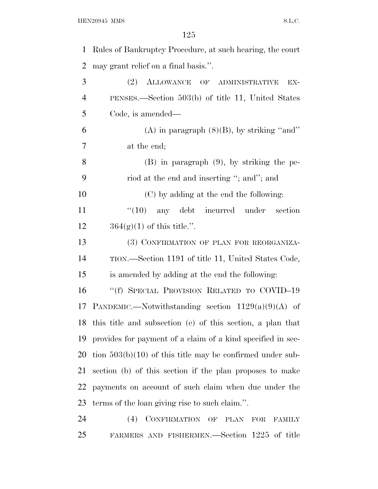| 1              | Rules of Bankruptcy Procedure, at such hearing, the court                                          |
|----------------|----------------------------------------------------------------------------------------------------|
| $\overline{2}$ | may grant relief on a final basis.".                                                               |
| 3              | (2)<br>ALLOWANCE OF ADMINISTRATIVE<br>EX-                                                          |
| $\overline{4}$ | PENSES.—Section $503(b)$ of title 11, United States                                                |
| 5              | Code, is amended—                                                                                  |
| 6              | (A) in paragraph $(8)(B)$ , by striking "and"                                                      |
| 7              | at the end;                                                                                        |
| 8              | $(B)$ in paragraph $(9)$ , by striking the pe-                                                     |
| 9              | riod at the end and inserting "; and"; and                                                         |
| 10             | (C) by adding at the end the following:                                                            |
| 11             | $\lq(10)$ any debt incurred under<br>section                                                       |
| 12             | $364(g)(1)$ of this title.".                                                                       |
| 13             | (3) CONFIRMATION OF PLAN FOR REORGANIZA-                                                           |
| 14             | TION.—Section 1191 of title 11, United States Code,                                                |
| 15             | is amended by adding at the end the following:                                                     |
| 16             | "(f) SPECIAL PROVISION RELATED TO COVID-19                                                         |
| 17             | PANDEMIC.—Notwithstanding section $1129(a)(9)(A)$ of                                               |
|                | 18 this title and subsection (e) of this section, a plan that                                      |
| 19             | provides for payment of a claim of a kind specified in sec-                                        |
| 20             | tion $503(b)(10)$ of this title may be confirmed under sub-                                        |
| 21             | section (b) of this section if the plan proposes to make                                           |
| 22             | payments on account of such claim when due under the                                               |
| 23             | terms of the loan giving rise to such claim.".                                                     |
| 24             | <b>CONFIRMATION</b><br>(4)<br>$\overline{\text{OF}}$<br>$\rm{PLAN}$<br><b>FOR</b><br><b>FAMILY</b> |

FARMERS AND FISHERMEN.—Section 1225 of title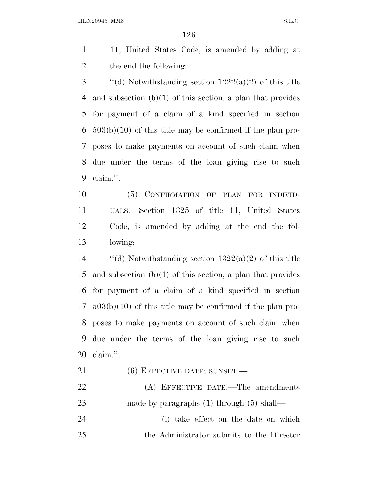HEN20945 MMS S.L.C.

- 11, United States Code, is amended by adding at the end the following:
- 3  $\qquad$  "(d) Notwithstanding section 1222(a)(2) of this title and subsection (b)(1) of this section, a plan that provides for payment of a claim of a kind specified in section 503(b)(10) of this title may be confirmed if the plan pro- poses to make payments on account of such claim when due under the terms of the loan giving rise to such claim.''.
- (5) CONFIRMATION OF PLAN FOR INDIVID- UALS.—Section 1325 of title 11, United States Code, is amended by adding at the end the fol-lowing:
- 14  $\qquad$  "(d) Notwithstanding section 1322(a)(2) of this title and subsection (b)(1) of this section, a plan that provides for payment of a claim of a kind specified in section 503(b)(10) of this title may be confirmed if the plan pro- poses to make payments on account of such claim when due under the terms of the loan giving rise to such claim.''.
- 21 (6) EFFECTIVE DATE; SUNSET.
- 22 (A) EFFECTIVE DATE.—The amendments 23 made by paragraphs (1) through (5) shall—
- (i) take effect on the date on which the Administrator submits to the Director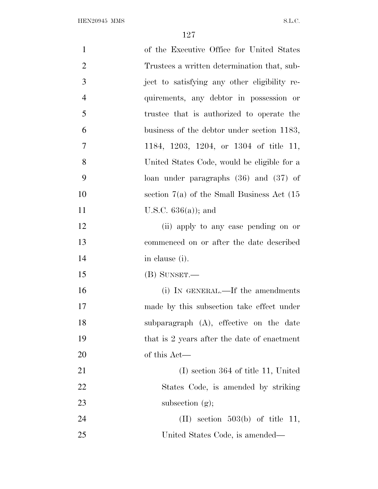| $\mathbf{1}$   | of the Executive Office for United States       |
|----------------|-------------------------------------------------|
| $\overline{2}$ | Trustees a written determination that, sub-     |
| 3              | ject to satisfying any other eligibility re-    |
| $\overline{4}$ | quirements, any debtor in possession or         |
| 5              | trustee that is authorized to operate the       |
| 6              | business of the debtor under section 1183,      |
| $\overline{7}$ | 1184, 1203, 1204, or 1304 of title 11,          |
| 8              | United States Code, would be eligible for a     |
| 9              | loan under paragraphs $(36)$ and $(37)$ of      |
| 10             | section $7(a)$ of the Small Business Act $(15)$ |
| 11             | U.S.C. $636(a)$ ; and                           |
| 12             | (ii) apply to any case pending on or            |
| 13             | commenced on or after the date described        |
| 14             | in clause (i).                                  |
| 15             | $(B)$ SUNSET.—                                  |
| 16             | (i) IN GENERAL.—If the amendments               |
| 17             | made by this subsection take effect under       |
| 18             | subparagraph $(A)$ , effective on the date      |
| 19             | that is 2 years after the date of enactment     |
| 20             | of this Act—                                    |
| 21             | $(I)$ section 364 of title 11, United           |
| 22             | States Code, is amended by striking             |
| 23             | subsection $(g)$ ;                              |
| 24             | $(II)$ section 503(b) of title 11,              |
| 25             | United States Code, is amended—                 |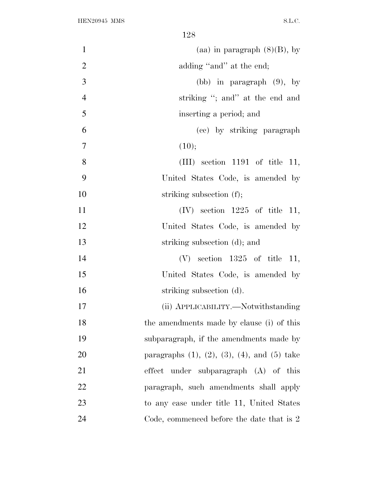| $\mathbf{1}$   | (aa) in paragraph $(8)(B)$ , by                           |
|----------------|-----------------------------------------------------------|
| $\overline{2}$ | adding "and" at the end;                                  |
| 3              | (bb) in paragraph $(9)$ , by                              |
| $\overline{4}$ | striking "; and" at the end and                           |
| 5              | inserting a period; and                                   |
| 6              | (cc) by striking paragraph                                |
| $\overline{7}$ | (10);                                                     |
| 8              | $(III)$ section 1191 of title 11,                         |
| 9              | United States Code, is amended by                         |
| 10             | striking subsection (f);                                  |
| 11             | $(IV)$ section 1225 of title 11,                          |
| 12             | United States Code, is amended by                         |
| 13             | striking subsection (d); and                              |
| 14             | $(V)$ section 1325 of title 11,                           |
| 15             | United States Code, is amended by                         |
| 16             | striking subsection (d).                                  |
| 17             | (ii) APPLICABILITY.—Notwithstanding                       |
| 18             | the amendments made by clause (i) of this                 |
| 19             | subparagraph, if the amendments made by                   |
| 20             | paragraphs $(1)$ , $(2)$ , $(3)$ , $(4)$ , and $(5)$ take |
| 21             | under subparagraph (A) of this<br>effect                  |
| 22             | paragraph, such amendments shall apply                    |
| 23             | to any case under title 11, United States                 |
| 24             | Code, commenced before the date that is 2                 |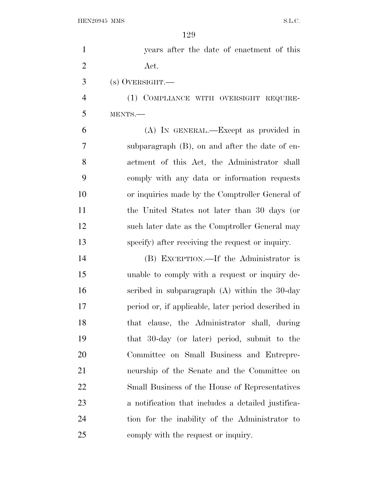| $\mathbf{1}$   | years after the date of enactment of this           |
|----------------|-----------------------------------------------------|
| $\overline{2}$ | Act.                                                |
| 3              | $(s)$ OVERSIGHT.—                                   |
| $\overline{4}$ | (1) COMPLIANCE WITH OVERSIGHT REQUIRE-              |
| 5              | MENTS.-                                             |
| 6              | (A) IN GENERAL.—Except as provided in               |
| 7              | subparagraph $(B)$ , on and after the date of en-   |
| 8              | actment of this Act, the Administrator shall        |
| 9              | comply with any data or information requests        |
| 10             | or inquiries made by the Comptroller General of     |
| 11             | the United States not later than 30 days (or        |
| 12             | such later date as the Comptroller General may      |
| 13             | specify) after receiving the request or inquiry.    |
| 14             | (B) EXCEPTION.—If the Administrator is              |
| 15             | unable to comply with a request or inquiry de-      |
| 16             | scribed in subparagraph $(A)$ within the 30-day     |
| 17             | period or, if applicable, later period described in |
| 18             | that clause, the Administrator shall, during        |
| 19             | that 30-day (or later) period, submit to the        |
| 20             | Committee on Small Business and Entrepre-           |
| 21             | neurship of the Senate and the Committee on         |
| 22             | Small Business of the House of Representatives      |
| 23             | a notification that includes a detailed justifica-  |
| 24             | tion for the inability of the Administrator to      |
| 25             | comply with the request or inquiry.                 |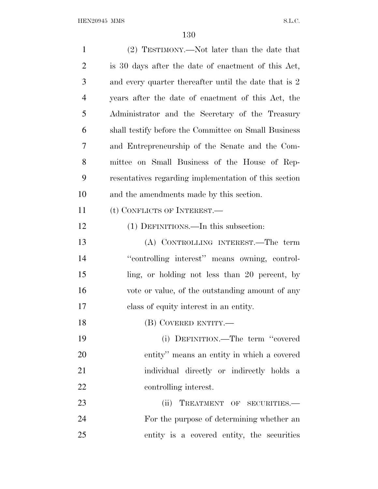| $\mathbf{1}$   | (2) TESTIMONY.—Not later than the date that           |
|----------------|-------------------------------------------------------|
| $\overline{2}$ | is 30 days after the date of enactment of this Act,   |
| 3              | and every quarter thereafter until the date that is 2 |
| $\overline{4}$ | years after the date of enactment of this Act, the    |
| 5              | Administrator and the Secretary of the Treasury       |
| 6              | shall testify before the Committee on Small Business  |
| 7              | and Entrepreneurship of the Senate and the Com-       |
| 8              | mittee on Small Business of the House of Rep-         |
| 9              | resentatives regarding implementation of this section |
| 10             | and the amendments made by this section.              |
| 11             | (t) CONFLICTS OF INTEREST.—                           |
| 12             | (1) DEFINITIONS.—In this subsection:                  |
| 13             | (A) CONTROLLING INTEREST.—The term                    |
| 14             | "controlling interest" means owning, control-         |
| 15             | ling, or holding not less than 20 percent, by         |
| 16             | vote or value, of the outstanding amount of any       |
| 17             | class of equity interest in an entity.                |
| 18             | (B) COVERED ENTITY.—                                  |
| 19             | (i) DEFINITION.—The term "covered                     |
| <b>20</b>      | entity" means an entity in which a covered            |
| 21             | individual directly or indirectly holds a             |
| 22             | controlling interest.                                 |
| 23             | (ii)<br>TREATMENT OF SECURITIES.-                     |
| 24             | For the purpose of determining whether an             |
| 25             | entity is a covered entity, the securities            |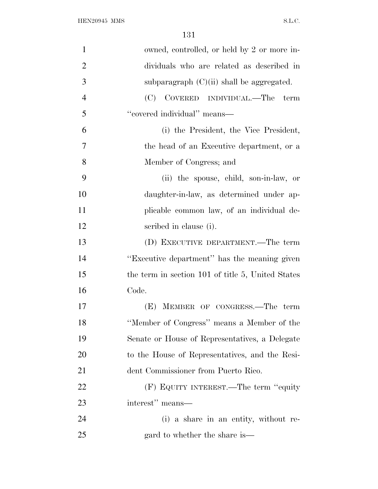| $\mathbf{1}$   | owned, controlled, or held by 2 or more in-       |
|----------------|---------------------------------------------------|
| $\overline{2}$ | dividuals who are related as described in         |
| 3              | subparagraph $(C)(ii)$ shall be aggregated.       |
| $\overline{4}$ | (C) COVERED INDIVIDUAL.—The term                  |
| 5              | "covered individual" means-                       |
| 6              | (i) the President, the Vice President,            |
| 7              | the head of an Executive department, or a         |
| 8              | Member of Congress; and                           |
| 9              | (ii) the spouse, child, son-in-law, or            |
| 10             | daughter-in-law, as determined under ap-          |
| 11             | plicable common law, of an individual de-         |
| 12             | scribed in clause (i).                            |
| 13             | (D) EXECUTIVE DEPARTMENT.—The term                |
| 14             | "Executive department" has the meaning given      |
| 15             | the term in section 101 of title 5, United States |
| 16             | Code.                                             |
| 17             | (E) MEMBER OF CONGRESS.—The term                  |
| 18             | "Member of Congress" means a Member of the        |
| 19             | Senate or House of Representatives, a Delegate    |
| 20             | to the House of Representatives, and the Resi-    |
| 21             | dent Commissioner from Puerto Rico.               |
| 22             | (F) EQUITY INTEREST.—The term "equity"            |
| 23             | interest" means—                                  |
| 24             | (i) a share in an entity, without re-             |
| 25             | gard to whether the share is—                     |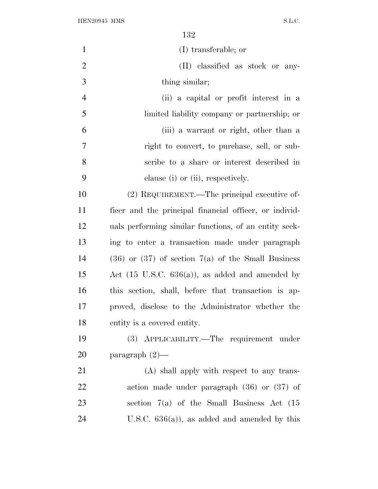| $\mathbf{1}$   | (I) transferable; or                                        |
|----------------|-------------------------------------------------------------|
| $\overline{2}$ | (II) classified as stock or any-                            |
| 3              | thing similar;                                              |
|                |                                                             |
| $\overline{4}$ | (ii) a capital or profit interest in a                      |
| 5              | limited liability company or partnership; or                |
| 6              | (iii) a warrant or right, other than a                      |
| 7              | right to convert, to purchase, sell, or sub-                |
| $8\,$          | scribe to a share or interest described in                  |
| 9              | clause (i) or (ii), respectively.                           |
| 10             | (2) REQUIREMENT.—The principal executive of-                |
| 11             | ficer and the principal financial officer, or individ-      |
| 12             | uals performing similar functions, of an entity seek-       |
| 13             | ing to enter a transaction made under paragraph             |
| 14             | $(36)$ or $(37)$ of section $7(a)$ of the Small Business    |
| 15             | Act $(15 \text{ U.S.C. } 636(a))$ , as added and amended by |
| 16             | this section, shall, before that transaction is ap-         |
| 17             | proved, disclose to the Administrator whether the           |
| 18             | entity is a covered entity.                                 |
| 19             | (3) APPLICABILITY.—The requirement under                    |
| 20             | paragraph $(2)$ —                                           |
| 21             | (A) shall apply with respect to any trans-                  |
| 22             | action made under paragraph $(36)$ or $(37)$ of             |
| 23             | section $7(a)$ of the Small Business Act $(15)$             |
| 24             | U.S.C. $636(a)$ , as added and amended by this              |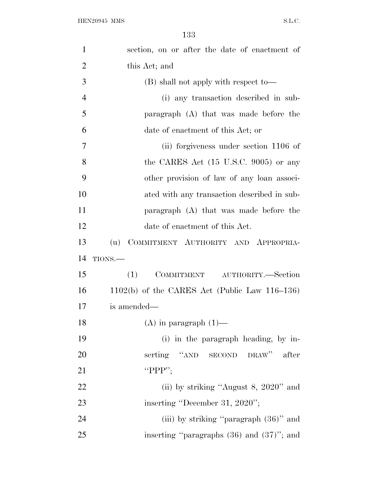| $\mathbf{1}$   | section, on or after the date of enactment of    |
|----------------|--------------------------------------------------|
| $\overline{2}$ | this Act; and                                    |
| 3              | $(B)$ shall not apply with respect to-           |
| $\overline{4}$ | (i) any transaction described in sub-            |
| 5              | paragraph (A) that was made before the           |
| 6              | date of enactment of this Act; or                |
| 7              | (ii) forgiveness under section 1106 of           |
| 8              | the CARES Act $(15 \text{ U.S.C. } 9005)$ or any |
| 9              | other provision of law of any loan associ-       |
| 10             | ated with any transaction described in sub-      |
| 11             | paragraph (A) that was made before the           |
| 12             | date of enactment of this Act.                   |
| 13             | COMMITMENT AUTHORITY AND APPROPRIA-<br>(u)       |
| 14             | TIONS.                                           |
| 15             | AUTHORITY.-Section<br>(1)<br>COMMITMENT          |
| 16             | $1102(b)$ of the CARES Act (Public Law 116–136)  |
| 17             | is amended—                                      |
| 18             | $(A)$ in paragraph $(1)$ —                       |
| 19             | (i) in the paragraph heading, by in-             |
| 20             | serting "AND SECOND DRAW" after                  |
| 21             | "PPP";                                           |
| 22             | (ii) by striking "August 8, $2020$ " and         |
| 23             | inserting "December 31, 2020";                   |
| 24             | (iii) by striking "paragraph (36)" and           |
| 25             | inserting "paragraphs $(36)$ and $(37)$ "; and   |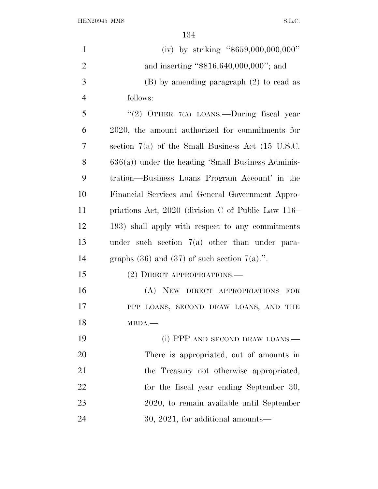${\bf HEN20945~MMS} \hspace{2cm} {\bf S.L.C.}$ 

| $\mathbf{1}$   | (iv) by striking " $$659,000,000,000$ "                        |
|----------------|----------------------------------------------------------------|
| $\overline{2}$ | and inserting "\$816,640,000,000"; and                         |
| 3              | $(B)$ by amending paragraph $(2)$ to read as                   |
| $\overline{4}$ | follows:                                                       |
| 5              | "(2) OTHER 7(A) LOANS.—During fiscal year                      |
| 6              | 2020, the amount authorized for commitments for                |
| $\overline{7}$ | section $7(a)$ of the Small Business Act $(15 \text{ U.S.C.})$ |
| 8              | $636(a)$ ) under the heading 'Small Business Adminis-          |
| 9              | tration—Business Loans Program Account' in the                 |
| 10             | Financial Services and General Government Appro-               |
| 11             | priations Act, 2020 (division C of Public Law 116–             |
| 12             | 193) shall apply with respect to any commitments               |
| 13             | under such section $7(a)$ other than under para-               |
| 14             | graphs $(36)$ and $(37)$ of such section $7(a)$ .".            |
| 15             | (2) DIRECT APPROPRIATIONS.—                                    |
| 16             | (A) NEW DIRECT APPROPRIATIONS FOR                              |
| 17             | PPP LOANS, SECOND DRAW LOANS, AND THE                          |
| 18             | MBDA.                                                          |
| 19             | (i) PPP AND SECOND DRAW LOANS.—                                |
| 20             | There is appropriated, out of amounts in                       |
| 21             | the Treasury not otherwise appropriated,                       |
| 22             | for the fiscal year ending September 30,                       |
| 23             | 2020, to remain available until September                      |
| 24             | $30, 2021,$ for additional amounts—                            |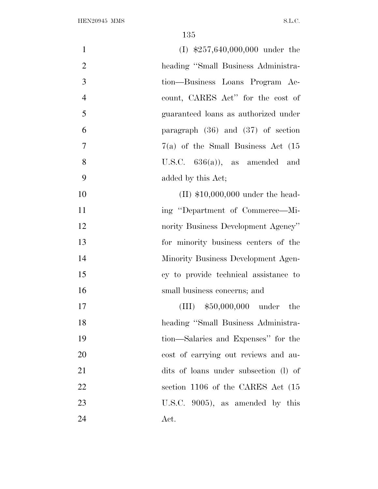| $\mathbf{1}$   | $(I)$ \$257,640,000,000 under the       |
|----------------|-----------------------------------------|
| $\overline{2}$ | heading "Small Business Administra-     |
| 3              | tion—Business Loans Program Ac-         |
| $\overline{4}$ | count, CARES Act" for the cost of       |
| 5              | guaranteed loans as authorized under    |
| 6              | paragraph $(36)$ and $(37)$ of section  |
| $\overline{7}$ | $7(a)$ of the Small Business Act $(15)$ |
| 8              | U.S.C. $636(a)$ , as amended and        |
| 9              | added by this Act;                      |
| 10             | $(II)$ \$10,000,000 under the head-     |
| 11             | ing "Department of Commerce—Mi-         |
| 12             | nority Business Development Agency"     |
| 13             | for minority business centers of the    |
| 14             | Minority Business Development Agen-     |
| 15             | cy to provide technical assistance to   |
| 16             | small business concerns; and            |
| 17             | $(III)$ \$50,000,000 under the          |
| 18             | heading "Small Business Administra-     |
| 19             | tion—Salaries and Expenses" for the     |
| 20             | cost of carrying out reviews and au-    |
| 21             | dits of loans under subsection (1) of   |
| 22             | section 1106 of the CARES Act (15)      |
| 23             | U.S.C. $9005$ , as amended by this      |
| 24             | Act.                                    |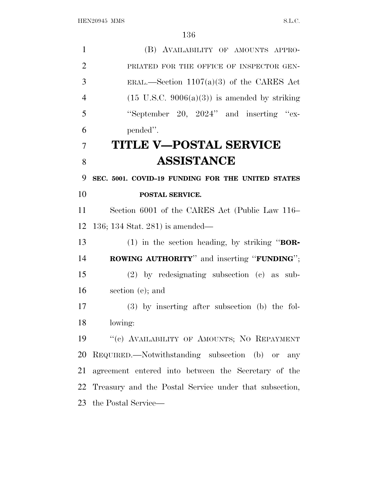| $\mathbf{1}$   | (B) AVAILABILITY OF AMOUNTS APPRO-                       |
|----------------|----------------------------------------------------------|
| $\overline{2}$ | PRIATED FOR THE OFFICE OF INSPECTOR GEN-                 |
| 3              | ERAL.—Section $1107(a)(3)$ of the CARES Act              |
| $\overline{4}$ | $(15 \text{ U.S.C. } 9006(a)(3))$ is amended by striking |
| 5              | "September 20, 2024" and inserting "ex-                  |
| 6              | pended".                                                 |
| 7              | TITLE V—POSTAL SERVICE                                   |
| 8              | <b>ASSISTANCE</b>                                        |
| 9              | SEC. 5001. COVID-19 FUNDING FOR THE UNITED STATES        |
| 10             | POSTAL SERVICE.                                          |
| 11             | Section 6001 of the CARES Act (Public Law 116–           |
| 12             | $136; 134$ Stat. 281) is amended—                        |
| 13             | $(1)$ in the section heading, by striking " <b>BOR</b> - |
| 14             | <b>ROWING AUTHORITY</b> " and inserting "FUNDING";       |
| 15             | $(2)$ by redesignating subsection $(c)$ as sub-          |
| 16             | section (e); and                                         |
| 17             | $(3)$ by inserting after subsection (b) the fol-         |
| 18             | lowing:                                                  |
| 19             | "(c) AVAILABILITY OF AMOUNTS; NO REPAYMENT               |
| 20             | REQUIRED.—Notwithstanding subsection (b) or any          |
| 21             | agreement entered into between the Secretary of the      |
| 22             | Treasury and the Postal Service under that subsection,   |
| 23             | the Postal Service—                                      |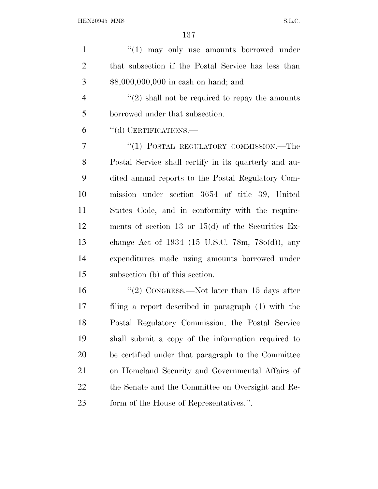1 ''(1) may only use amounts borrowed under that subsection if the Postal Service has less than \$8,000,000,000 in cash on hand; and

 $\frac{4}{2}$  ''(2) shall not be required to repay the amounts borrowed under that subsection.

''(d) CERTIFICATIONS.—

7 "(1) POSTAL REGULATORY COMMISSION.—The Postal Service shall certify in its quarterly and au- dited annual reports to the Postal Regulatory Com- mission under section 3654 of title 39, United States Code, and in conformity with the require- ments of section 13 or 15(d) of the Securities Ex- change Act of 1934 (15 U.S.C. 78m, 78o(d)), any expenditures made using amounts borrowed under subsection (b) of this section.

16 "(2) CONGRESS.—Not later than 15 days after filing a report described in paragraph (1) with the Postal Regulatory Commission, the Postal Service shall submit a copy of the information required to be certified under that paragraph to the Committee on Homeland Security and Governmental Affairs of the Senate and the Committee on Oversight and Re-form of the House of Representatives.''.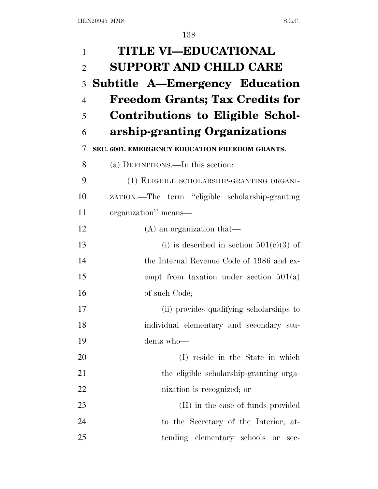| $\mathbf{1}$   | <b>TITLE VI-EDUCATIONAL</b>                      |
|----------------|--------------------------------------------------|
| $\overline{2}$ | <b>SUPPORT AND CHILD CARE</b>                    |
| 3              | Subtitle A-Emergency Education                   |
| $\overline{4}$ | <b>Freedom Grants; Tax Credits for</b>           |
| 5              | Contributions to Eligible Schol-                 |
| 6              | arship-granting Organizations                    |
| 7              | SEC. 6001. EMERGENCY EDUCATION FREEDOM GRANTS.   |
| 8              | (a) DEFINITIONS.—In this section:                |
| 9              | (1) ELIGIBLE SCHOLARSHIP-GRANTING ORGANI-        |
| 10             | ZATION.—The term "eligible scholarship-granting" |
| 11             | organization" means—                             |
| 12             | $(A)$ an organization that—                      |
| 13             | (i) is described in section $501(c)(3)$ of       |
| 14             | the Internal Revenue Code of 1986 and ex-        |
| 15             | empt from taxation under section $501(a)$        |
| 16             | of such Code;                                    |
| 17             | (ii) provides qualifying scholarships to         |
| 18             | individual elementary and secondary stu-         |
| 19             | dents who-                                       |
| 20             | (I) reside in the State in which                 |
| 21             | the eligible scholarship-granting orga-          |
| 22             | nization is recognized; or                       |
| 23             | (II) in the case of funds provided               |
| 24             | to the Secretary of the Interior, at-            |
| 25             | tending elementary schools<br>or<br>sec-         |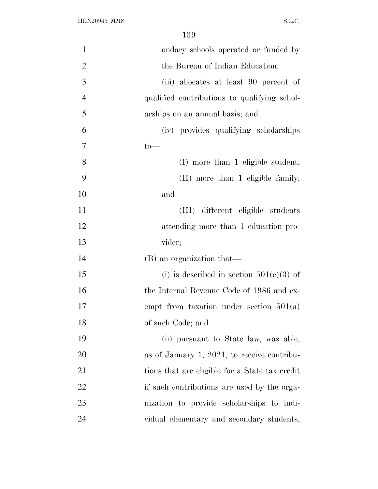| $\mathbf{1}$   | ondary schools operated or funded by           |
|----------------|------------------------------------------------|
| $\overline{2}$ | the Bureau of Indian Education;                |
| 3              | (iii) allocates at least 90 percent of         |
| $\overline{4}$ | qualified contributions to qualifying schol-   |
| 5              | arships on an annual basis; and                |
| 6              | (iv) provides qualifying scholarships          |
| $\overline{7}$ | $to-$                                          |
| 8              | (I) more than 1 eligible student;              |
| 9              | (II) more than 1 eligible family;              |
| 10             | and                                            |
| 11             | (III) different eligible students              |
| 12             | attending more than 1 education pro-           |
| 13             | vider;                                         |
| 14             | (B) an organization that—                      |
| 15             | (i) is described in section $501(c)(3)$ of     |
| 16             | the Internal Revenue Code of 1986 and ex-      |
| 17             | empt from taxation under section $501(a)$      |
| 18             | of such Code; and                              |
| 19             | (ii) pursuant to State law, was able,          |
| 20             | as of January 1, 2021, to receive contribu-    |
| 21             | tions that are eligible for a State tax credit |
| 22             | if such contributions are used by the orga-    |
| 23             | nization to provide scholarships to indi-      |
| 24             | vidual elementary and secondary students,      |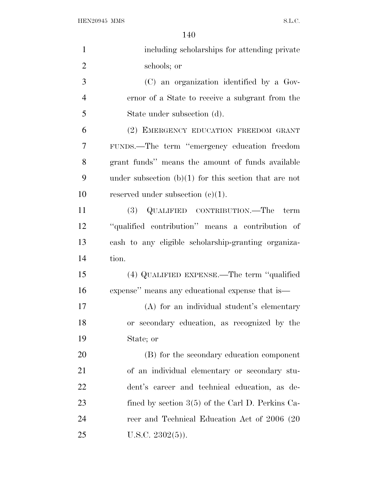| $\mathbf{1}$   | including scholarships for attending private            |
|----------------|---------------------------------------------------------|
| $\overline{2}$ | schools; or                                             |
| 3              | (C) an organization identified by a Gov-                |
| $\overline{4}$ | ernor of a State to receive a subgrant from the         |
| 5              | State under subsection (d).                             |
| 6              | (2) EMERGENCY EDUCATION FREEDOM GRANT                   |
| 7              | FUNDS.—The term "emergency education freedom            |
| 8              | grant funds" means the amount of funds available        |
| 9              | under subsection $(b)(1)$ for this section that are not |
| 10             | reserved under subsection $(c)(1)$ .                    |
| 11             | (3) QUALIFIED CONTRIBUTION.—The term                    |
| 12             | "qualified contribution" means a contribution of        |
| 13             | cash to any eligible scholarship-granting organiza-     |
| 14             | tion.                                                   |
| 15             | (4) QUALIFIED EXPENSE.—The term "qualified              |
| 16             | expense" means any educational expense that is—         |
| 17             | (A) for an individual student's elementary              |
| 18             | or secondary education, as recognized by the            |
| 19             | State; or                                               |
| 20             | (B) for the secondary education component               |
| 21             | of an individual elementary or secondary stu-           |
| 22             | dent's career and technical education, as de-           |
| 23             | fined by section $3(5)$ of the Carl D. Perkins Ca-      |
| 24             | reer and Technical Education Act of 2006 (20            |
| 25             | U.S.C. $2302(5)$ ).                                     |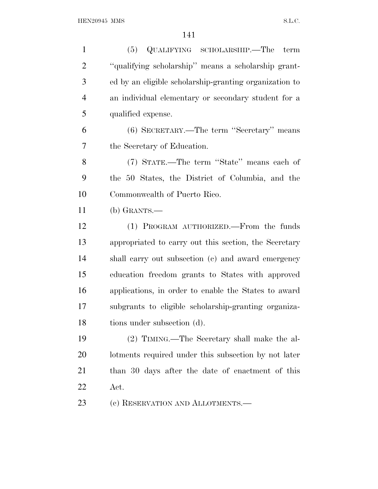(5) QUALIFYING SCHOLARSHIP.—The term ''qualifying scholarship'' means a scholarship grant- ed by an eligible scholarship-granting organization to an individual elementary or secondary student for a qualified expense. (6) SECRETARY.—The term ''Secretary'' means the Secretary of Education. (7) STATE.—The term ''State'' means each of the 50 States, the District of Columbia, and the Commonwealth of Puerto Rico. (b) GRANTS.— (1) PROGRAM AUTHORIZED.—From the funds appropriated to carry out this section, the Secretary shall carry out subsection (c) and award emergency education freedom grants to States with approved applications, in order to enable the States to award subgrants to eligible scholarship-granting organiza- tions under subsection (d). (2) TIMING.—The Secretary shall make the al- lotments required under this subsection by not later than 30 days after the date of enactment of this Act.

23 (c) RESERVATION AND ALLOTMENTS.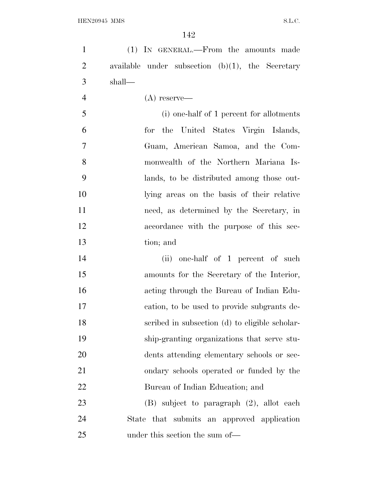(1) IN GENERAL.—From the amounts made available under subsection (b)(1), the Secretary shall—

(A) reserve—

 (i) one-half of 1 percent for allotments for the United States Virgin Islands, Guam, American Samoa, and the Com- monwealth of the Northern Mariana Is- lands, to be distributed among those out- lying areas on the basis of their relative need, as determined by the Secretary, in accordance with the purpose of this sec-tion; and

14 (ii) one-half of 1 percent of such amounts for the Secretary of the Interior, acting through the Bureau of Indian Edu- cation, to be used to provide subgrants de- scribed in subsection (d) to eligible scholar- ship-granting organizations that serve stu- dents attending elementary schools or sec- ondary schools operated or funded by the Bureau of Indian Education; and

 (B) subject to paragraph (2), allot each State that submits an approved application under this section the sum of—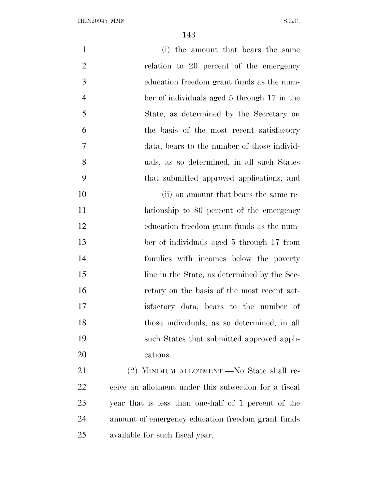| $\mathbf{1}$   | (i) the amount that bears the same                    |
|----------------|-------------------------------------------------------|
| $\overline{2}$ | relation to 20 percent of the emergency               |
| 3              | education freedom grant funds as the num-             |
| $\overline{4}$ | ber of individuals aged 5 through 17 in the           |
| 5              | State, as determined by the Secretary on              |
| 6              | the basis of the most recent satisfactory             |
| 7              | data, bears to the number of those individ-           |
| 8              | uals, as so determined, in all such States            |
| 9              | that submitted approved applications; and             |
| 10             | (ii) an amount that bears the same re-                |
| 11             | lationship to 80 percent of the emergency             |
| 12             | education freedom grant funds as the num-             |
| 13             | ber of individuals aged 5 through 17 from             |
| 14             | families with incomes below the poverty               |
| 15             | line in the State, as determined by the Sec-          |
| 16             | retary on the basis of the most recent sat-           |
| 17             | is factory data, bears to the number of               |
| 18             | those individuals, as so determined, in all           |
| 19             | such States that submitted approved appli-            |
| 20             | cations.                                              |
| 21             | (2) MINIMUM ALLOTMENT.—No State shall re-             |
| 22             | ceive an allotment under this subsection for a fiscal |
| 23             | year that is less than one-half of 1 percent of the   |

 amount of emergency education freedom grant funds available for such fiscal year.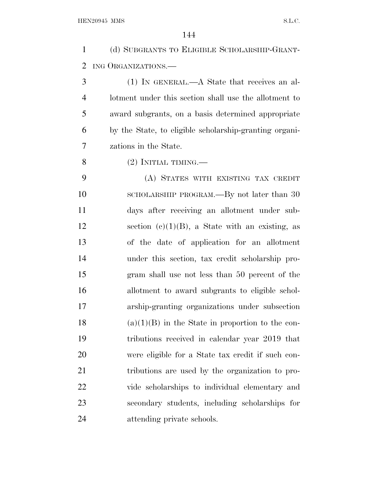(d) SUBGRANTS TO ELIGIBLE SCHOLARSHIP-GRANT-ING ORGANIZATIONS.—

 (1) IN GENERAL.—A State that receives an al- lotment under this section shall use the allotment to award subgrants, on a basis determined appropriate by the State, to eligible scholarship-granting organi-zations in the State.

8  $(2)$  INITIAL TIMING.—

 (A) STATES WITH EXISTING TAX CREDIT 10 SCHOLARSHIP PROGRAM.—By not later than 30 days after receiving an allotment under sub-12 section  $(c)(1)(B)$ , a State with an existing, as of the date of application for an allotment under this section, tax credit scholarship pro- gram shall use not less than 50 percent of the allotment to award subgrants to eligible schol- arship-granting organizations under subsection 18 (a)(1)(B) in the State in proportion to the con- tributions received in calendar year 2019 that were eligible for a State tax credit if such con- tributions are used by the organization to pro- vide scholarships to individual elementary and secondary students, including scholarships for attending private schools.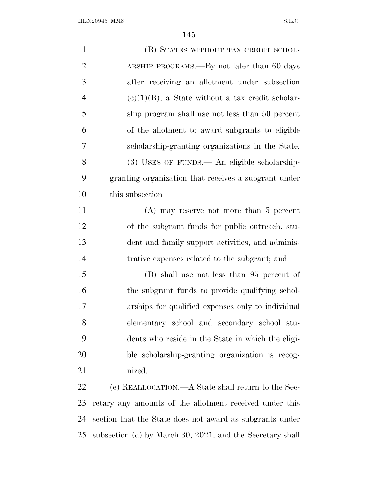| $\mathbf{1}$   | (B) STATES WITHOUT TAX CREDIT SCHOL-                     |
|----------------|----------------------------------------------------------|
| $\overline{2}$ | ARSHIP PROGRAMS.—By not later than 60 days               |
| 3              | after receiving an allotment under subsection            |
| $\overline{4}$ | $(e)(1)(B)$ , a State without a tax credit scholar-      |
| 5              | ship program shall use not less than 50 percent          |
| 6              | of the allotment to award subgrants to eligible          |
| $\overline{7}$ | scholarship-granting organizations in the State.         |
| 8              | (3) USES OF FUNDS.— An eligible scholarship-             |
| 9              | granting organization that receives a subgrant under     |
| 10             | this subsection—                                         |
| 11             | $(A)$ may reserve not more than 5 percent                |
| 12             | of the subgrant funds for public outreach, stu-          |
| 13             | dent and family support activities, and adminis-         |
| 14             | trative expenses related to the subgrant; and            |
| 15             | (B) shall use not less than 95 percent of                |
| 16             | the subgrant funds to provide qualifying schol-          |
| 17             | arships for qualified expenses only to individual        |
| 18             | elementary school and secondary school stu-              |
| 19             | dents who reside in the State in which the eligi-        |
| 20             | ble scholarship-granting organization is recog-          |
| 21             | nized.                                                   |
| 22             | (e) REALLOCATION.—A State shall return to the Sec-       |
| 23             | retary any amounts of the allotment received under this  |
| 24             | section that the State does not award as subgrants under |

subsection (d) by March 30, 2021, and the Secretary shall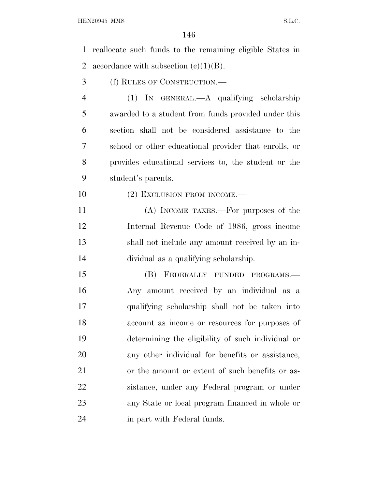reallocate such funds to the remaining eligible States in 2 accordance with subsection  $(c)(1)(B)$ . (f) RULES OF CONSTRUCTION.— (1) IN GENERAL.—A qualifying scholarship awarded to a student from funds provided under this section shall not be considered assistance to the school or other educational provider that enrolls, or provides educational services to, the student or the student's parents. 10 (2) EXCLUSION FROM INCOME.— (A) INCOME TAXES.—For purposes of the Internal Revenue Code of 1986, gross income shall not include any amount received by an in- dividual as a qualifying scholarship. (B) FEDERALLY FUNDED PROGRAMS.— Any amount received by an individual as a qualifying scholarship shall not be taken into account as income or resources for purposes of determining the eligibility of such individual or any other individual for benefits or assistance, or the amount or extent of such benefits or as- sistance, under any Federal program or under any State or local program financed in whole or in part with Federal funds.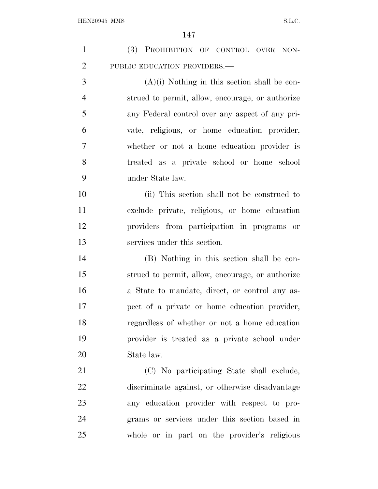| $\mathbf{1}$   | (3) PROHIBITION OF CONTROL OVER NON-             |
|----------------|--------------------------------------------------|
| $\overline{2}$ | PUBLIC EDUCATION PROVIDERS.-                     |
| 3              | $(A)(i)$ Nothing in this section shall be con-   |
| $\overline{4}$ | strued to permit, allow, encourage, or authorize |
| 5              | any Federal control over any aspect of any pri-  |
| 6              | vate, religious, or home education provider,     |
| 7              | whether or not a home education provider is      |
| 8              | treated as a private school or home school       |
| 9              | under State law.                                 |
| 10             | (ii) This section shall not be construed to      |
| 11             | exclude private, religious, or home education    |
| 12             | providers from participation in programs or      |
| 13             | services under this section.                     |
| 14             | (B) Nothing in this section shall be con-        |
| 15             | strued to permit, allow, encourage, or authorize |
| 16             | a State to mandate, direct, or control any as-   |
| 17             | pect of a private or home education provider,    |
| 18             | regardless of whether or not a home education    |
| 19             | provider is treated as a private school under    |
| 20             | State law.                                       |
| 21             | (C) No participating State shall exclude,        |
| 22             | discriminate against, or otherwise disadvantage  |
| 23             | any education provider with respect to pro-      |
| 24             | grams or services under this section based in    |
| 25             | whole or in part on the provider's religious     |
|                |                                                  |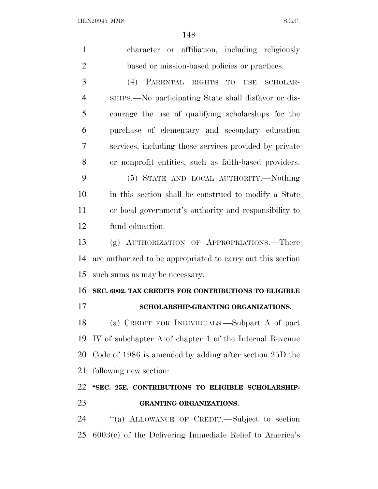| $\mathbf{1}$   | character or affiliation, including religiously             |
|----------------|-------------------------------------------------------------|
| $\overline{2}$ | based or mission-based policies or practices.               |
| 3              | (4) PARENTAL RIGHTS TO USE<br>SCHOLAR-                      |
| $\overline{4}$ | SHIPS.—No participating State shall disfavor or dis-        |
| 5              | courage the use of qualifying scholarships for the          |
| 6              | purchase of elementary and secondary education              |
| 7              | services, including those services provided by private      |
| 8              | or nonprofit entities, such as faith-based providers.       |
| 9              | (5) STATE AND LOCAL AUTHORITY.-Nothing                      |
| 10             | in this section shall be construed to modify a State        |
| 11             | or local government's authority and responsibility to       |
| 12             | fund education.                                             |
| 13             | (g) AUTHORIZATION OF APPROPRIATIONS.—There                  |
| 14             | are authorized to be appropriated to carry out this section |
| 15             | such sums as may be necessary.                              |
| 16             | SEC. 6002. TAX CREDITS FOR CONTRIBUTIONS TO ELIGIBLE        |
| 17             | SCHOLARSHIP-GRANTING ORGANIZATIONS.                         |
| 18             | (a) CREDIT FOR INDIVIDUALS.—Subpart A of part               |
| 19             | IV of subchapter A of chapter 1 of the Internal Revenue     |
| 20             | Code of $1986$ is amended by adding after section $25D$ the |
| 21             | following new section:                                      |
| 22             | "SEC. 25E. CONTRIBUTIONS TO ELIGIBLE SCHOLARSHIP-           |
| 23             | <b>GRANTING ORGANIZATIONS.</b>                              |
| 24             | "(a) ALLOWANCE OF CREDIT.—Subject to section                |
| 25             | $6003(c)$ of the Delivering Immediate Relief to America's   |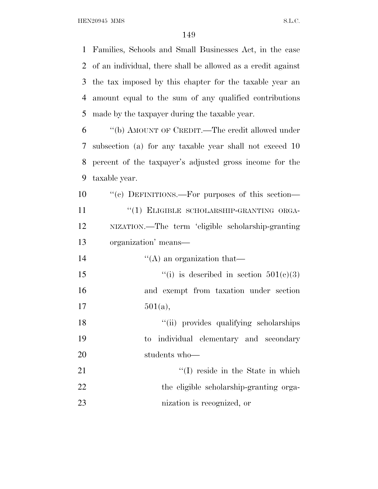HEN20945 MMS S.L.C.

 Families, Schools and Small Businesses Act, in the case of an individual, there shall be allowed as a credit against the tax imposed by this chapter for the taxable year an amount equal to the sum of any qualified contributions made by the taxpayer during the taxable year.

 ''(b) AMOUNT OF CREDIT.—The credit allowed under subsection (a) for any taxable year shall not exceed 10 percent of the taxpayer's adjusted gross income for the taxable year.

 ''(c) DEFINITIONS.—For purposes of this section— 11 "(1) ELIGIBLE SCHOLARSHIP-GRANTING ORGA- NIZATION.—The term 'eligible scholarship-granting organization' means—

 $"({\rm A})$  an organization that—  $\qquad$  ''(i) is described in section  $501(c)(3)$  and exempt from taxation under section  $17 \t\t 501(a),$ 

18 ''(ii) provides qualifying scholarships to individual elementary and secondary students who—

21 ''(I) reside in the State in which 22 the eligible scholarship-granting orga-nization is recognized, or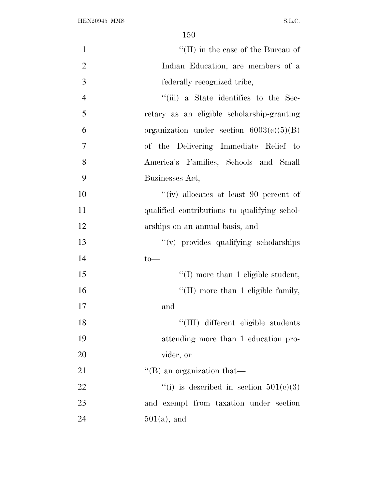| $\mathbf{1}$   | $\lq\lq$ (II) in the case of the Bureau of   |
|----------------|----------------------------------------------|
| $\overline{2}$ | Indian Education, are members of a           |
| 3              | federally recognized tribe,                  |
| $\overline{4}$ | "(iii) a State identifies to the Sec-        |
| 5              | retary as an eligible scholarship-granting   |
| 6              | organization under section $6003(c)(5)(B)$   |
| $\overline{7}$ | of the Delivering Immediate Relief to        |
| 8              | America's Families, Schools and Small        |
| 9              | Businesses Act,                              |
| 10             | "(iv) allocates at least 90 percent of       |
| 11             | qualified contributions to qualifying schol- |
| 12             | arships on an annual basis, and              |
| 13             | "(v) provides qualifying scholarships        |
| 14             | $to-$                                        |
| 15             | $\lq\lq$ (I) more than 1 eligible student,   |
| 16             | $\lq\lq$ (II) more than 1 eligible family,   |
| 17             | and                                          |
| 18             | "(III) different eligible students           |
| 19             | attending more than 1 education pro-         |
| 20             | vider, or                                    |
| 21             | $\lq$ (B) an organization that—              |
| 22             | "(i) is described in section $501(e)(3)$     |
| 23             | and exempt from taxation under section       |
| 24             | $501(a)$ , and                               |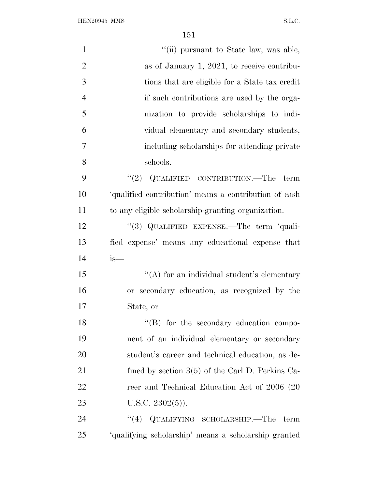HEN20945 MMS S.L.C.

| $\mathbf{1}$   | "(ii) pursuant to State law, was able,                |
|----------------|-------------------------------------------------------|
| $\overline{2}$ | as of January 1, 2021, to receive contribu-           |
| 3              | tions that are eligible for a State tax credit        |
| $\overline{4}$ | if such contributions are used by the orga-           |
| 5              | nization to provide scholarships to indi-             |
| 6              | vidual elementary and secondary students,             |
| 7              | including scholarships for attending private          |
| 8              | schools.                                              |
| 9              | "(2) QUALIFIED CONTRIBUTION.—The term                 |
| 10             | 'qualified contribution' means a contribution of cash |
| 11             | to any eligible scholarship-granting organization.    |
| 12             | "(3) QUALIFIED EXPENSE.—The term 'quali-              |
| 13             | fied expense' means any educational expense that      |
| 14             | is—                                                   |
| 15             | "(A) for an individual student's elementary           |
| 16             | or secondary education, as recognized by the          |
| 17             | State, or                                             |
| 18             | "(B) for the secondary education compo-               |
| 19             | nent of an individual elementary or secondary         |
| 20             | student's career and technical education, as de-      |
| 21             | fined by section $3(5)$ of the Carl D. Perkins Ca-    |
| 22             | reer and Technical Education Act of 2006 (20          |
| 23             | U.S.C. $2302(5)$ ).                                   |
| 24             | "(4) QUALIFYING SCHOLARSHIP.—The term                 |
| 25             | 'qualifying scholarship' means a scholarship granted  |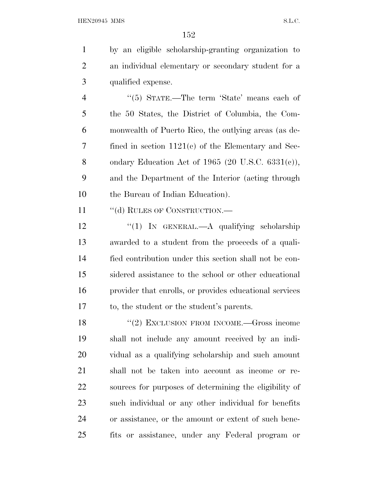by an eligible scholarship-granting organization to an individual elementary or secondary student for a qualified expense.

4 "(5) STATE.—The term 'State' means each of the 50 States, the District of Columbia, the Com- monwealth of Puerto Rico, the outlying areas (as de- fined in section 1121(c) of the Elementary and Sec- ondary Education Act of 1965 (20 U.S.C. 6331(c)), and the Department of the Interior (acting through 10 the Bureau of Indian Education).

11 "(d) RULES OF CONSTRUCTION.—

12 "(1) IN GENERAL.—A qualifying scholarship awarded to a student from the proceeds of a quali- fied contribution under this section shall not be con- sidered assistance to the school or other educational provider that enrolls, or provides educational services to, the student or the student's parents.

18 "(2) EXCLUSION FROM INCOME.—Gross income shall not include any amount received by an indi- vidual as a qualifying scholarship and such amount shall not be taken into account as income or re- sources for purposes of determining the eligibility of such individual or any other individual for benefits or assistance, or the amount or extent of such bene-fits or assistance, under any Federal program or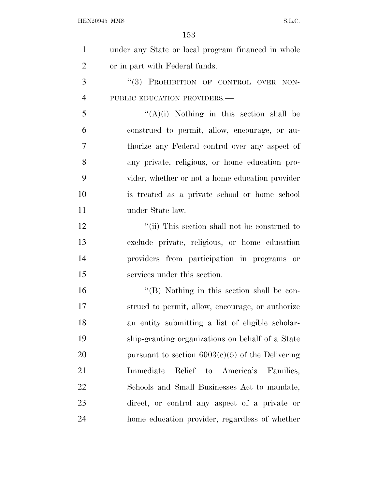${\bf HEN20945~MMS} \hspace{2cm} {\bf S.L.C.}$ 

| $\mathbf{1}$   | under any State or local program financed in whole |
|----------------|----------------------------------------------------|
| $\overline{2}$ | or in part with Federal funds.                     |
| 3              | "(3) PROHIBITION OF CONTROL OVER NON-              |
| $\overline{4}$ | PUBLIC EDUCATION PROVIDERS.-                       |
| 5              | $\lq\lq (A)(i)$ Nothing in this section shall be   |
| 6              | construed to permit, allow, encourage, or au-      |
| 7              | thorize any Federal control over any aspect of     |
| 8              | any private, religious, or home education pro-     |
| 9              | vider, whether or not a home education provider    |
| 10             | is treated as a private school or home school      |
| 11             | under State law.                                   |
| 12             | "(ii) This section shall not be construed to       |
| 13             | exclude private, religious, or home education      |
| 14             | providers from participation in programs or        |
| 15             | services under this section.                       |
| 16             | "(B) Nothing in this section shall be con-         |
| 17             | strued to permit, allow, encourage, or authorize   |
| 18             | an entity submitting a list of eligible scholar-   |
| 19             | ship-granting organizations on behalf of a State   |
| 20             | pursuant to section $6003(c)(5)$ of the Delivering |
| 21             | Relief to America's<br>Immediate<br>Families,      |
| 22             | Schools and Small Businesses Act to mandate,       |
| 23             | direct, or control any aspect of a private or      |
| 24             | home education provider, regardless of whether     |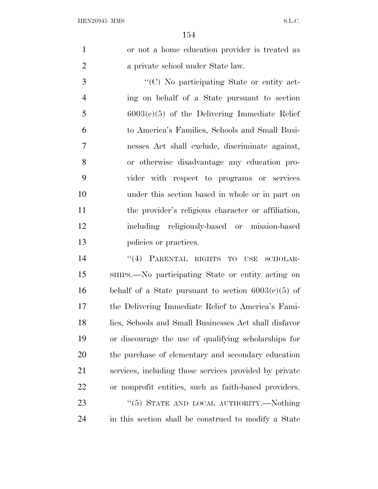or not a home education provider is treated as a private school under State law.

 $\cdot$  (C) No participating State or entity act- ing on behalf of a State pursuant to section 6003(c)(5) of the Delivering Immediate Relief to America's Families, Schools and Small Busi- nesses Act shall exclude, discriminate against, or otherwise disadvantage any education pro- vider with respect to programs or services under this section based in whole or in part on the provider's religious character or affiliation, including religiously-based or mission-based 13 policies or practices.

14 "(4) PARENTAL RIGHTS TO USE SCHOLAR- SHIPS.—No participating State or entity acting on 16 behalf of a State pursuant to section  $6003(c)(5)$  of the Delivering Immediate Relief to America's Fami- lies, Schools and Small Businesses Act shall disfavor or discourage the use of qualifying scholarships for the purchase of elementary and secondary education services, including those services provided by private or nonprofit entities, such as faith-based providers. 23 "(5) STATE AND LOCAL AUTHORITY.—Nothing in this section shall be construed to modify a State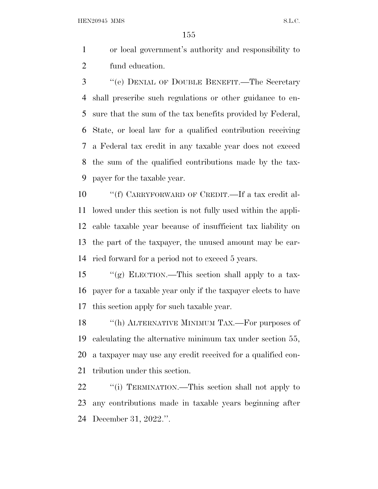HEN20945 MMS S.L.C.

 or local government's authority and responsibility to fund education.

 ''(e) DENIAL OF DOUBLE BENEFIT.—The Secretary shall prescribe such regulations or other guidance to en- sure that the sum of the tax benefits provided by Federal, State, or local law for a qualified contribution receiving a Federal tax credit in any taxable year does not exceed the sum of the qualified contributions made by the tax-payer for the taxable year.

 ''(f) CARRYFORWARD OF CREDIT.—If a tax credit al- lowed under this section is not fully used within the appli- cable taxable year because of insufficient tax liability on the part of the taxpayer, the unused amount may be car-ried forward for a period not to exceed 5 years.

 ''(g) ELECTION.—This section shall apply to a tax- payer for a taxable year only if the taxpayer elects to have this section apply for such taxable year.

18 "(h) ALTERNATIVE MINIMUM TAX.—For purposes of calculating the alternative minimum tax under section 55, a taxpayer may use any credit received for a qualified con-tribution under this section.

22 ""(i) TERMINATION.—This section shall not apply to any contributions made in taxable years beginning after December 31, 2022.''.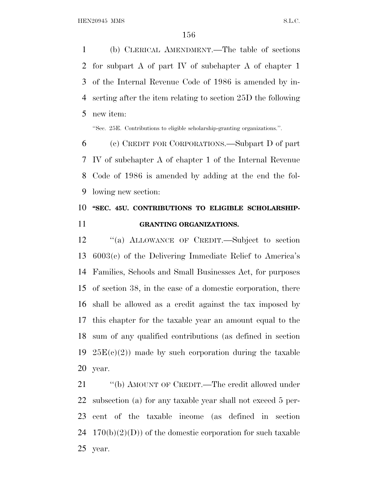(b) CLERICAL AMENDMENT.—The table of sections for subpart A of part IV of subchapter A of chapter 1 of the Internal Revenue Code of 1986 is amended by in- serting after the item relating to section 25D the following new item:

''Sec. 25E. Contributions to eligible scholarship-granting organizations.''.

 (c) CREDIT FOR CORPORATIONS.—Subpart D of part IV of subchapter A of chapter 1 of the Internal Revenue Code of 1986 is amended by adding at the end the fol-lowing new section:

## **''SEC. 45U. CONTRIBUTIONS TO ELIGIBLE SCHOLARSHIP-GRANTING ORGANIZATIONS.**

 ''(a) ALLOWANCE OF CREDIT.—Subject to section 6003(c) of the Delivering Immediate Relief to America's Families, Schools and Small Businesses Act, for purposes of section 38, in the case of a domestic corporation, there shall be allowed as a credit against the tax imposed by this chapter for the taxable year an amount equal to the sum of any qualified contributions (as defined in section  $25E(c)(2)$  made by such corporation during the taxable year.

21 "(b) AMOUNT OF CREDIT.—The credit allowed under subsection (a) for any taxable year shall not exceed 5 per- cent of the taxable income (as defined in section 24  $170(b)(2)(D)$  of the domestic corporation for such taxable year.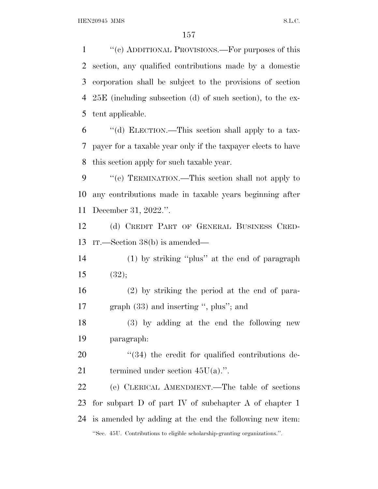''(c) ADDITIONAL PROVISIONS.—For purposes of this section, any qualified contributions made by a domestic corporation shall be subject to the provisions of section 25E (including subsection (d) of such section), to the ex-tent applicable.

 ''(d) ELECTION.—This section shall apply to a tax- payer for a taxable year only if the taxpayer elects to have this section apply for such taxable year.

 ''(e) TERMINATION.—This section shall not apply to any contributions made in taxable years beginning after December 31, 2022.''.

 (d) CREDIT PART OF GENERAL BUSINESS CRED-IT.—Section 38(b) is amended—

 (1) by striking ''plus'' at the end of paragraph 15  $(32);$ 

 (2) by striking the period at the end of para-17 graph (33) and inserting ", plus"; and

 (3) by adding at the end the following new paragraph:

20  $(34)$  the credit for qualified contributions de-21 termined under section  $45U(a)$ .".

 (e) CLERICAL AMENDMENT.—The table of sections for subpart D of part IV of subchapter A of chapter 1 is amended by adding at the end the following new item: ''Sec. 45U. Contributions to eligible scholarship-granting organizations.''.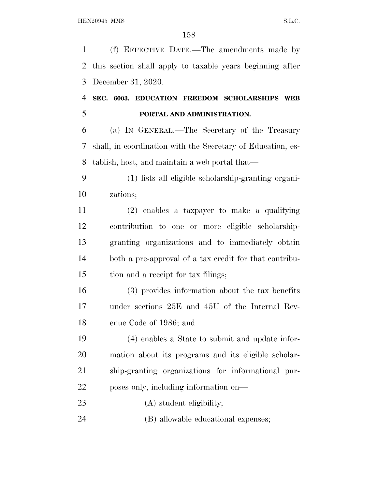(f) EFFECTIVE DATE.—The amendments made by this section shall apply to taxable years beginning after December 31, 2020.

## **SEC. 6003. EDUCATION FREEDOM SCHOLARSHIPS WEB PORTAL AND ADMINISTRATION.**

 (a) I<sup>N</sup> GENERAL.—The Secretary of the Treasury shall, in coordination with the Secretary of Education, es-tablish, host, and maintain a web portal that—

 (1) lists all eligible scholarship-granting organi-zations;

 (2) enables a taxpayer to make a qualifying contribution to one or more eligible scholarship- granting organizations and to immediately obtain both a pre-approval of a tax credit for that contribu-tion and a receipt for tax filings;

 (3) provides information about the tax benefits under sections 25E and 45U of the Internal Rev-enue Code of 1986; and

 (4) enables a State to submit and update infor- mation about its programs and its eligible scholar- ship-granting organizations for informational pur-poses only, including information on—

23 (A) student eligibility;

(B) allowable educational expenses;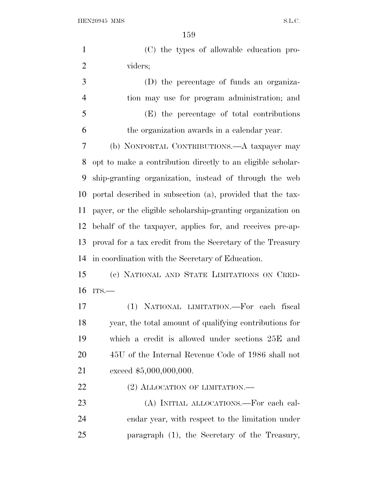HEN20945 MMS S.L.C.

 (C) the types of allowable education pro- viders; (D) the percentage of funds an organiza- tion may use for program administration; and (E) the percentage of total contributions

the organization awards in a calendar year.

 (b) NONPORTAL CONTRIBUTIONS.—A taxpayer may opt to make a contribution directly to an eligible scholar- ship-granting organization, instead of through the web portal described in subsection (a), provided that the tax- payer, or the eligible scholarship-granting organization on behalf of the taxpayer, applies for, and receives pre-ap- proval for a tax credit from the Secretary of the Treasury in coordination with the Secretary of Education.

 (c) NATIONAL AND STATE LIMITATIONS ON CRED-ITS.—

 (1) NATIONAL LIMITATION.—For each fiscal year, the total amount of qualifying contributions for which a credit is allowed under sections 25E and 45U of the Internal Revenue Code of 1986 shall not 21 exceed \$5,000,000,000.

22 (2) ALLOCATION OF LIMITATION.—

 (A) INITIAL ALLOCATIONS.—For each cal- endar year, with respect to the limitation under paragraph (1), the Secretary of the Treasury,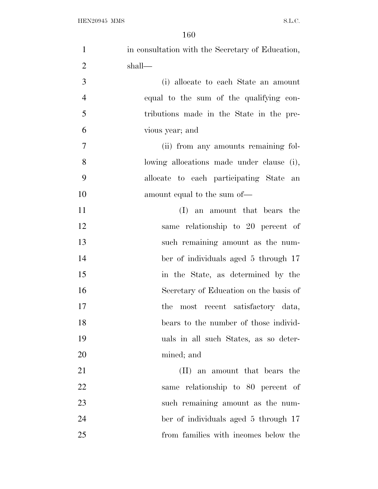| $\mathbf{1}$   | in consultation with the Secretary of Education, |
|----------------|--------------------------------------------------|
| $\overline{2}$ | shall—                                           |
| 3              | (i) allocate to each State an amount             |
| $\overline{4}$ | equal to the sum of the qualifying con-          |
| 5              | tributions made in the State in the pre-         |
| 6              | vious year; and                                  |
| 7              | (ii) from any amounts remaining fol-             |
| 8              | lowing allocations made under clause (i),        |
| 9              | allocate to each participating State an          |
| 10             | amount equal to the sum of—                      |
| 11             | (I) an amount that bears the                     |
| 12             | same relationship to 20 percent of               |
| 13             | such remaining amount as the num-                |
| 14             | ber of individuals aged 5 through 17             |
| 15             | in the State, as determined by the               |
| 16             | Secretary of Education on the basis of           |
| 17             | the most recent satisfactory data,               |
| 18             | bears to the number of those individ-            |
| 19             | uals in all such States, as so deter-            |
| 20             | mined; and                                       |
| 21             | (II) an amount that bears the                    |
| 22             | same relationship to 80 percent of               |
| 23             | such remaining amount as the num-                |
| 24             | ber of individuals aged 5 through 17             |
| 25             | from families with incomes below the             |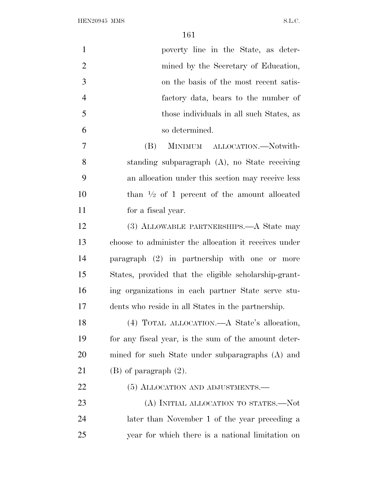| $\mathbf{1}$   | poverty line in the State, as deter-                    |
|----------------|---------------------------------------------------------|
| $\overline{2}$ | mined by the Secretary of Education,                    |
| 3              | on the basis of the most recent satis-                  |
| $\overline{4}$ | factory data, bears to the number of                    |
| 5              | those individuals in all such States, as                |
| 6              | so determined.                                          |
| 7              | (B)<br>MINIMUM ALLOCATION.—Notwith-                     |
| 8              | standing subparagraph (A), no State receiving           |
| 9              | an allocation under this section may receive less       |
| 10             | than $\frac{1}{2}$ of 1 percent of the amount allocated |
| 11             | for a fiscal year.                                      |
| 12             | (3) ALLOWABLE PARTNERSHIPS.—A State may                 |
| 13             | choose to administer the allocation it receives under   |
| 14             | paragraph (2) in partnership with one or more           |
| 15             | States, provided that the eligible scholarship-grant-   |
| 16             | ing organizations in each partner State serve stu-      |
| 17             | dents who reside in all States in the partnership.      |
| 18             | (4) TOTAL ALLOCATION.—A State's allocation,             |
| 19             | for any fiscal year, is the sum of the amount deter-    |
| 20             | mined for such State under subparagraphs (A) and        |
| 21             | $(B)$ of paragraph $(2)$ .                              |
| 22             | (5) ALLOCATION AND ADJUSTMENTS.—                        |
| 23             | (A) INITIAL ALLOCATION TO STATES.—Not                   |
| 24             | later than November 1 of the year preceding a           |
| 25             | year for which there is a national limitation on        |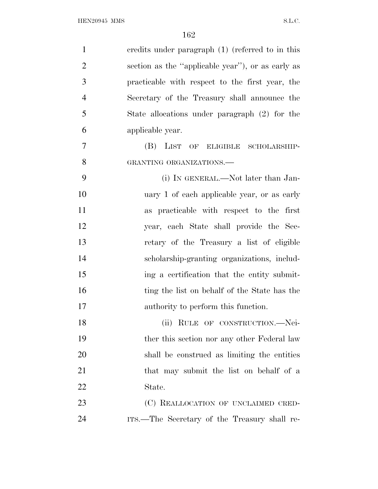| $\mathbf{1}$   | credits under paragraph (1) (referred to in this  |
|----------------|---------------------------------------------------|
| $\overline{2}$ | section as the "applicable year"), or as early as |
| 3              | practicable with respect to the first year, the   |
| $\overline{4}$ | Secretary of the Treasury shall announce the      |
| 5              | State allocations under paragraph (2) for the     |
| 6              | applicable year.                                  |
| 7              | (B)<br>LIST<br>OF ELIGIBLE SCHOLARSHIP-           |
| 8              | GRANTING ORGANIZATIONS.-                          |
| 9              | (i) IN GENERAL.—Not later than Jan-               |
| 10             | uary 1 of each applicable year, or as early       |
| 11             | as practicable with respect to the first          |
| 12             | year, each State shall provide the Sec-           |
| 13             | retary of the Treasury a list of eligible         |
| 14             | scholarship-granting organizations, includ-       |
| 15             | ing a certification that the entity submit-       |
| 16             | ting the list on behalf of the State has the      |
| 17             | authority to perform this function.               |
| 18             | (ii) RULE OF CONSTRUCTION.—Nei-                   |
| 19             | ther this section nor any other Federal law       |
| 20             | shall be construed as limiting the entities       |
| 21             | that may submit the list on behalf of a           |
| <u>22</u>      | State.                                            |
| 23             | (C) REALLOCATION OF UNCLAIMED CRED-               |
| 24             | ITS.—The Secretary of the Treasury shall re-      |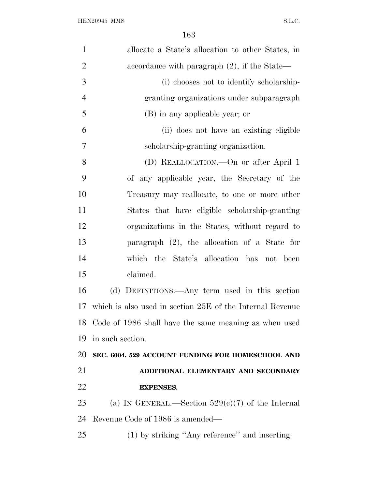| $\mathbf{1}$   | allocate a State's allocation to other States, in         |
|----------------|-----------------------------------------------------------|
| $\overline{2}$ | accordance with paragraph $(2)$ , if the State—           |
| 3              | (i) chooses not to identify scholarship-                  |
| $\overline{4}$ | granting organizations under subparagraph                 |
| 5              | (B) in any applicable year; or                            |
| 6              | (ii) does not have an existing eligible                   |
| 7              | scholarship-granting organization.                        |
| 8              | (D) REALLOCATION.—On or after April 1                     |
| 9              | of any applicable year, the Secretary of the              |
| 10             | Treasury may reallocate, to one or more other             |
| 11             | States that have eligible scholarship-granting            |
| 12             | organizations in the States, without regard to            |
| 13             | paragraph $(2)$ , the allocation of a State for           |
| 14             | which the State's allocation has not been                 |
| 15             | claimed.                                                  |
| 16             | (d) DEFINITIONS.—Any term used in this section            |
| 17             | which is also used in section 25E of the Internal Revenue |
| 18             | Code of 1986 shall have the same meaning as when used     |
| 19             | in such section.                                          |
| 20             | SEC. 6004. 529 ACCOUNT FUNDING FOR HOMESCHOOL AND         |
| 21             | ADDITIONAL ELEMENTARY AND SECONDARY                       |
| 22             | <b>EXPENSES.</b>                                          |
| 23             | (a) IN GENERAL.—Section $529(c)(7)$ of the Internal       |
| 24             | Revenue Code of 1986 is amended—                          |
| 25             | (1) by striking "Any reference" and inserting             |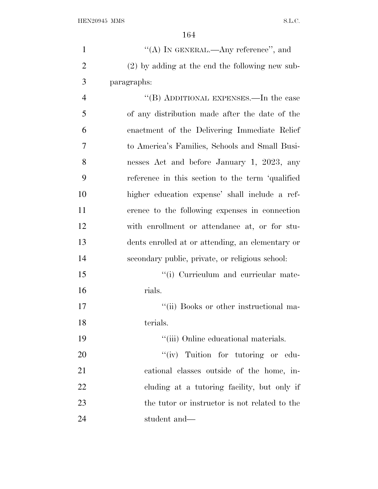| $\mathbf{1}$   | "(A) IN GENERAL.—Any reference", and              |
|----------------|---------------------------------------------------|
| $\overline{2}$ | $(2)$ by adding at the end the following new sub- |
| 3              | paragraphs:                                       |
| $\overline{4}$ | "(B) ADDITIONAL EXPENSES.—In the case             |
| 5              | of any distribution made after the date of the    |
| 6              | enactment of the Delivering Immediate Relief      |
| 7              | to America's Families, Schools and Small Busi-    |
| 8              | nesses Act and before January 1, 2023, any        |
| 9              | reference in this section to the term 'qualified  |
| 10             | higher education expense' shall include a ref-    |
| 11             | erence to the following expenses in connection    |
| 12             | with enrollment or attendance at, or for stu-     |
| 13             | dents enrolled at or attending, an elementary or  |
| 14             | secondary public, private, or religious school:   |
| 15             | "(i) Curriculum and curricular mate-              |
| 16             | rials.                                            |
| 17             | "(ii) Books or other instructional ma-            |
| 18             | terials.                                          |
| 19             | "(iii) Online educational materials.              |
| 20             | "(iv) Tuition for tutoring or edu-                |
| 21             | cational classes outside of the home, in-         |
| 22             | cluding at a tutoring facility, but only if       |
| 23             | the tutor or instructor is not related to the     |
| 24             | student and-                                      |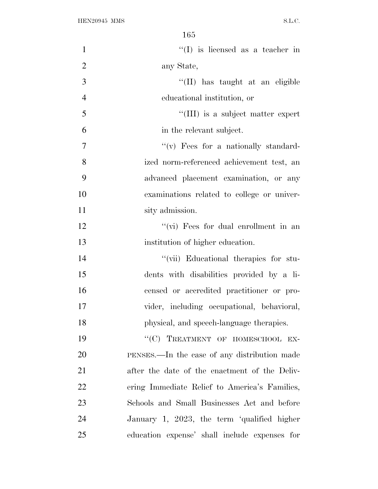| $\mathbf{1}$   | $\lq\lq$ (I) is licensed as a teacher in      |
|----------------|-----------------------------------------------|
| $\overline{2}$ | any State,                                    |
| 3              | "(II) has taught at an eligible               |
| $\overline{4}$ | educational institution, or                   |
| 5              | "(III) is a subject matter expert             |
| 6              | in the relevant subject.                      |
| $\overline{7}$ | $``(v)$ Fees for a nationally standard-       |
| 8              | ized norm-referenced achievement test, an     |
| 9              | advanced placement examination, or any        |
| 10             | examinations related to college or univer-    |
| 11             | sity admission.                               |
| 12             | "(vi) Fees for dual enrollment in an          |
| 13             | institution of higher education.              |
| 14             | "(vii) Educational therapies for stu-         |
| 15             | dents with disabilities provided by a li-     |
| 16             | censed or accredited practitioner or pro-     |
| 17             | vider, including occupational, behavioral,    |
| 18             | physical, and speech-language therapies.      |
| 19             | "(C) TREATMENT OF HOMESCHOOL EX-              |
| 20             | PENSES.—In the case of any distribution made  |
| 21             | after the date of the enactment of the Deliv- |
| 22             | ering Immediate Relief to America's Families, |
| 23             | Schools and Small Businesses Act and before   |
| 24             | January 1, 2023, the term 'qualified higher   |
| 25             | education expense' shall include expenses for |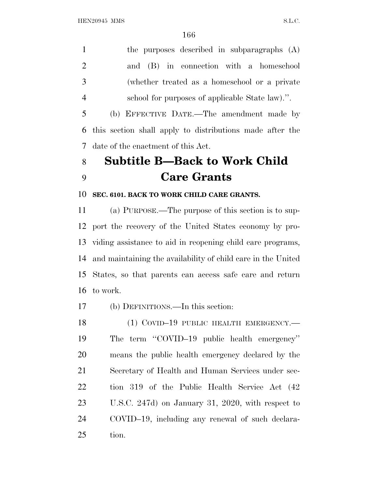the purposes described in subparagraphs (A) and (B) in connection with a homeschool (whether treated as a homeschool or a private school for purposes of applicable State law).''.

 (b) EFFECTIVE DATE.—The amendment made by this section shall apply to distributions made after the date of the enactment of this Act.

## **Subtitle B—Back to Work Child Care Grants**

## **SEC. 6101. BACK TO WORK CHILD CARE GRANTS.**

 (a) PURPOSE.—The purpose of this section is to sup- port the recovery of the United States economy by pro- viding assistance to aid in reopening child care programs, and maintaining the availability of child care in the United States, so that parents can access safe care and return to work.

(b) DEFINITIONS.—In this section:

18 (1) COVID-19 PUBLIC HEALTH EMERGENCY.— The term ''COVID–19 public health emergency'' means the public health emergency declared by the Secretary of Health and Human Services under sec- tion 319 of the Public Health Service Act (42 U.S.C. 247d) on January 31, 2020, with respect to COVID–19, including any renewal of such declara-tion.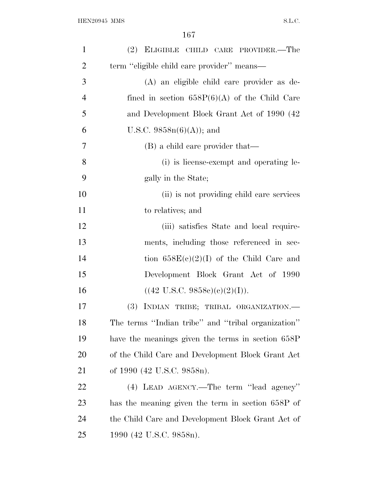| $\mathbf{1}$   | (2) ELIGIBLE CHILD CARE PROVIDER.—The              |
|----------------|----------------------------------------------------|
| $\overline{2}$ | term "eligible child care provider" means—         |
| 3              | (A) an eligible child care provider as de-         |
| $\overline{4}$ | fined in section $658P(6)(A)$ of the Child Care    |
| 5              | and Development Block Grant Act of 1990 (42)       |
| 6              | U.S.C. $9858n(6)(A)$ ; and                         |
| $\overline{7}$ | (B) a child care provider that—                    |
| 8              | (i) is license-exempt and operating le-            |
| 9              | gally in the State;                                |
| 10             | (ii) is not providing child care services          |
| 11             | to relatives; and                                  |
| 12             | (iii) satisfies State and local require-           |
| 13             | ments, including those referenced in sec-          |
| 14             | tion $658E(c)(2)(I)$ of the Child Care and         |
| 15             | Development Block Grant Act of 1990                |
| 16             | $((42 \text{ U.S.C. } 9858e)(e)(2)(I)).$           |
| 17             | (3) INDIAN TRIBE; TRIBAL ORGANIZATION.-            |
| 18             | The terms "Indian tribe" and "tribal organization" |
| 19             | have the meanings given the terms in section 658P  |
| 20             | of the Child Care and Development Block Grant Act  |
| 21             | of 1990 (42 U.S.C. 9858n).                         |
| 22             | $(4)$ LEAD AGENCY.—The term "lead agency"          |
| 23             | has the meaning given the term in section 658P of  |
| 24             | the Child Care and Development Block Grant Act of  |
| 25             | 1990 (42 U.S.C. 9858n).                            |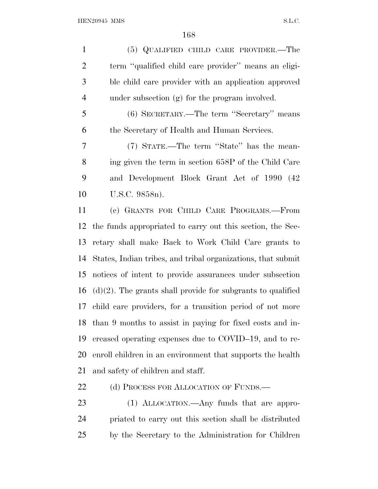(5) QUALIFIED CHILD CARE PROVIDER.—The term ''qualified child care provider'' means an eligi- ble child care provider with an application approved under subsection (g) for the program involved. (6) SECRETARY.—The term ''Secretary'' means the Secretary of Health and Human Services. (7) STATE.—The term ''State'' has the mean- ing given the term in section 658P of the Child Care and Development Block Grant Act of 1990 (42 U.S.C. 9858n). (c) GRANTS FOR CHILD CARE PROGRAMS.—From the funds appropriated to carry out this section, the Sec- retary shall make Back to Work Child Care grants to States, Indian tribes, and tribal organizations, that submit notices of intent to provide assurances under subsection 16 (d)(2). The grants shall provide for subgrants to qualified child care providers, for a transition period of not more

 than 9 months to assist in paying for fixed costs and in- creased operating expenses due to COVID–19, and to re- enroll children in an environment that supports the health and safety of children and staff.

22 (d) PROCESS FOR ALLOCATION OF FUNDS.

23 (1) ALLOCATION.—Any funds that are appro- priated to carry out this section shall be distributed by the Secretary to the Administration for Children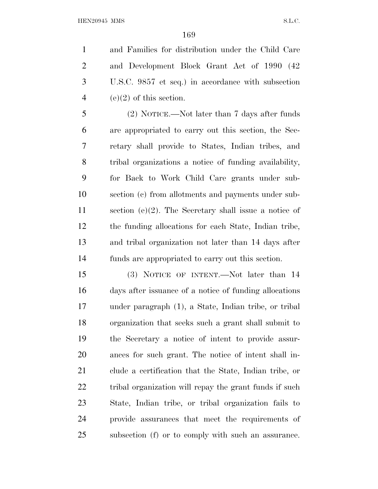and Families for distribution under the Child Care and Development Block Grant Act of 1990 (42 U.S.C. 9857 et seq.) in accordance with subsection 4 (e)(2) of this section.

 (2) NOTICE.—Not later than 7 days after funds are appropriated to carry out this section, the Sec- retary shall provide to States, Indian tribes, and tribal organizations a notice of funding availability, for Back to Work Child Care grants under sub- section (c) from allotments and payments under sub- section (e)(2). The Secretary shall issue a notice of the funding allocations for each State, Indian tribe, and tribal organization not later than 14 days after funds are appropriated to carry out this section.

 (3) NOTICE OF INTENT.—Not later than 14 days after issuance of a notice of funding allocations under paragraph (1), a State, Indian tribe, or tribal organization that seeks such a grant shall submit to the Secretary a notice of intent to provide assur- ances for such grant. The notice of intent shall in- clude a certification that the State, Indian tribe, or 22 tribal organization will repay the grant funds if such State, Indian tribe, or tribal organization fails to provide assurances that meet the requirements of subsection (f) or to comply with such an assurance.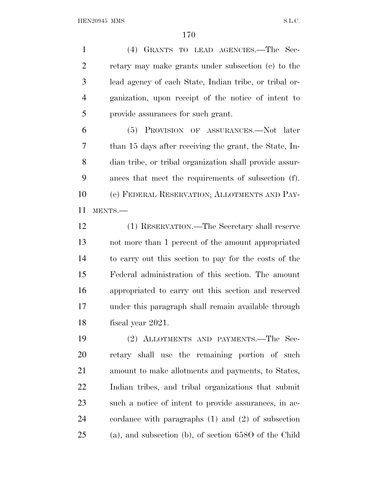(4) GRANTS TO LEAD AGENCIES.—The Sec- retary may make grants under subsection (c) to the lead agency of each State, Indian tribe, or tribal or- ganization, upon receipt of the notice of intent to provide assurances for such grant.

 (5) PROVISION OF ASSURANCES.—Not later than 15 days after receiving the grant, the State, In- dian tribe, or tribal organization shall provide assur- ances that meet the requirements of subsection (f). (e) FEDERAL RESERVATION; ALLOTMENTS AND PAY-MENTS.—

 (1) RESERVATION.—The Secretary shall reserve not more than 1 percent of the amount appropriated to carry out this section to pay for the costs of the Federal administration of this section. The amount appropriated to carry out this section and reserved under this paragraph shall remain available through fiscal year 2021.

 (2) ALLOTMENTS AND PAYMENTS.—The Sec- retary shall use the remaining portion of such amount to make allotments and payments, to States, Indian tribes, and tribal organizations that submit such a notice of intent to provide assurances, in ac- cordance with paragraphs (1) and (2) of subsection (a), and subsection (b), of section 658O of the Child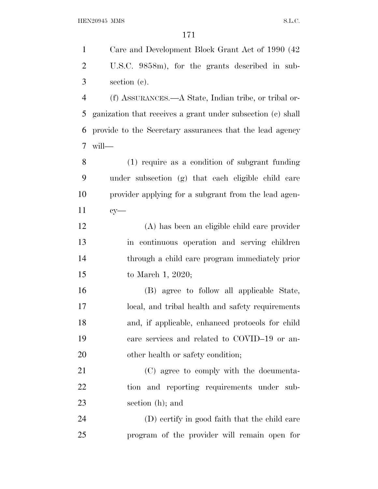Care and Development Block Grant Act of 1990 (42 U.S.C. 9858m), for the grants described in sub- section (c). (f) ASSURANCES.—A State, Indian tribe, or tribal or- ganization that receives a grant under subsection (c) shall provide to the Secretary assurances that the lead agency will— (1) require as a condition of subgrant funding under subsection (g) that each eligible child care provider applying for a subgrant from the lead agen- cy— (A) has been an eligible child care provider in continuous operation and serving children through a child care program immediately prior to March 1, 2020; (B) agree to follow all applicable State, local, and tribal health and safety requirements and, if applicable, enhanced protocols for child care services and related to COVID–19 or an-20 other health or safety condition; (C) agree to comply with the documenta- tion and reporting requirements under sub- section (h); and (D) certify in good faith that the child care program of the provider will remain open for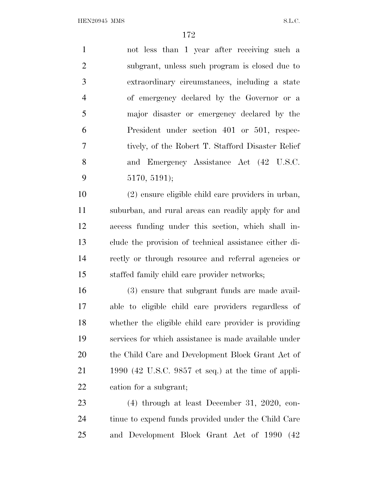not less than 1 year after receiving such a subgrant, unless such program is closed due to extraordinary circumstances, including a state of emergency declared by the Governor or a major disaster or emergency declared by the President under section 401 or 501, respec- tively, of the Robert T. Stafford Disaster Relief and Emergency Assistance Act (42 U.S.C. 5170, 5191);

 (2) ensure eligible child care providers in urban, suburban, and rural areas can readily apply for and access funding under this section, which shall in- clude the provision of technical assistance either di- rectly or through resource and referral agencies or staffed family child care provider networks;

 (3) ensure that subgrant funds are made avail- able to eligible child care providers regardless of whether the eligible child care provider is providing services for which assistance is made available under the Child Care and Development Block Grant Act of 1990 (42 U.S.C. 9857 et seq.) at the time of appli-cation for a subgrant;

 (4) through at least December 31, 2020, con-24 tinue to expend funds provided under the Child Care and Development Block Grant Act of 1990 (42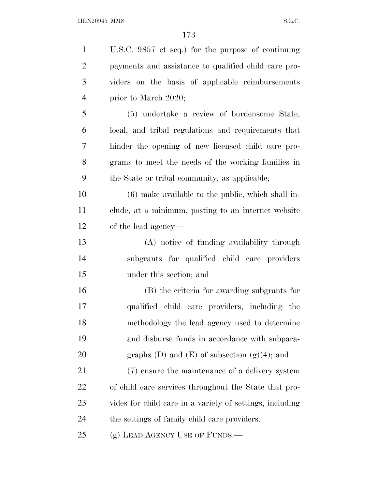| $\mathbf{1}$   | U.S.C. 9857 et seq.) for the purpose of continuing       |
|----------------|----------------------------------------------------------|
| $\overline{2}$ | payments and assistance to qualified child care pro-     |
| 3              | viders on the basis of applicable reimbursements         |
| $\overline{4}$ | prior to March 2020;                                     |
| 5              | (5) undertake a review of burdensome State,              |
| 6              | local, and tribal regulations and requirements that      |
| 7              | hinder the opening of new licensed child care pro-       |
| 8              | grams to meet the needs of the working families in       |
| 9              | the State or tribal community, as applicable;            |
| 10             | $(6)$ make available to the public, which shall in-      |
| 11             | clude, at a minimum, posting to an internet website      |
| 12             | of the lead agency—                                      |
| 13             | (A) notice of funding availability through               |
| 14             | subgrants for qualified child care providers             |
| 15             | under this section; and                                  |
| 16             | (B) the criteria for awarding subgrants for              |
| 17             | qualified child care providers, including the            |
| 18             | methodology the lead agency used to determine            |
| 19             | and disburse funds in accordance with subpara-           |
| 20             | graphs $(D)$ and $(E)$ of subsection $(g)(4)$ ; and      |
| 21             | (7) ensure the maintenance of a delivery system          |
| 22             | of child care services throughout the State that pro-    |
| 23             | vides for child care in a variety of settings, including |
| 24             | the settings of family child care providers.             |
| 25             | (g) LEAD AGENCY USE OF FUNDS.—                           |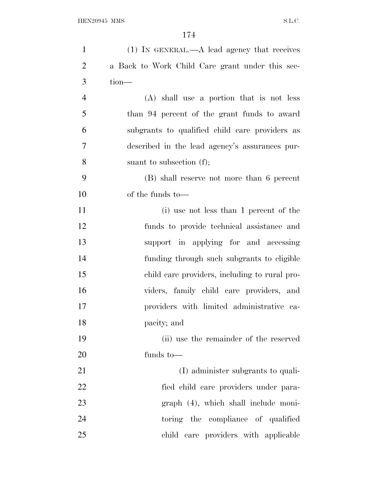| $\mathbf{1}$   | $(1)$ IN GENERAL.—A lead agency that receives   |
|----------------|-------------------------------------------------|
| $\overline{2}$ | a Back to Work Child Care grant under this sec- |
| 3              | tion-                                           |
| $\overline{4}$ | (A) shall use a portion that is not less        |
| 5              | than 94 percent of the grant funds to award     |
| 6              | subgrants to qualified child care providers as  |
| $\overline{7}$ | described in the lead agency's assurances pur-  |
| 8              | suant to subsection $(f)$ ;                     |
| 9              | (B) shall reserve not more than 6 percent       |
| 10             | of the funds to—                                |
| 11             | (i) use not less than 1 percent of the          |
| 12             | funds to provide technical assistance and       |
| 13             | support in applying for and accessing           |
| 14             | funding through such subgrants to eligible      |
| 15             | child care providers, including to rural pro-   |
| 16             | viders, family child care providers, and        |
| 17             | providers with limited administrative ca-       |
| 18             | pacity; and                                     |
| 19             | (ii) use the remainder of the reserved          |
| 20             | funds to $-$                                    |
| 21             | (I) administer subgrants to quali-              |
| 22             | fied child care providers under para-           |
| 23             | graph (4), which shall include moni-            |
| 24             | toring the compliance of qualified              |
| 25             | child care providers with applicable            |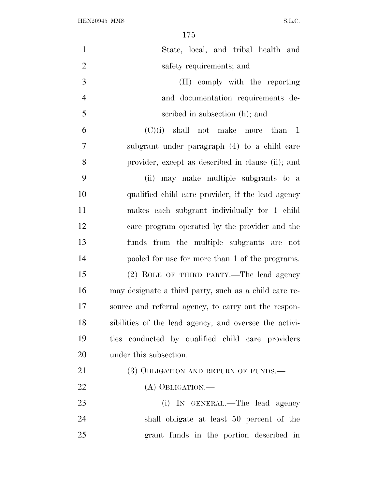| $\mathbf{1}$   | State, local, and tribal health and                    |
|----------------|--------------------------------------------------------|
| $\overline{2}$ | safety requirements; and                               |
| 3              | (II) comply with the reporting                         |
| $\overline{4}$ | and documentation requirements de-                     |
| 5              | scribed in subsection (h); and                         |
| 6              | $(C)(i)$ shall not make more than 1                    |
| 7              | subgrant under paragraph (4) to a child care           |
| 8              | provider, except as described in clause (ii); and      |
| 9              | (ii) may make multiple subgrants to a                  |
| 10             | qualified child care provider, if the lead agency      |
| 11             | makes each subgrant individually for 1 child           |
| 12             | care program operated by the provider and the          |
| 13             | funds from the multiple subgrants are not              |
| 14             | pooled for use for more than 1 of the programs.        |
| 15             | (2) ROLE OF THIRD PARTY.—The lead agency               |
| 16             | may designate a third party, such as a child care re-  |
| 17             | source and referral agency, to carry out the respon-   |
| 18             | sibilities of the lead agency, and oversee the activi- |
| 19             | ties conducted by qualified child care providers       |
| 20             | under this subsection.                                 |
| 21             | (3) OBLIGATION AND RETURN OF FUNDS.—                   |
| 22             | $(A)$ OBLIGATION.—                                     |
| 23             | (i) IN GENERAL.—The lead agency                        |
| 24             | shall obligate at least 50 percent of the              |
| 25             | grant funds in the portion described in                |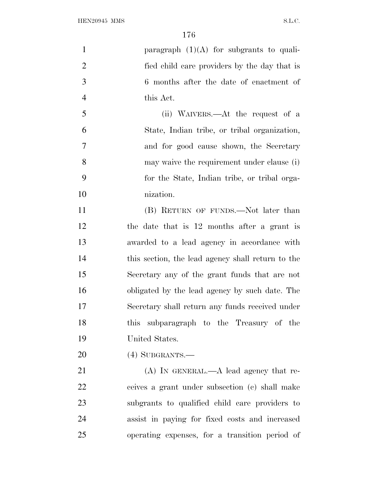| $\mathbf{1}$   | paragraph $(1)(A)$ for subgrants to quali-        |
|----------------|---------------------------------------------------|
| $\overline{c}$ | fied child care providers by the day that is      |
| 3              | 6 months after the date of enactment of           |
| $\overline{4}$ | this Act.                                         |
| 5              | (ii) WAIVERS.—At the request of a                 |
| 6              | State, Indian tribe, or tribal organization,      |
| $\tau$         | and for good cause shown, the Secretary           |
| 8              | may waive the requirement under clause (i)        |
| 9              | for the State, Indian tribe, or tribal orga-      |
| 10             | nization.                                         |
| 11             | (B) RETURN OF FUNDS.—Not later than               |
| 12             | the date that is 12 months after a grant is       |
| 13             | awarded to a lead agency in accordance with       |
| 14             | this section, the lead agency shall return to the |
| 15             | Secretary any of the grant funds that are not     |
| 16             | obligated by the lead agency by such date. The    |
| 17             | Secretary shall return any funds received under   |
| 18             | this subparagraph to the Treasury of the          |
| 19             | United States.                                    |
| 20             | $(4)$ SUBGRANTS.—                                 |
| 21             | $(A)$ In GENERAL.— $A$ lead agency that re-       |
| 22             | ceives a grant under subsection (c) shall make    |
| 23             | subgrants to qualified child care providers to    |
| 24             | assist in paying for fixed costs and increased    |
| 25             | operating expenses, for a transition period of    |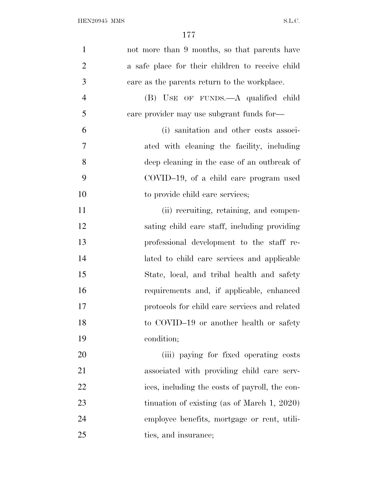| $\mathbf{1}$   | not more than 9 months, so that parents have     |
|----------------|--------------------------------------------------|
| $\overline{2}$ | a safe place for their children to receive child |
| 3              | care as the parents return to the workplace.     |
| $\overline{4}$ | (B) USE OF FUNDS.—A qualified child              |
| 5              | care provider may use subgrant funds for—        |
| 6              | (i) sanitation and other costs associ-           |
| 7              | ated with cleaning the facility, including       |
| 8              | deep cleaning in the case of an outbreak of      |
| 9              | COVID-19, of a child care program used           |
| 10             | to provide child care services;                  |
| 11             | (ii) recruiting, retaining, and compen-          |
| 12             | sating child care staff, including providing     |
| 13             | professional development to the staff re-        |
| 14             | lated to child care services and applicable      |
| 15             | State, local, and tribal health and safety       |
| 16             | requirements and, if applicable, enhanced        |
| 17             | protocols for child care services and related    |
| 18             | to COVID-19 or another health or safety          |
| 19             | condition;                                       |
| 20             | (iii) paying for fixed operating costs           |
| 21             | associated with providing child care serv-       |
| 22             | ices, including the costs of payroll, the con-   |
| 23             | tinuation of existing (as of March $1, 2020$ )   |
| 24             | employee benefits, mortgage or rent, utili-      |
| 25             | ties, and insurance;                             |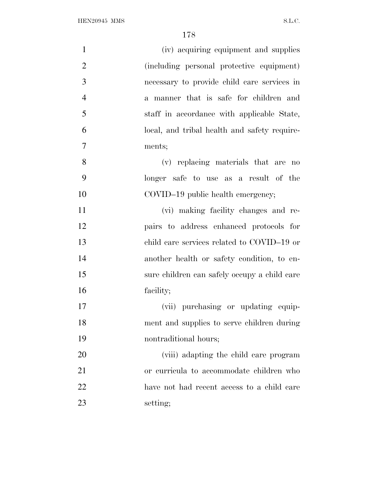| $\mathbf{1}$   | (iv) acquiring equipment and supplies        |
|----------------|----------------------------------------------|
| $\overline{2}$ | (including personal protective equipment)    |
| 3              | necessary to provide child care services in  |
| $\overline{4}$ | a manner that is safe for children and       |
| 5              | staff in accordance with applicable State,   |
| 6              | local, and tribal health and safety require- |
| 7              | ments;                                       |
| 8              | (v) replacing materials that are no          |
| 9              | longer safe to use as a result of the        |
| 10             | COVID-19 public health emergency;            |
| 11             | (vi) making facility changes and re-         |
| 12             | pairs to address enhanced protocols for      |
| 13             | child care services related to COVID-19 or   |
| 14             | another health or safety condition, to en-   |
| 15             | sure children can safely occupy a child care |
| 16             | facility;                                    |
| 17             | (vii) purchasing or updating equip-          |
| 18             | ment and supplies to serve children during   |
| 19             | nontraditional hours;                        |
| 20             | (viii) adapting the child care program       |
| 21             | or curricula to accommodate children who     |
| 22             | have not had recent access to a child care   |
| 23             | setting;                                     |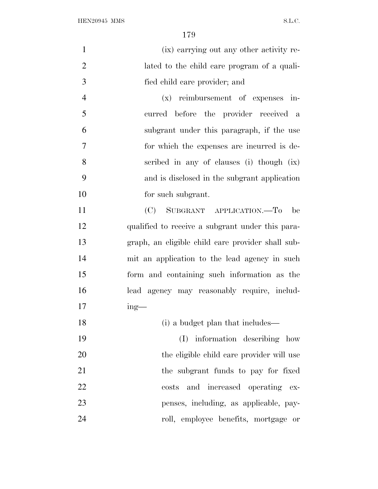| $\mathbf{1}$   | (ix) carrying out any other activity re-          |
|----------------|---------------------------------------------------|
| $\overline{2}$ | lated to the child care program of a quali-       |
| 3              | fied child care provider; and                     |
| $\overline{4}$ | $(x)$ reimbursement of expenses in-               |
| 5              | curred before the provider received a             |
| 6              | subgrant under this paragraph, if the use         |
| $\tau$         | for which the expenses are incurred is de-        |
| 8              | scribed in any of clauses (i) though (ix)         |
| 9              | and is disclosed in the subgrant application      |
| 10             | for such subgrant.                                |
| 11             | (C) SUBGRANT APPLICATION.—To be                   |
| 12             | qualified to receive a subgrant under this para-  |
| 13             | graph, an eligible child care provider shall sub- |
| 14             | mit an application to the lead agency in such     |
| 15             | form and containing such information as the       |
| 16             | lead agency may reasonably require, includ-       |
| 17             | $ing$ —                                           |
| 18             | (i) a budget plan that includes—                  |
| 19             | (I) information describing how                    |
| 20             | the eligible child care provider will use         |
| 21             | the subgrant funds to pay for fixed               |
| 22             | costs and increased operating ex-                 |
| 23             | penses, including, as applicable, pay-            |
| 24             | roll, employee benefits, mortgage or              |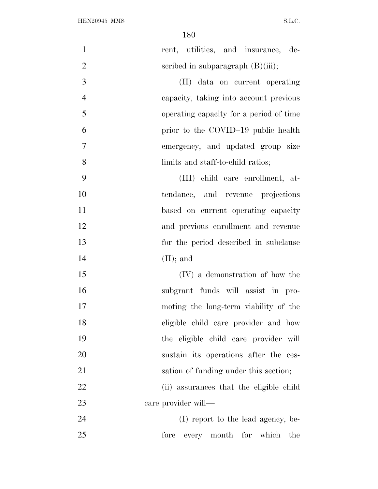| $\mathbf{1}$   | rent, utilities, and insurance, de-     |
|----------------|-----------------------------------------|
| $\overline{2}$ | scribed in subparagraph $(B)(iii)$ ;    |
| 3              | (II) data on current operating          |
| $\overline{4}$ | capacity, taking into account previous  |
| 5              | operating capacity for a period of time |
| 6              | prior to the COVID-19 public health     |
| 7              | emergency, and updated group size       |
| 8              | limits and staff-to-child ratios;       |
| 9              | (III) child care enrollment, at-        |
| 10             | tendance, and revenue projections       |
| 11             | based on current operating capacity     |
| 12             | and previous enrollment and revenue     |
| 13             | for the period described in subclause   |
| 14             | $(II);$ and                             |
| 15             | (IV) a demonstration of how the         |
| 16             | subgrant funds will assist in pro-      |
| 17             | moting the long-term viability of the   |
| 18             | eligible child care provider and how    |
| 19             | the eligible child care provider will   |
| 20             | sustain its operations after the ces-   |
| 21             | sation of funding under this section;   |
| 22             | (ii) assurances that the eligible child |
| 23             | care provider will—                     |
| 24             | (I) report to the lead agency, be-      |
| 25             | every month for which the<br>fore       |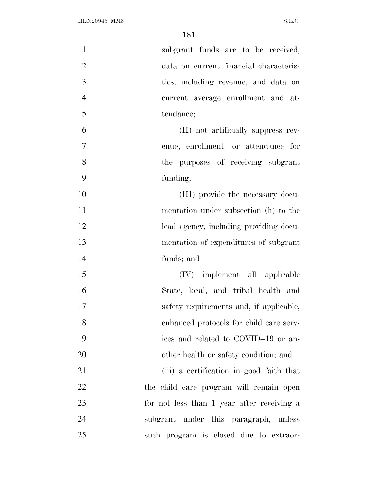| $\mathbf{1}$   | subgrant funds are to be received,         |
|----------------|--------------------------------------------|
| $\mathbf{2}$   | data on current financial characteris-     |
| 3              | ties, including revenue, and data on       |
| $\overline{4}$ | current average enrollment and at-         |
| 5              | tendance;                                  |
| 6              | (II) not artificially suppress rev-        |
| $\overline{7}$ | enue, enrollment, or attendance for        |
| 8              | the purposes of receiving subgrant         |
| 9              | funding;                                   |
| 10             | (III) provide the necessary docu-          |
| 11             | mentation under subsection (h) to the      |
| 12             | lead agency, including providing docu-     |
| 13             | mentation of expenditures of subgrant      |
| 14             | funds; and                                 |
| 15             | (IV) implement all applicable              |
| 16             | State, local, and tribal health and        |
| 17             | safety requirements and, if applicable,    |
| 18             | enhanced protocols for child care serv-    |
| 19             | ices and related to COVID-19 or an-        |
| 20             | other health or safety condition; and      |
| 21             | (iii) a certification in good faith that   |
| 22             | the child care program will remain open    |
| 23             | for not less than 1 year after receiving a |
| 24             | subgrant under this paragraph, unless      |
| 25             | such program is closed due to extraor-     |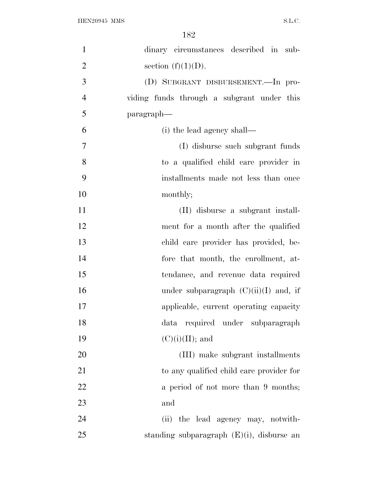| $\mathbf{1}$   | dinary circumstances described in sub-       |
|----------------|----------------------------------------------|
| $\overline{2}$ | section $(f)(1)(D)$ .                        |
| 3              | (D) SUBGRANT DISBURSEMENT.—In pro-           |
| $\overline{4}$ | viding funds through a subgrant under this   |
| 5              | paragraph—                                   |
| 6              | (i) the lead agency shall—                   |
| $\tau$         | (I) disburse such subgrant funds             |
| 8              | to a qualified child care provider in        |
| 9              | installments made not less than once         |
| 10             | monthly;                                     |
| 11             | (II) disburse a subgrant install-            |
| 12             | ment for a month after the qualified         |
| 13             | child care provider has provided, be-        |
| 14             | fore that month, the enrollment, at-         |
| 15             | tendance, and revenue data required          |
| 16             | under subparagraph $(C)(ii)(I)$ and, if      |
| 17             | applicable, current operating capacity       |
| 18             | data required under subparagraph             |
| 19             | $(C)(i)(II);$ and                            |
| 20             | (III) make subgrant installments             |
| 21             | to any qualified child care provider for     |
| 22             | a period of not more than 9 months;          |
| 23             | and                                          |
| 24             | (ii) the lead agency may, notwith-           |
| 25             | standing subparagraph $(E)(i)$ , disburse an |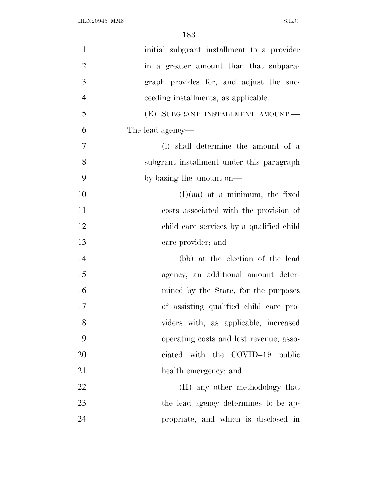| $\mathbf{1}$   | initial subgrant installment to a provider |
|----------------|--------------------------------------------|
| $\overline{2}$ | in a greater amount than that subpara-     |
| 3              | graph provides for, and adjust the suc-    |
| $\overline{4}$ | ceeding installments, as applicable.       |
| 5              | (E) SUBGRANT INSTALLMENT AMOUNT.           |
| 6              | The lead agency—                           |
| $\overline{7}$ | (i) shall determine the amount of a        |
| 8              | subgrant installment under this paragraph  |
| 9              | by basing the amount on—                   |
| 10             | $(I)(aa)$ at a minimum, the fixed          |
| 11             | costs associated with the provision of     |
| 12             | child care services by a qualified child   |
| 13             | care provider; and                         |
| 14             | (bb) at the election of the lead           |
| 15             | agency, an additional amount deter-        |
| 16             | mined by the State, for the purposes       |
| 17             | of assisting qualified child care pro-     |
| 18             | viders with, as applicable, increased      |
| 19             | operating costs and lost revenue, asso-    |
| 20             | ciated with the COVID-19 public            |
| 21             | health emergency; and                      |
| 22             | (II) any other methodology that            |
| 23             | the lead agency determines to be ap-       |
| 24             | propriate, and which is disclosed in       |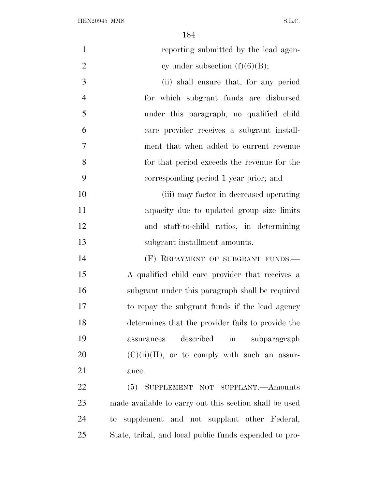| $\mathbf{1}$   | reporting submitted by the lead agen-                  |
|----------------|--------------------------------------------------------|
| $\overline{2}$ | cy under subsection $(f)(6)(B)$ ;                      |
| 3              | (ii) shall ensure that, for any period                 |
| $\overline{4}$ | for which subgrant funds are disbursed                 |
| 5              | under this paragraph, no qualified child               |
| 6              | care provider receives a subgrant install-             |
| $\overline{7}$ | ment that when added to current revenue                |
| 8              | for that period exceeds the revenue for the            |
| 9              | corresponding period 1 year prior; and                 |
| 10             | (iii) may factor in decreased operating                |
| 11             | capacity due to updated group size limits              |
| 12             | and staff-to-child ratios, in determining              |
| 13             | subgrant installment amounts.                          |
| 14             | (F) REPAYMENT OF SUBGRANT FUNDS.                       |
| 15             | A qualified child care provider that receives a        |
| 16             | subgrant under this paragraph shall be required        |
| 17             | to repay the subgrant funds if the lead agency         |
| 18             | determines that the provider fails to provide the      |
| 19             | described in subparagraph<br>assurances                |
| 20             | $(C)(ii)(II)$ , or to comply with such an assur-       |
| 21             | ance.                                                  |
| 22             | (5) SUPPLEMENT NOT SUPPLANT.—Amounts                   |
| 23             | made available to carry out this section shall be used |
| 24             | to supplement and not supplant other Federal,          |

State, tribal, and local public funds expended to pro-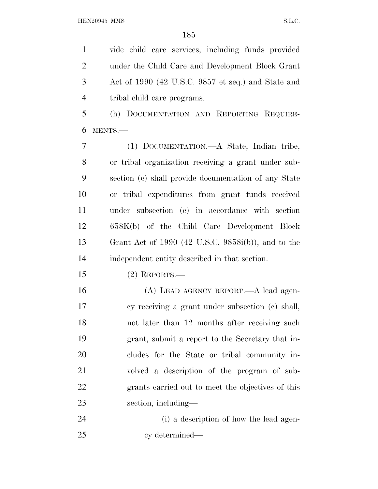vide child care services, including funds provided under the Child Care and Development Block Grant Act of 1990 (42 U.S.C. 9857 et seq.) and State and tribal child care programs.

 (h) DOCUMENTATION AND REPORTING REQUIRE-MENTS.—

 (1) DOCUMENTATION.—A State, Indian tribe, or tribal organization receiving a grant under sub- section (c) shall provide documentation of any State or tribal expenditures from grant funds received under subsection (c) in accordance with section 658K(b) of the Child Care Development Block Grant Act of 1990 (42 U.S.C. 9858i(b)), and to the independent entity described in that section.

(2) REPORTS.—

 (A) LEAD AGENCY REPORT.—A lead agen- cy receiving a grant under subsection (c) shall, not later than 12 months after receiving such grant, submit a report to the Secretary that in- cludes for the State or tribal community in- volved a description of the program of sub- grants carried out to meet the objectives of this section, including—

 (i) a description of how the lead agen-cy determined—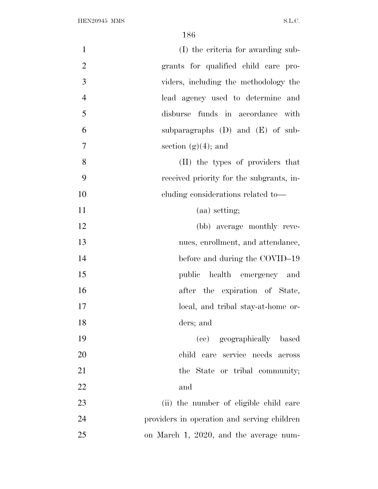| $\mathbf{1}$   | (I) the criteria for awarding sub-          |
|----------------|---------------------------------------------|
| $\overline{2}$ | grants for qualified child care pro-        |
| 3              | viders, including the methodology the       |
| $\overline{4}$ | lead agency used to determine and           |
| 5              | disburse funds in accordance with           |
| 6              | subparagraphs $(D)$ and $(E)$ of sub-       |
| $\tau$         | section $(g)(4)$ ; and                      |
| 8              | (II) the types of providers that            |
| 9              | received priority for the subgrants, in-    |
| 10             | cluding considerations related to-          |
| 11             | (aa) setting;                               |
| 12             | (bb) average monthly reve-                  |
| 13             | nues, enrollment, and attendance,           |
| 14             | before and during the COVID-19              |
| 15             | public health emergency and                 |
| 16             | after the expiration of State,              |
| 17             | local, and tribal stay-at-home or-          |
| 18             | ders; and                                   |
| 19             | (cc) geographically based                   |
| 20             | child care service needs across             |
| 21             | the State or tribal community;              |
| 22             | and                                         |
| 23             | (ii) the number of eligible child care      |
| 24             | providers in operation and serving children |
| 25             | on March 1, 2020, and the average num-      |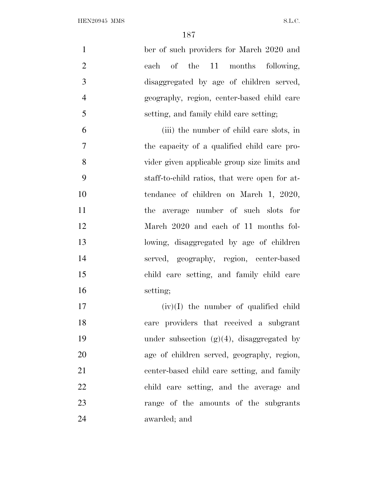| $\mathbf{1}$   | ber of such providers for March 2020 and      |
|----------------|-----------------------------------------------|
| $\overline{2}$ | each of the 11 months following,              |
| 3              | disaggregated by age of children served,      |
| $\overline{4}$ | geography, region, center-based child care    |
| 5              | setting, and family child care setting;       |
| 6              | (iii) the number of child care slots, in      |
| $\tau$         | the capacity of a qualified child care pro-   |
| 8              | vider given applicable group size limits and  |
| 9              | staff-to-child ratios, that were open for at- |
| 10             | tendance of children on March 1, 2020,        |
| 11             | the average number of such slots for          |
| 12             | March 2020 and each of 11 months fol-         |
| 13             | lowing, disaggregated by age of children      |
| 14             | served, geography, region, center-based       |
| 15             | child care setting, and family child care     |
| 16             | setting;                                      |
| 17             | $(iv)(I)$ the number of qualified child       |
| 18             | care providers that received a subgrant       |
| 19             | under subsection $(g)(4)$ , disaggregated by  |
| 20             | age of children served, geography, region,    |
| 21             | center-based child care setting, and family   |
| 22             | child care setting, and the average and       |
| 23             | range of the amounts of the subgrants         |
| 24             | awarded; and                                  |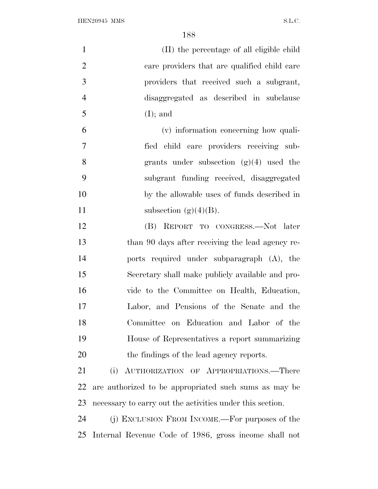| $\mathbf{1}$   | (II) the percentage of all eligible child                 |
|----------------|-----------------------------------------------------------|
| $\overline{2}$ | care providers that are qualified child care              |
| 3              | providers that received such a subgrant,                  |
| $\overline{4}$ | disaggregated as described in subclause                   |
| 5              | $(I);$ and                                                |
| 6              | (v) information concerning how quali-                     |
| $\tau$         | fied child care providers receiving sub-                  |
| 8              | grants under subsection $(g)(4)$ used the                 |
| 9              | subgrant funding received, disaggregated                  |
| 10             | by the allowable uses of funds described in               |
| 11             | subsection $(g)(4)(B)$ .                                  |
| 12             | (B) REPORT TO CONGRESS.—Not later                         |
| 13             | than 90 days after receiving the lead agency re-          |
| 14             | ports required under subparagraph (A), the                |
| 15             | Secretary shall make publicly available and pro-          |
| 16             | vide to the Committee on Health, Education,               |
| 17             | Labor, and Pensions of the Senate and the                 |
| 18             | Committee on Education and Labor of the                   |
| 19             | House of Representatives a report summarizing             |
| 20             | the findings of the lead agency reports.                  |
| 21             | (i) AUTHORIZATION OF APPROPRIATIONS.-There                |
| 22             | are authorized to be appropriated such sums as may be     |
| 23             | necessary to carry out the activities under this section. |
| 24             | (j) EXCLUSION FROM INCOME.—For purposes of the            |
| 25             | Internal Revenue Code of 1986, gross income shall not     |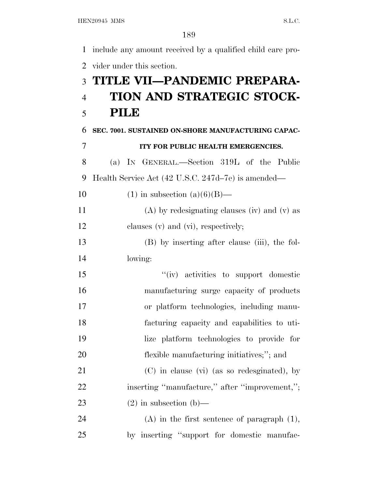include any amount received by a qualified child care pro- vider under this section. **TITLE VII—PANDEMIC PREPARA- TION AND STRATEGIC STOCK- PILE SEC. 7001. SUSTAINED ON-SHORE MANUFACTURING CAPAC- ITY FOR PUBLIC HEALTH EMERGENCIES.** (a) I<sup>N</sup> GENERAL.—Section 319L of the Public Health Service Act (42 U.S.C. 247d–7e) is amended— 10 (1) in subsection  $(a)(6)(B)$ — (A) by redesignating clauses (iv) and (v) as 12 clauses (v) and (vi), respectively; (B) by inserting after clause (iii), the fol- lowing: ''(iv) activities to support domestic manufacturing surge capacity of products or platform technologies, including manu- facturing capacity and capabilities to uti- lize platform technologies to provide for flexible manufacturing initiatives;''; and (C) in clause (vi) (as so redesginated), by 22 inserting "manufacture," after "improvement,"; 23 (2) in subsection (b)— (A) in the first sentence of paragraph (1), by inserting ''support for domestic manufac-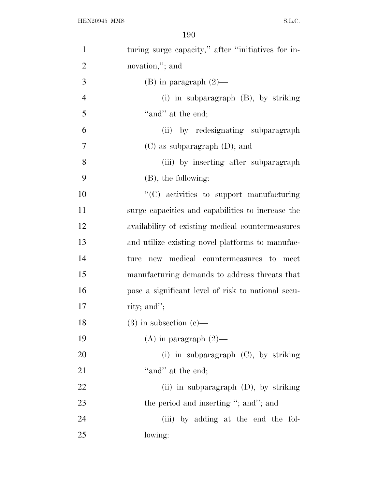| $\mathbf{1}$   | turing surge capacity," after "initiatives for in- |
|----------------|----------------------------------------------------|
| $\overline{2}$ | novation,"; and                                    |
| 3              | (B) in paragraph $(2)$ —                           |
| $\overline{4}$ | (i) in subparagraph (B), by striking               |
| 5              | "and" at the end;                                  |
| 6              | (ii) by redesignating subparagraph                 |
| 7              | $(C)$ as subparagraph $(D)$ ; and                  |
| 8              | (iii) by inserting after subparagraph              |
| 9              | $(B)$ , the following:                             |
| 10             | "(C) activities to support manufacturing           |
| 11             | surge capacities and capabilities to increase the  |
| 12             | availability of existing medical countermeasures   |
| 13             | and utilize existing novel platforms to manufac-   |
| 14             | new medical countermeasures to<br>ture<br>meet     |
| 15             | manufacturing demands to address threats that      |
| 16             | pose a significant level of risk to national secu- |
| 17             | rity; and";                                        |
| 18             | $(3)$ in subsection $(e)$ —                        |
| 19             | (A) in paragraph $(2)$ —                           |
| 20             | (i) in subparagraph $(C)$ , by striking            |
| 21             | "and" at the end;                                  |
| 22             | (ii) in subparagraph $(D)$ , by striking           |
| 23             | the period and inserting "; and"; and              |
| 24             | (iii) by adding at the end the fol-                |
| 25             | lowing:                                            |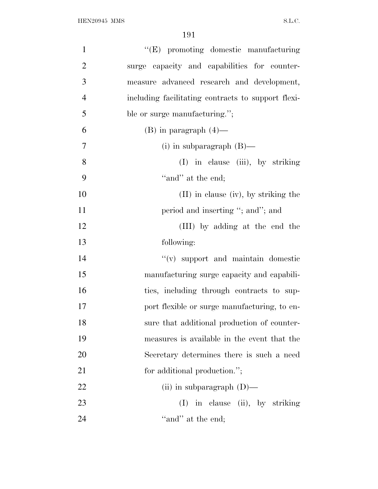| $\mathbf{1}$   | "(E) promoting domestic manufacturing              |
|----------------|----------------------------------------------------|
| $\overline{2}$ | surge capacity and capabilities for counter-       |
| 3              | measure advanced research and development,         |
| $\overline{4}$ | including facilitating contracts to support flexi- |
| 5              | ble or surge manufacturing.";                      |
| 6              | $(B)$ in paragraph $(4)$ —                         |
| $\tau$         | (i) in subparagraph $(B)$ —                        |
| 8              | (I) in clause (iii), by striking                   |
| 9              | "and" at the end;                                  |
| 10             | $(II)$ in clause (iv), by striking the             |
| 11             | period and inserting "; and"; and                  |
| 12             | (III) by adding at the end the                     |
| 13             | following:                                         |
| 14             | "(v) support and maintain domestic                 |
| 15             | manufacturing surge capacity and capabili-         |
| 16             | ties, including through contracts to sup-          |
| 17             | port flexible or surge manufacturing, to en-       |
| 18             | sure that additional production of counter-        |
| 19             | measures is available in the event that the        |
| 20             | Secretary determines there is such a need          |
| 21             | for additional production.";                       |
| 22             | (ii) in subparagraph $(D)$ —                       |
| 23             | in clause (ii), by striking<br>(I)                 |
| 24             | "and" at the end;                                  |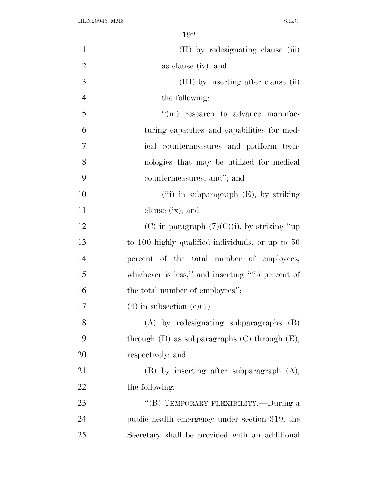| $\mathbf{1}$   | (II) by redesignating clause (iii)                   |
|----------------|------------------------------------------------------|
| $\mathbf{2}$   | as clause (iv); and                                  |
| 3              | (III) by inserting after clause (ii)                 |
| $\overline{4}$ | the following:                                       |
| 5              | "(iii) research to advance manufac-                  |
| 6              | turing capacities and capabilities for med-          |
| $\overline{7}$ | ical countermeasures and platform tech-              |
| 8              | nologies that may be utilized for medical            |
| 9              | countermeasures; and"; and                           |
| 10             | (iii) in subparagraph $(E)$ , by striking            |
| 11             | clause $(ix)$ ; and                                  |
| 12             | (C) in paragraph $(7)(C)(i)$ , by striking "up       |
| 13             | to 100 highly qualified individuals, or up to 50     |
| 14             | percent of the total number of employees,            |
| 15             | whichever is less," and inserting "75 percent of     |
| 16             | the total number of employees";                      |
| 17             | $(4)$ in subsection $(e)(1)$ —                       |
| 18             | $(A)$ by redesignating subparagraphs $(B)$           |
| 19             | through $(D)$ as subparagraphs $(C)$ through $(E)$ , |
| 20             | respectively; and                                    |
| 21             | $(B)$ by inserting after subparagraph $(A)$ ,        |
| 22             | the following:                                       |
| 23             | "(B) TEMPORARY FLEXIBILITY.—During a                 |
| 24             | public health emergency under section 319, the       |
| 25             | Secretary shall be provided with an additional       |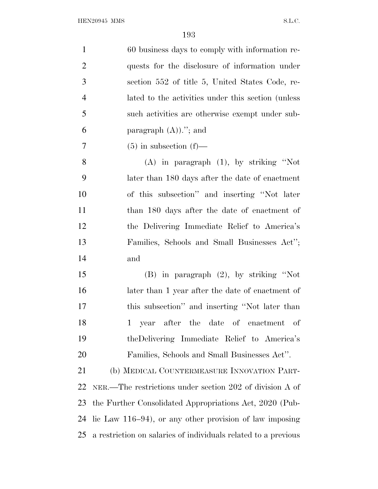| $\mathbf{1}$   | 60 business days to comply with information re-                |
|----------------|----------------------------------------------------------------|
| $\overline{2}$ | quests for the disclosure of information under                 |
| 3              | section 552 of title 5, United States Code, re-                |
| $\overline{4}$ | lated to the activities under this section (unless)            |
| 5              | such activities are otherwise exempt under sub-                |
| 6              | paragraph $(A)$ )."; and                                       |
| 7              | $(5)$ in subsection $(f)$ —                                    |
| 8              | $(A)$ in paragraph $(1)$ , by striking "Not                    |
| 9              | later than 180 days after the date of enactment                |
| 10             | of this subsection" and inserting "Not later                   |
| 11             | than 180 days after the date of enactment of                   |
| 12             | the Delivering Immediate Relief to America's                   |
| 13             | Families, Schools and Small Businesses Act";                   |
| 14             | and                                                            |
| 15             | $(B)$ in paragraph $(2)$ , by striking "Not                    |
| 16             | later than 1 year after the date of enactment of               |
| 17             | this subsection" and inserting "Not later than                 |
| 18             | 1 year after the date of enactment of                          |
| 19             | the Delivering Immediate Relief to America's                   |
| 20             | Families, Schools and Small Businesses Act".                   |
| 21             | (b) MEDICAL COUNTERMEASURE INNOVATION PART-                    |
| 22             | NER.—The restrictions under section 202 of division A of       |
| 23             | the Further Consolidated Appropriations Act, 2020 (Pub-        |
| 24             | lic Law $116-94$ , or any other provision of law imposing      |
| 25             | a restriction on salaries of individuals related to a previous |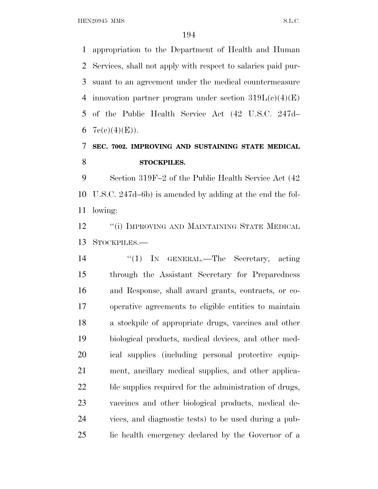HEN20945 MMS S.L.C.

 appropriation to the Department of Health and Human Services, shall not apply with respect to salaries paid pur- suant to an agreement under the medical countermeasure 4 innovation partner program under section  $319L(c)(4)(E)$  of the Public Health Service Act (42 U.S.C. 247d–  $7e(c)(4)(E)$ .

## **SEC. 7002. IMPROVING AND SUSTAINING STATE MEDICAL STOCKPILES.**

 Section 319F–2 of the Public Health Service Act (42 U.S.C. 247d–6b) is amended by adding at the end the fol-lowing:

**''(i) IMPROVING AND MAINTAINING STATE MEDICAL** STOCKPILES.—

14 "(1) IN GENERAL.—The Secretary, acting through the Assistant Secretary for Preparedness and Response, shall award grants, contracts, or co- operative agreements to eligible entities to maintain a stockpile of appropriate drugs, vaccines and other biological products, medical devices, and other med- ical supplies (including personal protective equip- ment, ancillary medical supplies, and other applica- ble supplies required for the administration of drugs, vaccines and other biological products, medical de- vices, and diagnostic tests) to be used during a pub-lic health emergency declared by the Governor of a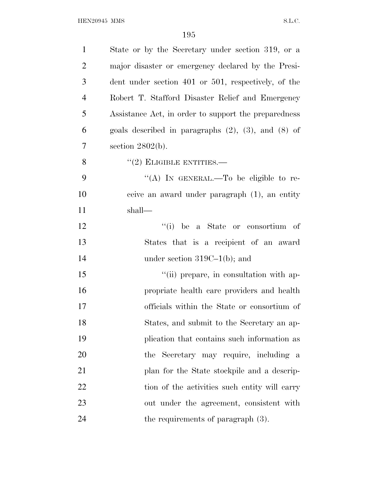| $\mathbf{1}$   | State or by the Secretary under section 319, or a          |
|----------------|------------------------------------------------------------|
| $\overline{2}$ | major disaster or emergency declared by the Presi-         |
| 3              | dent under section 401 or 501, respectively, of the        |
| $\overline{4}$ | Robert T. Stafford Disaster Relief and Emergency           |
| 5              | Assistance Act, in order to support the preparedness       |
| 6              | goals described in paragraphs $(2)$ , $(3)$ , and $(8)$ of |
| $\tau$         | section $2802(b)$ .                                        |
| 8              | $"(2)$ ELIGIBLE ENTITIES.—                                 |
| 9              | "(A) IN GENERAL.—To be eligible to re-                     |
| 10             | ceive an award under paragraph (1), an entity              |
| 11             | shall—                                                     |
| 12             | "(i) be a State or consortium of                           |
| 13             | States that is a recipient of an award                     |
| 14             | under section $319C-1(b)$ ; and                            |
| 15             | "(ii) prepare, in consultation with ap-                    |
| 16             | propriate health care providers and health                 |
| 17             | officials within the State or consortium of                |
| 18             | States, and submit to the Secretary an ap-                 |
| 19             | plication that contains such information as                |
| 20             | the Secretary may require, including a                     |
| 21             | plan for the State stockpile and a descrip-                |
| 22             | tion of the activities such entity will carry              |
| 23             | out under the agreement, consistent with                   |
| 24             | the requirements of paragraph $(3)$ .                      |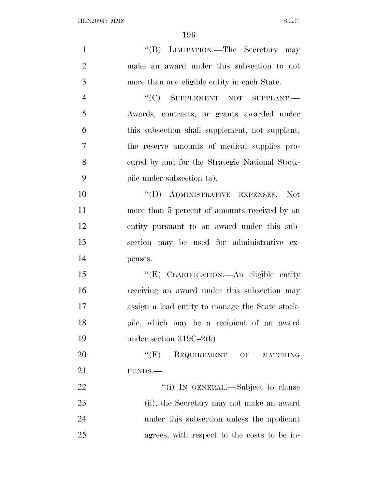| $\mathbf{1}$   | "(B) LIMITATION.—The Secretary may              |
|----------------|-------------------------------------------------|
| $\overline{2}$ | make an award under this subsection to not      |
| 3              | more than one eligible entity in each State.    |
| $\overline{4}$ | "(C) SUPPLEMENT NOT SUPPLANT.-                  |
| 5              | Awards, contracts, or grants awarded under      |
| 6              | this subsection shall supplement, not supplant, |
| 7              | the reserve amounts of medical supplies pro-    |
| 8              | cured by and for the Strategic National Stock-  |
| 9              | pile under subsection (a).                      |
| 10             | $``(D)$ ADMINISTRATIVE EXPENSES.—Not            |
| 11             | more than 5 percent of amounts received by an   |
| 12             | entity pursuant to an award under this sub-     |
| 13             | section may be used for administrative ex-      |
| 14             | penses.                                         |
| 15             | "(E) CLARIFICATION. An eligible entity          |
| 16             | receiving an award under this subsection may    |
| 17             | assign a lead entity to manage the State stock- |
| 18             | pile, which may be a recipient of an award      |
| 19             | under section $319C-2(b)$ .                     |
| 20             | $``$ (F)<br>REQUIREMENT OF<br><b>MATCHING</b>   |
| 21             | FUNDS.                                          |
| 22             | "(i) IN GENERAL.—Subject to clause              |
| 23             | (ii), the Secretary may not make an award       |
| 24             | under this subsection unless the applicant      |
| 25             | agrees, with respect to the costs to be in-     |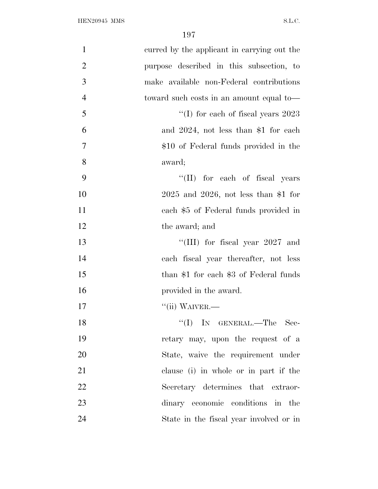| $\mathbf{1}$   | curred by the applicant in carrying out the |
|----------------|---------------------------------------------|
| $\overline{2}$ | purpose described in this subsection, to    |
| 3              | make available non-Federal contributions    |
| $\overline{4}$ | toward such costs in an amount equal to-    |
| 5              | "(I) for each of fiscal years $2023$        |
| 6              | and $2024$ , not less than \$1 for each     |
| $\tau$         | \$10 of Federal funds provided in the       |
| 8              | award;                                      |
| 9              | "(II) for each of fiscal years              |
| 10             | $2025$ and $2026$ , not less than \$1 for   |
| 11             | each \$5 of Federal funds provided in       |
| 12             | the award; and                              |
| 13             | "(III) for fiscal year $2027$ and           |
| 14             | each fiscal year thereafter, not less       |
| 15             | than \$1 for each \$3 of Federal funds      |
| 16             | provided in the award.                      |
| 17             | $``$ (ii) WAIVER.—                          |
| 18             | "(I) IN GENERAL.—The Sec-                   |
| 19             | retary may, upon the request of a           |
| 20             | State, waive the requirement under          |
| 21             | clause (i) in whole or in part if the       |
| 22             | Secretary determines that extraor-          |
| 23             | dinary economic conditions in the           |
| 24             | State in the fiscal year involved or in     |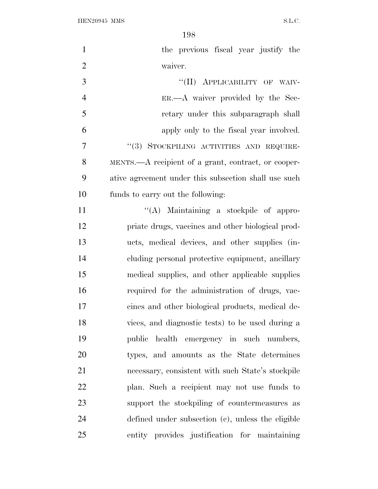| $\mathbf{1}$   | the previous fiscal year justify the                 |
|----------------|------------------------------------------------------|
| $\overline{2}$ | waiver.                                              |
| 3              | "(II) APPLICABILITY OF WAIV-                         |
| $\overline{4}$ | ER.—A waiver provided by the Sec-                    |
| 5              | retary under this subparagraph shall                 |
| 6              | apply only to the fiscal year involved.              |
| 7              | "(3) STOCKPILING ACTIVITIES AND REQUIRE-             |
| 8              | MENTS.—A recipient of a grant, contract, or cooper-  |
| 9              | ative agreement under this subsection shall use such |
| 10             | funds to carry out the following:                    |
| 11             | "(A) Maintaining a stockpile of appro-               |
| 12             | priate drugs, vaccines and other biological prod-    |
| 13             | ucts, medical devices, and other supplies (in-       |
| 14             | cluding personal protective equipment, ancillary     |
| 15             | medical supplies, and other applicable supplies      |
| 16             | required for the administration of drugs, vac-       |
| 17             | cines and other biological products, medical de-     |
| 18             | vices, and diagnostic tests) to be used during a     |
| 19             | public health emergency in such numbers,             |
| 20             | types, and amounts as the State determines           |
| 21             | necessary, consistent with such State's stockpile    |
| 22             | plan. Such a recipient may not use funds to          |
| 23             | support the stockpiling of countermeasures as        |
| 24             | defined under subsection (c), unless the eligible    |
| 25             | entity provides justification for maintaining        |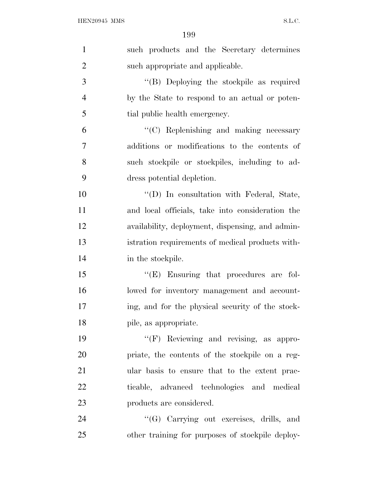| $\mathbf{1}$   | such products and the Secretary determines        |
|----------------|---------------------------------------------------|
| $\overline{2}$ | such appropriate and applicable.                  |
| 3              | "(B) Deploying the stockpile as required          |
| $\overline{4}$ | by the State to respond to an actual or poten-    |
| 5              | tial public health emergency.                     |
| 6              | "(C) Replenishing and making necessary            |
| $\tau$         | additions or modifications to the contents of     |
| 8              | such stockpile or stockpiles, including to ad-    |
| 9              | dress potential depletion.                        |
| 10             | $\lq\lq$ (D) In consultation with Federal, State, |
| 11             | and local officials, take into consideration the  |
| 12             | availability, deployment, dispensing, and admin-  |
| 13             | istration requirements of medical products with-  |
| 14             | in the stockpile.                                 |
| 15             | $\lq\lq(E)$ Ensuring that procedures are fol-     |
| 16             | lowed for inventory management and account-       |
| 17             | ing, and for the physical security of the stock-  |
| 18             | pile, as appropriate.                             |
| 19             | "(F) Reviewing and revising, as appro-            |
| 20             | priate, the contents of the stockpile on a reg-   |
| 21             | ular basis to ensure that to the extent prac-     |
| 22             | ticable, advanced technologies and medical        |
| 23             | products are considered.                          |
| 24             | "(G) Carrying out exercises, drills, and          |
| 25             | other training for purposes of stockpile deploy-  |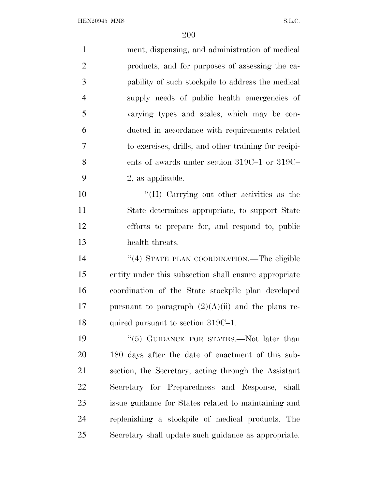| $\mathbf{1}$   | ment, dispensing, and administration of medical       |
|----------------|-------------------------------------------------------|
| $\overline{2}$ | products, and for purposes of assessing the ca-       |
| 3              | pability of such stockpile to address the medical     |
| $\overline{4}$ | supply needs of public health emergencies of          |
| 5              | varying types and scales, which may be con-           |
| 6              | ducted in accordance with requirements related        |
| 7              | to exercises, drills, and other training for recipi-  |
| 8              | ents of awards under section $319C-1$ or $319C-$      |
| 9              | 2, as applicable.                                     |
| 10             | "(H) Carrying out other activities as the             |
| 11             | State determines appropriate, to support State        |
| 12             | efforts to prepare for, and respond to, public        |
| 13             | health threats.                                       |
| 14             | "(4) STATE PLAN COORDINATION.—The eligible            |
| 15             | entity under this subsection shall ensure appropriate |
| 16             | coordination of the State stockpile plan developed    |
| 17             | pursuant to paragraph $(2)(A)(ii)$ and the plans re-  |
| 18             | quired pursuant to section 319C-1.                    |
| 19             | " $(5)$ GUIDANCE FOR STATES.—Not later than           |
| 20             | 180 days after the date of enactment of this sub-     |
| 21             | section, the Secretary, acting through the Assistant  |
| 22             | Secretary for Preparedness and Response, shall        |
| 23             | issue guidance for States related to maintaining and  |
| 24             | replenishing a stockpile of medical products. The     |
| 25             | Secretary shall update such guidance as appropriate.  |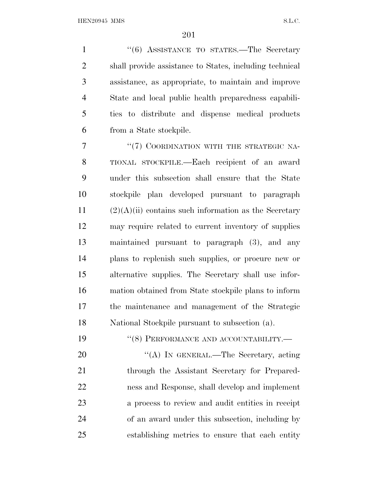1 "(6) ASSISTANCE TO STATES.—The Secretary shall provide assistance to States, including technical assistance, as appropriate, to maintain and improve State and local public health preparedness capabili- ties to distribute and dispense medical products from a State stockpile.

7 "(7) COORDINATION WITH THE STRATEGIC NA- TIONAL STOCKPILE.—Each recipient of an award under this subsection shall ensure that the State stockpile plan developed pursuant to paragraph (2)(A)(ii) contains such information as the Secretary may require related to current inventory of supplies maintained pursuant to paragraph (3), and any plans to replenish such supplies, or procure new or alternative supplies. The Secretary shall use infor- mation obtained from State stockpile plans to inform the maintenance and management of the Strategic National Stockpile pursuant to subsection (a).

19 "(8) PERFORMANCE AND ACCOUNTABILITY.—

20 "(A) IN GENERAL.—The Secretary, acting 21 through the Assistant Secretary for Prepared- ness and Response, shall develop and implement a process to review and audit entities in receipt of an award under this subsection, including by establishing metrics to ensure that each entity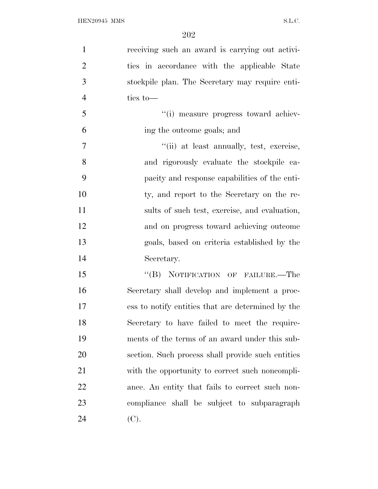| $\mathbf{1}$   | receiving such an award is carrying out activi-   |
|----------------|---------------------------------------------------|
| $\overline{2}$ | ties in accordance with the applicable State      |
| 3              | stockpile plan. The Secretary may require enti-   |
| $\overline{4}$ | ties to-                                          |
| 5              | "(i) measure progress toward achiev-              |
| 6              | ing the outcome goals; and                        |
| 7              | "(ii) at least annually, test, exercise,          |
| 8              | and rigorously evaluate the stockpile ca-         |
| 9              | pacity and response capabilities of the enti-     |
| 10             | ty, and report to the Secretary on the re-        |
| 11             | sults of such test, exercise, and evaluation,     |
| 12             | and on progress toward achieving outcome          |
| 13             | goals, based on criteria established by the       |
| 14             | Secretary.                                        |
| 15             | "(B) NOTIFICATION OF FAILURE.—The                 |
| 16             | Secretary shall develop and implement a proc-     |
| 17             | ess to notify entities that are determined by the |
| 18             | Secretary to have failed to meet the require-     |
| 19             | ments of the terms of an award under this sub-    |
| 20             | section. Such process shall provide such entities |
| 21             | with the opportunity to correct such noncompli-   |
| 22             | ance. An entity that fails to correct such non-   |
| 23             | compliance shall be subject to subparagraph       |
| 24             | (C).                                              |
|                |                                                   |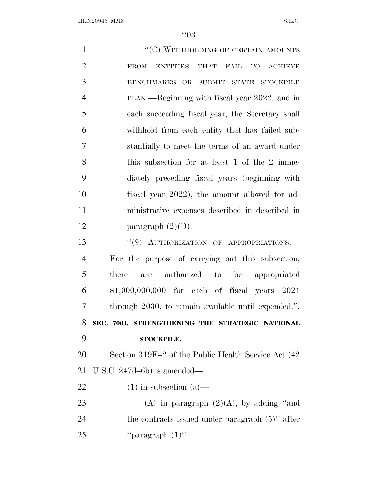| $\mathbf{1}$   | "(C) WITHHOLDING OF CERTAIN AMOUNTS                    |
|----------------|--------------------------------------------------------|
| $\overline{2}$ | <b>ENTITIES</b><br>THAT FAIL TO ACHIEVE<br><b>FROM</b> |
| 3              | BENCHMARKS OR SUBMIT STATE STOCKPILE                   |
| $\overline{4}$ | PLAN.—Beginning with fiscal year 2022, and in          |
| 5              | each succeeding fiscal year, the Secretary shall       |
| 6              | withhold from each entity that has failed sub-         |
| 7              | stantially to meet the terms of an award under         |
| 8              | this subsection for at least 1 of the 2 imme-          |
| 9              | diately preceding fiscal years (beginning with         |
| 10             | fiscal year 2022), the amount allowed for ad-          |
| 11             | ministrative expenses described in described in        |
| 12             | paragraph $(2)(D)$ .                                   |
| 13             | "(9) AUTHORIZATION OF APPROPRIATIONS.-                 |
| 14             | For the purpose of carrying out this subsection,       |
| 15             | are authorized to be appropriated<br>there             |
| 16             | \$1,000,000,000 for each of fiscal years 2021          |
| 17             | through 2030, to remain available until expended.".    |
| 18             | SEC. 7003. STRENGTHENING THE STRATEGIC NATIONAL        |
| 19             | <b>STOCKPILE.</b>                                      |
| 20             | Section 319F-2 of the Public Health Service Act (42)   |
| 21             | U.S.C. $247d-6b$ ) is amended—                         |
| 22             | $(1)$ in subsection $(a)$ —                            |
| 23             | (A) in paragraph $(2)(A)$ , by adding "and             |
| 24             | the contracts issued under paragraph $(5)$ " after     |
| 25             | "paragraph $(1)$ "                                     |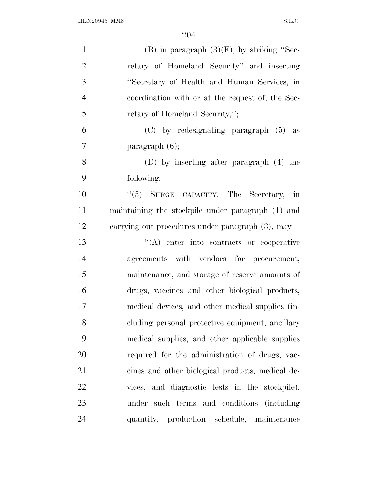| $\mathbf{1}$   | $(B)$ in paragraph $(3)(F)$ , by striking "Sec-   |
|----------------|---------------------------------------------------|
| $\overline{2}$ | retary of Homeland Security" and inserting        |
| 3              | "Secretary of Health and Human Services, in       |
| $\overline{4}$ | coordination with or at the request of, the Sec-  |
| 5              | retary of Homeland Security,";                    |
| 6              | $(C)$ by redesignating paragraph $(5)$ as         |
| 7              | paragraph $(6)$ ;                                 |
| 8              | (D) by inserting after paragraph $(4)$ the        |
| 9              | following:                                        |
| 10             | "(5) SURGE CAPACITY.—The Secretary, in            |
| 11             | maintaining the stockpile under paragraph (1) and |
| 12             | carrying out procedures under paragraph (3), may— |
| 13             | $\lq\lq$ enter into contracts or cooperative      |
| 14             | agreements with vendors for procurement,          |
| 15             | maintenance, and storage of reserve amounts of    |
| 16             | drugs, vaccines and other biological products,    |
| 17             | medical devices, and other medical supplies (in-  |
| 18             | cluding personal protective equipment, ancillary  |
| 19             | medical supplies, and other applicable supplies   |
| 20             | required for the administration of drugs, vac-    |
| 21             | cines and other biological products, medical de-  |
| 22             | vices, and diagnostic tests in the stockpile),    |
| 23             | under such terms and conditions (including        |
| 24             | quantity, production schedule, maintenance        |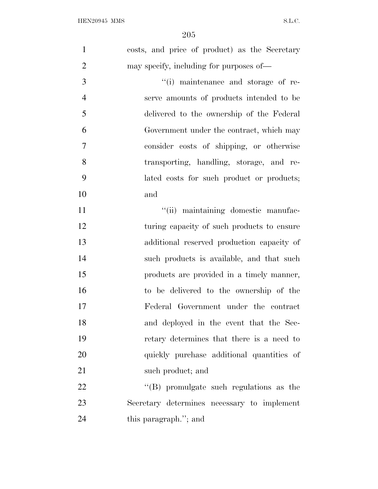| $\mathbf{1}$   | costs, and price of product) as the Secretary   |
|----------------|-------------------------------------------------|
| $\overline{2}$ | may specify, including for purposes of—         |
| 3              | "(i) maintenance and storage of re-             |
| $\overline{4}$ | serve amounts of products intended to be        |
| 5              | delivered to the ownership of the Federal       |
| 6              | Government under the contract, which may        |
| $\overline{7}$ | consider costs of shipping, or otherwise        |
| 8              | transporting, handling, storage, and re-        |
| 9              | lated costs for such product or products;       |
| 10             | and                                             |
| 11             | "(ii) maintaining domestic manufac-             |
| 12             | turing capacity of such products to ensure      |
| 13             | additional reserved production capacity of      |
| 14             | such products is available, and that such       |
| 15             | products are provided in a timely manner,       |
| 16             | to be delivered to the ownership of the         |
| 17             | Federal Government under the contract           |
| 18             | and deployed in the event that the Sec-         |
| 19             | retary determines that there is a need to       |
| 20             | quickly purchase additional quantities of       |
| 21             | such product; and                               |
| 22             | $\lq\lq$ (B) promulgate such regulations as the |
| 23             | Secretary determines necessary to implement     |
| 24             | this paragraph."; and                           |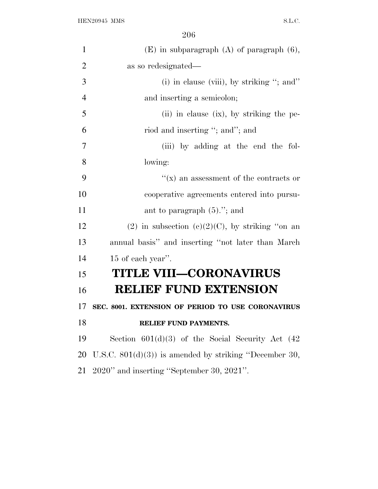| $\mathbf{1}$   | $(E)$ in subparagraph $(A)$ of paragraph $(6)$ ,        |
|----------------|---------------------------------------------------------|
| $\overline{2}$ | as so redesignated—                                     |
| 3              | (i) in clause (viii), by striking "; and"               |
| $\overline{4}$ | and inserting a semicolon;                              |
| 5              | (ii) in clause (ix), by striking the pe-                |
| 6              | riod and inserting "; and"; and                         |
| 7              | (iii) by adding at the end the fol-                     |
| 8              | lowing:                                                 |
| 9              | $f(x)$ an assessment of the contracts or                |
| 10             | cooperative agreements entered into pursu-              |
| 11             | ant to paragraph $(5)$ ."; and                          |
| 12             | $(2)$ in subsection $(e)(2)(C)$ , by striking "on an    |
| 13             | annual basis" and inserting "not later than March       |
| 14             | 15 of each year".                                       |
| 15             | <b>TITLE VIII-CORONAVIRUS</b>                           |
| 16             | <b>RELIEF FUND EXTENSION</b>                            |
| 17             | SEC. 8001. EXTENSION OF PERIOD TO USE CORONAVIRUS       |
| 18             | RELIEF FUND PAYMENTS.                                   |
| 19             | Section $601(d)(3)$ of the Social Security Act $(42)$   |
| 20             | U.S.C. $801(d)(3)$ is amended by striking "December 30, |
| 21             | 2020" and inserting "September 30, 2021".               |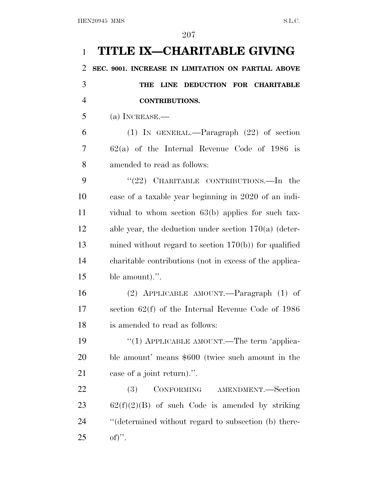| $\mathbf{1}$   | TITLE IX—CHARITABLE GIVING                              |
|----------------|---------------------------------------------------------|
| $\overline{2}$ | SEC. 9001. INCREASE IN LIMITATION ON PARTIAL ABOVE      |
| 3              | LINE DEDUCTION FOR CHARITABLE<br>THE                    |
| $\overline{4}$ | <b>CONTRIBUTIONS.</b>                                   |
| 5              | $(a)$ INCREASE.—                                        |
| 6              | $(1)$ IN GENERAL.—Paragraph $(22)$ of section           |
| 7              | $62(a)$ of the Internal Revenue Code of 1986 is         |
| 8              | amended to read as follows:                             |
| 9              | " $(22)$ CHARITABLE CONTRIBUTIONS.—In the               |
| 10             | case of a taxable year beginning in 2020 of an indi-    |
| 11             | vidual to whom section $63(b)$ applies for such tax-    |
| 12             | able year, the deduction under section $170(a)$ (deter- |
| 13             | mined without regard to section $170(b)$ for qualified  |
| 14             | charitable contributions (not in excess of the applica- |
| 15             | ble amount).".                                          |
| 16             | (2) APPLICABLE AMOUNT.—Paragraph (1) of                 |
| 17             | section $62(f)$ of the Internal Revenue Code of 1986    |
| 18             | is amended to read as follows:                          |
| 19             | "(1) APPLICABLE AMOUNT.—The term 'applica-              |
| 20             | ble amount' means \$600 (twice such amount in the       |
| 21             | case of a joint return).".                              |
| 22             | CONFORMING AMENDMENT.-Section<br>(3)                    |
| 23             | $62(f)(2)(B)$ of such Code is amended by striking       |
| 24             | "(determined without regard to subsection (b) there-    |
| 25             | $\mathrm{of})$ ".                                       |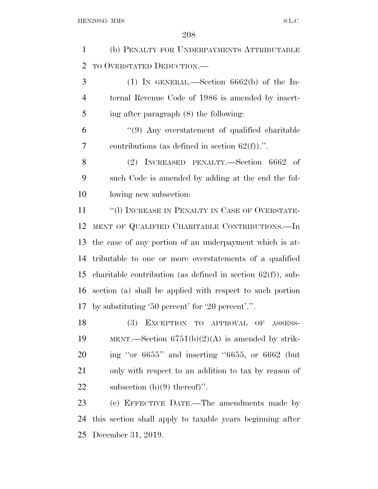(b) PENALTY FOR UNDERPAYMENTS ATTRIBUTABLE TO OVERSTATED DEDUCTION.—

 (1) In GENERAL.—Section 6662(b) of the In- ternal Revenue Code of 1986 is amended by insert-ing after paragraph (8) the following:

 ''(9) Any overstatement of qualified charitable 7 contributions (as defined in section  $62(f)$ ).".

 (2) INCREASED PENALTY.—Section 6662 of such Code is amended by adding at the end the fol-lowing new subsection:

11 "(1) INCREASE IN PENALTY IN CASE OF OVERSTATE- MENT OF QUALIFIED CHARITABLE CONTRIBUTIONS.—In the case of any portion of an underpayment which is at- tributable to one or more overstatements of a qualified 15 charitable contribution (as defined in section  $62(f)$ ), sub- section (a) shall be applied with respect to such portion by substituting '50 percent' for '20 percent'.''.

 (3) EXCEPTION TO APPROVAL OF ASSESS-19 MENT.—Section  $6751(b)(2)(A)$  is amended by strik- ing ''or 6655'' and inserting ''6655, or 6662 (but only with respect to an addition to tax by reason of 22 subsection  $(b)(9)$  thereof)".

 (c) EFFECTIVE DATE.—The amendments made by this section shall apply to taxable years beginning after December 31, 2019.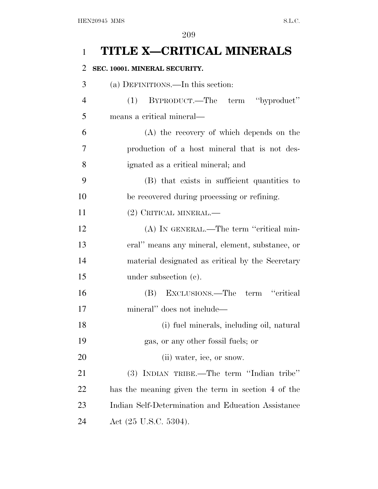## **TITLE X—CRITICAL MINERALS**

## **SEC. 10001. MINERAL SECURITY.**

| 3              | (a) DEFINITIONS.—In this section:                  |
|----------------|----------------------------------------------------|
| $\overline{4}$ | BYPRODUCT.—The term "byproduct"<br>(1)             |
| 5              | means a critical mineral—                          |
| 6              | (A) the recovery of which depends on the           |
| 7              | production of a host mineral that is not des-      |
| 8              | ignated as a critical mineral; and                 |
| 9              | (B) that exists in sufficient quantities to        |
| 10             | be recovered during processing or refining.        |
| 11             | (2) CRITICAL MINERAL.—                             |
| 12             | (A) IN GENERAL.—The term "critical min-            |
| 13             | eral" means any mineral, element, substance, or    |
| 14             | material designated as critical by the Secretary   |
| 15             | under subsection $(e)$ .                           |
| 16             | EXCLUSIONS.—The term "critical<br>(B)              |
| 17             | mineral" does not include—                         |
| 18             | (i) fuel minerals, including oil, natural          |
| 19             | gas, or any other fossil fuels; or                 |
| 20             | (ii) water, ice, or snow.                          |
| 21             | (3) INDIAN TRIBE.—The term "Indian tribe"          |
| 22             | has the meaning given the term in section 4 of the |
| 23             | Indian Self-Determination and Education Assistance |
| 24             | Act (25 U.S.C. 5304).                              |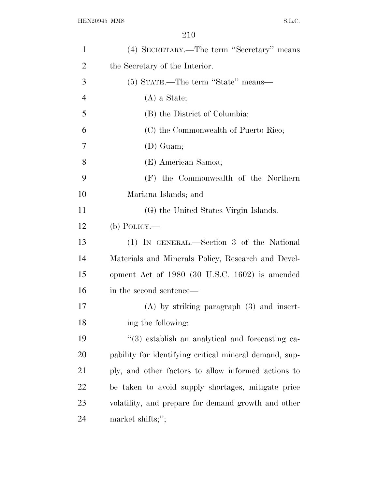| $\mathbf{1}$   | (4) SECRETARY.—The term "Secretary" means              |
|----------------|--------------------------------------------------------|
| $\overline{2}$ | the Secretary of the Interior.                         |
| 3              | (5) STATE.—The term "State" means—                     |
| $\overline{4}$ | $(A)$ a State;                                         |
| 5              | (B) the District of Columbia;                          |
| 6              | (C) the Commonwealth of Puerto Rico;                   |
| 7              | $(D)$ Guam;                                            |
| 8              | (E) American Samoa;                                    |
| 9              | (F) the Commonwealth of the Northern                   |
| 10             | Mariana Islands; and                                   |
| 11             | (G) the United States Virgin Islands.                  |
| 12             | $(b)$ POLICY.—                                         |
| 13             | (1) IN GENERAL.—Section 3 of the National              |
| 14             | Materials and Minerals Policy, Research and Devel-     |
| 15             | opment Act of 1980 (30 U.S.C. 1602) is amended         |
| 16             | in the second sentence—                                |
| 17             | $(A)$ by striking paragraph $(3)$ and insert-          |
| 18             | ing the following:                                     |
| 19             | $(3)$ establish an analytical and forecasting ca-      |
| 20             | pability for identifying critical mineral demand, sup- |
| 21             | ply, and other factors to allow informed actions to    |
| 22             | be taken to avoid supply shortages, mitigate price     |
| 23             | volatility, and prepare for demand growth and other    |
| 24             | market shifts;";                                       |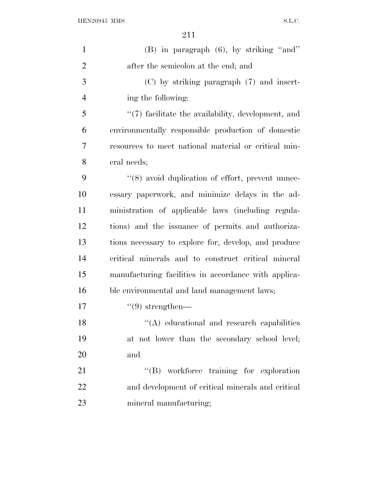| $\mathbf{1}$   | (B) in paragraph (6), by striking "and"                |
|----------------|--------------------------------------------------------|
| $\overline{2}$ | after the semicolon at the end; and                    |
| 3              | $(C)$ by striking paragraph $(7)$ and insert-          |
| $\overline{4}$ | ing the following:                                     |
| 5              | $\lq(7)$ facilitate the availability, development, and |
| 6              | environmentally responsible production of domestic     |
| 7              | resources to meet national material or critical min-   |
| 8              | eral needs;                                            |
| 9              | "(8) avoid duplication of effort, prevent unnec-       |
| 10             | essary paperwork, and minimize delays in the ad-       |
| 11             | ministration of applicable laws (including regula-     |
| 12             | tions) and the issuance of permits and authoriza-      |
| 13             | tions necessary to explore for, develop, and produce   |
| 14             | critical minerals and to construct critical mineral    |
| 15             | manufacturing facilities in accordance with applica-   |
| 16             | ble environmental and land management laws;            |
| 17             | $\lq(9)$ strengthen—                                   |
| 18             | "(A) educational and research capabilities             |
| 19             | at not lower than the secondary school level;          |
| 20             | and                                                    |
| 21             | "(B) workforce training for exploration                |
| 22             | and development of critical minerals and critical      |
| 23             | mineral manufacturing;                                 |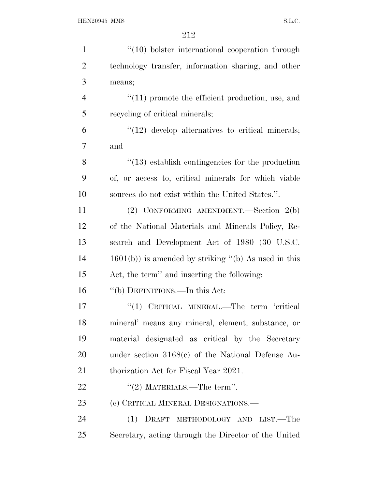| $\mathbf{1}$   | $"(10)$ bolster international cooperation through       |
|----------------|---------------------------------------------------------|
| $\overline{2}$ | technology transfer, information sharing, and other     |
| 3              | means;                                                  |
| 4              | $"(11)$ promote the efficient production, use, and      |
| 5              | recycling of critical minerals;                         |
| 6              | $\lq(12)$ develop alternatives to critical minerals;    |
| 7              | and                                                     |
| 8              | $\cdot$ (13) establish contingencies for the production |
| 9              | of, or access to, critical minerals for which viable    |
| 10             | sources do not exist within the United States.".        |
| 11             | (2) CONFORMING AMENDMENT.—Section 2(b)                  |
| 12             | of the National Materials and Minerals Policy, Re-      |
| 13             | search and Development Act of 1980 (30 U.S.C.           |
| 14             | $1601(b)$ ) is amended by striking "(b) As used in this |
| 15             | Act, the term" and inserting the following:             |
| 16             | "(b) DEFINITIONS.—In this Act:                          |
| 17             | "(1) CRITICAL MINERAL.—The term 'critical               |
| 18             | mineral' means any mineral, element, substance, or      |
| 19             | material designated as critical by the Secretary        |
| 20             | under section $3168(c)$ of the National Defense Au-     |
| 21             | thorization Act for Fiscal Year 2021.                   |
| 22             | "(2) MATERIALS.—The term".                              |
| 23             | (c) CRITICAL MINERAL DESIGNATIONS.—                     |
| 24             | (1) DRAFT METHODOLOGY AND LIST.—The                     |
| 25             | Secretary, acting through the Director of the United    |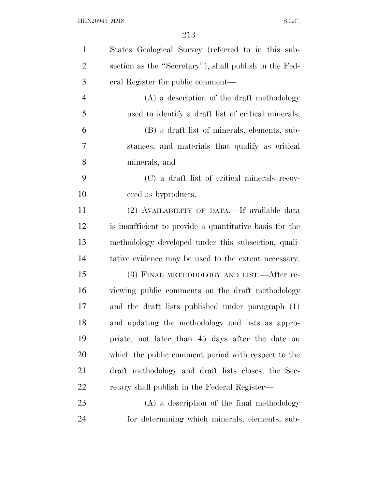| $\mathbf{1}$   | States Geological Survey (referred to in this sub-      |
|----------------|---------------------------------------------------------|
| $\overline{2}$ | section as the "Secretary"), shall publish in the Fed-  |
| 3              | eral Register for public comment—                       |
| $\overline{4}$ | (A) a description of the draft methodology              |
| 5              | used to identify a draft list of critical minerals;     |
| 6              | (B) a draft list of minerals, elements, sub-            |
| 7              | stances, and materials that qualify as critical         |
| 8              | minerals; and                                           |
| 9              | (C) a draft list of critical minerals recov-            |
| 10             | ered as byproducts.                                     |
| 11             | (2) AVAILABILITY OF DATA.—If available data             |
| 12             | is insufficient to provide a quantitative basis for the |
| 13             | methodology developed under this subsection, quali-     |
| 14             | tative evidence may be used to the extent necessary.    |
| 15             | (3) FINAL METHODOLOGY AND LIST.—After re-               |
| 16             | viewing public comments on the draft methodology        |
| 17             | and the draft lists published under paragraph (1)       |
| 18             | and updating the methodology and lists as appro-        |
| 19             | priate, not later than 45 days after the date on        |
| 20             | which the public comment period with respect to the     |
| 21             | draft methodology and draft lists closes, the Sec-      |
| 22             | retary shall publish in the Federal Register—           |
| 23             | (A) a description of the final methodology              |
| 24             | for determining which minerals, elements, sub-          |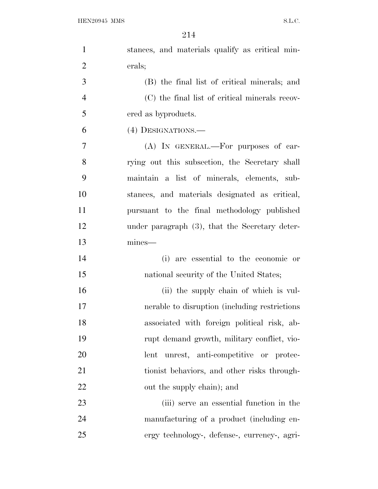| $\mathbf{1}$   | stances, and materials qualify as critical min- |
|----------------|-------------------------------------------------|
| $\overline{2}$ | erals;                                          |
| 3              | (B) the final list of critical minerals; and    |
| $\overline{4}$ | (C) the final list of critical minerals recov-  |
| 5              | ered as byproducts.                             |
| 6              | (4) DESIGNATIONS.—                              |
| 7              | (A) IN GENERAL.—For purposes of car-            |
| 8              | rying out this subsection, the Secretary shall  |
| 9              | maintain a list of minerals, elements, sub-     |
| 10             | stances, and materials designated as critical,  |
| 11             | pursuant to the final methodology published     |
| 12             | under paragraph (3), that the Secretary deter-  |
| 13             | mines-                                          |
| 14             | (i) are essential to the economic or            |
| 15             | national security of the United States;         |
| 16             | (ii) the supply chain of which is vul-          |
| 17             | nerable to disruption (including restrictions)  |
| 18             | associated with foreign political risk, ab-     |
| 19             | rupt demand growth, military conflict, vio-     |
| 20             | lent unrest, anti-competitive or protec-        |
| 21             | tionist behaviors, and other risks through-     |
| 22             | out the supply chain); and                      |
| 23             | (iii) serve an essential function in the        |
| 24             | manufacturing of a product (including en-       |
| 25             | ergy technology-, defense-, currency-, agri-    |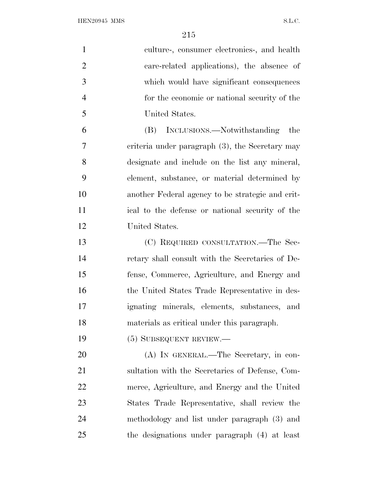| $\mathbf{1}$   | culture-, consumer electronics-, and health        |
|----------------|----------------------------------------------------|
| $\overline{2}$ | care-related applications), the absence of         |
| 3              | which would have significant consequences          |
| $\overline{4}$ | for the economic or national security of the       |
| 5              | United States.                                     |
| 6              | (B) INCLUSIONS.—Notwithstanding<br>the             |
| $\overline{7}$ | criteria under paragraph $(3)$ , the Secretary may |
| 8              | designate and include on the list any mineral,     |
| 9              | element, substance, or material determined by      |
| 10             | another Federal agency to be strategic and crit-   |
| 11             | ical to the defense or national security of the    |
| 12             | United States.                                     |
| 13             | (C) REQUIRED CONSULTATION.—The Sec-                |
| 14             | retary shall consult with the Secretaries of De-   |
| 15             | fense, Commerce, Agriculture, and Energy and       |
| 16             | the United States Trade Representative in des-     |
| 17             | ignating minerals, elements, substances, and       |
| 18             | materials as critical under this paragraph.        |
| 19             | (5) SUBSEQUENT REVIEW.-                            |
| 20             | (A) IN GENERAL.—The Secretary, in con-             |
| 21             | sultation with the Secretaries of Defense, Com-    |
| 22             | merce, Agriculture, and Energy and the United      |
| 23             | States Trade Representative, shall review the      |
| 24             | methodology and list under paragraph (3) and       |
| 25             | the designations under paragraph (4) at least      |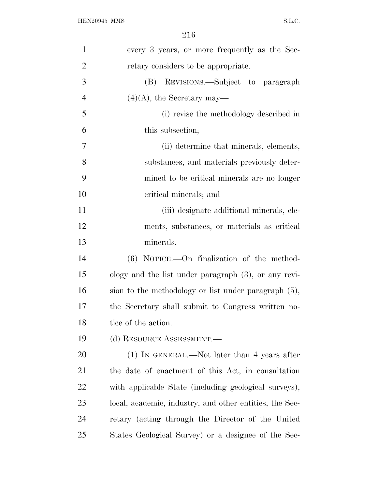| $\mathbf{1}$   | every 3 years, or more frequently as the Sec-           |
|----------------|---------------------------------------------------------|
| $\overline{2}$ | retary considers to be appropriate.                     |
| 3              | (B) REVISIONS.—Subject to paragraph                     |
| $\overline{4}$ | $(4)(A)$ , the Secretary may—                           |
| 5              | (i) revise the methodology described in                 |
| 6              | this subsection;                                        |
| 7              | (ii) determine that minerals, elements,                 |
| 8              | substances, and materials previously deter-             |
| 9              | mined to be critical minerals are no longer             |
| 10             | critical minerals; and                                  |
| 11             | (iii) designate additional minerals, ele-               |
| 12             | ments, substances, or materials as critical             |
| 13             | minerals.                                               |
| 14             | (6) NOTICE.—On finalization of the method-              |
| 15             | ology and the list under paragraph $(3)$ , or any revi- |
| 16             | sion to the methodology or list under paragraph $(5)$ , |
| 17             | the Secretary shall submit to Congress written no-      |
| 18             | tice of the action.                                     |
| 19             | (d) RESOURCE ASSESSMENT.—                               |
| 20             | $(1)$ In GENERAL.—Not later than 4 years after          |
| 21             | the date of enactment of this Act, in consultation      |
| 22             | with applicable State (including geological surveys),   |
| 23             | local, academic, industry, and other entities, the Sec- |
| 24             | retary (acting through the Director of the United       |
| 25             | States Geological Survey) or a designee of the Sec-     |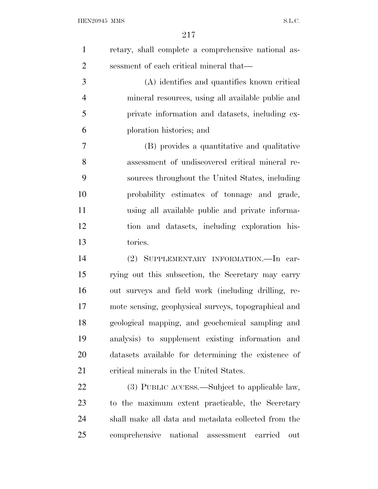| $\mathbf{1}$   | retary, shall complete a comprehensive national as-  |
|----------------|------------------------------------------------------|
| $\overline{2}$ | sessment of each critical mineral that—              |
| 3              | (A) identifies and quantifies known critical         |
| $\overline{4}$ | mineral resources, using all available public and    |
| 5              | private information and datasets, including ex-      |
| 6              | ploration histories; and                             |
| 7              | (B) provides a quantitative and qualitative          |
| 8              | assessment of undiscovered critical mineral re-      |
| 9              | sources throughout the United States, including      |
| 10             | probability estimates of tonnage and grade,          |
| 11             | using all available public and private informa-      |
| 12             | tion and datasets, including exploration his-        |
| 13             | tories.                                              |
| 14             | (2) SUPPLEMENTARY INFORMATION.—In car-               |
| 15             | rying out this subsection, the Secretary may carry   |
| 16             | out surveys and field work (including drilling, re-  |
| 17             | mote sensing, geophysical surveys, topographical and |
| 18             | geological mapping, and geochemical sampling and     |
| 19             | analysis) to supplement existing information and     |
| 20             | datasets available for determining the existence of  |
| 21             | critical minerals in the United States.              |
| 22             | (3) PUBLIC ACCESS.—Subject to applicable law,        |
| 23             | to the maximum extent practicable, the Secretary     |
|                |                                                      |

 shall make all data and metadata collected from the comprehensive national assessment carried out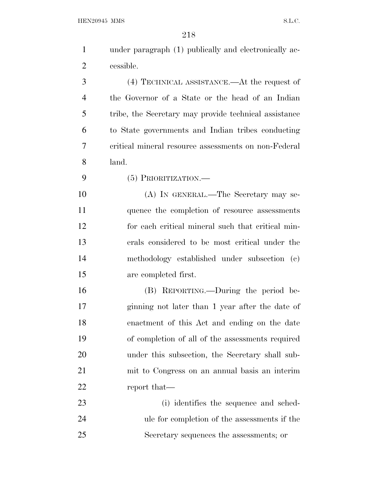| $\mathbf{1}$   | under paragraph (1) publically and electronically ac- |
|----------------|-------------------------------------------------------|
| $\overline{2}$ | cessible.                                             |
| 3              | (4) TECHNICAL ASSISTANCE.—At the request of           |
| $\overline{4}$ | the Governor of a State or the head of an Indian      |
| 5              | tribe, the Secretary may provide technical assistance |
| 6              | to State governments and Indian tribes conducting     |
| 7              | critical mineral resource assessments on non-Federal  |
| 8              | land.                                                 |
| 9              | $(5)$ PRIORITIZATION.—                                |
| 10             | (A) IN GENERAL.—The Secretary may se-                 |
| 11             | quence the completion of resource assessments         |
| 12             | for each critical mineral such that critical min-     |
| 13             | erals considered to be most critical under the        |
| 14             | methodology established under subsection (c)          |
| 15             | are completed first.                                  |
| 16             | (B) REPORTING.—During the period be-                  |
| 17             | ginning not later than 1 year after the date of       |
| 18             | enactment of this Act and ending on the date          |
| 19             | of completion of all of the assessments required      |
| 20             | under this subsection, the Secretary shall sub-       |
| 21             | mit to Congress on an annual basis an interim         |
| <u>22</u>      | report that—                                          |
| 23             | (i) identifies the sequence and sched-                |
| 24             | ule for completion of the assessments if the          |
| 25             | Secretary sequences the assessments; or               |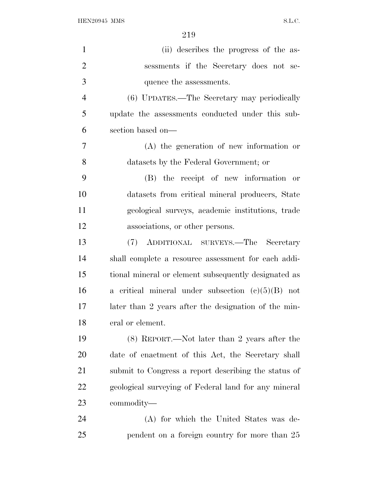| $\mathbf{1}$   | (ii) describes the progress of the as-               |
|----------------|------------------------------------------------------|
| $\overline{2}$ | sessments if the Secretary does not se-              |
| 3              | quence the assessments.                              |
| $\overline{4}$ | (6) UPDATES.—The Secretary may periodically          |
| 5              | update the assessments conducted under this sub-     |
| 6              | section based on—                                    |
| 7              | (A) the generation of new information or             |
| 8              | datasets by the Federal Government; or               |
| 9              | (B) the receipt of new information or                |
| 10             | datasets from critical mineral producers, State      |
| 11             | geological surveys, academic institutions, trade     |
| 12             | associations, or other persons.                      |
| 13             | ADDITIONAL SURVEYS.—The Secretary<br>(7)             |
| 14             | shall complete a resource assessment for each addi-  |
| 15             | tional mineral or element subsequently designated as |
| 16             | a critical mineral under subsection $(c)(5)(B)$ not  |
| 17             | later than 2 years after the designation of the min- |
| 18             | eral or element.                                     |
| 19             | (8) REPORT.—Not later than 2 years after the         |
| 20             | date of enactment of this Act, the Secretary shall   |
| 21             | submit to Congress a report describing the status of |
| 22             | geological surveying of Federal land for any mineral |
| 23             | commodity—                                           |
| 24             | (A) for which the United States was de-              |
| 25             | pendent on a foreign country for more than 25        |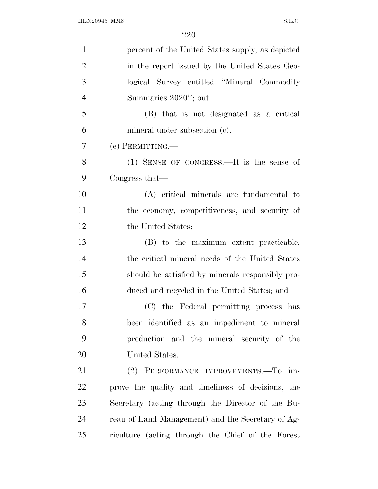| $\mathbf{1}$   | percent of the United States supply, as depicted   |
|----------------|----------------------------------------------------|
| $\overline{2}$ | in the report issued by the United States Geo-     |
| 3              | logical Survey entitled "Mineral Commodity"        |
| $\overline{4}$ | Summaries 2020"; but                               |
| 5              | (B) that is not designated as a critical           |
| 6              | mineral under subsection (c).                      |
| $\overline{7}$ | (e) PERMITTING.—                                   |
| 8              | $(1)$ SENSE OF CONGRESS.—It is the sense of        |
| 9              | Congress that—                                     |
| 10             | (A) critical minerals are fundamental to           |
| 11             | the economy, competitiveness, and security of      |
| 12             | the United States;                                 |
| 13             | (B) to the maximum extent practicable,             |
| 14             | the critical mineral needs of the United States    |
| 15             | should be satisfied by minerals responsibly pro-   |
| 16             | duced and recycled in the United States; and       |
| 17             | (C) the Federal permitting process has             |
| 18             | been identified as an impediment to mineral        |
| 19             | production and the mineral security of the         |
| 20             | United States.                                     |
| 21             | (2) PERFORMANCE IMPROVEMENTS.-To im-               |
| 22             | prove the quality and timeliness of decisions, the |
| 23             | Secretary (acting through the Director of the Bu-  |
| 24             | reau of Land Management) and the Secretary of Ag-  |
| 25             | riculture (acting through the Chief of the Forest  |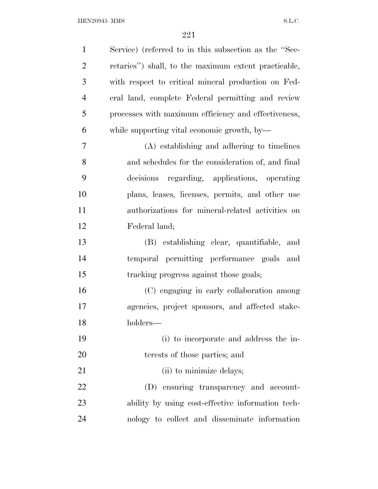$\begin{minipage}{0.9\linewidth} \textbf{HEN20945} \textbf{MMS} \end{minipage}$ 

| $\mathbf{1}$   | Service) (referred to in this subsection as the "Sec- |
|----------------|-------------------------------------------------------|
| $\overline{2}$ | retaries") shall, to the maximum extent practicable,  |
| 3              | with respect to critical mineral production on Fed-   |
| $\overline{4}$ | eral land, complete Federal permitting and review     |
| 5              | processes with maximum efficiency and effectiveness,  |
| 6              | while supporting vital economic growth, by—           |
| 7              | (A) establishing and adhering to timelines            |
| 8              | and schedules for the consideration of, and final     |
| 9              | decisions regarding, applications, operating          |
| 10             | plans, leases, licenses, permits, and other use       |
| 11             | authorizations for mineral-related activities on      |
| 12             | Federal land;                                         |
| 13             | (B) establishing clear, quantifiable, and             |
| 14             | temporal permitting performance goals and             |
| 15             | tracking progress against those goals;                |
| 16             | (C) engaging in early collaboration among             |
| 17             | agencies, project sponsors, and affected stake-       |
| 18             | holders-                                              |
| 19             | (i) to incorporate and address the in-                |
| 20             | terests of those parties; and                         |
| 21             | (ii) to minimize delays;                              |
| 22             | (D) ensuring transparency and account-                |
| 23             | ability by using cost-effective information tech-     |
| 24             | nology to collect and disseminate information         |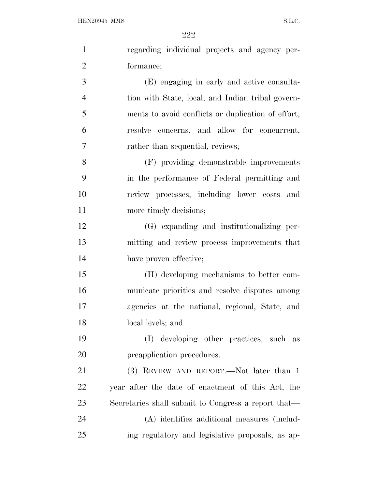| $\mathbf{1}$   | regarding individual projects and agency per-       |
|----------------|-----------------------------------------------------|
| $\overline{2}$ | formance;                                           |
| 3              | (E) engaging in early and active consulta-          |
| $\overline{4}$ | tion with State, local, and Indian tribal govern-   |
| 5              | ments to avoid conflicts or duplication of effort,  |
| 6              | resolve concerns, and allow for concurrent,         |
| 7              | rather than sequential, reviews;                    |
| 8              | (F) providing demonstrable improvements             |
| 9              | in the performance of Federal permitting and        |
| 10             | review processes, including lower costs and         |
| 11             | more timely decisions;                              |
| 12             | (G) expanding and institutionalizing per-           |
| 13             | mitting and review process improvements that        |
| 14             | have proven effective;                              |
| 15             | (H) developing mechanisms to better com-            |
| 16             | municate priorities and resolve disputes among      |
| 17             | agencies at the national, regional, State, and      |
| 18             | local levels; and                                   |
| 19             | developing other practices, such as<br>(I)          |
| 20             | preapplication procedures.                          |
| 21             | (3) REVIEW AND REPORT.—Not later than 1             |
| 22             | year after the date of enactment of this Act, the   |
| 23             | Secretaries shall submit to Congress a report that— |
| 24             | (A) identifies additional measures (includ-         |
| 25             | ing regulatory and legislative proposals, as ap-    |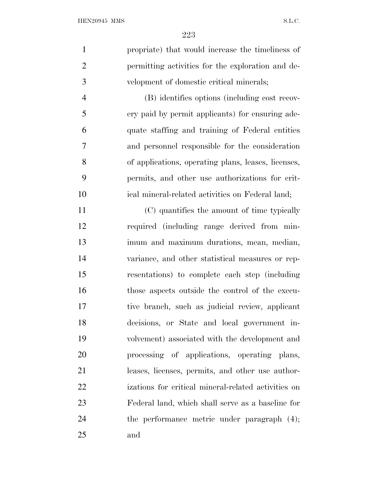| $\mathbf{1}$   | propriate) that would increase the timeliness of    |
|----------------|-----------------------------------------------------|
| $\overline{2}$ | permitting activities for the exploration and de-   |
| 3              | velopment of domestic critical minerals;            |
| $\overline{4}$ | (B) identifies options (including cost recov-       |
| 5              | ery paid by permit applicants) for ensuring ade-    |
| 6              | quate staffing and training of Federal entities     |
| 7              | and personnel responsible for the consideration     |
| 8              | of applications, operating plans, leases, licenses, |
| 9              | permits, and other use authorizations for crit-     |
| 10             | ical mineral-related activities on Federal land;    |
| 11             | (C) quantifies the amount of time typically         |
| 12             | required (including range derived from min-         |
| 13             | imum and maximum durations, mean, median,           |
| 14             | variance, and other statistical measures or rep-    |
| 15             | resentations) to complete each step (including      |
| 16             | those aspects outside the control of the execu-     |
| 17             | tive branch, such as judicial review, applicant     |
| 18             | decisions, or State and local government in-        |
| 19             | volvement) associated with the development and      |
| 20             | processing of applications, operating plans,        |
| 21             | leases, licenses, permits, and other use author-    |
| 22             | izations for critical mineral-related activities on |
| 23             | Federal land, which shall serve as a baseline for   |
| 24             | the performance metric under paragraph $(4)$ ;      |
| 25             | and                                                 |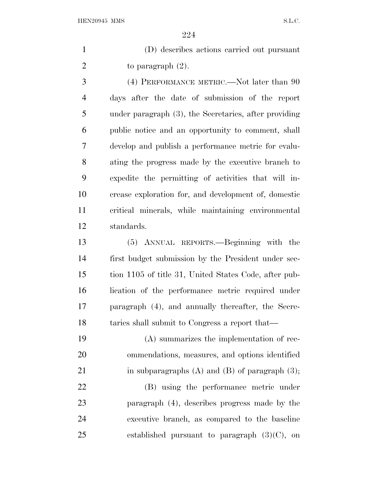(D) describes actions carried out pursuant 2 to paragraph  $(2)$ .

 (4) PERFORMANCE METRIC.—Not later than 90 days after the date of submission of the report under paragraph (3), the Secretaries, after providing public notice and an opportunity to comment, shall develop and publish a performance metric for evalu- ating the progress made by the executive branch to expedite the permitting of activities that will in- crease exploration for, and development of, domestic critical minerals, while maintaining environmental standards.

 (5) ANNUAL REPORTS.—Beginning with the first budget submission by the President under sec- tion 1105 of title 31, United States Code, after pub- lication of the performance metric required under paragraph (4), and annually thereafter, the Secre-18 taries shall submit to Congress a report that—

 (A) summarizes the implementation of rec- ommendations, measures, and options identified 21 in subparagraphs  $(A)$  and  $(B)$  of paragraph  $(3)$ ;

 (B) using the performance metric under paragraph (4), describes progress made by the executive branch, as compared to the baseline 25 established pursuant to paragraph  $(3)(C)$ , on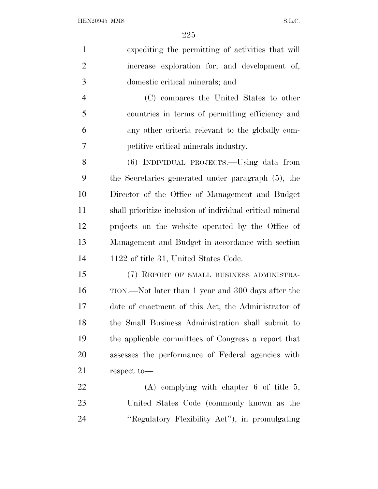| $\mathbf{1}$   | expediting the permitting of activities that will         |
|----------------|-----------------------------------------------------------|
| $\overline{2}$ | increase exploration for, and development of,             |
| 3              | domestic critical minerals; and                           |
| $\overline{4}$ | (C) compares the United States to other                   |
| 5              | countries in terms of permitting efficiency and           |
| 6              | any other criteria relevant to the globally com-          |
| 7              | petitive critical minerals industry.                      |
| 8              | (6) INDIVIDUAL PROJECTS.—Using data from                  |
| 9              | the Secretaries generated under paragraph (5), the        |
| 10             | Director of the Office of Management and Budget           |
| 11             | shall prioritize inclusion of individual critical mineral |
| 12             | projects on the website operated by the Office of         |
| 13             | Management and Budget in accordance with section          |
| 14             | 1122 of title 31, United States Code.                     |
| 15             | (7) REPORT OF SMALL BUSINESS ADMINISTRA-                  |
| 16             | TION.—Not later than 1 year and 300 days after the        |
| 17             | date of enactment of this Act, the Administrator of       |
| 18             | the Small Business Administration shall submit to         |
| 19             | the applicable committees of Congress a report that       |
| 20             | assesses the performance of Federal agencies with         |
| 21             | respect to-                                               |
| 22             | $(A)$ complying with chapter 6 of title 5,                |
| 23             | United States Code (commonly known as the                 |
| 24             | "Regulatory Flexibility Act", in promulgating             |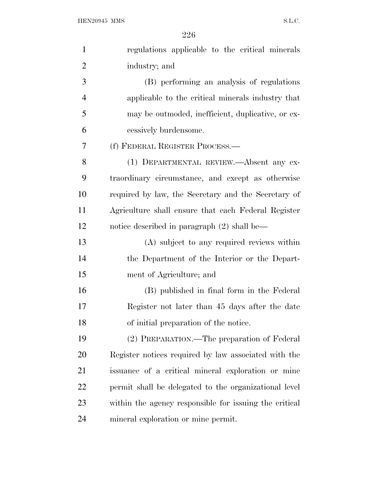| $\mathbf{1}$   | regulations applicable to the critical minerals        |
|----------------|--------------------------------------------------------|
| $\overline{2}$ | industry; and                                          |
| 3              | (B) performing an analysis of regulations              |
| $\overline{4}$ | applicable to the critical minerals industry that      |
| 5              | may be outmoded, inefficient, duplicative, or ex-      |
| 6              | cessively burdensome.                                  |
| 7              | (f) FEDERAL REGISTER PROCESS.—                         |
| 8              | (1) DEPARTMENTAL REVIEW.—Absent any ex-                |
| 9              | traordinary circumstance, and except as otherwise      |
| 10             | required by law, the Secretary and the Secretary of    |
| 11             | Agriculture shall ensure that each Federal Register    |
| 12             | notice described in paragraph $(2)$ shall be—          |
| 13             | (A) subject to any required reviews within             |
| 14             | the Department of the Interior or the Depart-          |
| 15             | ment of Agriculture; and                               |
| 16             | (B) published in final form in the Federal             |
| 17             | Register not later than 45 days after the date         |
| 18             | of initial preparation of the notice.                  |
| 19             | (2) PREPARATION.—The preparation of Federal            |
| 20             | Register notices required by law associated with the   |
| 21             | issuance of a critical mineral exploration or mine     |
| 22             | permit shall be delegated to the organizational level  |
| 23             | within the agency responsible for issuing the critical |
| 24             | mineral exploration or mine permit.                    |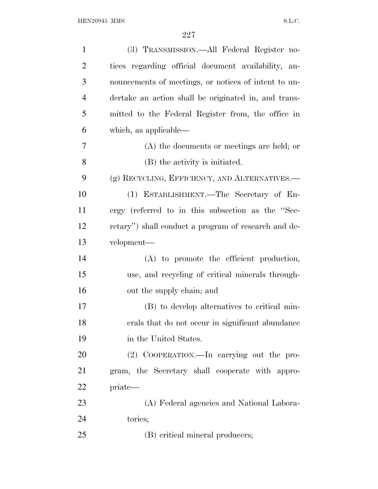| $\mathbf{1}$   | (3) TRANSMISSION.—All Federal Register no-           |
|----------------|------------------------------------------------------|
| $\overline{2}$ | tices regarding official document availability, an-  |
| 3              | nouncements of meetings, or notices of intent to un- |
| $\overline{4}$ | dertake an action shall be originated in, and trans- |
| 5              | mitted to the Federal Register from, the office in   |
| 6              | which, as applicable—                                |
| 7              | $(A)$ the documents or meetings are held; or         |
| 8              | (B) the activity is initiated.                       |
| 9              | (g) RECYCLING, EFFICIENCY, AND ALTERNATIVES.-        |
| 10             | (1) ESTABLISHMENT.—The Secretary of En-              |
| 11             | ergy (referred to in this subsection as the "Sec-    |
| 12             | retary") shall conduct a program of research and de- |
| 13             | velopment—                                           |
| 14             | (A) to promote the efficient production,             |
| 15             | use, and recycling of critical minerals through-     |
| 16             | out the supply chain; and                            |
| 17             | (B) to develop alternatives to critical min-         |
| 18             | erals that do not occur in significant abundance     |
| 19             | in the United States.                                |
| 20             | (2) COOPERATION.—In carrying out the pro-            |
| 21             | gram, the Secretary shall cooperate with appro-      |
| 22             | priate—                                              |
| 23             | (A) Federal agencies and National Labora-            |
| 24             | tories;                                              |
| 25             | (B) critical mineral producers;                      |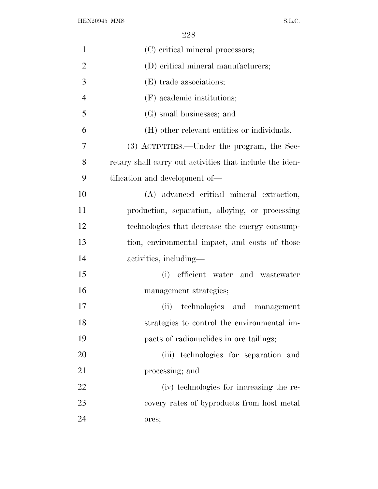| $\mathbf{1}$   | (C) critical mineral processors;                         |
|----------------|----------------------------------------------------------|
| $\overline{2}$ | (D) critical mineral manufacturers;                      |
| 3              | (E) trade associations;                                  |
| $\overline{4}$ | (F) academic institutions;                               |
| 5              | (G) small businesses; and                                |
| 6              | (H) other relevant entities or individuals.              |
| 7              | (3) ACTIVITIES.—Under the program, the Sec-              |
| 8              | retary shall carry out activities that include the iden- |
| 9              | tification and development of—                           |
| 10             | (A) advanced critical mineral extraction,                |
| 11             | production, separation, alloying, or processing          |
| 12             | technologies that decrease the energy consump-           |
| 13             | tion, environmental impact, and costs of those           |
| 14             | activities, including—                                   |
| 15             | efficient water and wastewater<br>(i)                    |
| 16             | management strategies;                                   |
| 17             | (ii) technologies and management                         |
| 18             | strategies to control the environmental im-              |
| 19             | pacts of radionuclides in ore tailings;                  |
| 20             | (iii) technologies for separation and                    |
| 21             | processing; and                                          |
| 22             | (iv) technologies for increasing the re-                 |
| 23             | covery rates of byproducts from host metal               |
| 24             | ores;                                                    |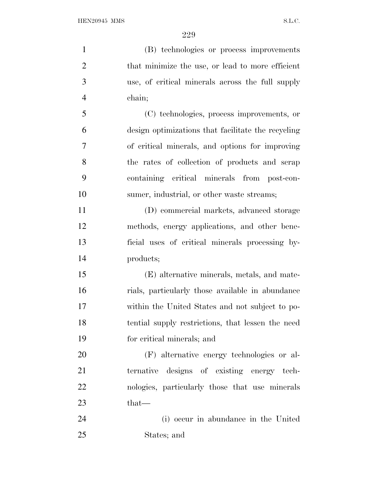| $\mathbf{1}$   | (B) technologies or process improvements           |
|----------------|----------------------------------------------------|
| $\overline{2}$ | that minimize the use, or lead to more efficient   |
| 3              | use, of critical minerals across the full supply   |
| $\overline{4}$ | chain;                                             |
| 5              | (C) technologies, process improvements, or         |
| 6              | design optimizations that facilitate the recycling |
| 7              | of critical minerals, and options for improving    |
| 8              | the rates of collection of products and scrap      |
| 9              | containing critical minerals from post-con-        |
| 10             | sumer, industrial, or other waste streams;         |
| 11             | (D) commercial markets, advanced storage           |
| 12             | methods, energy applications, and other bene-      |
| 13             | ficial uses of critical minerals processing by-    |
| 14             | products;                                          |
| 15             | (E) alternative minerals, metals, and mate-        |
| 16             | rials, particularly those available in abundance   |
| 17             | within the United States and not subject to po-    |
| 18             | tential supply restrictions, that lessen the need  |
| 19             | for critical minerals; and                         |
| 20             | (F) alternative energy technologies or al-         |
| 21             | ternative designs of existing energy tech-         |
| 22             | nologies, particularly those that use minerals     |
| 23             | that—                                              |
| 24             | (i) occur in abundance in the United               |
| 25             | States; and                                        |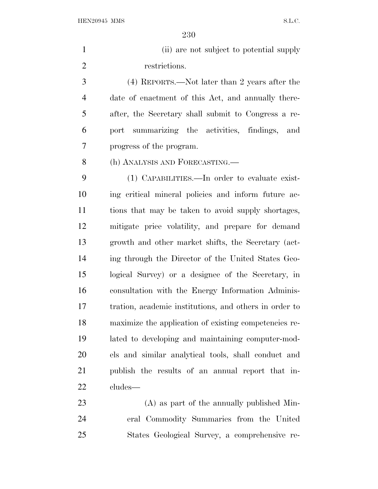1 (ii) are not subject to potential supply restrictions. (4) REPORTS.—Not later than 2 years after the date of enactment of this Act, and annually there- after, the Secretary shall submit to Congress a re- port summarizing the activities, findings, and progress of the program. (h) ANALYSIS AND FORECASTING.— (1) CAPABILITIES.—In order to evaluate exist- ing critical mineral policies and inform future ac- tions that may be taken to avoid supply shortages, mitigate price volatility, and prepare for demand growth and other market shifts, the Secretary (act- ing through the Director of the United States Geo- logical Survey) or a designee of the Secretary, in consultation with the Energy Information Adminis- tration, academic institutions, and others in order to maximize the application of existing competencies re- lated to developing and maintaining computer-mod- els and similar analytical tools, shall conduct and publish the results of an annual report that in- cludes— (A) as part of the annually published Min-

 eral Commodity Summaries from the United States Geological Survey, a comprehensive re-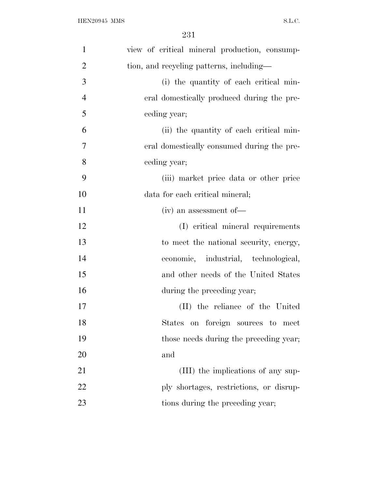| $\mathbf{1}$   | view of critical mineral production, consump- |
|----------------|-----------------------------------------------|
| $\overline{2}$ | tion, and recycling patterns, including—      |
| 3              | (i) the quantity of each critical min-        |
| $\overline{4}$ | eral domestically produced during the pre-    |
| 5              | ceding year;                                  |
| 6              | (ii) the quantity of each critical min-       |
| $\overline{7}$ | eral domestically consumed during the pre-    |
| 8              | ceding year;                                  |
| 9              | (iii) market price data or other price        |
| 10             | data for each critical mineral;               |
| 11             | $(iv)$ an assessment of —                     |
| 12             | (I) critical mineral requirements             |
| 13             | to meet the national security, energy,        |
| 14             | economic, industrial, technological,          |
| 15             | and other needs of the United States          |
| 16             | during the preceding year;                    |
| 17             | (II) the reliance of the United               |
| 18             | States on foreign sources to meet             |
| 19             | those needs during the preceding year;        |
| 20             | and                                           |
| 21             | (III) the implications of any sup-            |
| 22             | ply shortages, restrictions, or disrup-       |
| 23             | tions during the preceding year;              |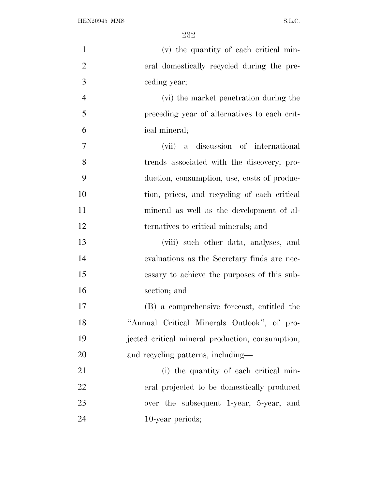| $\mathbf{1}$   | (v) the quantity of each critical min-           |
|----------------|--------------------------------------------------|
| $\overline{2}$ | eral domestically recycled during the pre-       |
| 3              | ceding year;                                     |
| $\overline{4}$ | (vi) the market penetration during the           |
| 5              | preceding year of alternatives to each crit-     |
| 6              | ical mineral;                                    |
| $\overline{7}$ | (vii) a discussion of international              |
| 8              | trends associated with the discovery, pro-       |
| 9              | duction, consumption, use, costs of produc-      |
| 10             | tion, prices, and recycling of each critical     |
| 11             | mineral as well as the development of al-        |
| 12             | ternatives to critical minerals; and             |
| 13             | (viii) such other data, analyses, and            |
| 14             | evaluations as the Secretary finds are nec-      |
| 15             | essary to achieve the purposes of this sub-      |
| 16             | section; and                                     |
| 17             | (B) a comprehensive forecast, entitled the       |
| 18             | "Annual Critical Minerals Outlook", of pro-      |
| 19             | jected critical mineral production, consumption, |
| 20             | and recycling patterns, including—               |
| 21             | (i) the quantity of each critical min-           |
| 22             | eral projected to be domestically produced       |
| 23             | over the subsequent 1-year, 5-year, and          |
| 24             | 10-year periods;                                 |
|                |                                                  |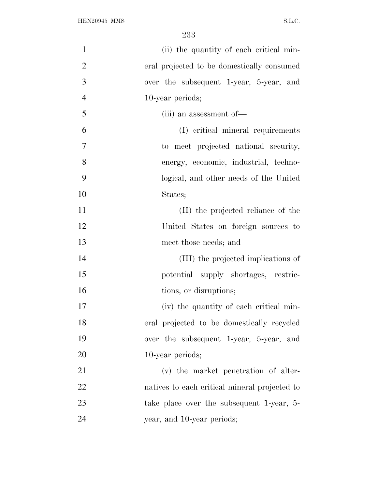| $\mathbf{1}$   | (ii) the quantity of each critical min-       |
|----------------|-----------------------------------------------|
| $\overline{2}$ | eral projected to be domestically consumed    |
| 3              | over the subsequent 1-year, 5-year, and       |
| $\overline{4}$ | 10-year periods;                              |
| 5              | (iii) an assessment of —                      |
| 6              | (I) critical mineral requirements             |
| $\tau$         | to meet projected national security,          |
| 8              | energy, economic, industrial, techno-         |
| 9              | logical, and other needs of the United        |
| 10             | States;                                       |
| 11             | (II) the projected reliance of the            |
| 12             | United States on foreign sources to           |
| 13             | meet those needs; and                         |
| 14             | (III) the projected implications of           |
| 15             | potential supply shortages, restric-          |
| 16             | tions, or disruptions;                        |
| 17             | (iv) the quantity of each critical min-       |
| 18             | eral projected to be domestically recycled    |
| 19             | over the subsequent 1-year, 5-year, and       |
| 20             | 10-year periods;                              |
| 21             | (v) the market penetration of alter-          |
| 22             | natives to each critical mineral projected to |
| 23             | take place over the subsequent 1-year, 5-     |
| 24             | year, and 10-year periods;                    |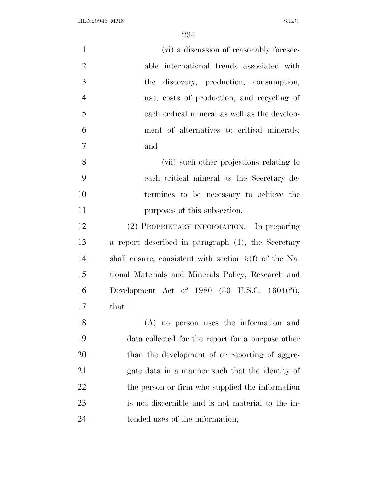| $\mathbf{1}$   | (vi) a discussion of reasonably foresee-                |
|----------------|---------------------------------------------------------|
| $\overline{2}$ | able international trends associated with               |
| 3              | discovery, production, consumption,<br>the              |
| $\overline{4}$ | use, costs of production, and recycling of              |
| 5              | each critical mineral as well as the develop-           |
| 6              | ment of alternatives to critical minerals;              |
| $\overline{7}$ | and                                                     |
| 8              | (vii) such other projections relating to                |
| 9              | each critical mineral as the Secretary de-              |
| 10             | termines to be necessary to achieve the                 |
| 11             | purposes of this subsection.                            |
| 12             | (2) PROPRIETARY INFORMATION. In preparing               |
| 13             | a report described in paragraph (1), the Secretary      |
| 14             | shall ensure, consistent with section $5(f)$ of the Na- |
| 15             | tional Materials and Minerals Policy, Research and      |
| 16             | Development Act of 1980 $(30 \text{ U.S.C. } 1604(f)),$ |
| 17             | that—                                                   |
| 18             | (A) no person uses the information and                  |
| 19             | data collected for the report for a purpose other       |
| 20             | than the development of or reporting of aggre-          |
| 21             | gate data in a manner such that the identity of         |
| 22             | the person or firm who supplied the information         |
| 23             | is not discernible and is not material to the in-       |
| 24             | tended uses of the information;                         |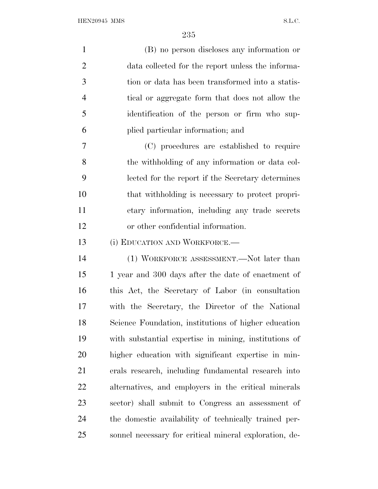| $\mathbf{1}$   | (B) no person discloses any information or             |
|----------------|--------------------------------------------------------|
| $\overline{2}$ | data collected for the report unless the informa-      |
| 3              | tion or data has been transformed into a statis-       |
| $\overline{4}$ | tical or aggregate form that does not allow the        |
| 5              | identification of the person or firm who sup-          |
| 6              | plied particular information; and                      |
| 7              | (C) procedures are established to require              |
| 8              | the withholding of any information or data col-        |
| 9              | lected for the report if the Secretary determines      |
| 10             | that withholding is necessary to protect propri-       |
| 11             | etary information, including any trade secrets         |
| 12             | or other confidential information.                     |
| 13             | (i) EDUCATION AND WORKFORCE.—                          |
| 14             | (1) WORKFORCE ASSESSMENT.—Not later than               |
| 15             | 1 year and 300 days after the date of enactment of     |
| 16             | this Act, the Secretary of Labor (in consultation      |
| 17             | with the Secretary, the Director of the National       |
| 18             | Science Foundation, institutions of higher education   |
| 19             | with substantial expertise in mining, institutions of  |
| 20             | higher education with significant expertise in min-    |
| 21             | erals research, including fundamental research into    |
| 22             | alternatives, and employers in the critical minerals   |
| 23             | sector) shall submit to Congress an assessment of      |
| 24             | the domestic availability of technically trained per-  |
| 25             | sonnel necessary for critical mineral exploration, de- |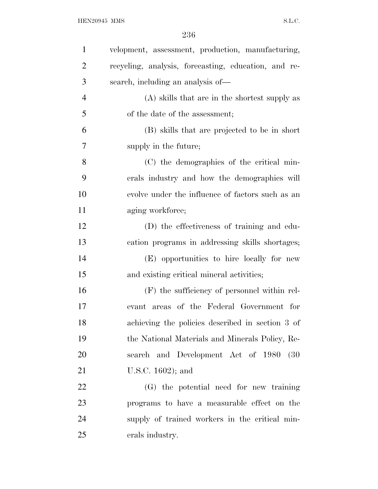| $\mathbf{1}$   | velopment, assessment, production, manufacturing,    |
|----------------|------------------------------------------------------|
| $\overline{2}$ | recycling, analysis, forecasting, education, and re- |
| 3              | search, including an analysis of—                    |
| $\overline{4}$ | (A) skills that are in the shortest supply as        |
| 5              | of the date of the assessment;                       |
| 6              | (B) skills that are projected to be in short         |
| 7              | supply in the future;                                |
| 8              | (C) the demographics of the critical min-            |
| 9              | erals industry and how the demographics will         |
| 10             | evolve under the influence of factors such as an     |
| 11             | aging workforce;                                     |
| 12             | (D) the effectiveness of training and edu-           |
| 13             | cation programs in addressing skills shortages;      |
| 14             | (E) opportunities to hire locally for new            |
| 15             | and existing critical mineral activities;            |
| 16             | (F) the sufficiency of personnel within rel-         |
| 17             | evant areas of the Federal Government for            |
| 18             | achieving the policies described in section 3 of     |
| 19             | the National Materials and Minerals Policy, Re-      |
| 20             | search and Development Act of 1980 (30               |
| 21             | U.S.C. $1602$ ; and                                  |
| 22             | (G) the potential need for new training              |
| 23             | programs to have a measurable effect on the          |
| 24             | supply of trained workers in the critical min-       |
| 25             | erals industry.                                      |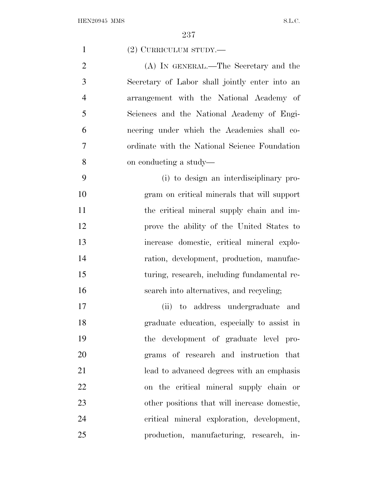| $\mathbf{1}$   | (2) CURRICULUM STUDY.—                         |
|----------------|------------------------------------------------|
| $\overline{2}$ | (A) IN GENERAL.—The Secretary and the          |
| 3              | Secretary of Labor shall jointly enter into an |
| $\overline{4}$ | arrangement with the National Academy of       |
| 5              | Sciences and the National Academy of Engi-     |
| 6              | neering under which the Academies shall co-    |
| 7              | ordinate with the National Science Foundation  |
| 8              | on conducting a study—                         |
| 9              | (i) to design an interdisciplinary pro-        |
| 10             | gram on critical minerals that will support    |
| 11             | the critical mineral supply chain and im-      |
| 12             | prove the ability of the United States to      |
| 13             | increase domestic, critical mineral explo-     |
| 14             | ration, development, production, manufac-      |
| 15             | turing, research, including fundamental re-    |
| 16             | search into alternatives, and recycling;       |
| 17             | to address undergraduate<br>(ii)<br>and        |
| 18             | graduate education, especially to assist in    |
| 19             | the development of graduate level pro-         |
| 20             | grams of research and instruction that         |
| 21             | lead to advanced degrees with an emphasis      |
| 22             | on the critical mineral supply chain or        |
| 23             | other positions that will increase domestic,   |
| 24             | critical mineral exploration, development,     |
| 25             | production, manufacturing, research, in-       |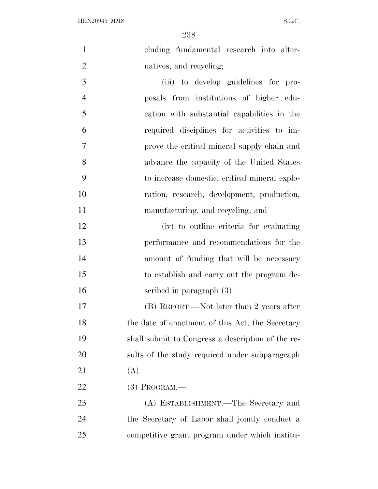cluding fundamental research into alter-natives, and recycling;

 (iii) to develop guidelines for pro- posals from institutions of higher edu- cation with substantial capabilities in the required disciplines for activities to im- prove the critical mineral supply chain and advance the capacity of the United States to increase domestic, critical mineral explo- ration, research, development, production, manufacturing, and recycling; and

 (iv) to outline criteria for evaluating performance and recommendations for the amount of funding that will be necessary to establish and carry out the program de-scribed in paragraph (3).

 (B) REPORT.—Not later than 2 years after 18 the date of enactment of this Act, the Secretary shall submit to Congress a description of the re- sults of the study required under subparagraph 21  $(A)$ .

(3) PROGRAM.—

 (A) ESTABLISHMENT.—The Secretary and the Secretary of Labor shall jointly conduct a competitive grant program under which institu-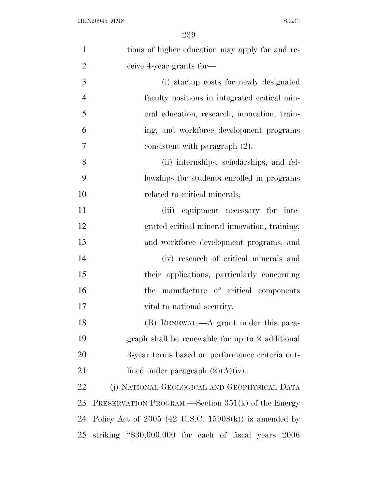| $\mathbf{1}$   | tions of higher education may apply for and re-         |
|----------------|---------------------------------------------------------|
| $\overline{2}$ | ceive 4-year grants for-                                |
| 3              | (i) startup costs for newly designated                  |
| $\overline{4}$ | faculty positions in integrated critical min-           |
| 5              | eral education, research, innovation, train-            |
| 6              | ing, and workforce development programs                 |
| 7              | consistent with paragraph $(2)$ ;                       |
| 8              | (ii) internships, scholarships, and fel-                |
| 9              | lowships for students enrolled in programs              |
| 10             | related to critical minerals;                           |
| 11             | (iii) equipment necessary for inte-                     |
| 12             | grated critical mineral innovation, training,           |
| 13             | and workforce development programs; and                 |
| 14             | (iv) research of critical minerals and                  |
| 15             | their applications, particularly concerning             |
| 16             | the manufacture of critical components                  |
| 17             | vital to national security.                             |
| 18             | (B) RENEWAL.—A grant under this para-                   |
| 19             | graph shall be renewable for up to 2 additional         |
| 20             | 3-year terms based on performance criteria out-         |
| 21             | lined under paragraph $(2)(A)(iv)$ .                    |
| 22             | (j) NATIONAL GEOLOGICAL AND GEOPHYSICAL DATA            |
| 23             | PRESERVATION PROGRAM.—Section 351(k) of the Energy      |
| 24             | Policy Act of $2005$ (42 U.S.C. 15908(k)) is amended by |
| 25             | striking "\$30,000,000 for each of fiscal years 2006    |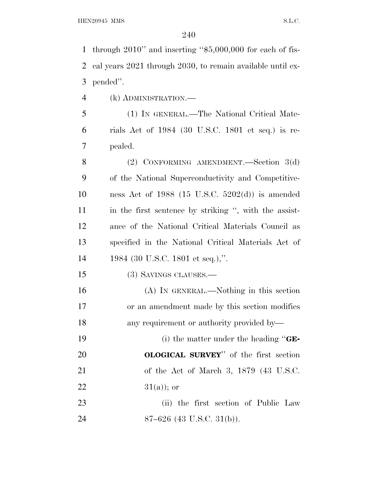through 2010'' and inserting ''\$5,000,000 for each of fis- cal years 2021 through 2030, to remain available until ex-pended''.

(k) ADMINISTRATION.—

 (1) IN GENERAL.—The National Critical Mate- rials Act of 1984 (30 U.S.C. 1801 et seq.) is re-pealed.

 (2) CONFORMING AMENDMENT.—Section 3(d) of the National Superconductivity and Competitive- ness Act of 1988 (15 U.S.C. 5202(d)) is amended in the first sentence by striking '', with the assist- ance of the National Critical Materials Council as specified in the National Critical Materials Act of 1984 (30 U.S.C. 1801 et seq.),''.

(3) SAVINGS CLAUSES.—

 (A) IN GENERAL.—Nothing in this section or an amendment made by this section modifies any requirement or authority provided by—

 (i) the matter under the heading ''**GE- OLOGICAL SURVEY**'' of the first section of the Act of March 3, 1879 (43 U.S.C.  $31(a)$ ; or

23 (ii) the first section of Public Law 87–626 (43 U.S.C. 31(b)).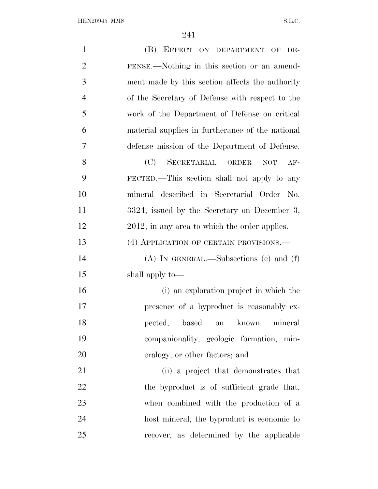${\bf HEN20945~MMS} \hspace{2cm} {\bf S.L.C.}$ 

| $\mathbf{1}$<br>(B) EFFECT ON DEPARTMENT OF DE-                   |
|-------------------------------------------------------------------|
| $\overline{2}$<br>FENSE.—Nothing in this section or an amend-     |
| 3<br>ment made by this section affects the authority              |
| $\overline{4}$<br>of the Secretary of Defense with respect to the |
| 5<br>work of the Department of Defense on critical                |
| 6<br>material supplies in furtherance of the national             |
| 7<br>defense mission of the Department of Defense.                |
| 8<br>(C)<br>SECRETARIAL ORDER<br><b>NOT</b><br>$AF-$              |
| 9<br>FECTED.—This section shall not apply to any                  |
| 10<br>mineral described in Secretarial Order No.                  |
| 11<br>3324, issued by the Secretary on December 3,                |
| 12<br>2012, in any area to which the order applies.               |
| 13<br>(4) APPLICATION OF CERTAIN PROVISIONS.—                     |
| 14<br>$(A)$ In GENERAL.—Subsections (e) and (f)                   |
| 15<br>shall apply to—                                             |
| 16<br>(i) an exploration project in which the                     |
| 17<br>presence of a byproduct is reasonably ex-                   |
| 18<br>pected,<br>based<br>on known<br>mineral                     |
| 19<br>companionality, geologic formation, min-                    |
| 20<br>eralogy, or other factors; and                              |
| 21<br>(ii) a project that demonstrates that                       |
| 22<br>the byproduct is of sufficient grade that,                  |
| 23<br>when combined with the production of a                      |
| 24<br>host mineral, the byproduct is economic to                  |
| 25<br>recover, as determined by the applicable                    |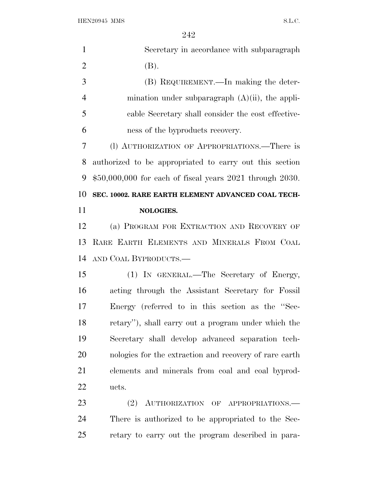| $\mathbf{1}$   | Secretary in accordance with subparagraph                      |
|----------------|----------------------------------------------------------------|
| $\overline{2}$ | (B).                                                           |
| 3              | (B) REQUIREMENT.—In making the deter-                          |
| $\overline{4}$ | mination under subparagraph $(A)(ii)$ , the appli-             |
| 5              | cable Secretary shall consider the cost effective-             |
| 6              | ness of the byproducts recovery.                               |
| 7              | (l) AUTHORIZATION OF APPROPRIATIONS.—There is                  |
| 8              | authorized to be appropriated to carry out this section        |
| 9              | $$50,000,000$ for each of fiscal years $2021$ through $2030$ . |
| 10             | SEC. 10002. RARE EARTH ELEMENT ADVANCED COAL TECH-             |
| 11             | NOLOGIES.                                                      |
| 12             | (a) PROGRAM FOR EXTRACTION AND RECOVERY OF                     |
| 13             | RARE EARTH ELEMENTS AND MINERALS FROM COAL                     |
| 14             | AND COAL BYPRODUCTS.-                                          |
| 15             |                                                                |
|                | (1) IN GENERAL.—The Secretary of Energy,                       |
| 16             | acting through the Assistant Secretary for Fossil              |
| 17             | Energy (referred to in this section as the "Sec-               |
| 18             | retary"), shall carry out a program under which the            |
| 19             | Secretary shall develop advanced separation tech-              |
| 20             | nologies for the extraction and recovery of rare earth         |
| 21             | elements and minerals from coal and coal byprod-               |
| 22             | ucts.                                                          |
| 23             | AUTHORIZATION OF APPROPRIATIONS.<br>(2)                        |
| 24             | There is authorized to be appropriated to the Sec-             |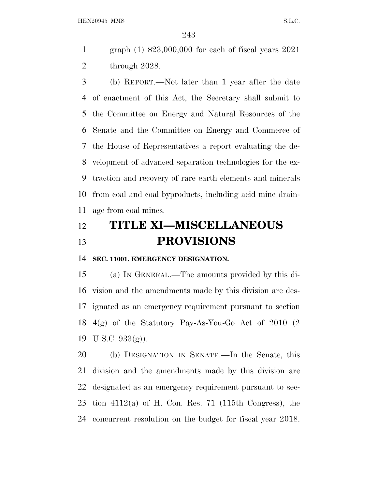graph (1) \$23,000,000 for each of fiscal years 2021 through 2028.

 (b) REPORT.—Not later than 1 year after the date of enactment of this Act, the Secretary shall submit to the Committee on Energy and Natural Resources of the Senate and the Committee on Energy and Commerce of the House of Representatives a report evaluating the de- velopment of advanced separation technologies for the ex- traction and recovery of rare earth elements and minerals from coal and coal byproducts, including acid mine drain-age from coal mines.

## **TITLE XI—MISCELLANEOUS PROVISIONS**

**SEC. 11001. EMERGENCY DESIGNATION.**

 (a) I<sup>N</sup> GENERAL.—The amounts provided by this di- vision and the amendments made by this division are des- ignated as an emergency requirement pursuant to section 4(g) of the Statutory Pay-As-You-Go Act of 2010 (2 U.S.C. 933(g)).

 (b) DESIGNATION IN SENATE.—In the Senate, this division and the amendments made by this division are designated as an emergency requirement pursuant to sec-23 tion  $4112(a)$  of H. Con. Res. 71 (115th Congress), the concurrent resolution on the budget for fiscal year 2018.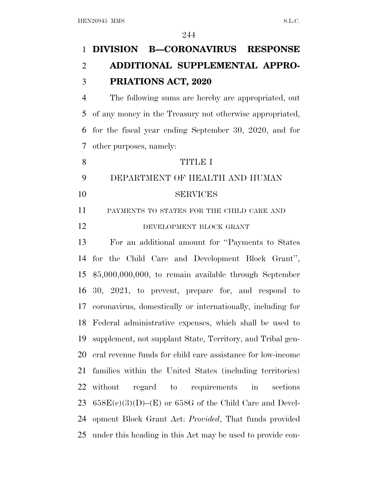## **DIVISION B—CORONAVIRUS RESPONSE ADDITIONAL SUPPLEMENTAL APPRO-PRIATIONS ACT, 2020**

 The following sums are hereby are appropriated, out of any money in the Treasury not otherwise appropriated, for the fiscal year ending September 30, 2020, and for other purposes, namely:

## TITLE I

 DEPARTMENT OF HEALTH AND HUMAN SERVICES

11 PAYMENTS TO STATES FOR THE CHILD CARE AND

12 DEVELOPMENT BLOCK GRANT

 For an additional amount for ''Payments to States for the Child Care and Development Block Grant'', \$5,000,000,000, to remain available through September 30, 2021, to prevent, prepare for, and respond to coronavirus, domestically or internationally, including for Federal administrative expenses, which shall be used to supplement, not supplant State, Territory, and Tribal gen- eral revenue funds for child care assistance for low-income families within the United States (including territories) without regard to requirements in sections  $658E(c)(3)(D)$ –(E) or 658G of the Child Care and Devel- opment Block Grant Act: *Provided*, That funds provided under this heading in this Act may be used to provide con-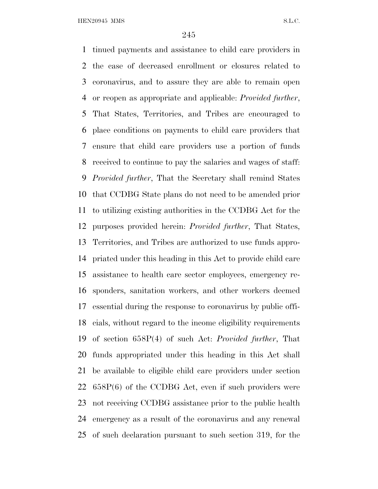tinued payments and assistance to child care providers in the case of decreased enrollment or closures related to coronavirus, and to assure they are able to remain open or reopen as appropriate and applicable: *Provided further*, That States, Territories, and Tribes are encouraged to place conditions on payments to child care providers that ensure that child care providers use a portion of funds received to continue to pay the salaries and wages of staff: *Provided further*, That the Secretary shall remind States that CCDBG State plans do not need to be amended prior to utilizing existing authorities in the CCDBG Act for the purposes provided herein: *Provided further*, That States, Territories, and Tribes are authorized to use funds appro- priated under this heading in this Act to provide child care assistance to health care sector employees, emergency re- sponders, sanitation workers, and other workers deemed essential during the response to coronavirus by public offi- cials, without regard to the income eligibility requirements of section 658P(4) of such Act: *Provided further*, That funds appropriated under this heading in this Act shall be available to eligible child care providers under section 658P(6) of the CCDBG Act, even if such providers were not receiving CCDBG assistance prior to the public health emergency as a result of the coronavirus and any renewal of such declaration pursuant to such section 319, for the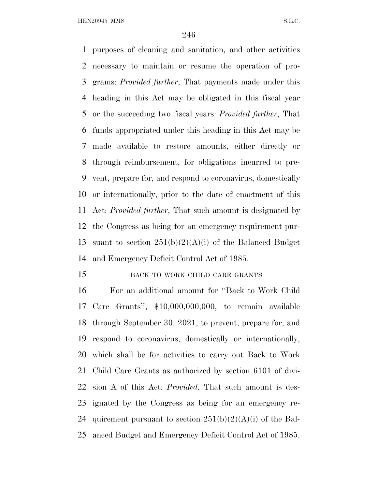purposes of cleaning and sanitation, and other activities necessary to maintain or resume the operation of pro- grams: *Provided further*, That payments made under this heading in this Act may be obligated in this fiscal year or the succeeding two fiscal years: *Provided further*, That funds appropriated under this heading in this Act may be made available to restore amounts, either directly or through reimbursement, for obligations incurred to pre- vent, prepare for, and respond to coronavirus, domestically or internationally, prior to the date of enactment of this Act: *Provided further*, That such amount is designated by the Congress as being for an emergency requirement pur-13 suant to section  $251(b)(2)(A)(i)$  of the Balanced Budget and Emergency Deficit Control Act of 1985.

## 15 BACK TO WORK CHILD CARE GRANTS

 For an additional amount for ''Back to Work Child Care Grants'', \$10,000,000,000, to remain available through September 30, 2021, to prevent, prepare for, and respond to coronavirus, domestically or internationally, which shall be for activities to carry out Back to Work Child Care Grants as authorized by section 6101 of divi- sion A of this Act: *Provided*, That such amount is des- ignated by the Congress as being for an emergency re-24 quirement pursuant to section  $251(b)(2)(A)(i)$  of the Bal-anced Budget and Emergency Deficit Control Act of 1985.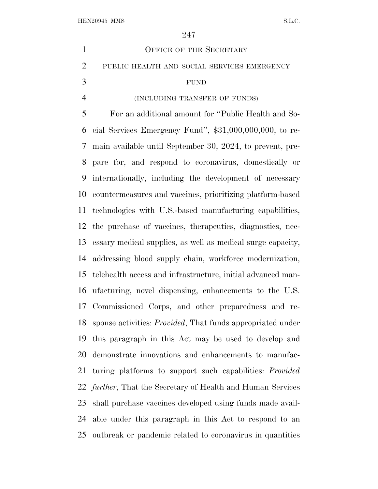| $\mathbf{1}$   | <b>OFFICE OF THE SECRETARY</b>                                        |
|----------------|-----------------------------------------------------------------------|
| $\overline{2}$ | PUBLIC HEALTH AND SOCIAL SERVICES EMERGENCY                           |
| 3              | <b>FUND</b>                                                           |
| $\overline{4}$ | (INCLUDING TRANSFER OF FUNDS)                                         |
| 5              | For an additional amount for "Public Health and So-                   |
| 6              | cial Services Emergency Fund", $$31,000,000,000$ , to re-             |
| 7              | main available until September 30, 2024, to prevent, pre-             |
| 8              | pare for, and respond to coronavirus, domestically or                 |
| 9              | internationally, including the development of necessary               |
| 10             | countermeasures and vaccines, prioritizing platform-based             |
| 11             | technologies with U.S.-based manufacturing capabilities,              |
|                | 12 the purchase of vaccines, therapeutics, diagnostics, nec-          |
| 13             | essary medical supplies, as well as medical surge capacity,           |
| 14             | addressing blood supply chain, workforce modernization,               |
| 15             | telehealth access and infrastructure, initial advanced man-           |
| 16             | ufacturing, novel dispensing, enhancements to the U.S.                |
|                | 17 Commissioned Corps, and other preparedness and re-                 |
|                | 18 sponse activities: <i>Provided</i> , That funds appropriated under |
| 19             | this paragraph in this Act may be used to develop and                 |
| 20             | demonstrate innovations and enhancements to manufac-                  |
| 21             | turing platforms to support such capabilities: <i>Provided</i>        |
|                | 22 <i>further</i> , That the Secretary of Health and Human Services   |
|                | 23 shall purchase vaccines developed using funds made avail-          |
|                | 24 able under this paragraph in this Act to respond to an             |
|                | 25 outbreak or pandemic related to coronavirus in quantities          |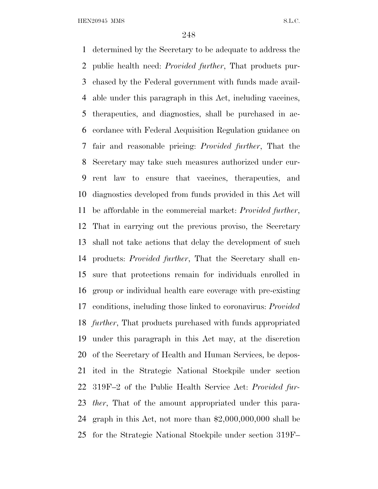determined by the Secretary to be adequate to address the public health need: *Provided further*, That products pur- chased by the Federal government with funds made avail- able under this paragraph in this Act, including vaccines, therapeutics, and diagnostics, shall be purchased in ac- cordance with Federal Acquisition Regulation guidance on fair and reasonable pricing: *Provided further*, That the Secretary may take such measures authorized under cur- rent law to ensure that vaccines, therapeutics, and diagnostics developed from funds provided in this Act will be affordable in the commercial market: *Provided further*, That in carrying out the previous proviso, the Secretary shall not take actions that delay the development of such products: *Provided further*, That the Secretary shall en- sure that protections remain for individuals enrolled in group or individual health care coverage with pre-existing conditions, including those linked to coronavirus: *Provided further*, That products purchased with funds appropriated under this paragraph in this Act may, at the discretion of the Secretary of Health and Human Services, be depos- ited in the Strategic National Stockpile under section 319F–2 of the Public Health Service Act: *Provided fur- ther*, That of the amount appropriated under this para- graph in this Act, not more than \$2,000,000,000 shall be for the Strategic National Stockpile under section 319F–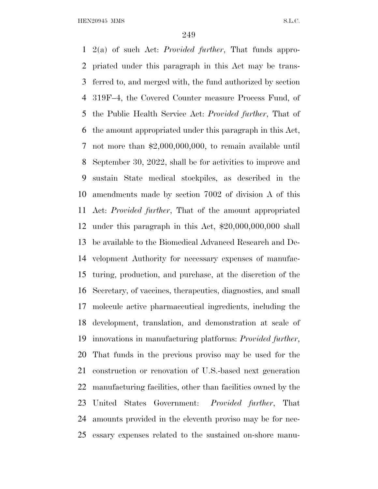2(a) of such Act: *Provided further*, That funds appro- priated under this paragraph in this Act may be trans- ferred to, and merged with, the fund authorized by section 319F–4, the Covered Counter measure Process Fund, of the Public Health Service Act: *Provided further*, That of the amount appropriated under this paragraph in this Act, not more than \$2,000,000,000, to remain available until September 30, 2022, shall be for activities to improve and sustain State medical stockpiles, as described in the amendments made by section 7002 of division A of this Act: *Provided further*, That of the amount appropriated under this paragraph in this Act, \$20,000,000,000 shall be available to the Biomedical Advanced Research and De- velopment Authority for necessary expenses of manufac- turing, production, and purchase, at the discretion of the Secretary, of vaccines, therapeutics, diagnostics, and small molecule active pharmaceutical ingredients, including the development, translation, and demonstration at scale of innovations in manufacturing platforms: *Provided further*, That funds in the previous proviso may be used for the construction or renovation of U.S.-based next generation manufacturing facilities, other than facilities owned by the United States Government: *Provided further*, That amounts provided in the eleventh proviso may be for nec-essary expenses related to the sustained on-shore manu-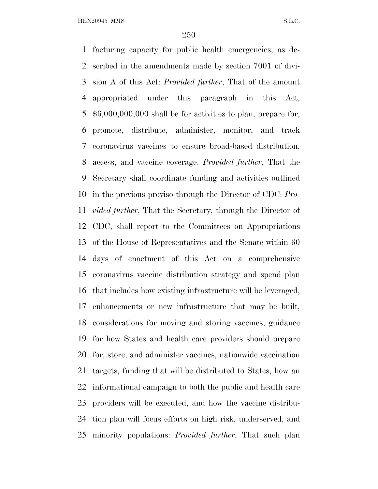facturing capacity for public health emergencies, as de- scribed in the amendments made by section 7001 of divi- sion A of this Act: *Provided further*, That of the amount appropriated under this paragraph in this Act, \$6,000,000,000 shall be for activities to plan, prepare for, promote, distribute, administer, monitor, and track coronavirus vaccines to ensure broad-based distribution, access, and vaccine coverage: *Provided further*, That the Secretary shall coordinate funding and activities outlined in the previous proviso through the Director of CDC: *Pro- vided further*, That the Secretary, through the Director of CDC, shall report to the Committees on Appropriations of the House of Representatives and the Senate within 60 days of enactment of this Act on a comprehensive coronavirus vaccine distribution strategy and spend plan that includes how existing infrastructure will be leveraged, enhancements or new infrastructure that may be built, considerations for moving and storing vaccines, guidance for how States and health care providers should prepare for, store, and administer vaccines, nationwide vaccination targets, funding that will be distributed to States, how an informational campaign to both the public and health care providers will be executed, and how the vaccine distribu- tion plan will focus efforts on high risk, underserved, and minority populations: *Provided further*, That such plan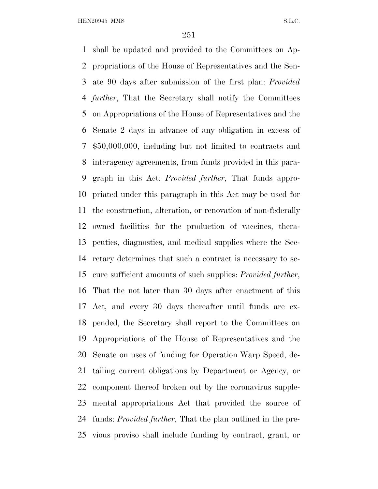shall be updated and provided to the Committees on Ap- propriations of the House of Representatives and the Sen- ate 90 days after submission of the first plan: *Provided further*, That the Secretary shall notify the Committees on Appropriations of the House of Representatives and the Senate 2 days in advance of any obligation in excess of \$50,000,000, including but not limited to contracts and interagency agreements, from funds provided in this para- graph in this Act: *Provided further*, That funds appro- priated under this paragraph in this Act may be used for the construction, alteration, or renovation of non-federally owned facilities for the production of vaccines, thera- peutics, diagnostics, and medical supplies where the Sec- retary determines that such a contract is necessary to se- cure sufficient amounts of such supplies: *Provided further*, That the not later than 30 days after enactment of this Act, and every 30 days thereafter until funds are ex- pended, the Secretary shall report to the Committees on Appropriations of the House of Representatives and the Senate on uses of funding for Operation Warp Speed, de- tailing current obligations by Department or Agency, or component thereof broken out by the coronavirus supple- mental appropriations Act that provided the source of funds: *Provided further*, That the plan outlined in the pre-vious proviso shall include funding by contract, grant, or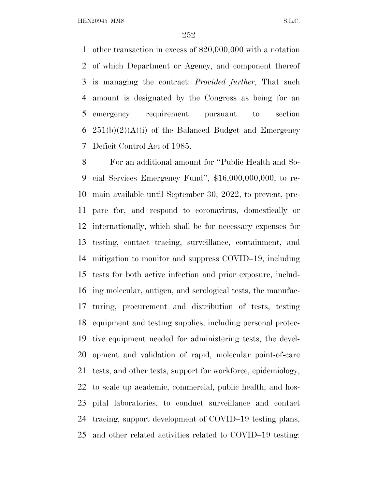other transaction in excess of \$20,000,000 with a notation of which Department or Agency, and component thereof is managing the contract: *Provided further*, That such amount is designated by the Congress as being for an emergency requirement pursuant to section  $251(b)(2)(A)(i)$  of the Balanced Budget and Emergency Deficit Control Act of 1985.

 For an additional amount for ''Public Health and So- cial Services Emergency Fund'', \$16,000,000,000, to re- main available until September 30, 2022, to prevent, pre- pare for, and respond to coronavirus, domestically or internationally, which shall be for necessary expenses for testing, contact tracing, surveillance, containment, and mitigation to monitor and suppress COVID–19, including tests for both active infection and prior exposure, includ- ing molecular, antigen, and serological tests, the manufac- turing, procurement and distribution of tests, testing equipment and testing supplies, including personal protec- tive equipment needed for administering tests, the devel- opment and validation of rapid, molecular point-of-care tests, and other tests, support for workforce, epidemiology, to scale up academic, commercial, public health, and hos- pital laboratories, to conduct surveillance and contact tracing, support development of COVID–19 testing plans, and other related activities related to COVID–19 testing: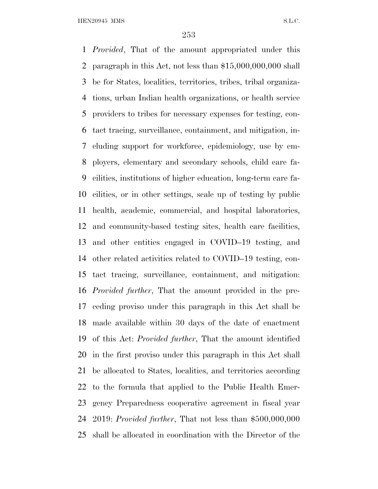*Provided*, That of the amount appropriated under this paragraph in this Act, not less than \$15,000,000,000 shall be for States, localities, territories, tribes, tribal organiza- tions, urban Indian health organizations, or health service providers to tribes for necessary expenses for testing, con- tact tracing, surveillance, containment, and mitigation, in- cluding support for workforce, epidemiology, use by em- ployers, elementary and secondary schools, child care fa- cilities, institutions of higher education, long-term care fa- cilities, or in other settings, scale up of testing by public health, academic, commercial, and hospital laboratories, and community-based testing sites, health care facilities, and other entities engaged in COVID–19 testing, and other related activities related to COVID–19 testing, con- tact tracing, surveillance, containment, and mitigation: *Provided further*, That the amount provided in the pre- ceding proviso under this paragraph in this Act shall be made available within 30 days of the date of enactment of this Act: *Provided further*, That the amount identified in the first proviso under this paragraph in this Act shall be allocated to States, localities, and territories according to the formula that applied to the Public Health Emer- gency Preparedness cooperative agreement in fiscal year 2019: *Provided further*, That not less than \$500,000,000 shall be allocated in coordination with the Director of the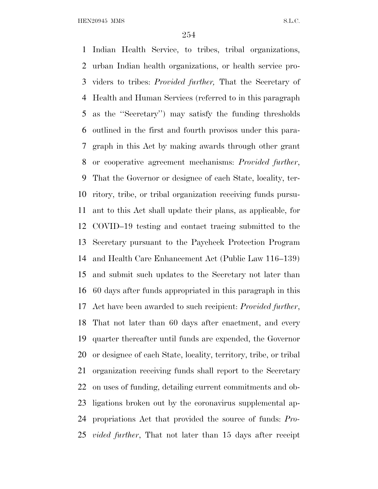Indian Health Service, to tribes, tribal organizations, urban Indian health organizations, or health service pro- viders to tribes: *Provided further,* That the Secretary of Health and Human Services (referred to in this paragraph as the ''Secretary'') may satisfy the funding thresholds outlined in the first and fourth provisos under this para- graph in this Act by making awards through other grant or cooperative agreement mechanisms: *Provided further*, That the Governor or designee of each State, locality, ter- ritory, tribe, or tribal organization receiving funds pursu- ant to this Act shall update their plans, as applicable, for COVID–19 testing and contact tracing submitted to the Secretary pursuant to the Paycheck Protection Program and Health Care Enhancement Act (Public Law 116–139) and submit such updates to the Secretary not later than 60 days after funds appropriated in this paragraph in this Act have been awarded to such recipient: *Provided further*, That not later than 60 days after enactment, and every quarter thereafter until funds are expended, the Governor or designee of each State, locality, territory, tribe, or tribal organization receiving funds shall report to the Secretary on uses of funding, detailing current commitments and ob- ligations broken out by the coronavirus supplemental ap- propriations Act that provided the source of funds: *Pro-vided further*, That not later than 15 days after receipt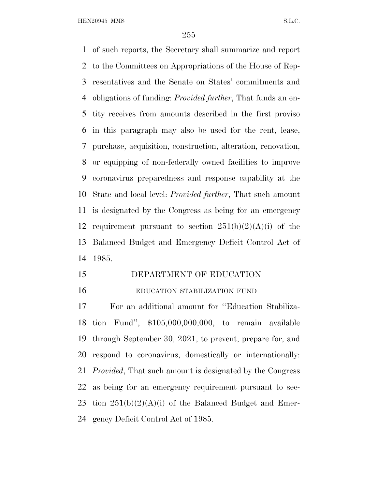of such reports, the Secretary shall summarize and report to the Committees on Appropriations of the House of Rep- resentatives and the Senate on States' commitments and obligations of funding: *Provided further*, That funds an en- tity receives from amounts described in the first proviso in this paragraph may also be used for the rent, lease, purchase, acquisition, construction, alteration, renovation, or equipping of non-federally owned facilities to improve coronavirus preparedness and response capability at the State and local level: *Provided further*, That such amount is designated by the Congress as being for an emergency 12 requirement pursuant to section  $251(b)(2)(A)(i)$  of the Balanced Budget and Emergency Deficit Control Act of 1985.

 DEPARTMENT OF EDUCATION EDUCATION STABILIZATION FUND

 For an additional amount for ''Education Stabiliza- tion Fund'', \$105,000,000,000, to remain available through September 30, 2021, to prevent, prepare for, and respond to coronavirus, domestically or internationally: *Provided*, That such amount is designated by the Congress as being for an emergency requirement pursuant to sec-23 tion  $251(b)(2)(A)(i)$  of the Balanced Budget and Emer-gency Deficit Control Act of 1985.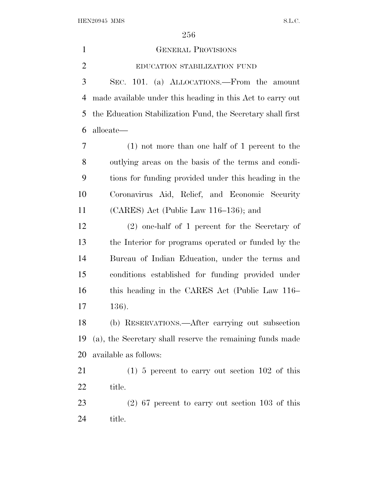GENERAL PROVISIONS EDUCATION STABILIZATION FUND SEC. 101. (a) ALLOCATIONS.—From the amount made available under this heading in this Act to carry out the Education Stabilization Fund, the Secretary shall first allocate— (1) not more than one half of 1 percent to the outlying areas on the basis of the terms and condi- tions for funding provided under this heading in the Coronavirus Aid, Relief, and Economic Security (CARES) Act (Public Law 116–136); and (2) one-half of 1 percent for the Secretary of the Interior for programs operated or funded by the Bureau of Indian Education, under the terms and conditions established for funding provided under this heading in the CARES Act (Public Law 116– 136). (b) RESERVATIONS.—After carrying out subsection (a), the Secretary shall reserve the remaining funds made available as follows: (1) 5 percent to carry out section 102 of this title. (2) 67 percent to carry out section 103 of this title.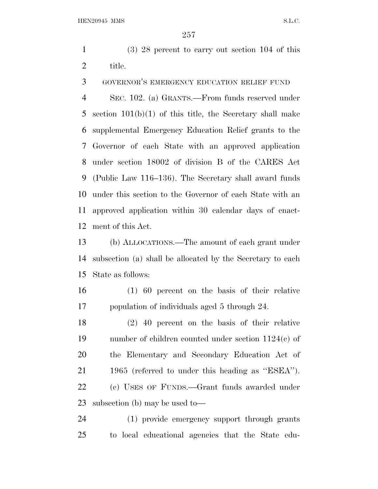(3) 28 percent to carry out section 104 of this title.

GOVERNOR'S EMERGENCY EDUCATION RELIEF FUND

 SEC. 102. (a) GRANTS.—From funds reserved under section 101(b)(1) of this title, the Secretary shall make supplemental Emergency Education Relief grants to the Governor of each State with an approved application under section 18002 of division B of the CARES Act (Public Law 116–136). The Secretary shall award funds under this section to the Governor of each State with an approved application within 30 calendar days of enact-ment of this Act.

 (b) ALLOCATIONS.—The amount of each grant under subsection (a) shall be allocated by the Secretary to each State as follows:

 (1) 60 percent on the basis of their relative population of individuals aged 5 through 24.

 (2) 40 percent on the basis of their relative number of children counted under section 1124(c) of the Elementary and Secondary Education Act of 1965 (referred to under this heading as ''ESEA''). (c) USES OF FUNDS.—Grant funds awarded under subsection (b) may be used to—

 (1) provide emergency support through grants to local educational agencies that the State edu-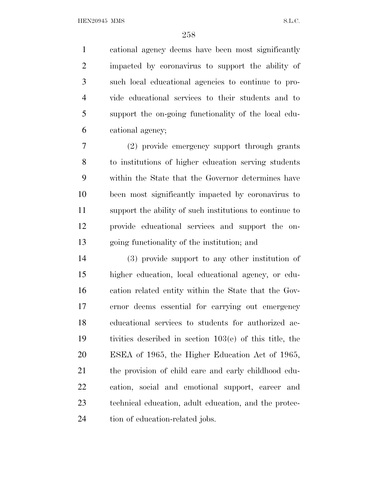cational agency deems have been most significantly impacted by coronavirus to support the ability of such local educational agencies to continue to pro- vide educational services to their students and to support the on-going functionality of the local edu-cational agency;

 (2) provide emergency support through grants to institutions of higher education serving students within the State that the Governor determines have been most significantly impacted by coronavirus to support the ability of such institutions to continue to provide educational services and support the on-going functionality of the institution; and

 (3) provide support to any other institution of higher education, local educational agency, or edu- cation related entity within the State that the Gov- ernor deems essential for carrying out emergency educational services to students for authorized ac- tivities described in section 103(e) of this title, the ESEA of 1965, the Higher Education Act of 1965, the provision of child care and early childhood edu- cation, social and emotional support, career and technical education, adult education, and the protec-24 tion of education-related jobs.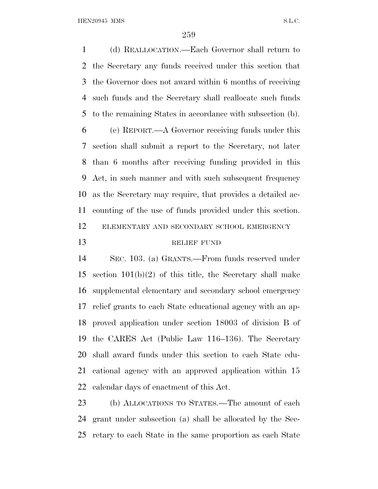(d) REALLOCATION.—Each Governor shall return to the Secretary any funds received under this section that the Governor does not award within 6 months of receiving such funds and the Secretary shall reallocate such funds to the remaining States in accordance with subsection (b).

 (e) REPORT.—A Governor receiving funds under this section shall submit a report to the Secretary, not later than 6 months after receiving funding provided in this Act, in such manner and with such subsequent frequency as the Secretary may require, that provides a detailed ac- counting of the use of funds provided under this section. ELEMENTARY AND SECONDARY SCHOOL EMERGENCY 13 RELIEF FUND

 SEC. 103. (a) GRANTS.—From funds reserved under section 101(b)(2) of this title, the Secretary shall make supplemental elementary and secondary school emergency relief grants to each State educational agency with an ap- proved application under section 18003 of division B of the CARES Act (Public Law 116–136). The Secretary shall award funds under this section to each State edu- cational agency with an approved application within 15 calendar days of enactment of this Act.

 (b) ALLOCATIONS TO STATES.—The amount of each grant under subsection (a) shall be allocated by the Sec-retary to each State in the same proportion as each State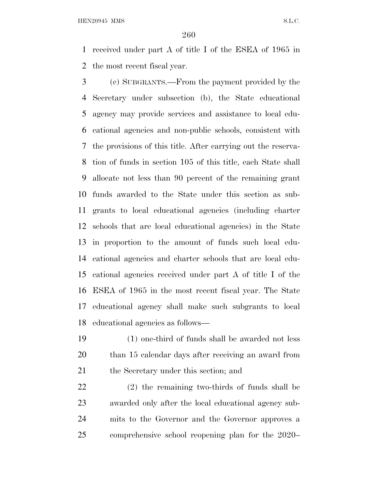received under part A of title I of the ESEA of 1965 in the most recent fiscal year.

 (c) SUBGRANTS.—From the payment provided by the Secretary under subsection (b), the State educational agency may provide services and assistance to local edu- cational agencies and non-public schools, consistent with the provisions of this title. After carrying out the reserva- tion of funds in section 105 of this title, each State shall allocate not less than 90 percent of the remaining grant funds awarded to the State under this section as sub- grants to local educational agencies (including charter schools that are local educational agencies) in the State in proportion to the amount of funds such local edu- cational agencies and charter schools that are local edu- cational agencies received under part A of title I of the ESEA of 1965 in the most recent fiscal year. The State educational agency shall make such subgrants to local educational agencies as follows—

 (1) one-third of funds shall be awarded not less than 15 calendar days after receiving an award from 21 the Secretary under this section; and

 (2) the remaining two-thirds of funds shall be awarded only after the local educational agency sub- mits to the Governor and the Governor approves a comprehensive school reopening plan for the 2020–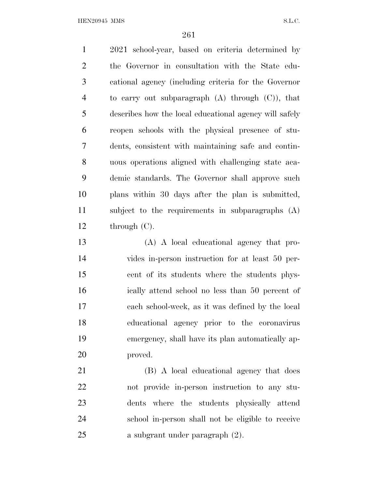2021 school-year, based on criteria determined by the Governor in consultation with the State edu- cational agency (including criteria for the Governor to carry out subparagraph (A) through (C)), that describes how the local educational agency will safely reopen schools with the physical presence of stu- dents, consistent with maintaining safe and contin- uous operations aligned with challenging state aca- demic standards. The Governor shall approve such plans within 30 days after the plan is submitted, subject to the requirements in subparagraphs (A) through (C).

 (A) A local educational agency that pro- vides in-person instruction for at least 50 per- cent of its students where the students phys- ically attend school no less than 50 percent of each school-week, as it was defined by the local educational agency prior to the coronavirus emergency, shall have its plan automatically ap-proved.

 (B) A local educational agency that does not provide in-person instruction to any stu- dents where the students physically attend school in-person shall not be eligible to receive a subgrant under paragraph (2).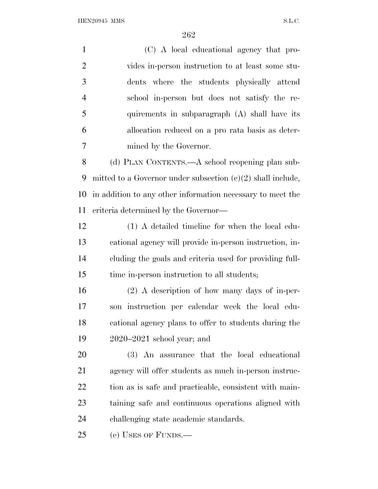(C) A local educational agency that pro- vides in-person instruction to at least some stu- dents where the students physically attend school in-person but does not satisfy the re- quirements in subparagraph (A) shall have its allocation reduced on a pro rata basis as deter- mined by the Governor. (d) PLAN CONTENTS.—A school reopening plan sub- mitted to a Governor under subsection (c)(2) shall include, in addition to any other information necessary to meet the criteria determined by the Governor— (1) A detailed timeline for when the local edu- cational agency will provide in-person instruction, in- cluding the goals and criteria used for providing full- time in-person instruction to all students; (2) A description of how many days of in-per- son instruction per calendar week the local edu- cational agency plans to offer to students during the 2020–2021 school year; and (3) An assurance that the local educational agency will offer students as much in-person instruc-22 tion as is safe and practicable, consistent with main- taining safe and continuous operations aligned with challenging state academic standards.

(e) USES OF FUNDS.—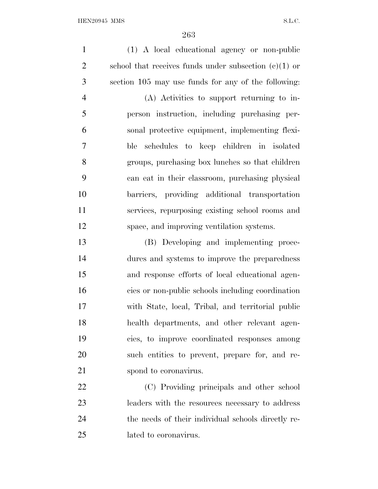(1) A local educational agency or non-public school that receives funds under subsection (c)(1) or section 105 may use funds for any of the following: (A) Activities to support returning to in- person instruction, including purchasing per- sonal protective equipment, implementing flexi- ble schedules to keep children in isolated groups, purchasing box lunches so that children can eat in their classroom, purchasing physical barriers, providing additional transportation services, repurposing existing school rooms and space, and improving ventilation systems. (B) Developing and implementing proce- dures and systems to improve the preparedness and response efforts of local educational agen- cies or non-public schools including coordination with State, local, Tribal, and territorial public health departments, and other relevant agen- cies, to improve coordinated responses among such entities to prevent, prepare for, and re-21 spond to coronavirus. (C) Providing principals and other school leaders with the resources necessary to address the needs of their individual schools directly re-

lated to coronavirus.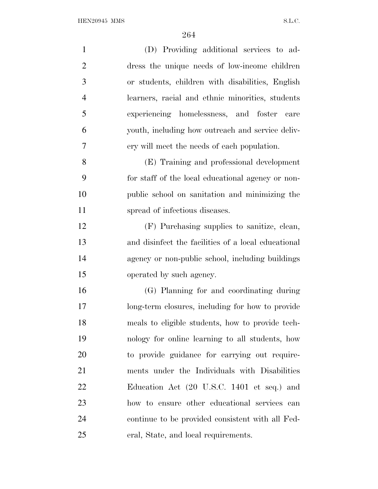| $\mathbf{1}$   | (D) Providing additional services to ad-            |
|----------------|-----------------------------------------------------|
| $\overline{2}$ | dress the unique needs of low-income children       |
| 3              | or students, children with disabilities, English    |
| $\overline{4}$ | learners, racial and ethnic minorities, students    |
| 5              | experiencing homelessness, and foster care          |
| 6              | youth, including how outreach and service deliv-    |
| 7              | ery will meet the needs of each population.         |
| 8              | (E) Training and professional development           |
| 9              | for staff of the local educational agency or non-   |
| 10             | public school on sanitation and minimizing the      |
| 11             | spread of infectious diseases.                      |
| 12             | (F) Purchasing supplies to sanitize, clean,         |
| 13             | and disinfect the facilities of a local educational |
| 14             | agency or non-public school, including buildings    |
| 15             | operated by such agency.                            |
| 16             | (G) Planning for and coordinating during            |
| 17             | long-term closures, including for how to provide    |
| 18             | meals to eligible students, how to provide tech-    |
| 19             | nology for online learning to all students, how     |
| 20             | to provide guidance for carrying out require-       |
| 21             | ments under the Individuals with Disabilities       |
| 22             | Education Act (20 U.S.C. 1401 et seq.) and          |
| 23             | how to ensure other educational services can        |
| 24             | continue to be provided consistent with all Fed-    |
| 25             | eral, State, and local requirements.                |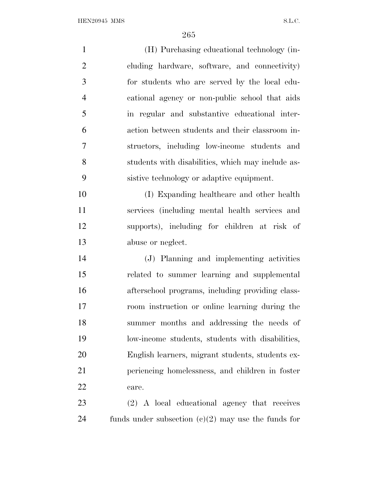(H) Purchasing educational technology (in- cluding hardware, software, and connectivity) for students who are served by the local edu- cational agency or non-public school that aids in regular and substantive educational inter- action between students and their classroom in- structors, including low-income students and students with disabilities, which may include as- sistive technology or adaptive equipment. (I) Expanding healthcare and other health services (including mental health services and supports), including for children at risk of abuse or neglect. (J) Planning and implementing activities related to summer learning and supplemental afterschool programs, including providing class- room instruction or online learning during the summer months and addressing the needs of low-income students, students with disabilities, English learners, migrant students, students ex- periencing homelessness, and children in foster care. (2) A local educational agency that receives 24 funds under subsection  $(c)(2)$  may use the funds for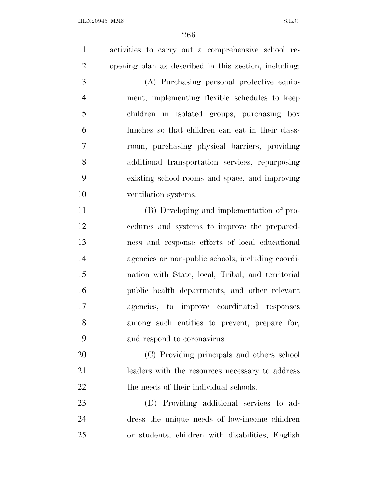activities to carry out a comprehensive school re- opening plan as described in this section, including: (A) Purchasing personal protective equip- ment, implementing flexible schedules to keep children in isolated groups, purchasing box lunches so that children can eat in their class- room, purchasing physical barriers, providing additional transportation services, repurposing existing school rooms and space, and improving ventilation systems. (B) Developing and implementation of pro- cedures and systems to improve the prepared- ness and response efforts of local educational agencies or non-public schools, including coordi- nation with State, local, Tribal, and territorial public health departments, and other relevant agencies, to improve coordinated responses among such entities to prevent, prepare for, and respond to coronavirus. (C) Providing principals and others school leaders with the resources necessary to address 22 the needs of their individual schools. (D) Providing additional services to ad- dress the unique needs of low-income children or students, children with disabilities, English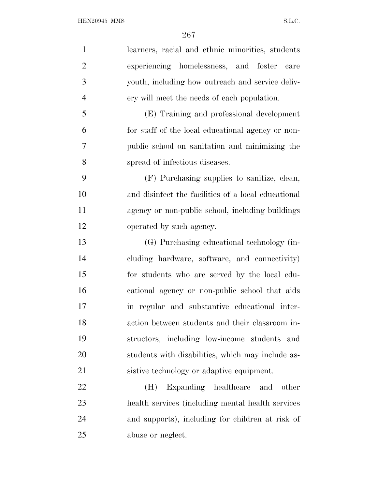| $\mathbf{1}$   | learners, racial and ethnic minorities, students    |
|----------------|-----------------------------------------------------|
| $\overline{2}$ | experiencing homelessness, and foster<br>care       |
| 3              | youth, including how outreach and service deliv-    |
| $\overline{4}$ | ery will meet the needs of each population.         |
| 5              | (E) Training and professional development           |
| 6              | for staff of the local educational agency or non-   |
| 7              | public school on sanitation and minimizing the      |
| 8              | spread of infectious diseases.                      |
| 9              | (F) Purchasing supplies to sanitize, clean,         |
| 10             | and disinfect the facilities of a local educational |
| 11             | agency or non-public school, including buildings    |
| 12             | operated by such agency.                            |
| 13             | (G) Purchasing educational technology (in-          |
| 14             | cluding hardware, software, and connectivity)       |
| 15             | for students who are served by the local edu-       |
| 16             | cational agency or non-public school that aids      |
| 17             | in regular and substantive educational inter-       |
| 18             | action between students and their classroom in-     |
| 19             | structors, including low-income students and        |
| 20             | students with disabilities, which may include as-   |
| 21             | sistive technology or adaptive equipment.           |
| 22             | Expanding healthcare<br>(H)<br>and<br>other         |
| 23             | health services (including mental health services)  |
| 24             | and supports), including for children at risk of    |
| 25             | abuse or neglect.                                   |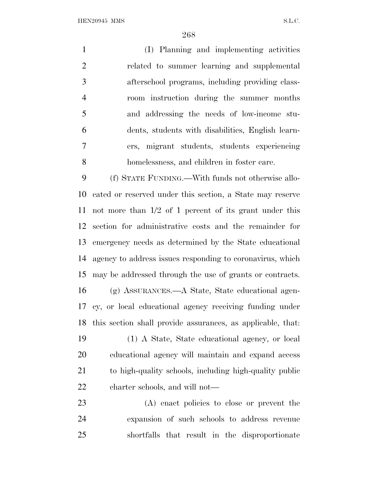(I) Planning and implementing activities related to summer learning and supplemental afterschool programs, including providing class- room instruction during the summer months and addressing the needs of low-income stu- dents, students with disabilities, English learn- ers, migrant students, students experiencing homelessness, and children in foster care.

 (f) STATE FUNDING.—With funds not otherwise allo- cated or reserved under this section, a State may reserve not more than 1/2 of 1 percent of its grant under this section for administrative costs and the remainder for emergency needs as determined by the State educational agency to address issues responding to coronavirus, which may be addressed through the use of grants or contracts. (g) ASSURANCES.—A State, State educational agen- cy, or local educational agency receiving funding under this section shall provide assurances, as applicable, that: (1) A State, State educational agency, or local educational agency will maintain and expand access to high-quality schools, including high-quality public charter schools, and will not—

 (A) enact policies to close or prevent the expansion of such schools to address revenue shortfalls that result in the disproportionate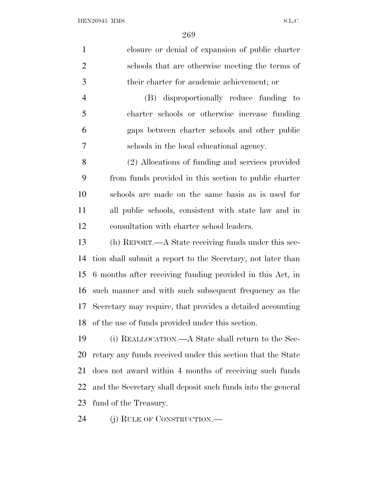| $\mathbf{1}$   | closure or denial of expansion of public charter            |
|----------------|-------------------------------------------------------------|
| $\overline{2}$ | schools that are otherwise meeting the terms of             |
| 3              | their charter for academic achievement; or                  |
| $\overline{4}$ | (B) disproportionally reduce funding to                     |
| 5              | charter schools or otherwise increase funding               |
| 6              | gaps between charter schools and other public               |
| 7              | schools in the local educational agency.                    |
| 8              | (2) Allocations of funding and services provided            |
| 9              | from funds provided in this section to public charter       |
| 10             | schools are made on the same basis as is used for           |
| 11             | all public schools, consistent with state law and in        |
| 12             | consultation with charter school leaders.                   |
| 13             | (h) REPORT.—A State receiving funds under this sec-         |
| 14             | tion shall submit a report to the Secretary, not later than |
| 15             | 6 months after receiving funding provided in this Act, in   |
| 16             | such manner and with such subsequent frequency as the       |
| 17             | Secretary may require, that provides a detailed accounting  |
| 18             | of the use of funds provided under this section.            |
| 19             | (i) REALLOCATION.—A State shall return to the Sec-          |
| 20             | retary any funds received under this section that the State |
| 21             | does not award within 4 months of receiving such funds      |
| 22             | and the Secretary shall deposit such funds into the general |
| 23             | fund of the Treasury.                                       |
| 24             | (j) RULE OF CONSTRUCTION.—                                  |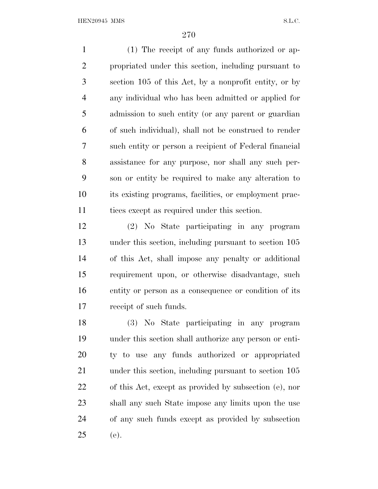(1) The receipt of any funds authorized or ap- propriated under this section, including pursuant to section 105 of this Act, by a nonprofit entity, or by any individual who has been admitted or applied for admission to such entity (or any parent or guardian of such individual), shall not be construed to render such entity or person a recipient of Federal financial assistance for any purpose, nor shall any such per- son or entity be required to make any alteration to its existing programs, facilities, or employment prac-11 tices except as required under this section.

 (2) No State participating in any program under this section, including pursuant to section 105 of this Act, shall impose any penalty or additional requirement upon, or otherwise disadvantage, such entity or person as a consequence or condition of its receipt of such funds.

 (3) No State participating in any program under this section shall authorize any person or enti- ty to use any funds authorized or appropriated 21 under this section, including pursuant to section 105 of this Act, except as provided by subsection (e), nor shall any such State impose any limits upon the use of any such funds except as provided by subsection (e).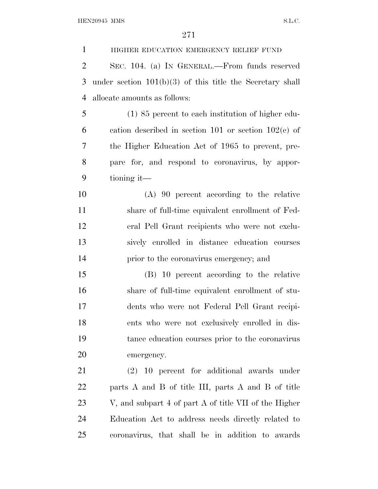HIGHER EDUCATION EMERGENCY RELIEF FUND SEC. 104. (a) I<sup>N</sup> GENERAL.—From funds reserved under section 101(b)(3) of this title the Secretary shall allocate amounts as follows: (1) 85 percent to each institution of higher edu- cation described in section 101 or section 102(c) of the Higher Education Act of 1965 to prevent, pre- pare for, and respond to coronavirus, by appor- tioning it— (A) 90 percent according to the relative share of full-time equivalent enrollment of Fed- eral Pell Grant recipients who were not exclu- sively enrolled in distance education courses prior to the coronavirus emergency; and (B) 10 percent according to the relative share of full-time equivalent enrollment of stu- dents who were not Federal Pell Grant recipi- ents who were not exclusively enrolled in dis- tance education courses prior to the coronavirus emergency. (2) 10 percent for additional awards under parts A and B of title III, parts A and B of title V, and subpart 4 of part A of title VII of the Higher Education Act to address needs directly related to coronavirus, that shall be in addition to awards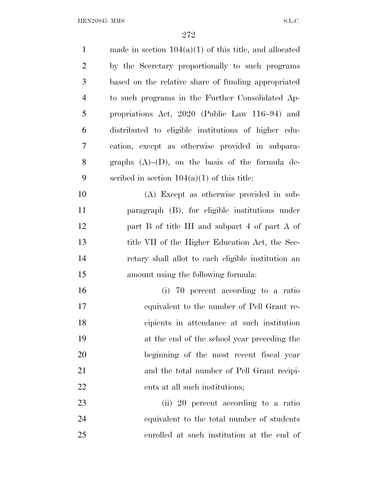| $\mathbf{1}$   | made in section $104(a)(1)$ of this title, and allocated |
|----------------|----------------------------------------------------------|
| $\overline{2}$ | by the Secretary proportionally to such programs         |
| 3              | based on the relative share of funding appropriated      |
| $\overline{4}$ | to such programs in the Further Consolidated Ap-         |
| 5              | propriations Act, 2020 (Public Law 116–94) and           |
| 6              | distributed to eligible institutions of higher edu-      |
| 7              | cation, except as otherwise provided in subpara-         |
| 8              | graphs $(A)$ – $(D)$ , on the basis of the formula de-   |
| 9              | scribed in section $104(a)(1)$ of this title:            |
| 10             | (A) Except as otherwise provided in sub-                 |
| 11             | paragraph (B), for eligible institutions under           |
| 12             | part B of title III and subpart 4 of part A of           |
| 13             | title VII of the Higher Education Act, the Sec-          |
| 14             | retary shall allot to each eligible institution an       |
| 15             | amount using the following formula:                      |
| 16             | (i) 70 percent according to a ratio                      |
| 17             | equivalent to the number of Pell Grant re-               |
| 18             | cipients in attendance at such institution               |
| 19             | at the end of the school year preceding the              |
| 20             | beginning of the most recent fiscal year                 |
| 21             | and the total number of Pell Grant recipi-               |
| 22             | ents at all such institutions;                           |
| 23             | (ii) 20 percent according to a ratio                     |
| 24             | equivalent to the total number of students               |
| 25             | enrolled at such institution at the end of               |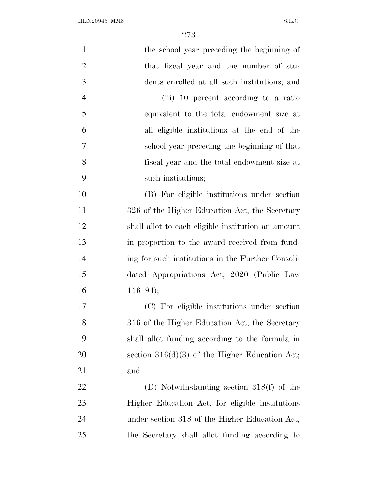| $\mathbf{1}$   | the school year preceding the beginning of         |
|----------------|----------------------------------------------------|
| $\overline{2}$ | that fiscal year and the number of stu-            |
| 3              | dents enrolled at all such institutions; and       |
| $\overline{4}$ | (iii) 10 percent according to a ratio              |
| 5              | equivalent to the total endowment size at          |
| 6              | all eligible institutions at the end of the        |
| $\overline{7}$ | school year preceding the beginning of that        |
| 8              | fiscal year and the total endowment size at        |
| 9              | such institutions;                                 |
| 10             | (B) For eligible institutions under section        |
| 11             | 326 of the Higher Education Act, the Secretary     |
| 12             | shall allot to each eligible institution an amount |
| 13             | in proportion to the award received from fund-     |
| 14             | ing for such institutions in the Further Consoli-  |
| 15             | dated Appropriations Act, 2020 (Public Law         |
| 16             | $116 - 94$ ;                                       |
| 17             | (C) For eligible institutions under section        |
| 18             | 316 of the Higher Education Act, the Secretary     |
| 19             | shall allot funding according to the formula in    |
| 20             | section $316(d)(3)$ of the Higher Education Act;   |
| 21             | and                                                |
| 22             | (D) Notwithstanding section $318(f)$ of the        |
| 23             | Higher Education Act, for eligible institutions    |
| 24             | under section 318 of the Higher Education Act,     |
| 25             | the Secretary shall allot funding according to     |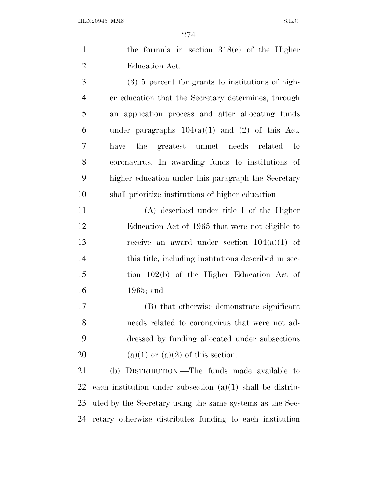| the formula in section $318(e)$ of the Higher |  |  |
|-----------------------------------------------|--|--|
| Education Act.                                |  |  |

 (3) 5 percent for grants to institutions of high- er education that the Secretary determines, through an application process and after allocating funds 6 under paragraphs  $104(a)(1)$  and  $(2)$  of this Act, have the greatest unmet needs related to coronavirus. In awarding funds to institutions of higher education under this paragraph the Secretary shall prioritize institutions of higher education—

 (A) described under title I of the Higher Education Act of 1965 that were not eligible to receive an award under section 104(a)(1) of this title, including institutions described in sec- tion 102(b) of the Higher Education Act of 1965; and

 (B) that otherwise demonstrate significant needs related to coronavirus that were not ad- dressed by funding allocated under subsections 20 (a)(1) or (a)(2) of this section.

 (b) DISTRIBUTION.—The funds made available to each institution under subsection (a)(1) shall be distrib- uted by the Secretary using the same systems as the Sec-retary otherwise distributes funding to each institution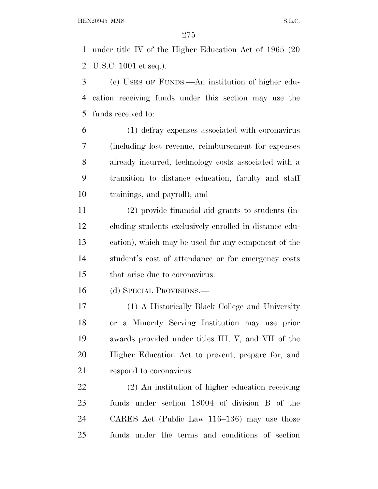under title IV of the Higher Education Act of 1965 (20 U.S.C. 1001 et seq.).

 (c) USES OF FUNDS.—An institution of higher edu- cation receiving funds under this section may use the funds received to:

 (1) defray expenses associated with coronavirus (including lost revenue, reimbursement for expenses already incurred, technology costs associated with a transition to distance education, faculty and staff trainings, and payroll); and

 (2) provide financial aid grants to students (in- cluding students exclusively enrolled in distance edu- cation), which may be used for any component of the student's cost of attendance or for emergency costs that arise due to coronavirus.

(d) SPECIAL PROVISIONS.—

 (1) A Historically Black College and University or a Minority Serving Institution may use prior awards provided under titles III, V, and VII of the Higher Education Act to prevent, prepare for, and respond to coronavirus.

 (2) An institution of higher education receiving funds under section 18004 of division B of the CARES Act (Public Law 116–136) may use those funds under the terms and conditions of section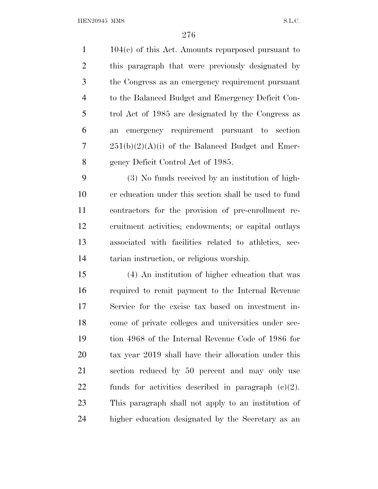104(c) of this Act. Amounts repurposed pursuant to this paragraph that were previously designated by the Congress as an emergency requirement pursuant to the Balanced Budget and Emergency Deficit Con- trol Act of 1985 are designated by the Congress as an emergency requirement pursuant to section  $7 \qquad 251(b)(2)(A)(i)$  of the Balanced Budget and Emer-gency Deficit Control Act of 1985.

 (3) No funds received by an institution of high- er education under this section shall be used to fund contractors for the provision of pre-enrollment re- cruitment activities; endowments; or capital outlays associated with facilities related to athletics, sec-tarian instruction, or religious worship.

 (4) An institution of higher education that was required to remit payment to the Internal Revenue Service for the excise tax based on investment in- come of private colleges and universities under sec- tion 4968 of the Internal Revenue Code of 1986 for tax year 2019 shall have their allocation under this section reduced by 50 percent and may only use funds for activities described in paragraph (c)(2). This paragraph shall not apply to an institution of higher education designated by the Secretary as an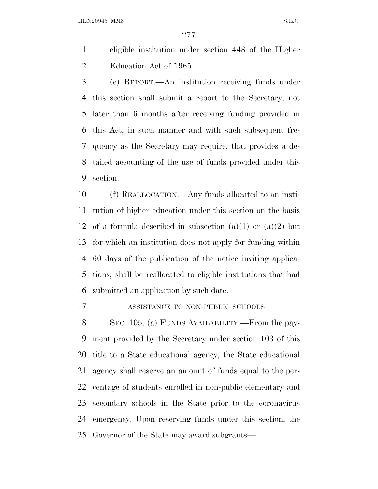eligible institution under section 448 of the Higher Education Act of 1965.

 (e) REPORT.—An institution receiving funds under this section shall submit a report to the Secretary, not later than 6 months after receiving funding provided in this Act, in such manner and with such subsequent fre- quency as the Secretary may require, that provides a de- tailed accounting of the use of funds provided under this section.

 (f) REALLOCATION.—Any funds allocated to an insti- tution of higher education under this section on the basis 12 of a formula described in subsection  $(a)(1)$  or  $(a)(2)$  but for which an institution does not apply for funding within 60 days of the publication of the notice inviting applica- tions, shall be reallocated to eligible institutions that had submitted an application by such date.

ASSISTANCE TO NON-PUBLIC SCHOOLS

 SEC. 105. (a) FUNDS AVAILABILITY.—From the pay- ment provided by the Secretary under section 103 of this title to a State educational agency, the State educational agency shall reserve an amount of funds equal to the per- centage of students enrolled in non-public elementary and secondary schools in the State prior to the coronavirus emergency. Upon reserving funds under this section, the Governor of the State may award subgrants—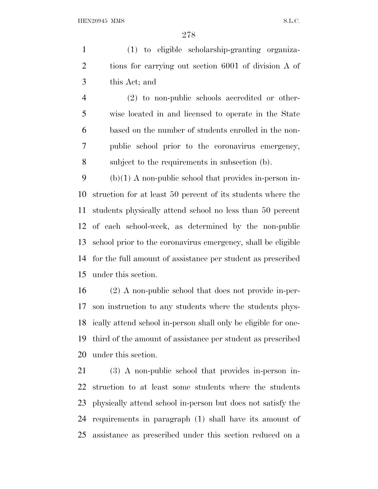(1) to eligible scholarship-granting organiza- tions for carrying out section 6001 of division A of this Act; and

 (2) to non-public schools accredited or other- wise located in and licensed to operate in the State based on the number of students enrolled in the non- public school prior to the coronavirus emergency, subject to the requirements in subsection (b).

 (b)(1) A non-public school that provides in-person in- struction for at least 50 percent of its students where the students physically attend school no less than 50 percent of each school-week, as determined by the non-public school prior to the coronavirus emergency, shall be eligible for the full amount of assistance per student as prescribed under this section.

 (2) A non-public school that does not provide in-per- son instruction to any students where the students phys- ically attend school in-person shall only be eligible for one- third of the amount of assistance per student as prescribed under this section.

 (3) A non-public school that provides in-person in- struction to at least some students where the students physically attend school in-person but does not satisfy the requirements in paragraph (1) shall have its amount of assistance as prescribed under this section reduced on a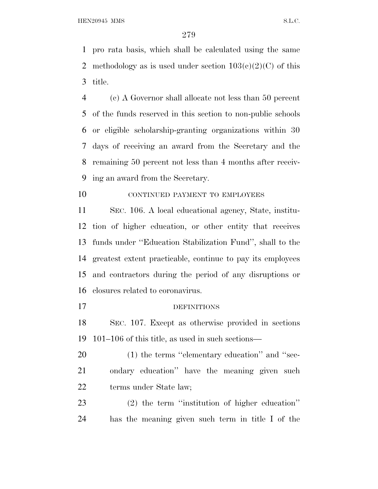pro rata basis, which shall be calculated using the same 2 methodology as is used under section  $103(c)(2)(C)$  of this title.

 (c) A Governor shall allocate not less than 50 percent of the funds reserved in this section to non-public schools or eligible scholarship-granting organizations within 30 days of receiving an award from the Secretary and the remaining 50 percent not less than 4 months after receiv-ing an award from the Secretary.

## 10 CONTINUED PAYMENT TO EMPLOYEES

 SEC. 106. A local educational agency, State, institu- tion of higher education, or other entity that receives funds under ''Education Stabilization Fund'', shall to the greatest extent practicable, continue to pay its employees and contractors during the period of any disruptions or closures related to coronavirus.

## DEFINITIONS

 SEC. 107. Except as otherwise provided in sections 101–106 of this title, as used in such sections—

20 (1) the terms "elementary education" and "sec- ondary education'' have the meaning given such terms under State law;

 (2) the term ''institution of higher education'' has the meaning given such term in title I of the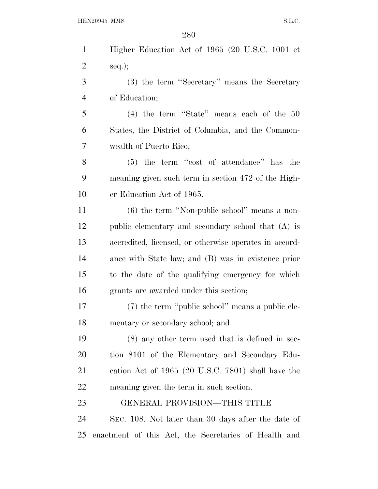| $\mathbf{1}$   | Higher Education Act of 1965 (20 U.S.C. 1001 et        |
|----------------|--------------------------------------------------------|
| $\overline{c}$ | $seq.$ ;                                               |
| 3              | (3) the term "Secretary" means the Secretary           |
| $\overline{4}$ | of Education;                                          |
| 5              | $(4)$ the term "State" means each of the 50            |
| 6              | States, the District of Columbia, and the Common-      |
| 7              | wealth of Puerto Rico;                                 |
| 8              | $(5)$ the term "cost of attendance" has the            |
| 9              | meaning given such term in section 472 of the High-    |
| 10             | er Education Act of 1965.                              |
| 11             | $(6)$ the term "Non-public school" means a non-        |
| 12             | public elementary and secondary school that (A) is     |
| 13             | accredited, licensed, or otherwise operates in accord- |
| 14             | ance with State law; and (B) was in existence prior    |
| 15             | to the date of the qualifying emergency for which      |
| 16             | grants are awarded under this section;                 |
| 17             | (7) the term "public school" means a public ele-       |
| 18             | mentary or secondary school; and                       |
| 19             | $(8)$ any other term used that is defined in sec-      |
| <b>20</b>      | tion 8101 of the Elementary and Secondary Edu-         |
| 21             | cation Act of $1965$ (20 U.S.C. 7801) shall have the   |
| 22             | meaning given the term in such section.                |
| 23             | GENERAL PROVISION—THIS TITLE                           |
| 24             | SEC. 108. Not later than 30 days after the date of     |
| 25             | enactment of this Act, the Secretaries of Health and   |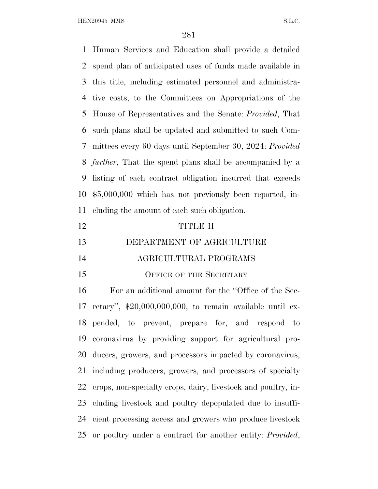Human Services and Education shall provide a detailed spend plan of anticipated uses of funds made available in this title, including estimated personnel and administra- tive costs, to the Committees on Appropriations of the House of Representatives and the Senate: *Provided*, That such plans shall be updated and submitted to such Com- mittees every 60 days until September 30, 2024: *Provided further*, That the spend plans shall be accompanied by a listing of each contract obligation incurred that exceeds \$5,000,000 which has not previously been reported, in-cluding the amount of each such obligation.

- TITLE II
- DEPARTMENT OF AGRICULTURE
- AGRICULTURAL PROGRAMS
- 15 OFFICE OF THE SECRETARY

 For an additional amount for the ''Office of the Sec- retary'', \$20,000,000,000, to remain available until ex- pended, to prevent, prepare for, and respond to coronavirus by providing support for agricultural pro- ducers, growers, and processors impacted by coronavirus, including producers, growers, and processors of specialty crops, non-specialty crops, dairy, livestock and poultry, in- cluding livestock and poultry depopulated due to insuffi- cient processing access and growers who produce livestock or poultry under a contract for another entity: *Provided*,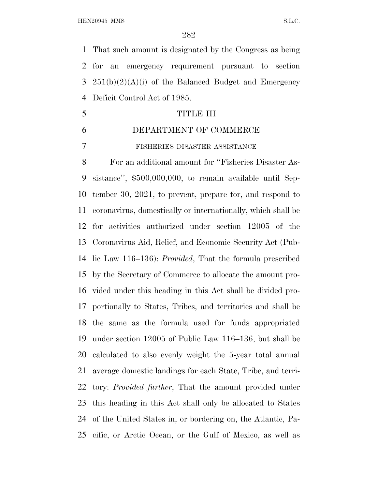That such amount is designated by the Congress as being for an emergency requirement pursuant to section  $251(b)(2)(A)(i)$  of the Balanced Budget and Emergency Deficit Control Act of 1985.

- TITLE III
- DEPARTMENT OF COMMERCE
- FISHERIES DISASTER ASSISTANCE

 For an additional amount for ''Fisheries Disaster As- sistance'', \$500,000,000, to remain available until Sep- tember 30, 2021, to prevent, prepare for, and respond to coronavirus, domestically or internationally, which shall be for activities authorized under section 12005 of the Coronavirus Aid, Relief, and Economic Security Act (Pub- lic Law 116–136): *Provided*, That the formula prescribed by the Secretary of Commerce to allocate the amount pro- vided under this heading in this Act shall be divided pro- portionally to States, Tribes, and territories and shall be the same as the formula used for funds appropriated under section 12005 of Public Law 116–136, but shall be calculated to also evenly weight the 5-year total annual average domestic landings for each State, Tribe, and terri- tory: *Provided further*, That the amount provided under this heading in this Act shall only be allocated to States of the United States in, or bordering on, the Atlantic, Pa-cific, or Arctic Ocean, or the Gulf of Mexico, as well as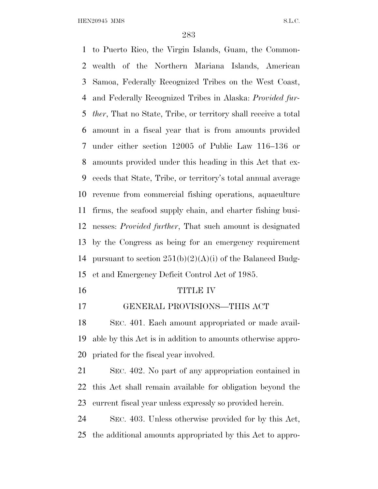to Puerto Rico, the Virgin Islands, Guam, the Common- wealth of the Northern Mariana Islands, American Samoa, Federally Recognized Tribes on the West Coast, and Federally Recognized Tribes in Alaska: *Provided fur- ther*, That no State, Tribe, or territory shall receive a total amount in a fiscal year that is from amounts provided under either section 12005 of Public Law 116–136 or amounts provided under this heading in this Act that ex- ceeds that State, Tribe, or territory's total annual average revenue from commercial fishing operations, aquaculture firms, the seafood supply chain, and charter fishing busi- nesses: *Provided further*, That such amount is designated by the Congress as being for an emergency requirement 14 pursuant to section  $251(b)(2)(A)(i)$  of the Balanced Budg-et and Emergency Deficit Control Act of 1985.

## TITLE IV

GENERAL PROVISIONS—THIS ACT

 SEC. 401. Each amount appropriated or made avail- able by this Act is in addition to amounts otherwise appro-priated for the fiscal year involved.

 SEC. 402. No part of any appropriation contained in this Act shall remain available for obligation beyond the current fiscal year unless expressly so provided herein.

 SEC. 403. Unless otherwise provided for by this Act, the additional amounts appropriated by this Act to appro-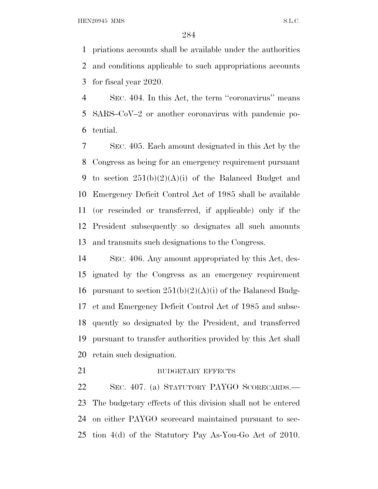priations accounts shall be available under the authorities and conditions applicable to such appropriations accounts for fiscal year 2020.

 SEC. 404. In this Act, the term ''coronavirus'' means SARS–CoV–2 or another coronavirus with pandemic po-tential.

 SEC. 405. Each amount designated in this Act by the Congress as being for an emergency requirement pursuant 9 to section  $251(b)(2)(A)(i)$  of the Balanced Budget and Emergency Deficit Control Act of 1985 shall be available (or rescinded or transferred, if applicable) only if the President subsequently so designates all such amounts and transmits such designations to the Congress.

 SEC. 406. Any amount appropriated by this Act, des- ignated by the Congress as an emergency requirement 16 pursuant to section  $251(b)(2)(A)(i)$  of the Balanced Budg- et and Emergency Deficit Control Act of 1985 and subse- quently so designated by the President, and transferred pursuant to transfer authorities provided by this Act shall retain such designation.

## 21 BUDGETARY EFFECTS

 SEC. 407. (a) STATUTORY PAYGO SCORECARDS.— The budgetary effects of this division shall not be entered on either PAYGO scorecard maintained pursuant to sec-tion 4(d) of the Statutory Pay As-You-Go Act of 2010.